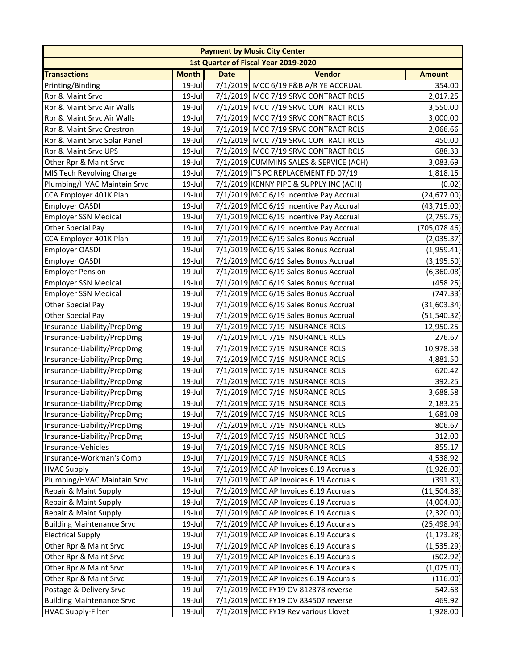|                                  |              |             | <b>Payment by Music City Center</b>     |               |
|----------------------------------|--------------|-------------|-----------------------------------------|---------------|
|                                  |              |             | 1st Quarter of Fiscal Year 2019-2020    |               |
| <b>Transactions</b>              | <b>Month</b> | <b>Date</b> | <b>Vendor</b>                           | <b>Amount</b> |
| Printing/Binding                 | 19-Jul       |             | 7/1/2019 MCC 6/19 F&B A/R YE ACCRUAL    | 354.00        |
| Rpr & Maint Srvc                 | 19-Jul       |             | 7/1/2019 MCC 7/19 SRVC CONTRACT RCLS    | 2,017.25      |
| Rpr & Maint Srvc Air Walls       | 19-Jul       |             | 7/1/2019 MCC 7/19 SRVC CONTRACT RCLS    | 3,550.00      |
| Rpr & Maint Srvc Air Walls       | 19-Jul       |             | 7/1/2019 MCC 7/19 SRVC CONTRACT RCLS    | 3,000.00      |
| Rpr & Maint Srvc Crestron        | 19-Jul       |             | 7/1/2019 MCC 7/19 SRVC CONTRACT RCLS    | 2,066.66      |
| Rpr & Maint Srvc Solar Panel     | 19-Jul       |             | 7/1/2019 MCC 7/19 SRVC CONTRACT RCLS    | 450.00        |
| Rpr & Maint Srvc UPS             | 19-Jul       |             | 7/1/2019 MCC 7/19 SRVC CONTRACT RCLS    | 688.33        |
| Other Rpr & Maint Srvc           | 19-Jul       |             | 7/1/2019 CUMMINS SALES & SERVICE (ACH)  | 3,083.69      |
| MIS Tech Revolving Charge        | 19-Jul       |             | 7/1/2019 ITS PC REPLACEMENT FD 07/19    | 1,818.15      |
| Plumbing/HVAC Maintain Srvc      | 19-Jul       |             | 7/1/2019 KENNY PIPE & SUPPLY INC (ACH)  | (0.02)        |
| CCA Employer 401K Plan           | $19$ -Jul    |             | 7/1/2019 MCC 6/19 Incentive Pay Accrual | (24, 677.00)  |
| Employer OASDI                   | 19-Jul       |             | 7/1/2019 MCC 6/19 Incentive Pay Accrual | (43, 715.00)  |
| <b>Employer SSN Medical</b>      | 19-Jul       |             | 7/1/2019 MCC 6/19 Incentive Pay Accrual | (2,759.75)    |
| Other Special Pay                | 19-Jul       |             | 7/1/2019 MCC 6/19 Incentive Pay Accrual | (705, 078.46) |
| CCA Employer 401K Plan           | 19-Jul       |             | 7/1/2019 MCC 6/19 Sales Bonus Accrual   | (2,035.37)    |
| Employer OASDI                   | 19-Jul       |             | 7/1/2019 MCC 6/19 Sales Bonus Accrual   | (1,959.41)    |
| Employer OASDI                   | 19-Jul       |             | 7/1/2019 MCC 6/19 Sales Bonus Accrual   | (3, 195.50)   |
| <b>Employer Pension</b>          | 19-Jul       |             | 7/1/2019 MCC 6/19 Sales Bonus Accrual   | (6,360.08)    |
| <b>Employer SSN Medical</b>      | 19-Jul       |             | 7/1/2019 MCC 6/19 Sales Bonus Accrual   | (458.25)      |
| <b>Employer SSN Medical</b>      | 19-Jul       |             | 7/1/2019 MCC 6/19 Sales Bonus Accrual   | (747.33)      |
| Other Special Pay                | 19-Jul       |             | 7/1/2019 MCC 6/19 Sales Bonus Accrual   | (31, 603.34)  |
| Other Special Pay                | $19$ -Jul    |             | 7/1/2019 MCC 6/19 Sales Bonus Accrual   | (51, 540.32)  |
| Insurance-Liability/PropDmg      | 19-Jul       |             | 7/1/2019 MCC 7/19 INSURANCE RCLS        | 12,950.25     |
| Insurance-Liability/PropDmg      | 19-Jul       |             | 7/1/2019 MCC 7/19 INSURANCE RCLS        | 276.67        |
| Insurance-Liability/PropDmg      | 19-Jul       |             | 7/1/2019 MCC 7/19 INSURANCE RCLS        | 10,978.58     |
| Insurance-Liability/PropDmg      | 19-Jul       |             | 7/1/2019 MCC 7/19 INSURANCE RCLS        | 4,881.50      |
| Insurance-Liability/PropDmg      | 19-Jul       |             | 7/1/2019 MCC 7/19 INSURANCE RCLS        | 620.42        |
| Insurance-Liability/PropDmg      | $19$ -Jul    |             | 7/1/2019 MCC 7/19 INSURANCE RCLS        | 392.25        |
| Insurance-Liability/PropDmg      | 19-Jul       |             | 7/1/2019 MCC 7/19 INSURANCE RCLS        | 3,688.58      |
| Insurance-Liability/PropDmg      | 19-Jul       |             | 7/1/2019 MCC 7/19 INSURANCE RCLS        | 2,183.25      |
| Insurance-Liability/PropDmg      | 19-Jul       |             | 7/1/2019 MCC 7/19 INSURANCE RCLS        | 1,681.08      |
| Insurance-Liability/PropDmg      | $19$ -Jul    |             | 7/1/2019 MCC 7/19 INSURANCE RCLS        | 806.67        |
| Insurance-Liability/PropDmg      | 19-Jul       |             | 7/1/2019 MCC 7/19 INSURANCE RCLS        | 312.00        |
| Insurance-Vehicles               | 19-Jul       |             | 7/1/2019 MCC 7/19 INSURANCE RCLS        | 855.17        |
| Insurance-Workman's Comp         | 19-Jul       |             | 7/1/2019 MCC 7/19 INSURANCE RCLS        | 4,538.92      |
| <b>HVAC Supply</b>               | 19-Jul       |             | 7/1/2019 MCC AP Invoices 6.19 Accruals  | (1,928.00)    |
| Plumbing/HVAC Maintain Srvc      | 19-Jul       |             | 7/1/2019 MCC AP Invoices 6.19 Accruals  | (391.80)      |
| Repair & Maint Supply            | 19-Jul       |             | 7/1/2019 MCC AP Invoices 6.19 Accruals  | (11,504.88)   |
| Repair & Maint Supply            | 19-Jul       |             | 7/1/2019 MCC AP Invoices 6.19 Accruals  | (4,004.00)    |
| Repair & Maint Supply            | 19-Jul       |             | 7/1/2019 MCC AP Invoices 6.19 Accruals  | (2,320.00)    |
| <b>Building Maintenance Srvc</b> | 19-Jul       |             | 7/1/2019 MCC AP Invoices 6.19 Accurals  | (25,498.94)   |
| <b>Electrical Supply</b>         | 19-Jul       |             | 7/1/2019 MCC AP Invoices 6.19 Accurals  | (1, 173.28)   |
| Other Rpr & Maint Srvc           | 19-Jul       |             | 7/1/2019 MCC AP Invoices 6.19 Accurals  | (1,535.29)    |
| Other Rpr & Maint Srvc           | 19-Jul       |             | 7/1/2019 MCC AP Invoices 6.19 Accurals  | (502.92)      |
| Other Rpr & Maint Srvc           | 19-Jul       |             | 7/1/2019 MCC AP Invoices 6.19 Accurals  | (1,075.00)    |
| Other Rpr & Maint Srvc           | 19-Jul       |             | 7/1/2019 MCC AP Invoices 6.19 Accurals  | (116.00)      |
| Postage & Delivery Srvc          | 19-Jul       |             | 7/1/2019 MCC FY19 OV 812378 reverse     | 542.68        |
| <b>Building Maintenance Srvc</b> | 19-Jul       |             | 7/1/2019 MCC FY19 OV 834507 reverse     | 469.92        |
| <b>HVAC Supply-Filter</b>        | 19-Jul       |             | 7/1/2019 MCC FY19 Rev various Llovet    | 1,928.00      |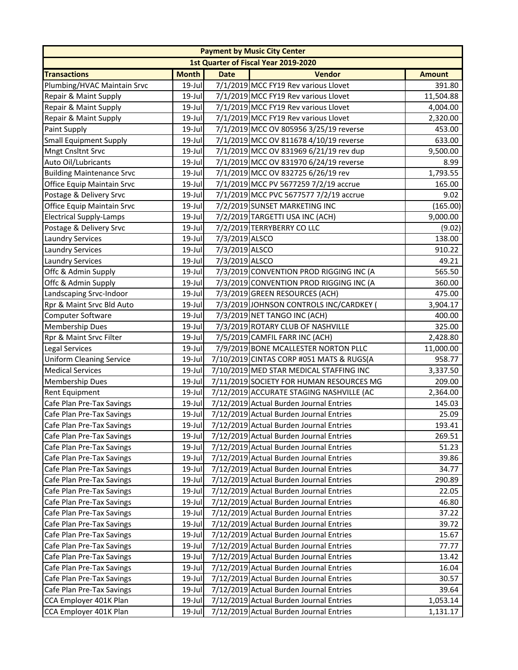|                                  | <b>Payment by Music City Center</b> |                |                                          |               |  |  |
|----------------------------------|-------------------------------------|----------------|------------------------------------------|---------------|--|--|
|                                  |                                     |                | 1st Quarter of Fiscal Year 2019-2020     |               |  |  |
| <b>Transactions</b>              | <b>Month</b>                        | <b>Date</b>    | <b>Vendor</b>                            | <b>Amount</b> |  |  |
| Plumbing/HVAC Maintain Srvc      | 19-Jul                              |                | 7/1/2019 MCC FY19 Rev various Llovet     | 391.80        |  |  |
| Repair & Maint Supply            | 19-Jul                              |                | 7/1/2019 MCC FY19 Rev various Llovet     | 11,504.88     |  |  |
| Repair & Maint Supply            | 19-Jul                              |                | 7/1/2019 MCC FY19 Rev various Llovet     | 4,004.00      |  |  |
| Repair & Maint Supply            | 19-Jul                              |                | 7/1/2019 MCC FY19 Rev various Llovet     | 2,320.00      |  |  |
| Paint Supply                     | $19$ -Jul                           |                | 7/1/2019 MCC OV 805956 3/25/19 reverse   | 453.00        |  |  |
| <b>Small Equipment Supply</b>    | 19-Jul                              |                | 7/1/2019 MCC OV 811678 4/10/19 reverse   | 633.00        |  |  |
| Mngt Cnsltnt Srvc                | 19-Jul                              |                | 7/1/2019 MCC OV 831969 6/21/19 rev dup   | 9,500.00      |  |  |
| Auto Oil/Lubricants              | 19-Jul                              |                | 7/1/2019 MCC OV 831970 6/24/19 reverse   | 8.99          |  |  |
| <b>Building Maintenance Srvc</b> | 19-Jul                              |                | 7/1/2019 MCC OV 832725 6/26/19 rev       | 1,793.55      |  |  |
| Office Equip Maintain Srvc       | 19-Jul                              |                | 7/1/2019 MCC PV 5677259 7/2/19 accrue    | 165.00        |  |  |
| Postage & Delivery Srvc          | 19-Jul                              |                | 7/1/2019 MCC PVC 5677577 7/2/19 accrue   | 9.02          |  |  |
| Office Equip Maintain Srvc       | 19-Jul                              |                | 7/2/2019 SUNSET MARKETING INC            | (165.00)      |  |  |
| <b>Electrical Supply-Lamps</b>   | 19-Jul                              |                | 7/2/2019 TARGETTI USA INC (ACH)          | 9,000.00      |  |  |
| Postage & Delivery Srvc          | 19-Jul                              |                | 7/2/2019 TERRYBERRY CO LLC               | (9.02)        |  |  |
| <b>Laundry Services</b>          | 19-Jul                              | 7/3/2019 ALSCO |                                          | 138.00        |  |  |
| <b>Laundry Services</b>          | $19$ -Jul                           | 7/3/2019 ALSCO |                                          | 910.22        |  |  |
| <b>Laundry Services</b>          | $19$ -Jul                           | 7/3/2019 ALSCO |                                          | 49.21         |  |  |
| Offc & Admin Supply              | 19-Jul                              |                | 7/3/2019 CONVENTION PROD RIGGING INC (A  | 565.50        |  |  |
| Offc & Admin Supply              | 19-Jul                              |                | 7/3/2019 CONVENTION PROD RIGGING INC (A  | 360.00        |  |  |
| Landscaping Srvc-Indoor          | 19-Jul                              |                | 7/3/2019 GREEN RESOURCES (ACH)           | 475.00        |  |  |
| Rpr & Maint Srvc Bld Auto        | 19-Jul                              |                | 7/3/2019 JOHNSON CONTROLS INC/CARDKEY    | 3,904.17      |  |  |
| Computer Software                | $19$ -Jul                           |                | 7/3/2019 NET TANGO INC (ACH)             | 400.00        |  |  |
| <b>Membership Dues</b>           | 19-Jul                              |                | 7/3/2019 ROTARY CLUB OF NASHVILLE        | 325.00        |  |  |
| Rpr & Maint Srvc Filter          | 19-Jul                              |                | 7/5/2019 CAMFIL FARR INC (ACH)           | 2,428.80      |  |  |
| Legal Services                   | 19-Jul                              |                | 7/9/2019 BONE MCALLESTER NORTON PLLC     | 11,000.00     |  |  |
| <b>Uniform Cleaning Service</b>  | 19-Jul                              |                | 7/10/2019 CINTAS CORP #051 MATS & RUGS(A | 958.77        |  |  |
| <b>Medical Services</b>          | 19-Jul                              |                | 7/10/2019 MED STAR MEDICAL STAFFING INC  | 3,337.50      |  |  |
| Membership Dues                  | 19-Jul                              |                | 7/11/2019 SOCIETY FOR HUMAN RESOURCES MG | 209.00        |  |  |
| <b>Rent Equipment</b>            | 19-Jul                              |                | 7/12/2019 ACCURATE STAGING NASHVILLE (AC | 2,364.00      |  |  |
| Cafe Plan Pre-Tax Savings        | 19-Jul                              |                | 7/12/2019 Actual Burden Journal Entries  | 145.03        |  |  |
| Cafe Plan Pre-Tax Savings        | 19-Jul                              |                | 7/12/2019 Actual Burden Journal Entries  | 25.09         |  |  |
| Cafe Plan Pre-Tax Savings        | $19$ -Jul                           |                | 7/12/2019 Actual Burden Journal Entries  | 193.41        |  |  |
| Cafe Plan Pre-Tax Savings        | 19-Jul                              |                | 7/12/2019 Actual Burden Journal Entries  | 269.51        |  |  |
| Cafe Plan Pre-Tax Savings        | $19$ -Jul                           |                | 7/12/2019 Actual Burden Journal Entries  | 51.23         |  |  |
| Cafe Plan Pre-Tax Savings        | $19$ -Jul                           |                | 7/12/2019 Actual Burden Journal Entries  | 39.86         |  |  |
| Cafe Plan Pre-Tax Savings        | 19-Jul                              |                | 7/12/2019 Actual Burden Journal Entries  | 34.77         |  |  |
| Cafe Plan Pre-Tax Savings        | 19-Jul                              |                | 7/12/2019 Actual Burden Journal Entries  | 290.89        |  |  |
| Cafe Plan Pre-Tax Savings        | 19-Jul                              |                | 7/12/2019 Actual Burden Journal Entries  | 22.05         |  |  |
| Cafe Plan Pre-Tax Savings        | 19-Jul                              |                | 7/12/2019 Actual Burden Journal Entries  | 46.80         |  |  |
| Cafe Plan Pre-Tax Savings        | 19-Jul                              |                | 7/12/2019 Actual Burden Journal Entries  | 37.22         |  |  |
| Cafe Plan Pre-Tax Savings        | $19$ -Jul                           |                | 7/12/2019 Actual Burden Journal Entries  | 39.72         |  |  |
| Cafe Plan Pre-Tax Savings        | 19-Jul                              |                | 7/12/2019 Actual Burden Journal Entries  | 15.67         |  |  |
| Cafe Plan Pre-Tax Savings        | 19-Jul                              |                | 7/12/2019 Actual Burden Journal Entries  | 77.77         |  |  |
| Cafe Plan Pre-Tax Savings        | 19-Jul                              |                | 7/12/2019 Actual Burden Journal Entries  | 13.42         |  |  |
| Cafe Plan Pre-Tax Savings        | 19-Jul                              |                | 7/12/2019 Actual Burden Journal Entries  | 16.04         |  |  |
| Cafe Plan Pre-Tax Savings        | 19-Jul                              |                | 7/12/2019 Actual Burden Journal Entries  | 30.57         |  |  |
| Cafe Plan Pre-Tax Savings        | $19$ -Jul                           |                | 7/12/2019 Actual Burden Journal Entries  | 39.64         |  |  |
| CCA Employer 401K Plan           | 19-Jul                              |                | 7/12/2019 Actual Burden Journal Entries  | 1,053.14      |  |  |
| CCA Employer 401K Plan           | 19-Jul                              |                | 7/12/2019 Actual Burden Journal Entries  | 1,131.17      |  |  |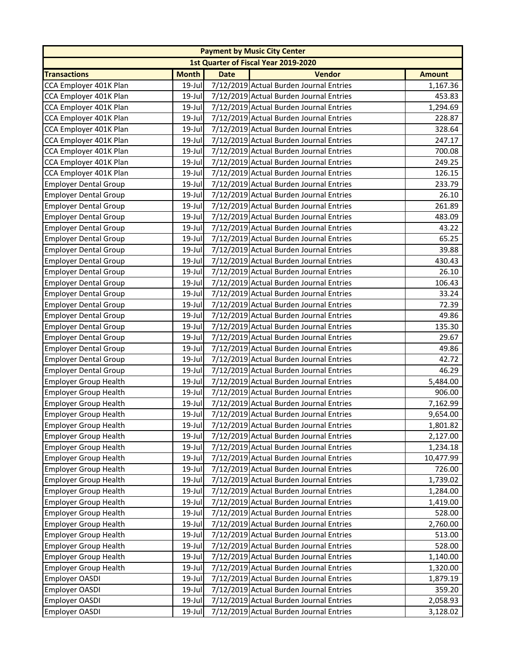|                              |              |             | <b>Payment by Music City Center</b>     |               |
|------------------------------|--------------|-------------|-----------------------------------------|---------------|
|                              |              |             | 1st Quarter of Fiscal Year 2019-2020    |               |
| <b>Transactions</b>          | <b>Month</b> | <b>Date</b> | <b>Vendor</b>                           | <b>Amount</b> |
| CCA Employer 401K Plan       | 19-Jul       |             | 7/12/2019 Actual Burden Journal Entries | 1,167.36      |
| CCA Employer 401K Plan       | 19-Jul       |             | 7/12/2019 Actual Burden Journal Entries | 453.83        |
| CCA Employer 401K Plan       | $19$ -Jul    |             | 7/12/2019 Actual Burden Journal Entries | 1,294.69      |
| CCA Employer 401K Plan       | $19$ -Jul    |             | 7/12/2019 Actual Burden Journal Entries | 228.87        |
| CCA Employer 401K Plan       | $19$ -Jul    |             | 7/12/2019 Actual Burden Journal Entries | 328.64        |
| CCA Employer 401K Plan       | 19-Jul       |             | 7/12/2019 Actual Burden Journal Entries | 247.17        |
| CCA Employer 401K Plan       | $19$ -Jul    |             | 7/12/2019 Actual Burden Journal Entries | 700.08        |
| CCA Employer 401K Plan       | 19-Jul       |             | 7/12/2019 Actual Burden Journal Entries | 249.25        |
| CCA Employer 401K Plan       | 19-Jul       |             | 7/12/2019 Actual Burden Journal Entries | 126.15        |
| <b>Employer Dental Group</b> | $19$ -Jul    |             | 7/12/2019 Actual Burden Journal Entries | 233.79        |
| <b>Employer Dental Group</b> | $19$ -Jul    |             | 7/12/2019 Actual Burden Journal Entries | 26.10         |
| <b>Employer Dental Group</b> | 19-Jul       |             | 7/12/2019 Actual Burden Journal Entries | 261.89        |
| <b>Employer Dental Group</b> | $19$ -Jul    |             | 7/12/2019 Actual Burden Journal Entries | 483.09        |
| <b>Employer Dental Group</b> | 19-Jul       |             | 7/12/2019 Actual Burden Journal Entries | 43.22         |
| <b>Employer Dental Group</b> | $19$ -Jul    |             | 7/12/2019 Actual Burden Journal Entries | 65.25         |
| <b>Employer Dental Group</b> | $19$ -Jul    |             | 7/12/2019 Actual Burden Journal Entries | 39.88         |
| <b>Employer Dental Group</b> | $19$ -Jul    |             | 7/12/2019 Actual Burden Journal Entries | 430.43        |
| <b>Employer Dental Group</b> | $19$ -Jul    |             | 7/12/2019 Actual Burden Journal Entries | 26.10         |
| <b>Employer Dental Group</b> | $19$ -Jul    |             | 7/12/2019 Actual Burden Journal Entries | 106.43        |
| <b>Employer Dental Group</b> | 19-Jul       |             | 7/12/2019 Actual Burden Journal Entries | 33.24         |
| <b>Employer Dental Group</b> | $19$ -Jul    |             | 7/12/2019 Actual Burden Journal Entries | 72.39         |
| <b>Employer Dental Group</b> | $19$ -Jul    |             | 7/12/2019 Actual Burden Journal Entries | 49.86         |
| <b>Employer Dental Group</b> | $19$ -Jul    |             | 7/12/2019 Actual Burden Journal Entries | 135.30        |
| <b>Employer Dental Group</b> | $19$ -Jul    |             | 7/12/2019 Actual Burden Journal Entries | 29.67         |
| <b>Employer Dental Group</b> | 19-Jul       |             | 7/12/2019 Actual Burden Journal Entries | 49.86         |
| <b>Employer Dental Group</b> | 19-Jul       |             | 7/12/2019 Actual Burden Journal Entries | 42.72         |
| <b>Employer Dental Group</b> | 19-Jul       |             | 7/12/2019 Actual Burden Journal Entries | 46.29         |
| <b>Employer Group Health</b> | $19$ -Jul    |             | 7/12/2019 Actual Burden Journal Entries | 5,484.00      |
| <b>Employer Group Health</b> | $19$ -Jul    |             | 7/12/2019 Actual Burden Journal Entries | 906.00        |
| <b>Employer Group Health</b> | 19-Jul       |             | 7/12/2019 Actual Burden Journal Entries | 7,162.99      |
| <b>Employer Group Health</b> | 19-Jul       |             | 7/12/2019 Actual Burden Journal Entries | 9,654.00      |
| Employer Group Health        | $19$ -Jul    |             | 7/12/2019 Actual Burden Journal Entries | 1,801.82      |
| <b>Employer Group Health</b> | 19-Jul       |             | 7/12/2019 Actual Burden Journal Entries | 2,127.00      |
| Employer Group Health        | 19-Jul       |             | 7/12/2019 Actual Burden Journal Entries | 1,234.18      |
| <b>Employer Group Health</b> | $19$ -Jul    |             | 7/12/2019 Actual Burden Journal Entries | 10,477.99     |
| <b>Employer Group Health</b> | 19-Jul       |             | 7/12/2019 Actual Burden Journal Entries | 726.00        |
| <b>Employer Group Health</b> | 19-Jul       |             | 7/12/2019 Actual Burden Journal Entries | 1,739.02      |
| <b>Employer Group Health</b> | $19$ -Jul    |             | 7/12/2019 Actual Burden Journal Entries | 1,284.00      |
| <b>Employer Group Health</b> | 19-Jul       |             | 7/12/2019 Actual Burden Journal Entries | 1,419.00      |
| <b>Employer Group Health</b> | 19-Jul       |             | 7/12/2019 Actual Burden Journal Entries | 528.00        |
| <b>Employer Group Health</b> | $19$ -Jul    |             | 7/12/2019 Actual Burden Journal Entries | 2,760.00      |
| <b>Employer Group Health</b> | 19-Jul       |             | 7/12/2019 Actual Burden Journal Entries | 513.00        |
| <b>Employer Group Health</b> | 19-Jul       |             | 7/12/2019 Actual Burden Journal Entries | 528.00        |
| <b>Employer Group Health</b> | 19-Jul       |             | 7/12/2019 Actual Burden Journal Entries | 1,140.00      |
| <b>Employer Group Health</b> | 19-Jul       |             | 7/12/2019 Actual Burden Journal Entries | 1,320.00      |
| Employer OASDI               | 19-Jul       |             | 7/12/2019 Actual Burden Journal Entries | 1,879.19      |
| <b>Employer OASDI</b>        | 19-Jul       |             | 7/12/2019 Actual Burden Journal Entries | 359.20        |
| Employer OASDI               | 19-Jul       |             | 7/12/2019 Actual Burden Journal Entries | 2,058.93      |
| Employer OASDI               | 19-Jul       |             | 7/12/2019 Actual Burden Journal Entries | 3,128.02      |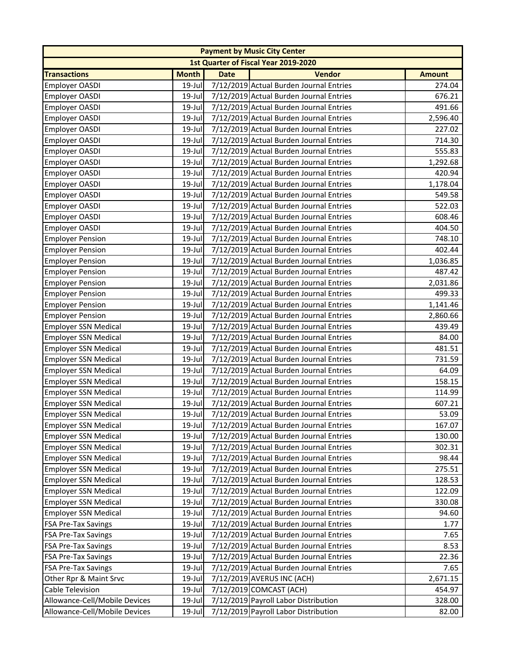|                               |              |             | <b>Payment by Music City Center</b>     |               |
|-------------------------------|--------------|-------------|-----------------------------------------|---------------|
|                               |              |             | 1st Quarter of Fiscal Year 2019-2020    |               |
| <b>Transactions</b>           | <b>Month</b> | <b>Date</b> | <b>Vendor</b>                           | <b>Amount</b> |
| <b>Employer OASDI</b>         | 19-Jul       |             | 7/12/2019 Actual Burden Journal Entries | 274.04        |
| <b>Employer OASDI</b>         | $19$ -Jul    |             | 7/12/2019 Actual Burden Journal Entries | 676.21        |
| Employer OASDI                | $19$ -Jul    |             | 7/12/2019 Actual Burden Journal Entries | 491.66        |
| Employer OASDI                | $19$ -Jul    |             | 7/12/2019 Actual Burden Journal Entries | 2,596.40      |
| Employer OASDI                | 19-Jul       |             | 7/12/2019 Actual Burden Journal Entries | 227.02        |
| Employer OASDI                | 19-Jul       |             | 7/12/2019 Actual Burden Journal Entries | 714.30        |
| <b>Employer OASDI</b>         | 19-Jul       |             | 7/12/2019 Actual Burden Journal Entries | 555.83        |
| <b>Employer OASDI</b>         | 19-Jul       |             | 7/12/2019 Actual Burden Journal Entries | 1,292.68      |
| Employer OASDI                | $19$ -Jul    |             | 7/12/2019 Actual Burden Journal Entries | 420.94        |
| Employer OASDI                | 19-Jul       |             | 7/12/2019 Actual Burden Journal Entries | 1,178.04      |
| Employer OASDI                | 19-Jul       |             | 7/12/2019 Actual Burden Journal Entries | 549.58        |
| Employer OASDI                | 19-Jul       |             | 7/12/2019 Actual Burden Journal Entries | 522.03        |
| Employer OASDI                | $19$ -Jul    |             | 7/12/2019 Actual Burden Journal Entries | 608.46        |
| <b>Employer OASDI</b>         | 19-Jul       |             | 7/12/2019 Actual Burden Journal Entries | 404.50        |
| <b>Employer Pension</b>       | $19$ -Jul    |             | 7/12/2019 Actual Burden Journal Entries | 748.10        |
| <b>Employer Pension</b>       | $19$ -Jul    |             | 7/12/2019 Actual Burden Journal Entries | 402.44        |
| <b>Employer Pension</b>       | $19$ -Jul    |             | 7/12/2019 Actual Burden Journal Entries | 1,036.85      |
| <b>Employer Pension</b>       | 19-Jul       |             | 7/12/2019 Actual Burden Journal Entries | 487.42        |
| <b>Employer Pension</b>       | $19$ -Jul    |             | 7/12/2019 Actual Burden Journal Entries | 2,031.86      |
| <b>Employer Pension</b>       | 19-Jul       |             | 7/12/2019 Actual Burden Journal Entries | 499.33        |
| <b>Employer Pension</b>       | 19-Jul       |             | 7/12/2019 Actual Burden Journal Entries | 1,141.46      |
| <b>Employer Pension</b>       | $19$ -Jul    |             | 7/12/2019 Actual Burden Journal Entries | 2,860.66      |
| <b>Employer SSN Medical</b>   | 19-Jul       |             | 7/12/2019 Actual Burden Journal Entries | 439.49        |
| <b>Employer SSN Medical</b>   | 19-Jul       |             | 7/12/2019 Actual Burden Journal Entries | 84.00         |
| <b>Employer SSN Medical</b>   | $19$ -Jul    |             | 7/12/2019 Actual Burden Journal Entries | 481.51        |
| <b>Employer SSN Medical</b>   | 19-Jul       |             | 7/12/2019 Actual Burden Journal Entries | 731.59        |
| <b>Employer SSN Medical</b>   | $19$ -Jul    |             | 7/12/2019 Actual Burden Journal Entries | 64.09         |
| <b>Employer SSN Medical</b>   | $19$ -Jul    |             | 7/12/2019 Actual Burden Journal Entries | 158.15        |
| <b>Employer SSN Medical</b>   | $19$ -Jul    |             | 7/12/2019 Actual Burden Journal Entries | 114.99        |
| <b>Employer SSN Medical</b>   | $19$ -Jul    |             | 7/12/2019 Actual Burden Journal Entries | 607.21        |
| <b>Employer SSN Medical</b>   | 19-Jul       |             | 7/12/2019 Actual Burden Journal Entries | 53.09         |
| Employer SSN Medical          | $19$ -Jul    |             | 7/12/2019 Actual Burden Journal Entries | 167.07        |
| <b>Employer SSN Medical</b>   | $19$ -Jul    |             | 7/12/2019 Actual Burden Journal Entries | 130.00        |
| <b>Employer SSN Medical</b>   | $19$ -Jul    |             | 7/12/2019 Actual Burden Journal Entries | 302.31        |
| <b>Employer SSN Medical</b>   | $19$ -Jul    |             | 7/12/2019 Actual Burden Journal Entries | 98.44         |
| <b>Employer SSN Medical</b>   | 19-Jul       |             | 7/12/2019 Actual Burden Journal Entries | 275.51        |
| <b>Employer SSN Medical</b>   | 19-Jul       |             | 7/12/2019 Actual Burden Journal Entries | 128.53        |
| <b>Employer SSN Medical</b>   | $19$ -Jul    |             | 7/12/2019 Actual Burden Journal Entries | 122.09        |
| <b>Employer SSN Medical</b>   | 19-Jul       |             | 7/12/2019 Actual Burden Journal Entries | 330.08        |
| <b>Employer SSN Medical</b>   | $19$ -Jul    |             | 7/12/2019 Actual Burden Journal Entries | 94.60         |
| <b>FSA Pre-Tax Savings</b>    | $19$ -Jul    |             | 7/12/2019 Actual Burden Journal Entries | 1.77          |
| <b>FSA Pre-Tax Savings</b>    | 19-Jul       |             | 7/12/2019 Actual Burden Journal Entries | 7.65          |
| <b>FSA Pre-Tax Savings</b>    | 19-Jul       |             | 7/12/2019 Actual Burden Journal Entries | 8.53          |
| <b>FSA Pre-Tax Savings</b>    | $19$ -Jul    |             | 7/12/2019 Actual Burden Journal Entries | 22.36         |
| <b>FSA Pre-Tax Savings</b>    | 19-Jul       |             | 7/12/2019 Actual Burden Journal Entries | 7.65          |
| Other Rpr & Maint Srvc        | $19$ -Jul    |             | 7/12/2019 AVERUS INC (ACH)              | 2,671.15      |
| <b>Cable Television</b>       | $19$ -Jul    |             | 7/12/2019 COMCAST (ACH)                 | 454.97        |
| Allowance-Cell/Mobile Devices | $19$ -Jul    |             | 7/12/2019 Payroll Labor Distribution    | 328.00        |
| Allowance-Cell/Mobile Devices | 19-Jul       |             | 7/12/2019 Payroll Labor Distribution    | 82.00         |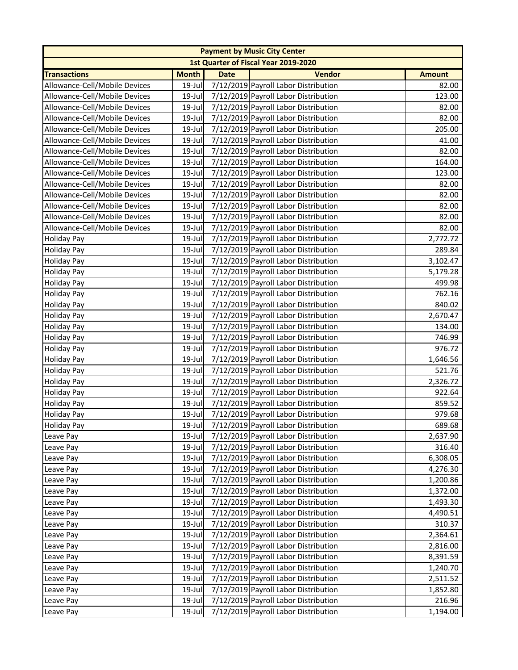|                               |              |             | <b>Payment by Music City Center</b>  |               |
|-------------------------------|--------------|-------------|--------------------------------------|---------------|
|                               |              |             | 1st Quarter of Fiscal Year 2019-2020 |               |
| <b>Transactions</b>           | <b>Month</b> | <b>Date</b> | <b>Vendor</b>                        | <b>Amount</b> |
| Allowance-Cell/Mobile Devices | 19-Jul       |             | 7/12/2019 Payroll Labor Distribution | 82.00         |
| Allowance-Cell/Mobile Devices | 19-Jul       |             | 7/12/2019 Payroll Labor Distribution | 123.00        |
| Allowance-Cell/Mobile Devices | $19$ -Jul    |             | 7/12/2019 Payroll Labor Distribution | 82.00         |
| Allowance-Cell/Mobile Devices | 19-Jul       |             | 7/12/2019 Payroll Labor Distribution | 82.00         |
| Allowance-Cell/Mobile Devices | 19-Jul       |             | 7/12/2019 Payroll Labor Distribution | 205.00        |
| Allowance-Cell/Mobile Devices | $19$ -Jul    |             | 7/12/2019 Payroll Labor Distribution | 41.00         |
| Allowance-Cell/Mobile Devices | 19-Jul       |             | 7/12/2019 Payroll Labor Distribution | 82.00         |
| Allowance-Cell/Mobile Devices | 19-Jul       |             | 7/12/2019 Payroll Labor Distribution | 164.00        |
| Allowance-Cell/Mobile Devices | $19$ -Jul    |             | 7/12/2019 Payroll Labor Distribution | 123.00        |
| Allowance-Cell/Mobile Devices | $19$ -Jul    |             | 7/12/2019 Payroll Labor Distribution | 82.00         |
| Allowance-Cell/Mobile Devices | 19-Jul       |             | 7/12/2019 Payroll Labor Distribution | 82.00         |
| Allowance-Cell/Mobile Devices | 19-Jul       |             | 7/12/2019 Payroll Labor Distribution | 82.00         |
| Allowance-Cell/Mobile Devices | 19-Jul       |             | 7/12/2019 Payroll Labor Distribution | 82.00         |
| Allowance-Cell/Mobile Devices | $19$ -Jul    |             | 7/12/2019 Payroll Labor Distribution | 82.00         |
| Holiday Pay                   | 19-Jul       |             | 7/12/2019 Payroll Labor Distribution | 2,772.72      |
| <b>Holiday Pay</b>            | 19-Jul       |             | 7/12/2019 Payroll Labor Distribution | 289.84        |
| <b>Holiday Pay</b>            | 19-Jul       |             | 7/12/2019 Payroll Labor Distribution | 3,102.47      |
| <b>Holiday Pay</b>            | 19-Jul       |             | 7/12/2019 Payroll Labor Distribution | 5,179.28      |
| <b>Holiday Pay</b>            | $19$ -Jul    |             | 7/12/2019 Payroll Labor Distribution | 499.98        |
| <b>Holiday Pay</b>            | 19-Jul       |             | 7/12/2019 Payroll Labor Distribution | 762.16        |
| <b>Holiday Pay</b>            | 19-Jul       |             | 7/12/2019 Payroll Labor Distribution | 840.02        |
| <b>Holiday Pay</b>            | $19$ -Jul    |             | 7/12/2019 Payroll Labor Distribution | 2,670.47      |
| <b>Holiday Pay</b>            | 19-Jul       |             | 7/12/2019 Payroll Labor Distribution | 134.00        |
| <b>Holiday Pay</b>            | 19-Jul       |             | 7/12/2019 Payroll Labor Distribution | 746.99        |
| <b>Holiday Pay</b>            | $19$ -Jul    |             | 7/12/2019 Payroll Labor Distribution | 976.72        |
| <b>Holiday Pay</b>            | $19$ -Jul    |             | 7/12/2019 Payroll Labor Distribution | 1,646.56      |
| <b>Holiday Pay</b>            | 19-Jul       |             | 7/12/2019 Payroll Labor Distribution | 521.76        |
| <b>Holiday Pay</b>            | $19$ -Jul    |             | 7/12/2019 Payroll Labor Distribution | 2,326.72      |
| <b>Holiday Pay</b>            | $19$ -Jul    |             | 7/12/2019 Payroll Labor Distribution | 922.64        |
| <b>Holiday Pay</b>            | 19-Jul       |             | 7/12/2019 Payroll Labor Distribution | 859.52        |
| <b>Holiday Pay</b>            | $19$ -Jul    |             | 7/12/2019 Payroll Labor Distribution | 979.68        |
| <b>Holiday Pay</b>            | $19$ -Jul    |             | 7/12/2019 Payroll Labor Distribution | 689.68        |
| Leave Pay                     | 19-Jul       |             | 7/12/2019 Payroll Labor Distribution | 2,637.90      |
| Leave Pay                     | 19-Jul       |             | 7/12/2019 Payroll Labor Distribution | 316.40        |
| Leave Pay                     | 19-Jul       |             | 7/12/2019 Payroll Labor Distribution | 6,308.05      |
| Leave Pay                     | $19$ -Jul    |             | 7/12/2019 Payroll Labor Distribution | 4,276.30      |
| Leave Pay                     | $19$ -Jul    |             | 7/12/2019 Payroll Labor Distribution | 1,200.86      |
| Leave Pay                     | 19-Jul       |             | 7/12/2019 Payroll Labor Distribution | 1,372.00      |
| Leave Pay                     | 19-Jul       |             | 7/12/2019 Payroll Labor Distribution | 1,493.30      |
| Leave Pay                     | 19-Jul       |             | 7/12/2019 Payroll Labor Distribution | 4,490.51      |
| Leave Pay                     | 19-Jul       |             | 7/12/2019 Payroll Labor Distribution | 310.37        |
| Leave Pay                     | 19-Jul       |             | 7/12/2019 Payroll Labor Distribution | 2,364.61      |
| Leave Pay                     | 19-Jul       |             | 7/12/2019 Payroll Labor Distribution | 2,816.00      |
| Leave Pay                     | 19-Jul       |             | 7/12/2019 Payroll Labor Distribution | 8,391.59      |
| Leave Pay                     | 19-Jul       |             | 7/12/2019 Payroll Labor Distribution | 1,240.70      |
| Leave Pay                     | 19-Jul       |             | 7/12/2019 Payroll Labor Distribution | 2,511.52      |
| Leave Pay                     | $19$ -Jul    |             | 7/12/2019 Payroll Labor Distribution | 1,852.80      |
| Leave Pay                     | 19-Jul       |             | 7/12/2019 Payroll Labor Distribution | 216.96        |
| Leave Pay                     | 19-Jul       |             | 7/12/2019 Payroll Labor Distribution | 1,194.00      |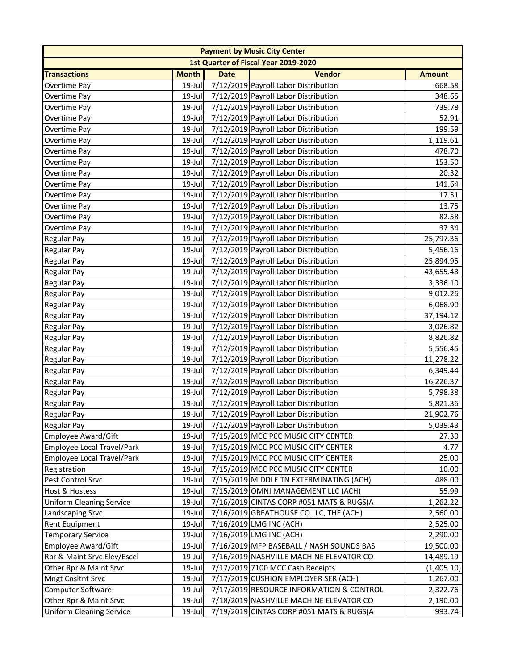| <b>Payment by Music City Center</b> |              |             |                                             |               |  |
|-------------------------------------|--------------|-------------|---------------------------------------------|---------------|--|
|                                     |              |             | <b>1st Quarter of Fiscal Year 2019-2020</b> |               |  |
| <b>Transactions</b>                 | <b>Month</b> | <b>Date</b> | <b>Vendor</b>                               | <b>Amount</b> |  |
| Overtime Pay                        | 19-Jul       |             | 7/12/2019 Payroll Labor Distribution        | 668.58        |  |
| Overtime Pay                        | 19-Jul       |             | 7/12/2019 Payroll Labor Distribution        | 348.65        |  |
| Overtime Pay                        | $19$ -Jul    |             | 7/12/2019 Payroll Labor Distribution        | 739.78        |  |
| Overtime Pay                        | 19-Jul       |             | 7/12/2019 Payroll Labor Distribution        | 52.91         |  |
| Overtime Pay                        | 19-Jul       |             | 7/12/2019 Payroll Labor Distribution        | 199.59        |  |
| Overtime Pay                        | 19-Jul       |             | 7/12/2019 Payroll Labor Distribution        | 1,119.61      |  |
| Overtime Pay                        | 19-Jul       |             | 7/12/2019 Payroll Labor Distribution        | 478.70        |  |
| Overtime Pay                        | 19-Jul       |             | 7/12/2019 Payroll Labor Distribution        | 153.50        |  |
| Overtime Pay                        | $19$ -Jul    |             | 7/12/2019 Payroll Labor Distribution        | 20.32         |  |
| Overtime Pay                        | $19$ -Jul    |             | 7/12/2019 Payroll Labor Distribution        | 141.64        |  |
| Overtime Pay                        | 19-Jul       |             | 7/12/2019 Payroll Labor Distribution        | 17.51         |  |
| Overtime Pay                        | 19-Jul       |             | 7/12/2019 Payroll Labor Distribution        | 13.75         |  |
| <b>Overtime Pay</b>                 | $19$ -Jul    |             | 7/12/2019 Payroll Labor Distribution        | 82.58         |  |
| Overtime Pay                        | 19-Jul       |             | 7/12/2019 Payroll Labor Distribution        | 37.34         |  |
| <b>Regular Pay</b>                  | $19$ -Jul    |             | 7/12/2019 Payroll Labor Distribution        | 25,797.36     |  |
| <b>Regular Pay</b>                  | 19-Jul       |             | 7/12/2019 Payroll Labor Distribution        | 5,456.16      |  |
| <b>Regular Pay</b>                  | 19-Jul       |             | 7/12/2019 Payroll Labor Distribution        | 25,894.95     |  |
| <b>Regular Pay</b>                  | 19-Jul       |             | 7/12/2019 Payroll Labor Distribution        | 43,655.43     |  |
| <b>Regular Pay</b>                  | 19-Jul       |             | 7/12/2019 Payroll Labor Distribution        | 3,336.10      |  |
| <b>Regular Pay</b>                  | 19-Jul       |             | 7/12/2019 Payroll Labor Distribution        | 9,012.26      |  |
| <b>Regular Pay</b>                  | $19$ -Jul    |             | 7/12/2019 Payroll Labor Distribution        | 6,068.90      |  |
| <b>Regular Pay</b>                  | 19-Jul       |             | 7/12/2019 Payroll Labor Distribution        | 37,194.12     |  |
| <b>Regular Pay</b>                  | 19-Jul       |             | 7/12/2019 Payroll Labor Distribution        | 3,026.82      |  |
| <b>Regular Pay</b>                  | 19-Jul       |             | 7/12/2019 Payroll Labor Distribution        | 8,826.82      |  |
| <b>Regular Pay</b>                  | 19-Jul       |             | 7/12/2019 Payroll Labor Distribution        | 5,556.45      |  |
| <b>Regular Pay</b>                  | 19-Jul       |             | 7/12/2019 Payroll Labor Distribution        | 11,278.22     |  |
| <b>Regular Pay</b>                  | 19-Jul       |             | 7/12/2019 Payroll Labor Distribution        | 6,349.44      |  |
| <b>Regular Pay</b>                  | $19$ -Jul    |             | 7/12/2019 Payroll Labor Distribution        | 16,226.37     |  |
| <b>Regular Pay</b>                  | 19-Jul       |             | 7/12/2019 Payroll Labor Distribution        | 5,798.38      |  |
| <b>Regular Pay</b>                  | 19-Jul       |             | 7/12/2019 Payroll Labor Distribution        | 5,821.36      |  |
| <b>Regular Pay</b>                  | 19-Jul       |             | 7/12/2019 Payroll Labor Distribution        | 21,902.76     |  |
| Regular Pay                         | $19$ -Jul    |             | 7/12/2019 Payroll Labor Distribution        | 5,039.43      |  |
| Employee Award/Gift                 | 19-Jul       |             | 7/15/2019 MCC PCC MUSIC CITY CENTER         | 27.30         |  |
| Employee Local Travel/Park          | $19$ -Jul    |             | 7/15/2019 MCC PCC MUSIC CITY CENTER         | 4.77          |  |
| Employee Local Travel/Park          | $19$ -Jul    |             | 7/15/2019 MCC PCC MUSIC CITY CENTER         | 25.00         |  |
| Registration                        | 19-Jul       |             | 7/15/2019 MCC PCC MUSIC CITY CENTER         | 10.00         |  |
| Pest Control Srvc                   | 19-Jul       |             | 7/15/2019 MIDDLE TN EXTERMINATING (ACH)     | 488.00        |  |
| <b>Host &amp; Hostess</b>           | 19-Jul       |             | 7/15/2019 OMNI MANAGEMENT LLC (ACH)         | 55.99         |  |
| <b>Uniform Cleaning Service</b>     | 19-Jul       |             | 7/16/2019 CINTAS CORP #051 MATS & RUGS(A    | 1,262.22      |  |
| Landscaping Srvc                    | $19$ -Jul    |             | 7/16/2019 GREATHOUSE CO LLC, THE (ACH)      | 2,560.00      |  |
| <b>Rent Equipment</b>               | 19-Jul       |             | 7/16/2019 LMG INC (ACH)                     | 2,525.00      |  |
| <b>Temporary Service</b>            | 19-Jul       |             | 7/16/2019 LMG INC (ACH)                     | 2,290.00      |  |
| Employee Award/Gift                 | 19-Jul       |             | 7/16/2019 MFP BASEBALL / NASH SOUNDS BAS    | 19,500.00     |  |
| Rpr & Maint Srvc Elev/Escel         | 19-Jul       |             | 7/16/2019 NASHVILLE MACHINE ELEVATOR CO     | 14,489.19     |  |
| Other Rpr & Maint Srvc              | 19-Jul       |             | 7/17/2019 7100 MCC Cash Receipts            | (1,405.10)    |  |
| <b>Mngt Cnsltnt Srvc</b>            | 19-Jul       |             | 7/17/2019 CUSHION EMPLOYER SER (ACH)        | 1,267.00      |  |
| Computer Software                   | 19-Jul       |             | 7/17/2019 RESOURCE INFORMATION & CONTROL    | 2,322.76      |  |
| Other Rpr & Maint Srvc              | 19-Jul       |             | 7/18/2019 NASHVILLE MACHINE ELEVATOR CO     | 2,190.00      |  |
| <b>Uniform Cleaning Service</b>     | $19$ -Jul    |             | 7/19/2019 CINTAS CORP #051 MATS & RUGS(A    | 993.74        |  |
|                                     |              |             |                                             |               |  |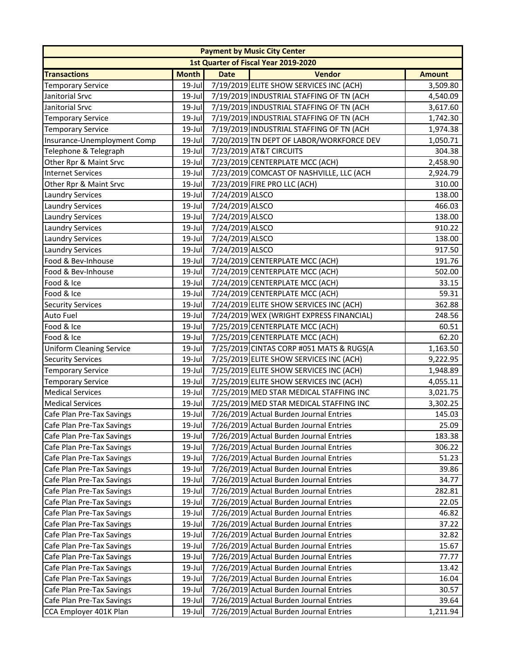|                                 |              |                 | <b>Payment by Music City Center</b>            |               |
|---------------------------------|--------------|-----------------|------------------------------------------------|---------------|
|                                 |              |                 | 1st Quarter of Fiscal Year 2019-2020           |               |
| <b>Transactions</b>             | <b>Month</b> | <b>Date</b>     | <b>Vendor</b>                                  | <b>Amount</b> |
| <b>Temporary Service</b>        | 19-Jul       |                 | 7/19/2019 ELITE SHOW SERVICES INC (ACH)        | 3,509.80      |
| Janitorial Srvc                 | 19-Jul       |                 | 7/19/2019 INDUSTRIAL STAFFING OF TN (ACH       | 4,540.09      |
| Janitorial Srvc                 | $19$ -Jul    |                 | 7/19/2019 INDUSTRIAL STAFFING OF TN (ACH       | 3,617.60      |
| <b>Temporary Service</b>        | $19$ -Jul    |                 | 7/19/2019 INDUSTRIAL STAFFING OF TN (ACH       | 1,742.30      |
| <b>Temporary Service</b>        | 19-Jul       |                 | 7/19/2019 INDUSTRIAL STAFFING OF TN (ACH       | 1,974.38      |
| Insurance-Unemployment Comp     | 19-Jul       |                 | 7/20/2019 TN DEPT OF LABOR/WORKFORCE DEV       | 1,050.71      |
| Telephone & Telegraph           | 19-Jul       |                 | 7/23/2019 AT&T CIRCUITS                        | 304.38        |
| Other Rpr & Maint Srvc          | 19-Jul       |                 | 7/23/2019 CENTERPLATE MCC (ACH)                | 2,458.90      |
| <b>Internet Services</b>        | 19-Jul       |                 | 7/23/2019 COMCAST OF NASHVILLE, LLC (ACH       | 2,924.79      |
| Other Rpr & Maint Srvc          | $19$ -Jul    |                 | 7/23/2019 FIRE PRO LLC (ACH)                   | 310.00        |
| <b>Laundry Services</b>         | 19-Jul       | 7/24/2019 ALSCO |                                                | 138.00        |
| <b>Laundry Services</b>         | $19$ -Jul    | 7/24/2019 ALSCO |                                                | 466.03        |
| <b>Laundry Services</b>         | 19-Jul       | 7/24/2019 ALSCO |                                                | 138.00        |
| <b>Laundry Services</b>         | 19-Jul       | 7/24/2019 ALSCO |                                                | 910.22        |
| <b>Laundry Services</b>         | 19-Jul       | 7/24/2019 ALSCO |                                                | 138.00        |
| <b>Laundry Services</b>         | 19-Jul       | 7/24/2019 ALSCO |                                                | 917.50        |
| Food & Bev-Inhouse              | 19-Jul       |                 | 7/24/2019 CENTERPLATE MCC (ACH)                | 191.76        |
| Food & Bev-Inhouse              | 19-Jul       |                 | 7/24/2019 CENTERPLATE MCC (ACH)                | 502.00        |
| Food & Ice                      | 19-Jul       |                 | 7/24/2019 CENTERPLATE MCC (ACH)                | 33.15         |
| Food & Ice                      | 19-Jul       |                 | 7/24/2019 CENTERPLATE MCC (ACH)                | 59.31         |
| <b>Security Services</b>        | 19-Jul       |                 | 7/24/2019 ELITE SHOW SERVICES INC (ACH)        | 362.88        |
| Auto Fuel                       | $19$ -Jul    |                 | 7/24/2019 WEX (WRIGHT EXPRESS FINANCIAL)       | 248.56        |
| Food & Ice                      | 19-Jul       |                 | 7/25/2019 CENTERPLATE MCC (ACH)                | 60.51         |
| Food & Ice                      | $19$ -Jul    |                 | 7/25/2019 CENTERPLATE MCC (ACH)                | 62.20         |
| <b>Uniform Cleaning Service</b> | 19-Jul       |                 | 7/25/2019 CINTAS CORP #051 MATS & RUGS(A       | 1,163.50      |
| <b>Security Services</b>        | 19-Jul       |                 | 7/25/2019 ELITE SHOW SERVICES INC (ACH)        | 9,222.95      |
| <b>Temporary Service</b>        | $19$ -Jul    |                 | 7/25/2019 ELITE SHOW SERVICES INC (ACH)        | 1,948.89      |
| <b>Temporary Service</b>        | 19-Jul       |                 | 7/25/2019 ELITE SHOW SERVICES INC (ACH)        | 4,055.11      |
| <b>Medical Services</b>         | $19$ -Jul    |                 | 7/25/2019 MED STAR MEDICAL STAFFING INC        | 3,021.75      |
| <b>Medical Services</b>         | 19-Jul       |                 | 7/25/2019 MED STAR MEDICAL STAFFING INC        | 3,302.25      |
| Cafe Plan Pre-Tax Savings       | 19-Jul       |                 | 7/26/2019 Actual Burden Journal Entries        | 145.03        |
| Cafe Plan Pre-Tax Savings       |              |                 | 19-Jul 7/26/2019 Actual Burden Journal Entries | 25.09         |
| Cafe Plan Pre-Tax Savings       | 19-Jul       |                 | 7/26/2019 Actual Burden Journal Entries        | 183.38        |
| Cafe Plan Pre-Tax Savings       | 19-Jul       |                 | 7/26/2019 Actual Burden Journal Entries        | 306.22        |
| Cafe Plan Pre-Tax Savings       | $19$ -Jul    |                 | 7/26/2019 Actual Burden Journal Entries        | 51.23         |
| Cafe Plan Pre-Tax Savings       | $19$ -Jul    |                 | 7/26/2019 Actual Burden Journal Entries        | 39.86         |
| Cafe Plan Pre-Tax Savings       | 19-Jul       |                 | 7/26/2019 Actual Burden Journal Entries        | 34.77         |
| Cafe Plan Pre-Tax Savings       | 19-Jul       |                 | 7/26/2019 Actual Burden Journal Entries        | 282.81        |
| Cafe Plan Pre-Tax Savings       | 19-Jul       |                 | 7/26/2019 Actual Burden Journal Entries        | 22.05         |
| Cafe Plan Pre-Tax Savings       | 19-Jul       |                 | 7/26/2019 Actual Burden Journal Entries        | 46.82         |
| Cafe Plan Pre-Tax Savings       | $19$ -Jul    |                 | 7/26/2019 Actual Burden Journal Entries        | 37.22         |
| Cafe Plan Pre-Tax Savings       | 19-Jul       |                 | 7/26/2019 Actual Burden Journal Entries        | 32.82         |
| Cafe Plan Pre-Tax Savings       | 19-Jul       |                 | 7/26/2019 Actual Burden Journal Entries        | 15.67         |
| Cafe Plan Pre-Tax Savings       | $19$ -Jul    |                 | 7/26/2019 Actual Burden Journal Entries        | 77.77         |
| Cafe Plan Pre-Tax Savings       | 19-Jul       |                 | 7/26/2019 Actual Burden Journal Entries        | 13.42         |
| Cafe Plan Pre-Tax Savings       | 19-Jul       |                 | 7/26/2019 Actual Burden Journal Entries        | 16.04         |
| Cafe Plan Pre-Tax Savings       | 19-Jul       |                 | 7/26/2019 Actual Burden Journal Entries        | 30.57         |
| Cafe Plan Pre-Tax Savings       | 19-Jul       |                 | 7/26/2019 Actual Burden Journal Entries        | 39.64         |
| CCA Employer 401K Plan          | 19-Jul       |                 | 7/26/2019 Actual Burden Journal Entries        | 1,211.94      |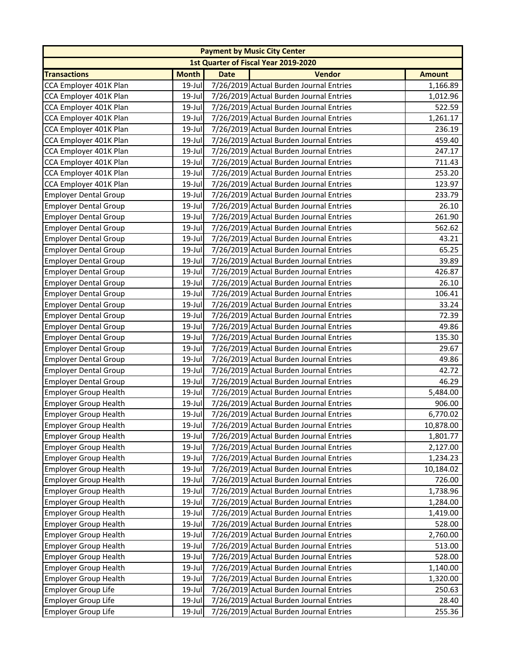|                              |              |             | <b>Payment by Music City Center</b>     |               |
|------------------------------|--------------|-------------|-----------------------------------------|---------------|
|                              |              |             | 1st Quarter of Fiscal Year 2019-2020    |               |
| <b>Transactions</b>          | <b>Month</b> | <b>Date</b> | <b>Vendor</b>                           | <b>Amount</b> |
| CCA Employer 401K Plan       | 19-Jul       |             | 7/26/2019 Actual Burden Journal Entries | 1,166.89      |
| CCA Employer 401K Plan       | 19-Jul       |             | 7/26/2019 Actual Burden Journal Entries | 1,012.96      |
| CCA Employer 401K Plan       | $19$ -Jul    |             | 7/26/2019 Actual Burden Journal Entries | 522.59        |
| CCA Employer 401K Plan       | $19$ -Jul    |             | 7/26/2019 Actual Burden Journal Entries | 1,261.17      |
| CCA Employer 401K Plan       | $19$ -Jul    |             | 7/26/2019 Actual Burden Journal Entries | 236.19        |
| CCA Employer 401K Plan       | 19-Jul       |             | 7/26/2019 Actual Burden Journal Entries | 459.40        |
| CCA Employer 401K Plan       | $19$ -Jul    |             | 7/26/2019 Actual Burden Journal Entries | 247.17        |
| CCA Employer 401K Plan       | 19-Jul       |             | 7/26/2019 Actual Burden Journal Entries | 711.43        |
| CCA Employer 401K Plan       | 19-Jul       |             | 7/26/2019 Actual Burden Journal Entries | 253.20        |
| CCA Employer 401K Plan       | $19$ -Jul    |             | 7/26/2019 Actual Burden Journal Entries | 123.97        |
| <b>Employer Dental Group</b> | $19$ -Jul    |             | 7/26/2019 Actual Burden Journal Entries | 233.79        |
| <b>Employer Dental Group</b> | 19-Jul       |             | 7/26/2019 Actual Burden Journal Entries | 26.10         |
| <b>Employer Dental Group</b> | $19$ -Jul    |             | 7/26/2019 Actual Burden Journal Entries | 261.90        |
| <b>Employer Dental Group</b> | 19-Jul       |             | 7/26/2019 Actual Burden Journal Entries | 562.62        |
| <b>Employer Dental Group</b> | 19-Jul       |             | 7/26/2019 Actual Burden Journal Entries | 43.21         |
| <b>Employer Dental Group</b> | $19$ -Jul    |             | 7/26/2019 Actual Burden Journal Entries | 65.25         |
| <b>Employer Dental Group</b> | $19$ -Jul    |             | 7/26/2019 Actual Burden Journal Entries | 39.89         |
| <b>Employer Dental Group</b> | $19$ -Jul    |             | 7/26/2019 Actual Burden Journal Entries | 426.87        |
| <b>Employer Dental Group</b> | $19$ -Jul    |             | 7/26/2019 Actual Burden Journal Entries | 26.10         |
| <b>Employer Dental Group</b> | 19-Jul       |             | 7/26/2019 Actual Burden Journal Entries | 106.41        |
| <b>Employer Dental Group</b> | $19$ -Jul    |             | 7/26/2019 Actual Burden Journal Entries | 33.24         |
| <b>Employer Dental Group</b> | $19$ -Jul    |             | 7/26/2019 Actual Burden Journal Entries | 72.39         |
| <b>Employer Dental Group</b> | $19$ -Jul    |             | 7/26/2019 Actual Burden Journal Entries | 49.86         |
| <b>Employer Dental Group</b> | $19$ -Jul    |             | 7/26/2019 Actual Burden Journal Entries | 135.30        |
| <b>Employer Dental Group</b> | 19-Jul       |             | 7/26/2019 Actual Burden Journal Entries | 29.67         |
| <b>Employer Dental Group</b> | $19$ -Jul    |             | 7/26/2019 Actual Burden Journal Entries | 49.86         |
| <b>Employer Dental Group</b> | 19-Jul       |             | 7/26/2019 Actual Burden Journal Entries | 42.72         |
| <b>Employer Dental Group</b> | $19$ -Jul    |             | 7/26/2019 Actual Burden Journal Entries | 46.29         |
| <b>Employer Group Health</b> | $19$ -Jul    |             | 7/26/2019 Actual Burden Journal Entries | 5,484.00      |
| <b>Employer Group Health</b> | 19-Jul       |             | 7/26/2019 Actual Burden Journal Entries | 906.00        |
| <b>Employer Group Health</b> | 19-Jul       |             | 7/26/2019 Actual Burden Journal Entries | 6,770.02      |
| Employer Group Health        | $19$ -Jul    |             | 7/26/2019 Actual Burden Journal Entries | 10,878.00     |
| <b>Employer Group Health</b> | 19-Jul       |             | 7/26/2019 Actual Burden Journal Entries | 1,801.77      |
| <b>Employer Group Health</b> | 19-Jul       |             | 7/26/2019 Actual Burden Journal Entries | 2,127.00      |
| <b>Employer Group Health</b> | $19$ -Jul    |             | 7/26/2019 Actual Burden Journal Entries | 1,234.23      |
| <b>Employer Group Health</b> | 19-Jul       |             | 7/26/2019 Actual Burden Journal Entries | 10,184.02     |
| <b>Employer Group Health</b> | 19-Jul       |             | 7/26/2019 Actual Burden Journal Entries | 726.00        |
| <b>Employer Group Health</b> | $19$ -Jul    |             | 7/26/2019 Actual Burden Journal Entries | 1,738.96      |
| <b>Employer Group Health</b> | 19-Jul       |             | 7/26/2019 Actual Burden Journal Entries | 1,284.00      |
| <b>Employer Group Health</b> | 19-Jul       |             | 7/26/2019 Actual Burden Journal Entries | 1,419.00      |
| <b>Employer Group Health</b> | $19$ -Jul    |             | 7/26/2019 Actual Burden Journal Entries | 528.00        |
| <b>Employer Group Health</b> | 19-Jul       |             | 7/26/2019 Actual Burden Journal Entries | 2,760.00      |
| <b>Employer Group Health</b> | 19-Jul       |             | 7/26/2019 Actual Burden Journal Entries | 513.00        |
| <b>Employer Group Health</b> | 19-Jul       |             | 7/26/2019 Actual Burden Journal Entries | 528.00        |
| <b>Employer Group Health</b> | 19-Jul       |             | 7/26/2019 Actual Burden Journal Entries | 1,140.00      |
| <b>Employer Group Health</b> | 19-Jul       |             | 7/26/2019 Actual Burden Journal Entries | 1,320.00      |
| <b>Employer Group Life</b>   | 19-Jul       |             | 7/26/2019 Actual Burden Journal Entries | 250.63        |
| <b>Employer Group Life</b>   | 19-Jul       |             | 7/26/2019 Actual Burden Journal Entries | 28.40         |
| <b>Employer Group Life</b>   | 19-Jul       |             | 7/26/2019 Actual Burden Journal Entries | 255.36        |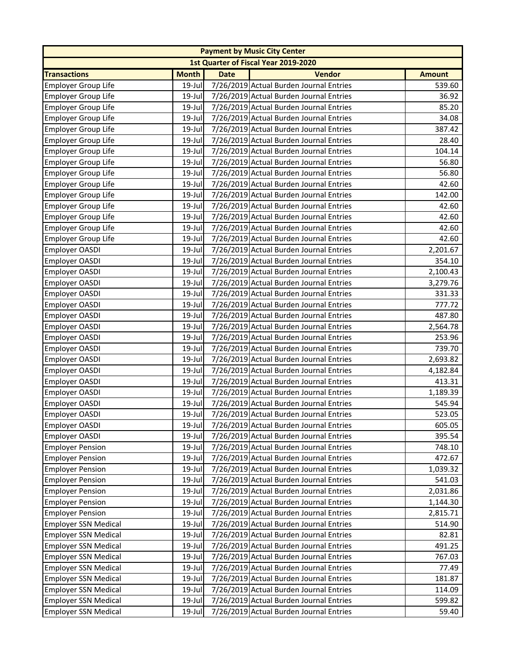|                             |              |             | <b>Payment by Music City Center</b>     |               |
|-----------------------------|--------------|-------------|-----------------------------------------|---------------|
|                             |              |             | 1st Quarter of Fiscal Year 2019-2020    |               |
| <b>Transactions</b>         | <b>Month</b> | <b>Date</b> | <b>Vendor</b>                           | <b>Amount</b> |
| <b>Employer Group Life</b>  | 19-Jul       |             | 7/26/2019 Actual Burden Journal Entries | 539.60        |
| <b>Employer Group Life</b>  | 19-Jul       |             | 7/26/2019 Actual Burden Journal Entries | 36.92         |
| <b>Employer Group Life</b>  | $19$ -Jul    |             | 7/26/2019 Actual Burden Journal Entries | 85.20         |
| <b>Employer Group Life</b>  | $19$ -Jul    |             | 7/26/2019 Actual Burden Journal Entries | 34.08         |
| <b>Employer Group Life</b>  | 19-Jul       |             | 7/26/2019 Actual Burden Journal Entries | 387.42        |
| <b>Employer Group Life</b>  | 19-Jul       |             | 7/26/2019 Actual Burden Journal Entries | 28.40         |
| <b>Employer Group Life</b>  | $19$ -Jul    |             | 7/26/2019 Actual Burden Journal Entries | 104.14        |
| <b>Employer Group Life</b>  | 19-Jul       |             | 7/26/2019 Actual Burden Journal Entries | 56.80         |
| <b>Employer Group Life</b>  | 19-Jul       |             | 7/26/2019 Actual Burden Journal Entries | 56.80         |
| <b>Employer Group Life</b>  | $19$ -Jul    |             | 7/26/2019 Actual Burden Journal Entries | 42.60         |
| <b>Employer Group Life</b>  | 19-Jul       |             | 7/26/2019 Actual Burden Journal Entries | 142.00        |
| <b>Employer Group Life</b>  | 19-Jul       |             | 7/26/2019 Actual Burden Journal Entries | 42.60         |
| <b>Employer Group Life</b>  | $19$ -Jul    |             | 7/26/2019 Actual Burden Journal Entries | 42.60         |
| <b>Employer Group Life</b>  | 19-Jul       |             | 7/26/2019 Actual Burden Journal Entries | 42.60         |
| <b>Employer Group Life</b>  | 19-Jul       |             | 7/26/2019 Actual Burden Journal Entries | 42.60         |
| Employer OASDI              | $19$ -Jul    |             | 7/26/2019 Actual Burden Journal Entries | 2,201.67      |
| Employer OASDI              | $19$ -Jul    |             | 7/26/2019 Actual Burden Journal Entries | 354.10        |
| Employer OASDI              | 19-Jul       |             | 7/26/2019 Actual Burden Journal Entries | 2,100.43      |
| Employer OASDI              | 19-Jul       |             | 7/26/2019 Actual Burden Journal Entries | 3,279.76      |
| Employer OASDI              | 19-Jul       |             | 7/26/2019 Actual Burden Journal Entries | 331.33        |
| Employer OASDI              | 19-Jul       |             | 7/26/2019 Actual Burden Journal Entries | 777.72        |
| <b>Employer OASDI</b>       | $19$ -Jul    |             | 7/26/2019 Actual Burden Journal Entries | 487.80        |
| Employer OASDI              | 19-Jul       |             | 7/26/2019 Actual Burden Journal Entries | 2,564.78      |
| Employer OASDI              | 19-Jul       |             | 7/26/2019 Actual Burden Journal Entries | 253.96        |
| Employer OASDI              | 19-Jul       |             | 7/26/2019 Actual Burden Journal Entries | 739.70        |
| <b>Employer OASDI</b>       | 19-Jul       |             | 7/26/2019 Actual Burden Journal Entries | 2,693.82      |
| <b>Employer OASDI</b>       | 19-Jul       |             | 7/26/2019 Actual Burden Journal Entries | 4,182.84      |
| Employer OASDI              | $19$ -Jul    |             | 7/26/2019 Actual Burden Journal Entries | 413.31        |
| Employer OASDI              | $19$ -Jul    |             | 7/26/2019 Actual Burden Journal Entries | 1,189.39      |
| <b>Employer OASDI</b>       | 19-Jul       |             | 7/26/2019 Actual Burden Journal Entries | 545.94        |
| Employer OASDI              | $19$ -Jul    |             | 7/26/2019 Actual Burden Journal Entries | 523.05        |
| Employer OASDI              | $19$ -Jul    |             | 7/26/2019 Actual Burden Journal Entries | 605.05        |
| Employer OASDI              | 19-Jul       |             | 7/26/2019 Actual Burden Journal Entries | 395.54        |
| <b>Employer Pension</b>     | 19-Jul       |             | 7/26/2019 Actual Burden Journal Entries | 748.10        |
| <b>Employer Pension</b>     | $19$ -Jul    |             | 7/26/2019 Actual Burden Journal Entries | 472.67        |
| <b>Employer Pension</b>     | $19$ -Jul    |             | 7/26/2019 Actual Burden Journal Entries | 1,039.32      |
| <b>Employer Pension</b>     | 19-Jul       |             | 7/26/2019 Actual Burden Journal Entries | 541.03        |
| <b>Employer Pension</b>     | $19$ -Jul    |             | 7/26/2019 Actual Burden Journal Entries | 2,031.86      |
| <b>Employer Pension</b>     | 19-Jul       |             | 7/26/2019 Actual Burden Journal Entries | 1,144.30      |
| <b>Employer Pension</b>     | 19-Jul       |             | 7/26/2019 Actual Burden Journal Entries | 2,815.71      |
| <b>Employer SSN Medical</b> | $19$ -Jul    |             | 7/26/2019 Actual Burden Journal Entries | 514.90        |
| <b>Employer SSN Medical</b> | 19-Jul       |             | 7/26/2019 Actual Burden Journal Entries | 82.81         |
| <b>Employer SSN Medical</b> | 19-Jul       |             | 7/26/2019 Actual Burden Journal Entries | 491.25        |
| <b>Employer SSN Medical</b> | $19$ -Jul    |             | 7/26/2019 Actual Burden Journal Entries | 767.03        |
| <b>Employer SSN Medical</b> | 19-Jul       |             | 7/26/2019 Actual Burden Journal Entries | 77.49         |
| <b>Employer SSN Medical</b> | 19-Jul       |             | 7/26/2019 Actual Burden Journal Entries | 181.87        |
| <b>Employer SSN Medical</b> | 19-Jul       |             | 7/26/2019 Actual Burden Journal Entries | 114.09        |
| <b>Employer SSN Medical</b> | 19-Jul       |             | 7/26/2019 Actual Burden Journal Entries | 599.82        |
| <b>Employer SSN Medical</b> | 19-Jul       |             | 7/26/2019 Actual Burden Journal Entries | 59.40         |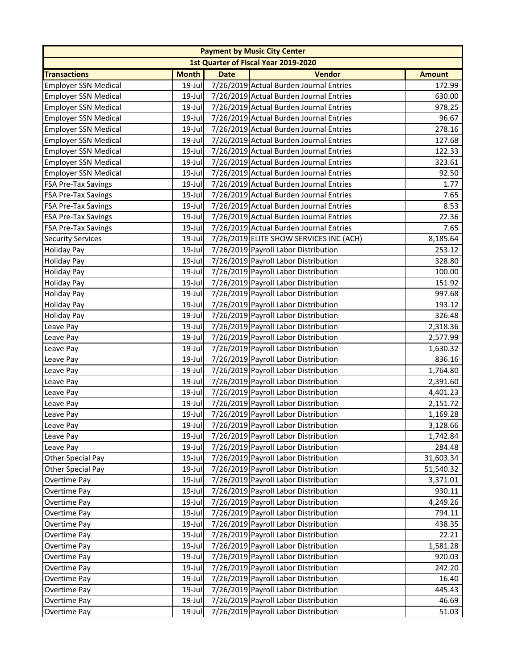|                             |              |             | <b>Payment by Music City Center</b>     |               |
|-----------------------------|--------------|-------------|-----------------------------------------|---------------|
|                             |              |             | 1st Quarter of Fiscal Year 2019-2020    |               |
| <b>Transactions</b>         | <b>Month</b> | <b>Date</b> | <b>Vendor</b>                           | <b>Amount</b> |
| <b>Employer SSN Medical</b> | 19-Jul       |             | 7/26/2019 Actual Burden Journal Entries | 172.99        |
| <b>Employer SSN Medical</b> | 19-Jul       |             | 7/26/2019 Actual Burden Journal Entries | 630.00        |
| <b>Employer SSN Medical</b> | $19$ -Jul    |             | 7/26/2019 Actual Burden Journal Entries | 978.25        |
| <b>Employer SSN Medical</b> | $19$ -Jul    |             | 7/26/2019 Actual Burden Journal Entries | 96.67         |
| <b>Employer SSN Medical</b> | 19-Jul       |             | 7/26/2019 Actual Burden Journal Entries | 278.16        |
| <b>Employer SSN Medical</b> | 19-Jul       |             | 7/26/2019 Actual Burden Journal Entries | 127.68        |
| <b>Employer SSN Medical</b> | $19$ -Jul    |             | 7/26/2019 Actual Burden Journal Entries | 122.33        |
| <b>Employer SSN Medical</b> | 19-Jul       |             | 7/26/2019 Actual Burden Journal Entries | 323.61        |
| <b>Employer SSN Medical</b> | $19$ -Jul    |             | 7/26/2019 Actual Burden Journal Entries | 92.50         |
| <b>FSA Pre-Tax Savings</b>  | $19$ -Jul    |             | 7/26/2019 Actual Burden Journal Entries | 1.77          |
| <b>FSA Pre-Tax Savings</b>  | 19-Jul       |             | 7/26/2019 Actual Burden Journal Entries | 7.65          |
| <b>FSA Pre-Tax Savings</b>  | 19-Jul       |             | 7/26/2019 Actual Burden Journal Entries | 8.53          |
| <b>FSA Pre-Tax Savings</b>  | $19$ -Jul    |             | 7/26/2019 Actual Burden Journal Entries | 22.36         |
| <b>FSA Pre-Tax Savings</b>  | $19$ -Jul    |             | 7/26/2019 Actual Burden Journal Entries | 7.65          |
| <b>Security Services</b>    | 19-Jul       |             | 7/26/2019 ELITE SHOW SERVICES INC (ACH) | 8,185.64      |
| <b>Holiday Pay</b>          | $19$ -Jul    |             | 7/26/2019 Payroll Labor Distribution    | 253.12        |
| <b>Holiday Pay</b>          | 19-Jul       |             | 7/26/2019 Payroll Labor Distribution    | 328.80        |
| <b>Holiday Pay</b>          | 19-Jul       |             | 7/26/2019 Payroll Labor Distribution    | 100.00        |
| <b>Holiday Pay</b>          | 19-Jul       |             | 7/26/2019 Payroll Labor Distribution    | 151.92        |
| <b>Holiday Pay</b>          | 19-Jul       |             | 7/26/2019 Payroll Labor Distribution    | 997.68        |
| <b>Holiday Pay</b>          | 19-Jul       |             | 7/26/2019 Payroll Labor Distribution    | 193.12        |
| <b>Holiday Pay</b>          | $19$ -Jul    |             | 7/26/2019 Payroll Labor Distribution    | 326.48        |
| Leave Pay                   | $19$ -Jul    |             | 7/26/2019 Payroll Labor Distribution    | 2,318.36      |
| Leave Pay                   | 19-Jul       |             | 7/26/2019 Payroll Labor Distribution    | 2,577.99      |
| Leave Pay                   | 19-Jul       |             | 7/26/2019 Payroll Labor Distribution    | 1,630.32      |
| Leave Pay                   | 19-Jul       |             | 7/26/2019 Payroll Labor Distribution    | 836.16        |
| Leave Pay                   | 19-Jul       |             | 7/26/2019 Payroll Labor Distribution    | 1,764.80      |
| Leave Pay                   | $19$ -Jul    |             | 7/26/2019 Payroll Labor Distribution    | 2,391.60      |
| Leave Pay                   | $19$ -Jul    |             | 7/26/2019 Payroll Labor Distribution    | 4,401.23      |
| Leave Pay                   | $19$ -Jul    |             | 7/26/2019 Payroll Labor Distribution    | 2,151.72      |
| Leave Pay                   | $19$ -Jul    |             | 7/26/2019 Payroll Labor Distribution    | 1,169.28      |
| Leave Pay                   | $19$ -Jul    |             | 7/26/2019 Payroll Labor Distribution    | 3,128.66      |
| Leave Pay                   | 19-Jul       |             | 7/26/2019 Payroll Labor Distribution    | 1,742.84      |
| Leave Pay                   | $19$ -Jul    |             | 7/26/2019 Payroll Labor Distribution    | 284.48        |
| Other Special Pay           | $19$ -Jul    |             | 7/26/2019 Payroll Labor Distribution    | 31,603.34     |
| Other Special Pay           | 19-Jul       |             | 7/26/2019 Payroll Labor Distribution    | 51,540.32     |
| Overtime Pay                | 19-Jul       |             | 7/26/2019 Payroll Labor Distribution    | 3,371.01      |
| Overtime Pay                | 19-Jul       |             | 7/26/2019 Payroll Labor Distribution    | 930.11        |
| Overtime Pay                | 19-Jul       |             | 7/26/2019 Payroll Labor Distribution    | 4,249.26      |
| Overtime Pay                | 19-Jul       |             | 7/26/2019 Payroll Labor Distribution    | 794.11        |
| Overtime Pay                | $19$ -Jul    |             | 7/26/2019 Payroll Labor Distribution    | 438.35        |
| Overtime Pay                | 19-Jul       |             | 7/26/2019 Payroll Labor Distribution    | 22.21         |
| Overtime Pay                | 19-Jul       |             | 7/26/2019 Payroll Labor Distribution    | 1,581.28      |
| Overtime Pay                | $19$ -Jul    |             | 7/26/2019 Payroll Labor Distribution    | 920.03        |
| Overtime Pay                | 19-Jul       |             | 7/26/2019 Payroll Labor Distribution    | 242.20        |
| Overtime Pay                | 19-Jul       |             | 7/26/2019 Payroll Labor Distribution    | 16.40         |
| Overtime Pay                | $19$ -Jul    |             | 7/26/2019 Payroll Labor Distribution    | 445.43        |
| Overtime Pay                | 19-Jul       |             | 7/26/2019 Payroll Labor Distribution    | 46.69         |
| Overtime Pay                | 19-Jul       |             | 7/26/2019 Payroll Labor Distribution    | 51.03         |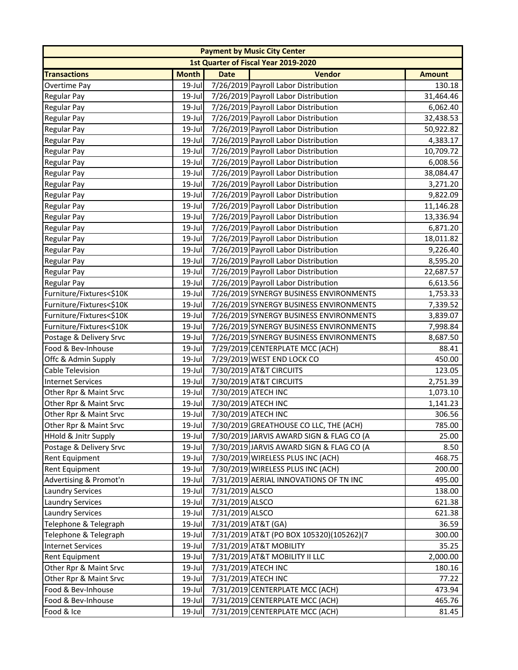| <b>Payment by Music City Center</b> |              |                     |                                          |               |  |
|-------------------------------------|--------------|---------------------|------------------------------------------|---------------|--|
|                                     |              |                     | 1st Quarter of Fiscal Year 2019-2020     |               |  |
| <b>Transactions</b>                 | <b>Month</b> | <b>Date</b>         | <b>Vendor</b>                            | <b>Amount</b> |  |
| Overtime Pay                        | $19 -$ Jul   |                     | 7/26/2019 Payroll Labor Distribution     | 130.18        |  |
| <b>Regular Pay</b>                  | $19$ -Jul    |                     | 7/26/2019 Payroll Labor Distribution     | 31,464.46     |  |
| <b>Regular Pay</b>                  | $19$ -Jul    |                     | 7/26/2019 Payroll Labor Distribution     | 6,062.40      |  |
| <b>Regular Pay</b>                  | 19-Jul       |                     | 7/26/2019 Payroll Labor Distribution     | 32,438.53     |  |
| <b>Regular Pay</b>                  | 19-Jul       |                     | 7/26/2019 Payroll Labor Distribution     | 50,922.82     |  |
| <b>Regular Pay</b>                  | 19-Jul       |                     | 7/26/2019 Payroll Labor Distribution     | 4,383.17      |  |
| <b>Regular Pay</b>                  | 19-Jul       |                     | 7/26/2019 Payroll Labor Distribution     | 10,709.72     |  |
| <b>Regular Pay</b>                  | 19-Jul       |                     | 7/26/2019 Payroll Labor Distribution     | 6,008.56      |  |
| <b>Regular Pay</b>                  | 19-Jul       |                     | 7/26/2019 Payroll Labor Distribution     | 38,084.47     |  |
| <b>Regular Pay</b>                  | 19-Jul       |                     | 7/26/2019 Payroll Labor Distribution     | 3,271.20      |  |
| Regular Pay                         | 19-Jul       |                     | 7/26/2019 Payroll Labor Distribution     | 9,822.09      |  |
| <b>Regular Pay</b>                  | 19-Jul       |                     | 7/26/2019 Payroll Labor Distribution     | 11,146.28     |  |
| Regular Pay                         | 19-Jul       |                     | 7/26/2019 Payroll Labor Distribution     | 13,336.94     |  |
| Regular Pay                         | $19$ -Jul    |                     | 7/26/2019 Payroll Labor Distribution     | 6,871.20      |  |
| <b>Regular Pay</b>                  | $19$ -Jul    |                     | 7/26/2019 Payroll Labor Distribution     | 18,011.82     |  |
| Regular Pay                         | $19$ -Jul    |                     | 7/26/2019 Payroll Labor Distribution     | 9,226.40      |  |
| <b>Regular Pay</b>                  | 19-Jul       |                     | 7/26/2019 Payroll Labor Distribution     | 8,595.20      |  |
| <b>Regular Pay</b>                  | 19-Jul       |                     | 7/26/2019 Payroll Labor Distribution     | 22,687.57     |  |
| <b>Regular Pay</b>                  | 19-Jul       |                     | 7/26/2019 Payroll Labor Distribution     | 6,613.56      |  |
| Furniture/Fixtures<\$10K            | 19-Jul       |                     | 7/26/2019 SYNERGY BUSINESS ENVIRONMENTS  | 1,753.33      |  |
| Furniture/Fixtures<\$10K            | 19-Jul       |                     | 7/26/2019 SYNERGY BUSINESS ENVIRONMENTS  | 7,339.52      |  |
| Furniture/Fixtures<\$10K            | $19$ -Jul    |                     | 7/26/2019 SYNERGY BUSINESS ENVIRONMENTS  | 3,839.07      |  |
| Furniture/Fixtures<\$10K            | 19-Jul       |                     | 7/26/2019 SYNERGY BUSINESS ENVIRONMENTS  | 7,998.84      |  |
| Postage & Delivery Srvc             | 19-Jul       |                     | 7/26/2019 SYNERGY BUSINESS ENVIRONMENTS  | 8,687.50      |  |
| Food & Bev-Inhouse                  | 19-Jul       |                     | 7/29/2019 CENTERPLATE MCC (ACH)          | 88.41         |  |
| Offc & Admin Supply                 | 19-Jul       |                     | 7/29/2019 WEST END LOCK CO               | 450.00        |  |
| <b>Cable Television</b>             | 19-Jul       |                     | 7/30/2019 AT&T CIRCUITS                  | 123.05        |  |
| <b>Internet Services</b>            | $19$ -Jul    |                     | 7/30/2019 AT&T CIRCUITS                  | 2,751.39      |  |
| Other Rpr & Maint Srvc              | 19-Jul       |                     | 7/30/2019 ATECH INC                      | 1,073.10      |  |
| Other Rpr & Maint Srvc              | $19$ -Jul    | 7/30/2019 ATECH INC |                                          | 1,141.23      |  |
| Other Rpr & Maint Srvc              | $19$ -Jul    | 7/30/2019 ATECH INC |                                          | 306.56        |  |
| Other Rpr & Maint Srvc              | $19$ -Jul    |                     | 7/30/2019 GREATHOUSE CO LLC, THE (ACH)   | 785.00        |  |
| HHold & Jnitr Supply                | 19-Jul       |                     | 7/30/2019 JARVIS AWARD SIGN & FLAG CO (A | 25.00         |  |
| Postage & Delivery Srvc             | $19$ -Jul    |                     | 7/30/2019 JARVIS AWARD SIGN & FLAG CO (A | 8.50          |  |
| <b>Rent Equipment</b>               | 19-Jul       |                     | 7/30/2019 WIRELESS PLUS INC (ACH)        | 468.75        |  |
| Rent Equipment                      | 19-Jul       |                     | 7/30/2019 WIRELESS PLUS INC (ACH)        | 200.00        |  |
| Advertising & Promot'n              | 19-Jul       |                     | 7/31/2019 AERIAL INNOVATIONS OF TN INC   | 495.00        |  |
| <b>Laundry Services</b>             | 19-Jul       | 7/31/2019 ALSCO     |                                          | 138.00        |  |
| <b>Laundry Services</b>             | 19-Jul       | 7/31/2019 ALSCO     |                                          | 621.38        |  |
| <b>Laundry Services</b>             | 19-Jul       | 7/31/2019 ALSCO     |                                          | 621.38        |  |
| Telephone & Telegraph               | $19$ -Jul    | 7/31/2019 AT&T (GA) |                                          | 36.59         |  |
| Telephone & Telegraph               | 19-Jul       |                     | 7/31/2019 AT&T (PO BOX 105320)(105262)(7 | 300.00        |  |
| <b>Internet Services</b>            | 19-Jul       |                     | 7/31/2019 AT&T MOBILITY                  | 35.25         |  |
| <b>Rent Equipment</b>               | 19-Jul       |                     | 7/31/2019 AT&T MOBILITY II LLC           | 2,000.00      |  |
| Other Rpr & Maint Srvc              | 19-Jul       |                     | 7/31/2019 ATECH INC                      | 180.16        |  |
| Other Rpr & Maint Srvc              | 19-Jul       |                     | 7/31/2019 ATECH INC                      | 77.22         |  |
| Food & Bev-Inhouse                  | $19$ -Jul    |                     | 7/31/2019 CENTERPLATE MCC (ACH)          | 473.94        |  |
| Food & Bev-Inhouse                  | 19-Jul       |                     | 7/31/2019 CENTERPLATE MCC (ACH)          | 465.76        |  |
| Food & Ice                          | $19$ -Jul    |                     | 7/31/2019 CENTERPLATE MCC (ACH)          | 81.45         |  |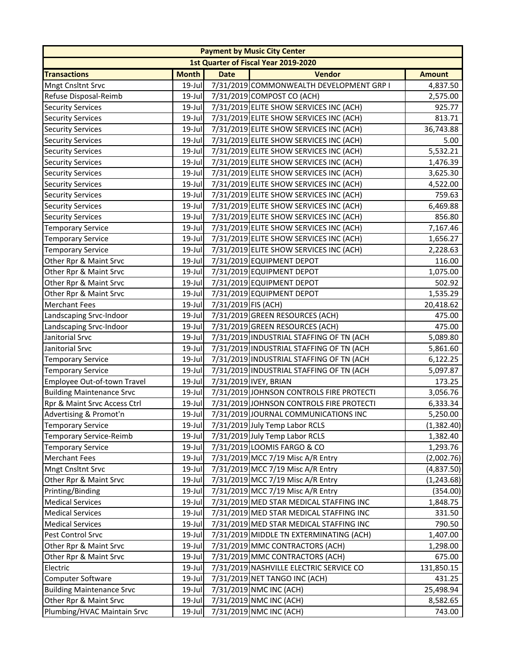|                                  |              |                     | <b>Payment by Music City Center</b>      |               |
|----------------------------------|--------------|---------------------|------------------------------------------|---------------|
|                                  |              |                     | 1st Quarter of Fiscal Year 2019-2020     |               |
| <b>Transactions</b>              | <b>Month</b> | <b>Date</b>         | <b>Vendor</b>                            | <b>Amount</b> |
| <b>Mngt Cnsltnt Srvc</b>         | $19$ -Jul    |                     | 7/31/2019 COMMONWEALTH DEVELOPMENT GRP I | 4,837.50      |
| Refuse Disposal-Reimb            | 19-Jul       |                     | 7/31/2019 COMPOST CO (ACH)               | 2,575.00      |
| <b>Security Services</b>         | $19$ -Jul    |                     | 7/31/2019 ELITE SHOW SERVICES INC (ACH)  | 925.77        |
| <b>Security Services</b>         | $19$ -Jul    |                     | 7/31/2019 ELITE SHOW SERVICES INC (ACH)  | 813.71        |
| <b>Security Services</b>         | 19-Jul       |                     | 7/31/2019 ELITE SHOW SERVICES INC (ACH)  | 36,743.88     |
| <b>Security Services</b>         | 19-Jul       |                     | 7/31/2019 ELITE SHOW SERVICES INC (ACH)  | 5.00          |
| <b>Security Services</b>         | 19-Jul       |                     | 7/31/2019 ELITE SHOW SERVICES INC (ACH)  | 5,532.21      |
| <b>Security Services</b>         | 19-Jul       |                     | 7/31/2019 ELITE SHOW SERVICES INC (ACH)  | 1,476.39      |
| <b>Security Services</b>         | 19-Jul       |                     | 7/31/2019 ELITE SHOW SERVICES INC (ACH)  | 3,625.30      |
| <b>Security Services</b>         | $19$ -Jul    |                     | 7/31/2019 ELITE SHOW SERVICES INC (ACH)  | 4,522.00      |
| <b>Security Services</b>         | 19-Jul       |                     | 7/31/2019 ELITE SHOW SERVICES INC (ACH)  | 759.63        |
| <b>Security Services</b>         | $19$ -Jul    |                     | 7/31/2019 ELITE SHOW SERVICES INC (ACH)  | 6,469.88      |
| <b>Security Services</b>         | 19-Jul       |                     | 7/31/2019 ELITE SHOW SERVICES INC (ACH)  | 856.80        |
| <b>Temporary Service</b>         | 19-Jul       |                     | 7/31/2019 ELITE SHOW SERVICES INC (ACH)  | 7,167.46      |
| <b>Temporary Service</b>         | 19-Jul       |                     | 7/31/2019 ELITE SHOW SERVICES INC (ACH)  | 1,656.27      |
| <b>Temporary Service</b>         | 19-Jul       |                     | 7/31/2019 ELITE SHOW SERVICES INC (ACH)  | 2,228.63      |
| Other Rpr & Maint Srvc           | 19-Jul       |                     | 7/31/2019 EQUIPMENT DEPOT                | 116.00        |
| Other Rpr & Maint Srvc           | $19$ -Jul    |                     | 7/31/2019 EQUIPMENT DEPOT                | 1,075.00      |
| Other Rpr & Maint Srvc           | $19$ -Jul    |                     | 7/31/2019 EQUIPMENT DEPOT                | 502.92        |
| Other Rpr & Maint Srvc           | 19-Jul       |                     | 7/31/2019 EQUIPMENT DEPOT                | 1,535.29      |
| <b>Merchant Fees</b>             | 19-Jul       | 7/31/2019 FIS (ACH) |                                          | 20,418.62     |
| Landscaping Srvc-Indoor          | 19-Jul       |                     | 7/31/2019 GREEN RESOURCES (ACH)          | 475.00        |
| Landscaping Srvc-Indoor          | 19-Jul       |                     | 7/31/2019 GREEN RESOURCES (ACH)          | 475.00        |
| Janitorial Srvc                  | $19$ -Jul    |                     | 7/31/2019 INDUSTRIAL STAFFING OF TN (ACH | 5,089.80      |
| Janitorial Srvc                  | 19-Jul       |                     | 7/31/2019 INDUSTRIAL STAFFING OF TN (ACH | 5,861.60      |
| <b>Temporary Service</b>         | 19-Jul       |                     | 7/31/2019 INDUSTRIAL STAFFING OF TN (ACH | 6,122.25      |
| <b>Temporary Service</b>         | 19-Jul       |                     | 7/31/2019 INDUSTRIAL STAFFING OF TN (ACH | 5,097.87      |
| Employee Out-of-town Travel      | 19-Jul       |                     | 7/31/2019 IVEY, BRIAN                    | 173.25        |
| <b>Building Maintenance Srvc</b> | $19$ -Jul    |                     | 7/31/2019 JOHNSON CONTROLS FIRE PROTECTI | 3,056.76      |
| Rpr & Maint Srvc Access Ctrl     | 19-Jul       |                     | 7/31/2019 JOHNSON CONTROLS FIRE PROTECTI | 6,333.34      |
| Advertising & Promot'n           | $19$ -Jul    |                     | 7/31/2019 JOURNAL COMMUNICATIONS INC     | 5,250.00      |
| Temporary Service                |              |                     | 19-Jul 7/31/2019 July Temp Labor RCLS    | (1,382.40)    |
| Temporary Service-Reimb          | 19-Jul       |                     | 7/31/2019 July Temp Labor RCLS           | 1,382.40      |
| <b>Temporary Service</b>         | 19-Jul       |                     | 7/31/2019 LOOMIS FARGO & CO              | 1,293.76      |
| <b>Merchant Fees</b>             | $19$ -Jul    |                     | 7/31/2019 MCC 7/19 Misc A/R Entry        | (2,002.76)    |
| <b>Mngt Cnsltnt Srvc</b>         | 19-Jul       |                     | 7/31/2019 MCC 7/19 Misc A/R Entry        | (4,837.50)    |
| Other Rpr & Maint Srvc           | 19-Jul       |                     | 7/31/2019 MCC 7/19 Misc A/R Entry        | (1, 243.68)   |
| Printing/Binding                 | 19-Jul       |                     | 7/31/2019 MCC 7/19 Misc A/R Entry        | (354.00)      |
| <b>Medical Services</b>          | 19-Jul       |                     | 7/31/2019 MED STAR MEDICAL STAFFING INC  | 1,848.75      |
| <b>Medical Services</b>          | 19-Jul       |                     | 7/31/2019 MED STAR MEDICAL STAFFING INC  | 331.50        |
| <b>Medical Services</b>          | 19-Jul       |                     | 7/31/2019 MED STAR MEDICAL STAFFING INC  | 790.50        |
| Pest Control Srvc                | 19-Jul       |                     | 7/31/2019 MIDDLE TN EXTERMINATING (ACH)  | 1,407.00      |
| Other Rpr & Maint Srvc           | 19-Jul       |                     | 7/31/2019 MMC CONTRACTORS (ACH)          | 1,298.00      |
| Other Rpr & Maint Srvc           | 19-Jul       |                     | 7/31/2019 MMC CONTRACTORS (ACH)          | 675.00        |
| Electric                         | 19-Jul       |                     | 7/31/2019 NASHVILLE ELECTRIC SERVICE CO  | 131,850.15    |
| Computer Software                | 19-Jul       |                     | 7/31/2019 NET TANGO INC (ACH)            | 431.25        |
| <b>Building Maintenance Srvc</b> | 19-Jul       |                     | 7/31/2019 NMC INC (ACH)                  | 25,498.94     |
| Other Rpr & Maint Srvc           | 19-Jul       |                     | 7/31/2019 NMC INC (ACH)                  | 8,582.65      |
| Plumbing/HVAC Maintain Srvc      | 19-Jul       |                     | 7/31/2019 NMC INC (ACH)                  | 743.00        |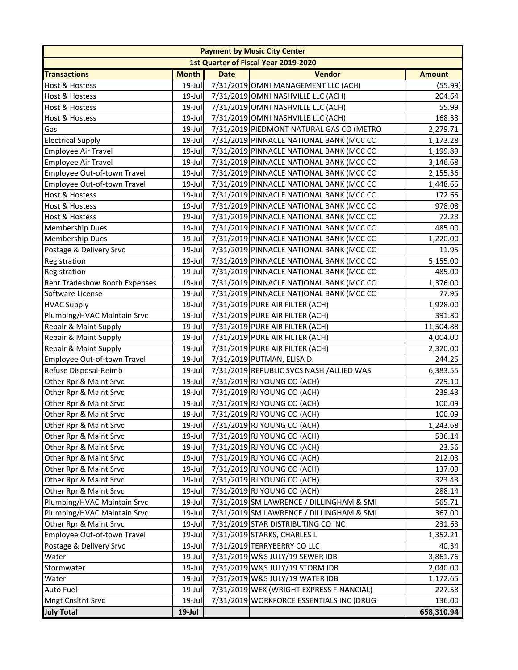|                               |              |             | <b>Payment by Music City Center</b>      |               |
|-------------------------------|--------------|-------------|------------------------------------------|---------------|
|                               |              |             | 1st Quarter of Fiscal Year 2019-2020     |               |
| <b>Transactions</b>           | <b>Month</b> | <b>Date</b> | <b>Vendor</b>                            | <b>Amount</b> |
| Host & Hostess                | 19-Jul       |             | 7/31/2019 OMNI MANAGEMENT LLC (ACH)      | (55.99)       |
| Host & Hostess                | 19-Jul       |             | 7/31/2019 OMNI NASHVILLE LLC (ACH)       | 204.64        |
| Host & Hostess                | 19-Jul       |             | 7/31/2019 OMNI NASHVILLE LLC (ACH)       | 55.99         |
| Host & Hostess                | 19-Jul       |             | 7/31/2019 OMNI NASHVILLE LLC (ACH)       | 168.33        |
| Gas                           | 19-Jul       |             | 7/31/2019 PIEDMONT NATURAL GAS CO (METRO | 2,279.71      |
| <b>Electrical Supply</b>      | 19-Jul       |             | 7/31/2019 PINNACLE NATIONAL BANK (MCC CC | 1,173.28      |
| <b>Employee Air Travel</b>    | 19-Jul       |             | 7/31/2019 PINNACLE NATIONAL BANK (MCC CC | 1,199.89      |
| Employee Air Travel           | 19-Jul       |             | 7/31/2019 PINNACLE NATIONAL BANK (MCC CC | 3,146.68      |
| Employee Out-of-town Travel   | 19-Jul       |             | 7/31/2019 PINNACLE NATIONAL BANK (MCC CC | 2,155.36      |
| Employee Out-of-town Travel   | 19-Jul       |             | 7/31/2019 PINNACLE NATIONAL BANK (MCC CC | 1,448.65      |
| Host & Hostess                | 19-Jul       |             | 7/31/2019 PINNACLE NATIONAL BANK (MCC CC | 172.65        |
| Host & Hostess                | 19-Jul       |             | 7/31/2019 PINNACLE NATIONAL BANK (MCC CC | 978.08        |
| Host & Hostess                | $19$ -Jul    |             | 7/31/2019 PINNACLE NATIONAL BANK (MCC CC | 72.23         |
| Membership Dues               | 19-Jul       |             | 7/31/2019 PINNACLE NATIONAL BANK (MCC CC | 485.00        |
| Membership Dues               | 19-Jul       |             | 7/31/2019 PINNACLE NATIONAL BANK (MCC CC | 1,220.00      |
| Postage & Delivery Srvc       | 19-Jul       |             | 7/31/2019 PINNACLE NATIONAL BANK (MCC CC | 11.95         |
| Registration                  | 19-Jul       |             | 7/31/2019 PINNACLE NATIONAL BANK (MCC CC | 5,155.00      |
| Registration                  | $19$ -Jul    |             | 7/31/2019 PINNACLE NATIONAL BANK (MCC CC | 485.00        |
| Rent Tradeshow Booth Expenses | 19-Jul       |             | 7/31/2019 PINNACLE NATIONAL BANK (MCC CC | 1,376.00      |
| Software License              | 19-Jul       |             | 7/31/2019 PINNACLE NATIONAL BANK (MCC CC | 77.95         |
| <b>HVAC Supply</b>            | 19-Jul       |             | 7/31/2019 PURE AIR FILTER (ACH)          | 1,928.00      |
| Plumbing/HVAC Maintain Srvc   | 19-Jul       |             | 7/31/2019 PURE AIR FILTER (ACH)          | 391.80        |
| Repair & Maint Supply         | $19$ -Jul    |             | 7/31/2019 PURE AIR FILTER (ACH)          | 11,504.88     |
| Repair & Maint Supply         | 19-Jul       |             | 7/31/2019 PURE AIR FILTER (ACH)          | 4,004.00      |
| Repair & Maint Supply         | 19-Jul       |             | 7/31/2019 PURE AIR FILTER (ACH)          | 2,320.00      |
| Employee Out-of-town Travel   | 19-Jul       |             | 7/31/2019 PUTMAN, ELISA D.               | 244.25        |
| Refuse Disposal-Reimb         | 19-Jul       |             | 7/31/2019 REPUBLIC SVCS NASH /ALLIED WAS | 6,383.55      |
| Other Rpr & Maint Srvc        | 19-Jul       |             | 7/31/2019 RJ YOUNG CO (ACH)              | 229.10        |
| Other Rpr & Maint Srvc        | 19-Jul       |             | 7/31/2019 RJ YOUNG CO (ACH)              | 239.43        |
| Other Rpr & Maint Srvc        | 19-Jul       |             | 7/31/2019 RJ YOUNG CO (ACH)              | 100.09        |
| Other Rpr & Maint Srvc        | $19$ -Jul    |             | 7/31/2019 RJ YOUNG CO (ACH)              | 100.09        |
| Other Rpr & Maint Srvc        |              |             | 19-Jul 7/31/2019 RJ YOUNG CO (ACH)       | 1,243.68      |
| Other Rpr & Maint Srvc        | 19-Jul       |             | 7/31/2019 RJ YOUNG CO (ACH)              | 536.14        |
| Other Rpr & Maint Srvc        | 19-Jul       |             | 7/31/2019 RJ YOUNG CO (ACH)              | 23.56         |
| Other Rpr & Maint Srvc        | 19-Jul       |             | 7/31/2019 RJ YOUNG CO (ACH)              | 212.03        |
| Other Rpr & Maint Srvc        | 19-Jul       |             | 7/31/2019 RJ YOUNG CO (ACH)              | 137.09        |
| Other Rpr & Maint Srvc        | 19-Jul       |             | 7/31/2019 RJ YOUNG CO (ACH)              | 323.43        |
| Other Rpr & Maint Srvc        | 19-Jul       |             | 7/31/2019 RJ YOUNG CO (ACH)              | 288.14        |
| Plumbing/HVAC Maintain Srvc   | 19-Jul       |             | 7/31/2019 SM LAWRENCE / DILLINGHAM & SMI | 565.71        |
| Plumbing/HVAC Maintain Srvc   | 19-Jul       |             | 7/31/2019 SM LAWRENCE / DILLINGHAM & SMI | 367.00        |
| Other Rpr & Maint Srvc        | 19-Jul       |             | 7/31/2019 STAR DISTRIBUTING CO INC       | 231.63        |
| Employee Out-of-town Travel   | 19-Jul       |             | 7/31/2019 STARKS, CHARLES L              | 1,352.21      |
| Postage & Delivery Srvc       | 19-Jul       |             | 7/31/2019 TERRYBERRY CO LLC              | 40.34         |
| Water                         | 19-Jul       |             | 7/31/2019 W&S JULY/19 SEWER IDB          | 3,861.76      |
| Stormwater                    | 19-Jul       |             | 7/31/2019 W&S JULY/19 STORM IDB          | 2,040.00      |
| Water                         | 19-Jul       |             | 7/31/2019 W&S JULY/19 WATER IDB          | 1,172.65      |
| <b>Auto Fuel</b>              | 19-Jul       |             | 7/31/2019 WEX (WRIGHT EXPRESS FINANCIAL) | 227.58        |
| <b>Mngt Cnsltnt Srvc</b>      | 19-Jul       |             | 7/31/2019 WORKFORCE ESSENTIALS INC (DRUG | 136.00        |
| <b>July Total</b>             | $19$ -Jul    |             |                                          | 658,310.94    |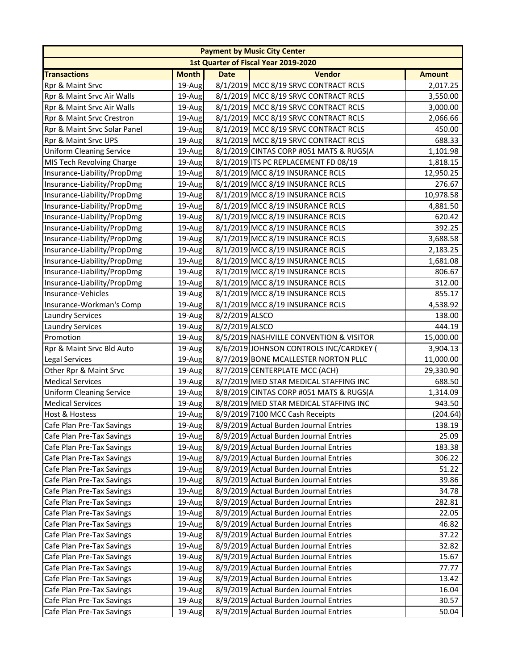|                                 |              |                | <b>Payment by Music City Center</b>     |               |
|---------------------------------|--------------|----------------|-----------------------------------------|---------------|
|                                 |              |                | 1st Quarter of Fiscal Year 2019-2020    |               |
| <b>Transactions</b>             | <b>Month</b> | <b>Date</b>    | <b>Vendor</b>                           | <b>Amount</b> |
| Rpr & Maint Srvc                | 19-Aug       |                | 8/1/2019 MCC 8/19 SRVC CONTRACT RCLS    | 2,017.25      |
| Rpr & Maint Srvc Air Walls      | 19-Aug       |                | 8/1/2019 MCC 8/19 SRVC CONTRACT RCLS    | 3,550.00      |
| Rpr & Maint Srvc Air Walls      | 19-Aug       |                | 8/1/2019 MCC 8/19 SRVC CONTRACT RCLS    | 3,000.00      |
| Rpr & Maint Srvc Crestron       | 19-Aug       |                | 8/1/2019 MCC 8/19 SRVC CONTRACT RCLS    | 2,066.66      |
| Rpr & Maint Srvc Solar Panel    | 19-Aug       |                | 8/1/2019 MCC 8/19 SRVC CONTRACT RCLS    | 450.00        |
| Rpr & Maint Srvc UPS            | 19-Aug       |                | 8/1/2019 MCC 8/19 SRVC CONTRACT RCLS    | 688.33        |
| <b>Uniform Cleaning Service</b> | 19-Aug       |                | 8/1/2019 CINTAS CORP #051 MATS & RUGS(A | 1,101.98      |
| MIS Tech Revolving Charge       | 19-Aug       |                | 8/1/2019 ITS PC REPLACEMENT FD 08/19    | 1,818.15      |
| Insurance-Liability/PropDmg     | 19-Aug       |                | 8/1/2019 MCC 8/19 INSURANCE RCLS        | 12,950.25     |
| Insurance-Liability/PropDmg     | 19-Aug       |                | 8/1/2019 MCC 8/19 INSURANCE RCLS        | 276.67        |
| Insurance-Liability/PropDmg     | 19-Aug       |                | 8/1/2019 MCC 8/19 INSURANCE RCLS        | 10,978.58     |
| Insurance-Liability/PropDmg     | 19-Aug       |                | 8/1/2019 MCC 8/19 INSURANCE RCLS        | 4,881.50      |
| Insurance-Liability/PropDmg     | 19-Aug       |                | 8/1/2019 MCC 8/19 INSURANCE RCLS        | 620.42        |
| Insurance-Liability/PropDmg     | 19-Aug       |                | 8/1/2019 MCC 8/19 INSURANCE RCLS        | 392.25        |
| Insurance-Liability/PropDmg     | 19-Aug       |                | 8/1/2019 MCC 8/19 INSURANCE RCLS        | 3,688.58      |
| Insurance-Liability/PropDmg     | 19-Aug       |                | 8/1/2019 MCC 8/19 INSURANCE RCLS        | 2,183.25      |
| Insurance-Liability/PropDmg     | 19-Aug       |                | 8/1/2019 MCC 8/19 INSURANCE RCLS        | 1,681.08      |
| Insurance-Liability/PropDmg     | 19-Aug       |                | 8/1/2019 MCC 8/19 INSURANCE RCLS        | 806.67        |
| Insurance-Liability/PropDmg     | 19-Aug       |                | 8/1/2019 MCC 8/19 INSURANCE RCLS        | 312.00        |
| Insurance-Vehicles              | 19-Aug       |                | 8/1/2019 MCC 8/19 INSURANCE RCLS        | 855.17        |
| Insurance-Workman's Comp        | 19-Aug       |                | 8/1/2019 MCC 8/19 INSURANCE RCLS        | 4,538.92      |
| <b>Laundry Services</b>         | 19-Aug       | 8/2/2019 ALSCO |                                         | 138.00        |
| <b>Laundry Services</b>         | 19-Aug       | 8/2/2019 ALSCO |                                         | 444.19        |
| Promotion                       | 19-Aug       |                | 8/5/2019 NASHVILLE CONVENTION & VISITOR | 15,000.00     |
| Rpr & Maint Srvc Bld Auto       | 19-Aug       |                | 8/6/2019 JOHNSON CONTROLS INC/CARDKEY ( | 3,904.13      |
| <b>Legal Services</b>           | 19-Aug       |                | 8/7/2019 BONE MCALLESTER NORTON PLLC    | 11,000.00     |
| Other Rpr & Maint Srvc          | 19-Aug       |                | 8/7/2019 CENTERPLATE MCC (ACH)          | 29,330.90     |
| <b>Medical Services</b>         | 19-Aug       |                | 8/7/2019 MED STAR MEDICAL STAFFING INC  | 688.50        |
| <b>Uniform Cleaning Service</b> | 19-Aug       |                | 8/8/2019 CINTAS CORP #051 MATS & RUGS(A | 1,314.09      |
| <b>Medical Services</b>         | 19-Aug       |                | 8/8/2019 MED STAR MEDICAL STAFFING INC  | 943.50        |
| <b>Host &amp; Hostess</b>       | 19-Aug       |                | 8/9/2019 7100 MCC Cash Receipts         | (204.64)      |
| Cafe Plan Pre-Tax Savings       | 19-Aug       |                | 8/9/2019 Actual Burden Journal Entries  | 138.19        |
| Cafe Plan Pre-Tax Savings       | 19-Aug       |                | 8/9/2019 Actual Burden Journal Entries  | 25.09         |
| Cafe Plan Pre-Tax Savings       | 19-Aug       |                | 8/9/2019 Actual Burden Journal Entries  | 183.38        |
| Cafe Plan Pre-Tax Savings       | 19-Aug       |                | 8/9/2019 Actual Burden Journal Entries  | 306.22        |
| Cafe Plan Pre-Tax Savings       | 19-Aug       |                | 8/9/2019 Actual Burden Journal Entries  | 51.22         |
| Cafe Plan Pre-Tax Savings       | 19-Aug       |                | 8/9/2019 Actual Burden Journal Entries  | 39.86         |
| Cafe Plan Pre-Tax Savings       | 19-Aug       |                | 8/9/2019 Actual Burden Journal Entries  | 34.78         |
| Cafe Plan Pre-Tax Savings       | 19-Aug       |                | 8/9/2019 Actual Burden Journal Entries  | 282.81        |
| Cafe Plan Pre-Tax Savings       | 19-Aug       |                | 8/9/2019 Actual Burden Journal Entries  | 22.05         |
| Cafe Plan Pre-Tax Savings       | 19-Aug       |                | 8/9/2019 Actual Burden Journal Entries  | 46.82         |
| Cafe Plan Pre-Tax Savings       | 19-Aug       |                | 8/9/2019 Actual Burden Journal Entries  | 37.22         |
| Cafe Plan Pre-Tax Savings       | 19-Aug       |                | 8/9/2019 Actual Burden Journal Entries  | 32.82         |
| Cafe Plan Pre-Tax Savings       | 19-Aug       |                | 8/9/2019 Actual Burden Journal Entries  | 15.67         |
| Cafe Plan Pre-Tax Savings       | 19-Aug       |                | 8/9/2019 Actual Burden Journal Entries  | 77.77         |
| Cafe Plan Pre-Tax Savings       | 19-Aug       |                | 8/9/2019 Actual Burden Journal Entries  | 13.42         |
| Cafe Plan Pre-Tax Savings       | 19-Aug       |                | 8/9/2019 Actual Burden Journal Entries  | 16.04         |
| Cafe Plan Pre-Tax Savings       | 19-Aug       |                | 8/9/2019 Actual Burden Journal Entries  | 30.57         |
| Cafe Plan Pre-Tax Savings       | 19-Aug       |                | 8/9/2019 Actual Burden Journal Entries  | 50.04         |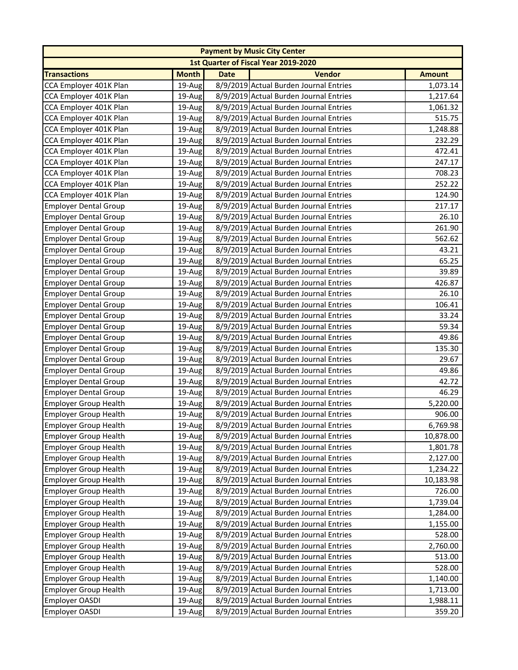|                              |              |             | <b>Payment by Music City Center</b>    |               |
|------------------------------|--------------|-------------|----------------------------------------|---------------|
|                              |              |             | 1st Quarter of Fiscal Year 2019-2020   |               |
| <b>Transactions</b>          | <b>Month</b> | <b>Date</b> | <b>Vendor</b>                          | <b>Amount</b> |
| CCA Employer 401K Plan       | 19-Aug       |             | 8/9/2019 Actual Burden Journal Entries | 1,073.14      |
| CCA Employer 401K Plan       | 19-Aug       |             | 8/9/2019 Actual Burden Journal Entries | 1,217.64      |
| CCA Employer 401K Plan       | $19$ -Aug    |             | 8/9/2019 Actual Burden Journal Entries | 1,061.32      |
| CCA Employer 401K Plan       | 19-Aug       |             | 8/9/2019 Actual Burden Journal Entries | 515.75        |
| CCA Employer 401K Plan       | 19-Aug       |             | 8/9/2019 Actual Burden Journal Entries | 1,248.88      |
| CCA Employer 401K Plan       | 19-Aug       |             | 8/9/2019 Actual Burden Journal Entries | 232.29        |
| CCA Employer 401K Plan       | 19-Aug       |             | 8/9/2019 Actual Burden Journal Entries | 472.41        |
| CCA Employer 401K Plan       | 19-Aug       |             | 8/9/2019 Actual Burden Journal Entries | 247.17        |
| CCA Employer 401K Plan       | 19-Aug       |             | 8/9/2019 Actual Burden Journal Entries | 708.23        |
| CCA Employer 401K Plan       | 19-Aug       |             | 8/9/2019 Actual Burden Journal Entries | 252.22        |
| CCA Employer 401K Plan       | 19-Aug       |             | 8/9/2019 Actual Burden Journal Entries | 124.90        |
| <b>Employer Dental Group</b> | 19-Aug       |             | 8/9/2019 Actual Burden Journal Entries | 217.17        |
| <b>Employer Dental Group</b> | 19-Aug       |             | 8/9/2019 Actual Burden Journal Entries | 26.10         |
| <b>Employer Dental Group</b> | 19-Aug       |             | 8/9/2019 Actual Burden Journal Entries | 261.90        |
| <b>Employer Dental Group</b> | 19-Aug       |             | 8/9/2019 Actual Burden Journal Entries | 562.62        |
| <b>Employer Dental Group</b> | 19-Aug       |             | 8/9/2019 Actual Burden Journal Entries | 43.21         |
| <b>Employer Dental Group</b> | 19-Aug       |             | 8/9/2019 Actual Burden Journal Entries | 65.25         |
| <b>Employer Dental Group</b> | 19-Aug       |             | 8/9/2019 Actual Burden Journal Entries | 39.89         |
| <b>Employer Dental Group</b> | 19-Aug       |             | 8/9/2019 Actual Burden Journal Entries | 426.87        |
| <b>Employer Dental Group</b> | 19-Aug       |             | 8/9/2019 Actual Burden Journal Entries | 26.10         |
| <b>Employer Dental Group</b> | 19-Aug       |             | 8/9/2019 Actual Burden Journal Entries | 106.41        |
| <b>Employer Dental Group</b> | 19-Aug       |             | 8/9/2019 Actual Burden Journal Entries | 33.24         |
| <b>Employer Dental Group</b> | 19-Aug       |             | 8/9/2019 Actual Burden Journal Entries | 59.34         |
| <b>Employer Dental Group</b> | 19-Aug       |             | 8/9/2019 Actual Burden Journal Entries | 49.86         |
| <b>Employer Dental Group</b> | 19-Aug       |             | 8/9/2019 Actual Burden Journal Entries | 135.30        |
| <b>Employer Dental Group</b> | 19-Aug       |             | 8/9/2019 Actual Burden Journal Entries | 29.67         |
| <b>Employer Dental Group</b> | 19-Aug       |             | 8/9/2019 Actual Burden Journal Entries | 49.86         |
| <b>Employer Dental Group</b> | 19-Aug       |             | 8/9/2019 Actual Burden Journal Entries | 42.72         |
| <b>Employer Dental Group</b> | 19-Aug       |             | 8/9/2019 Actual Burden Journal Entries | 46.29         |
| <b>Employer Group Health</b> | 19-Aug       |             | 8/9/2019 Actual Burden Journal Entries | 5,220.00      |
| <b>Employer Group Health</b> | 19-Aug       |             | 8/9/2019 Actual Burden Journal Entries | 906.00        |
| Employer Group Health        | 19-Aug       |             | 8/9/2019 Actual Burden Journal Entries | 6,769.98      |
| <b>Employer Group Health</b> | 19-Aug       |             | 8/9/2019 Actual Burden Journal Entries | 10,878.00     |
| Employer Group Health        | 19-Aug       |             | 8/9/2019 Actual Burden Journal Entries | 1,801.78      |
| <b>Employer Group Health</b> | 19-Aug       |             | 8/9/2019 Actual Burden Journal Entries | 2,127.00      |
| <b>Employer Group Health</b> | 19-Aug       |             | 8/9/2019 Actual Burden Journal Entries | 1,234.22      |
| <b>Employer Group Health</b> | 19-Aug       |             | 8/9/2019 Actual Burden Journal Entries | 10,183.98     |
| <b>Employer Group Health</b> | 19-Aug       |             | 8/9/2019 Actual Burden Journal Entries | 726.00        |
| <b>Employer Group Health</b> | 19-Aug       |             | 8/9/2019 Actual Burden Journal Entries | 1,739.04      |
| <b>Employer Group Health</b> | 19-Aug       |             | 8/9/2019 Actual Burden Journal Entries | 1,284.00      |
| <b>Employer Group Health</b> | 19-Aug       |             | 8/9/2019 Actual Burden Journal Entries | 1,155.00      |
| <b>Employer Group Health</b> | 19-Aug       |             | 8/9/2019 Actual Burden Journal Entries | 528.00        |
| <b>Employer Group Health</b> | 19-Aug       |             | 8/9/2019 Actual Burden Journal Entries | 2,760.00      |
| <b>Employer Group Health</b> | 19-Aug       |             | 8/9/2019 Actual Burden Journal Entries | 513.00        |
| <b>Employer Group Health</b> | 19-Aug       |             | 8/9/2019 Actual Burden Journal Entries | 528.00        |
| <b>Employer Group Health</b> | 19-Aug       |             | 8/9/2019 Actual Burden Journal Entries | 1,140.00      |
| <b>Employer Group Health</b> | 19-Aug       |             | 8/9/2019 Actual Burden Journal Entries | 1,713.00      |
| Employer OASDI               | 19-Aug       |             | 8/9/2019 Actual Burden Journal Entries | 1,988.11      |
| Employer OASDI               | 19-Aug       |             | 8/9/2019 Actual Burden Journal Entries | 359.20        |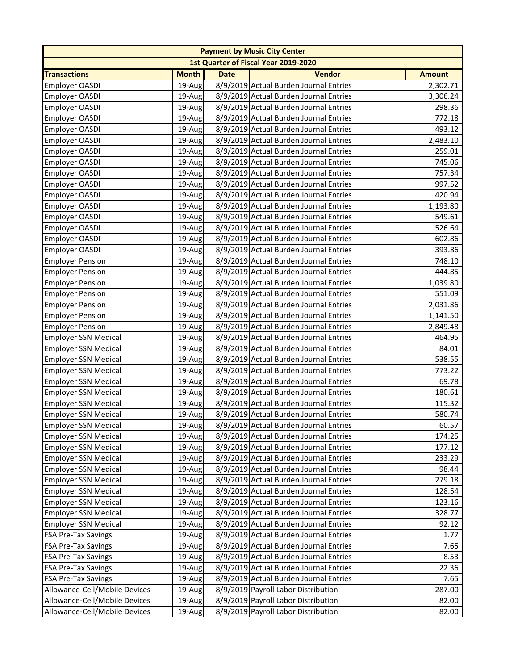|                               |              |             | <b>Payment by Music City Center</b>    |               |
|-------------------------------|--------------|-------------|----------------------------------------|---------------|
|                               |              |             | 1st Quarter of Fiscal Year 2019-2020   |               |
| <b>Transactions</b>           | <b>Month</b> | <b>Date</b> | <b>Vendor</b>                          | <b>Amount</b> |
| <b>Employer OASDI</b>         | 19-Aug       |             | 8/9/2019 Actual Burden Journal Entries | 2,302.71      |
| Employer OASDI                | 19-Aug       |             | 8/9/2019 Actual Burden Journal Entries | 3,306.24      |
| Employer OASDI                | 19-Aug       |             | 8/9/2019 Actual Burden Journal Entries | 298.36        |
| Employer OASDI                | 19-Aug       |             | 8/9/2019 Actual Burden Journal Entries | 772.18        |
| Employer OASDI                | 19-Aug       |             | 8/9/2019 Actual Burden Journal Entries | 493.12        |
| <b>Employer OASDI</b>         | 19-Aug       |             | 8/9/2019 Actual Burden Journal Entries | 2,483.10      |
| Employer OASDI                | 19-Aug       |             | 8/9/2019 Actual Burden Journal Entries | 259.01        |
| Employer OASDI                | 19-Aug       |             | 8/9/2019 Actual Burden Journal Entries | 745.06        |
| Employer OASDI                | 19-Aug       |             | 8/9/2019 Actual Burden Journal Entries | 757.34        |
| Employer OASDI                | 19-Aug       |             | 8/9/2019 Actual Burden Journal Entries | 997.52        |
| <b>Employer OASDI</b>         | 19-Aug       |             | 8/9/2019 Actual Burden Journal Entries | 420.94        |
| <b>Employer OASDI</b>         | 19-Aug       |             | 8/9/2019 Actual Burden Journal Entries | 1,193.80      |
| <b>Employer OASDI</b>         | 19-Aug       |             | 8/9/2019 Actual Burden Journal Entries | 549.61        |
| <b>Employer OASDI</b>         | 19-Aug       |             | 8/9/2019 Actual Burden Journal Entries | 526.64        |
| <b>Employer OASDI</b>         | 19-Aug       |             | 8/9/2019 Actual Burden Journal Entries | 602.86        |
| <b>Employer OASDI</b>         | 19-Aug       |             | 8/9/2019 Actual Burden Journal Entries | 393.86        |
| <b>Employer Pension</b>       | 19-Aug       |             | 8/9/2019 Actual Burden Journal Entries | 748.10        |
| <b>Employer Pension</b>       | 19-Aug       |             | 8/9/2019 Actual Burden Journal Entries | 444.85        |
| <b>Employer Pension</b>       | 19-Aug       |             | 8/9/2019 Actual Burden Journal Entries | 1,039.80      |
| <b>Employer Pension</b>       | 19-Aug       |             | 8/9/2019 Actual Burden Journal Entries | 551.09        |
| <b>Employer Pension</b>       | 19-Aug       |             | 8/9/2019 Actual Burden Journal Entries | 2,031.86      |
| <b>Employer Pension</b>       | 19-Aug       |             | 8/9/2019 Actual Burden Journal Entries | 1,141.50      |
| <b>Employer Pension</b>       | 19-Aug       |             | 8/9/2019 Actual Burden Journal Entries | 2,849.48      |
| <b>Employer SSN Medical</b>   | 19-Aug       |             | 8/9/2019 Actual Burden Journal Entries | 464.95        |
| <b>Employer SSN Medical</b>   | 19-Aug       |             | 8/9/2019 Actual Burden Journal Entries | 84.01         |
| <b>Employer SSN Medical</b>   | 19-Aug       |             | 8/9/2019 Actual Burden Journal Entries | 538.55        |
| <b>Employer SSN Medical</b>   | 19-Aug       |             | 8/9/2019 Actual Burden Journal Entries | 773.22        |
| <b>Employer SSN Medical</b>   | 19-Aug       |             | 8/9/2019 Actual Burden Journal Entries | 69.78         |
| <b>Employer SSN Medical</b>   | 19-Aug       |             | 8/9/2019 Actual Burden Journal Entries | 180.61        |
| <b>Employer SSN Medical</b>   | 19-Aug       |             | 8/9/2019 Actual Burden Journal Entries | 115.32        |
| <b>Employer SSN Medical</b>   | 19-Aug       |             | 8/9/2019 Actual Burden Journal Entries | 580.74        |
| Employer SSN Medical          | 19-Aug       |             | 8/9/2019 Actual Burden Journal Entries | 60.57         |
| <b>Employer SSN Medical</b>   | 19-Aug       |             | 8/9/2019 Actual Burden Journal Entries | 174.25        |
| <b>Employer SSN Medical</b>   | 19-Aug       |             | 8/9/2019 Actual Burden Journal Entries | 177.12        |
| <b>Employer SSN Medical</b>   | 19-Aug       |             | 8/9/2019 Actual Burden Journal Entries | 233.29        |
| <b>Employer SSN Medical</b>   | 19-Aug       |             | 8/9/2019 Actual Burden Journal Entries | 98.44         |
| <b>Employer SSN Medical</b>   | 19-Aug       |             | 8/9/2019 Actual Burden Journal Entries | 279.18        |
| <b>Employer SSN Medical</b>   | 19-Aug       |             | 8/9/2019 Actual Burden Journal Entries | 128.54        |
| <b>Employer SSN Medical</b>   | 19-Aug       |             | 8/9/2019 Actual Burden Journal Entries | 123.16        |
| <b>Employer SSN Medical</b>   | 19-Aug       |             | 8/9/2019 Actual Burden Journal Entries | 328.77        |
| <b>Employer SSN Medical</b>   | 19-Aug       |             | 8/9/2019 Actual Burden Journal Entries | 92.12         |
| <b>FSA Pre-Tax Savings</b>    | 19-Aug       |             | 8/9/2019 Actual Burden Journal Entries | 1.77          |
| <b>FSA Pre-Tax Savings</b>    | 19-Aug       |             | 8/9/2019 Actual Burden Journal Entries | 7.65          |
| <b>FSA Pre-Tax Savings</b>    | 19-Aug       |             | 8/9/2019 Actual Burden Journal Entries | 8.53          |
| <b>FSA Pre-Tax Savings</b>    | 19-Aug       |             | 8/9/2019 Actual Burden Journal Entries | 22.36         |
| <b>FSA Pre-Tax Savings</b>    | 19-Aug       |             | 8/9/2019 Actual Burden Journal Entries | 7.65          |
| Allowance-Cell/Mobile Devices | 19-Aug       |             | 8/9/2019 Payroll Labor Distribution    | 287.00        |
| Allowance-Cell/Mobile Devices | 19-Aug       |             | 8/9/2019 Payroll Labor Distribution    | 82.00         |
| Allowance-Cell/Mobile Devices | 19-Aug       |             | 8/9/2019 Payroll Labor Distribution    | 82.00         |
|                               |              |             |                                        |               |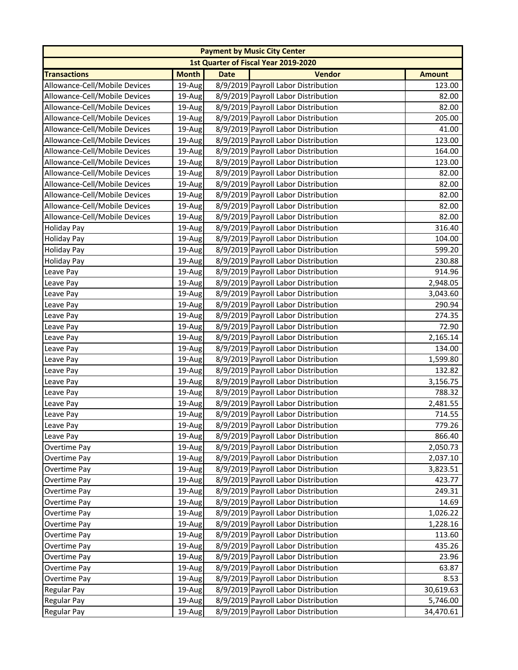| 1st Quarter of Fiscal Year 2019-2020<br><b>Transactions</b><br><b>Month</b><br><b>Date</b><br><b>Vendor</b><br><b>Amount</b><br>Allowance-Cell/Mobile Devices<br>8/9/2019 Payroll Labor Distribution<br>19-Aug<br>123.00<br>Allowance-Cell/Mobile Devices<br>8/9/2019 Payroll Labor Distribution<br>82.00<br>19-Aug<br>Allowance-Cell/Mobile Devices<br>8/9/2019 Payroll Labor Distribution<br>82.00<br>19-Aug<br>8/9/2019 Payroll Labor Distribution<br>Allowance-Cell/Mobile Devices<br>205.00<br>19-Aug<br>Allowance-Cell/Mobile Devices<br>8/9/2019 Payroll Labor Distribution<br>41.00<br>19-Aug<br>Allowance-Cell/Mobile Devices<br>8/9/2019 Payroll Labor Distribution<br>123.00<br>19-Aug<br>8/9/2019 Payroll Labor Distribution<br>Allowance-Cell/Mobile Devices<br>19-Aug<br>164.00<br>Allowance-Cell/Mobile Devices<br>8/9/2019 Payroll Labor Distribution<br>123.00<br>19-Aug<br>Allowance-Cell/Mobile Devices<br>8/9/2019 Payroll Labor Distribution<br>82.00<br>19-Aug<br>8/9/2019 Payroll Labor Distribution<br>19-Aug<br>82.00<br>8/9/2019 Payroll Labor Distribution<br>Allowance-Cell/Mobile Devices<br>82.00<br>19-Aug<br>Allowance-Cell/Mobile Devices<br>8/9/2019 Payroll Labor Distribution<br>82.00<br>19-Aug<br>Allowance-Cell/Mobile Devices<br>19-Aug<br>8/9/2019 Payroll Labor Distribution<br>82.00<br>316.40<br>8/9/2019 Payroll Labor Distribution<br>19-Aug<br><b>Holiday Pay</b><br>8/9/2019 Payroll Labor Distribution<br>104.00<br>19-Aug<br>19-Aug<br>8/9/2019 Payroll Labor Distribution<br>599.20<br>8/9/2019 Payroll Labor Distribution<br>19-Aug<br>230.88<br>8/9/2019 Payroll Labor Distribution<br>914.96<br>19-Aug<br>8/9/2019 Payroll Labor Distribution<br>19-Aug<br>2,948.05<br>Leave Pay<br>8/9/2019 Payroll Labor Distribution<br>3,043.60<br>19-Aug<br>Leave Pay<br>8/9/2019 Payroll Labor Distribution<br>290.94<br>19-Aug<br>Leave Pay<br>8/9/2019 Payroll Labor Distribution<br>19-Aug<br>274.35<br>Leave Pay<br>8/9/2019 Payroll Labor Distribution<br>72.90<br>19-Aug<br>Leave Pay<br>8/9/2019 Payroll Labor Distribution<br>19-Aug<br>2,165.14<br>Leave Pay<br>8/9/2019 Payroll Labor Distribution<br>134.00<br>Leave Pay<br>19-Aug<br>19-Aug<br>8/9/2019 Payroll Labor Distribution<br>1,599.80<br>Leave Pay<br>8/9/2019 Payroll Labor Distribution<br>132.82<br>Leave Pay<br>19-Aug<br>8/9/2019 Payroll Labor Distribution<br>3,156.75<br>Leave Pay<br>19-Aug<br>8/9/2019 Payroll Labor Distribution<br>788.32<br>Leave Pay<br>19-Aug<br>8/9/2019 Payroll Labor Distribution<br>2,481.55<br>Leave Pay<br>19-Aug<br>8/9/2019 Payroll Labor Distribution<br>714.55<br>19-Aug<br>Leave Pay<br>Leave Pay<br>8/9/2019 Payroll Labor Distribution<br>779.26<br>19-Aug<br>8/9/2019 Payroll Labor Distribution<br>866.40<br>19-Aug<br>8/9/2019 Payroll Labor Distribution<br>Overtime Pay<br>19-Aug<br>2,050.73<br>19-Aug<br>8/9/2019 Payroll Labor Distribution<br>Overtime Pay<br>2,037.10<br>8/9/2019 Payroll Labor Distribution<br>19-Aug<br>3,823.51<br>8/9/2019 Payroll Labor Distribution<br>19-Aug<br>423.77<br>Overtime Pay<br>8/9/2019 Payroll Labor Distribution<br>19-Aug<br>249.31<br>Overtime Pay<br>8/9/2019 Payroll Labor Distribution<br>14.69<br>Overtime Pay<br>19-Aug<br>8/9/2019 Payroll Labor Distribution<br>Overtime Pay<br>1,026.22<br>19-Aug<br>19-Aug<br>8/9/2019 Payroll Labor Distribution<br>Overtime Pay<br>1,228.16<br>8/9/2019 Payroll Labor Distribution<br>Overtime Pay<br>19-Aug<br>113.60<br>8/9/2019 Payroll Labor Distribution<br>19-Aug<br>435.26<br>Overtime Pay<br>19-Aug<br>8/9/2019 Payroll Labor Distribution<br>23.96<br>Overtime Pay<br>8/9/2019 Payroll Labor Distribution<br>63.87<br>Overtime Pay<br>19-Aug<br>8/9/2019 Payroll Labor Distribution<br>8.53<br>Overtime Pay<br>19-Aug<br>8/9/2019 Payroll Labor Distribution<br>19-Aug<br>Regular Pay<br>30,619.63<br>8/9/2019 Payroll Labor Distribution<br>19-Aug<br>5,746.00<br><b>Regular Pay</b><br>8/9/2019 Payroll Labor Distribution<br><b>Regular Pay</b><br>19-Aug<br>34,470.61 |                               |  | <b>Payment by Music City Center</b> |  |
|--------------------------------------------------------------------------------------------------------------------------------------------------------------------------------------------------------------------------------------------------------------------------------------------------------------------------------------------------------------------------------------------------------------------------------------------------------------------------------------------------------------------------------------------------------------------------------------------------------------------------------------------------------------------------------------------------------------------------------------------------------------------------------------------------------------------------------------------------------------------------------------------------------------------------------------------------------------------------------------------------------------------------------------------------------------------------------------------------------------------------------------------------------------------------------------------------------------------------------------------------------------------------------------------------------------------------------------------------------------------------------------------------------------------------------------------------------------------------------------------------------------------------------------------------------------------------------------------------------------------------------------------------------------------------------------------------------------------------------------------------------------------------------------------------------------------------------------------------------------------------------------------------------------------------------------------------------------------------------------------------------------------------------------------------------------------------------------------------------------------------------------------------------------------------------------------------------------------------------------------------------------------------------------------------------------------------------------------------------------------------------------------------------------------------------------------------------------------------------------------------------------------------------------------------------------------------------------------------------------------------------------------------------------------------------------------------------------------------------------------------------------------------------------------------------------------------------------------------------------------------------------------------------------------------------------------------------------------------------------------------------------------------------------------------------------------------------------------------------------------------------------------------------------------------------------------------------------------------------------------------------------------------------------------------------------------------------------------------------------------------------------------------------------------------------------------------------------------------------------------------------------------------------------------------------------------------------------------------------------------------------------------------------------------------------------------------------------------------------------------------------------------------------------------------------------------------------------------------------------------------------------------------------------------------------------------------------------------------------------------------------------------------------------------|-------------------------------|--|-------------------------------------|--|
|                                                                                                                                                                                                                                                                                                                                                                                                                                                                                                                                                                                                                                                                                                                                                                                                                                                                                                                                                                                                                                                                                                                                                                                                                                                                                                                                                                                                                                                                                                                                                                                                                                                                                                                                                                                                                                                                                                                                                                                                                                                                                                                                                                                                                                                                                                                                                                                                                                                                                                                                                                                                                                                                                                                                                                                                                                                                                                                                                                                                                                                                                                                                                                                                                                                                                                                                                                                                                                                                                                                                                                                                                                                                                                                                                                                                                                                                                                                                                                                                                                            |                               |  |                                     |  |
|                                                                                                                                                                                                                                                                                                                                                                                                                                                                                                                                                                                                                                                                                                                                                                                                                                                                                                                                                                                                                                                                                                                                                                                                                                                                                                                                                                                                                                                                                                                                                                                                                                                                                                                                                                                                                                                                                                                                                                                                                                                                                                                                                                                                                                                                                                                                                                                                                                                                                                                                                                                                                                                                                                                                                                                                                                                                                                                                                                                                                                                                                                                                                                                                                                                                                                                                                                                                                                                                                                                                                                                                                                                                                                                                                                                                                                                                                                                                                                                                                                            |                               |  |                                     |  |
|                                                                                                                                                                                                                                                                                                                                                                                                                                                                                                                                                                                                                                                                                                                                                                                                                                                                                                                                                                                                                                                                                                                                                                                                                                                                                                                                                                                                                                                                                                                                                                                                                                                                                                                                                                                                                                                                                                                                                                                                                                                                                                                                                                                                                                                                                                                                                                                                                                                                                                                                                                                                                                                                                                                                                                                                                                                                                                                                                                                                                                                                                                                                                                                                                                                                                                                                                                                                                                                                                                                                                                                                                                                                                                                                                                                                                                                                                                                                                                                                                                            |                               |  |                                     |  |
|                                                                                                                                                                                                                                                                                                                                                                                                                                                                                                                                                                                                                                                                                                                                                                                                                                                                                                                                                                                                                                                                                                                                                                                                                                                                                                                                                                                                                                                                                                                                                                                                                                                                                                                                                                                                                                                                                                                                                                                                                                                                                                                                                                                                                                                                                                                                                                                                                                                                                                                                                                                                                                                                                                                                                                                                                                                                                                                                                                                                                                                                                                                                                                                                                                                                                                                                                                                                                                                                                                                                                                                                                                                                                                                                                                                                                                                                                                                                                                                                                                            |                               |  |                                     |  |
|                                                                                                                                                                                                                                                                                                                                                                                                                                                                                                                                                                                                                                                                                                                                                                                                                                                                                                                                                                                                                                                                                                                                                                                                                                                                                                                                                                                                                                                                                                                                                                                                                                                                                                                                                                                                                                                                                                                                                                                                                                                                                                                                                                                                                                                                                                                                                                                                                                                                                                                                                                                                                                                                                                                                                                                                                                                                                                                                                                                                                                                                                                                                                                                                                                                                                                                                                                                                                                                                                                                                                                                                                                                                                                                                                                                                                                                                                                                                                                                                                                            |                               |  |                                     |  |
|                                                                                                                                                                                                                                                                                                                                                                                                                                                                                                                                                                                                                                                                                                                                                                                                                                                                                                                                                                                                                                                                                                                                                                                                                                                                                                                                                                                                                                                                                                                                                                                                                                                                                                                                                                                                                                                                                                                                                                                                                                                                                                                                                                                                                                                                                                                                                                                                                                                                                                                                                                                                                                                                                                                                                                                                                                                                                                                                                                                                                                                                                                                                                                                                                                                                                                                                                                                                                                                                                                                                                                                                                                                                                                                                                                                                                                                                                                                                                                                                                                            |                               |  |                                     |  |
|                                                                                                                                                                                                                                                                                                                                                                                                                                                                                                                                                                                                                                                                                                                                                                                                                                                                                                                                                                                                                                                                                                                                                                                                                                                                                                                                                                                                                                                                                                                                                                                                                                                                                                                                                                                                                                                                                                                                                                                                                                                                                                                                                                                                                                                                                                                                                                                                                                                                                                                                                                                                                                                                                                                                                                                                                                                                                                                                                                                                                                                                                                                                                                                                                                                                                                                                                                                                                                                                                                                                                                                                                                                                                                                                                                                                                                                                                                                                                                                                                                            |                               |  |                                     |  |
|                                                                                                                                                                                                                                                                                                                                                                                                                                                                                                                                                                                                                                                                                                                                                                                                                                                                                                                                                                                                                                                                                                                                                                                                                                                                                                                                                                                                                                                                                                                                                                                                                                                                                                                                                                                                                                                                                                                                                                                                                                                                                                                                                                                                                                                                                                                                                                                                                                                                                                                                                                                                                                                                                                                                                                                                                                                                                                                                                                                                                                                                                                                                                                                                                                                                                                                                                                                                                                                                                                                                                                                                                                                                                                                                                                                                                                                                                                                                                                                                                                            |                               |  |                                     |  |
|                                                                                                                                                                                                                                                                                                                                                                                                                                                                                                                                                                                                                                                                                                                                                                                                                                                                                                                                                                                                                                                                                                                                                                                                                                                                                                                                                                                                                                                                                                                                                                                                                                                                                                                                                                                                                                                                                                                                                                                                                                                                                                                                                                                                                                                                                                                                                                                                                                                                                                                                                                                                                                                                                                                                                                                                                                                                                                                                                                                                                                                                                                                                                                                                                                                                                                                                                                                                                                                                                                                                                                                                                                                                                                                                                                                                                                                                                                                                                                                                                                            |                               |  |                                     |  |
|                                                                                                                                                                                                                                                                                                                                                                                                                                                                                                                                                                                                                                                                                                                                                                                                                                                                                                                                                                                                                                                                                                                                                                                                                                                                                                                                                                                                                                                                                                                                                                                                                                                                                                                                                                                                                                                                                                                                                                                                                                                                                                                                                                                                                                                                                                                                                                                                                                                                                                                                                                                                                                                                                                                                                                                                                                                                                                                                                                                                                                                                                                                                                                                                                                                                                                                                                                                                                                                                                                                                                                                                                                                                                                                                                                                                                                                                                                                                                                                                                                            |                               |  |                                     |  |
|                                                                                                                                                                                                                                                                                                                                                                                                                                                                                                                                                                                                                                                                                                                                                                                                                                                                                                                                                                                                                                                                                                                                                                                                                                                                                                                                                                                                                                                                                                                                                                                                                                                                                                                                                                                                                                                                                                                                                                                                                                                                                                                                                                                                                                                                                                                                                                                                                                                                                                                                                                                                                                                                                                                                                                                                                                                                                                                                                                                                                                                                                                                                                                                                                                                                                                                                                                                                                                                                                                                                                                                                                                                                                                                                                                                                                                                                                                                                                                                                                                            |                               |  |                                     |  |
|                                                                                                                                                                                                                                                                                                                                                                                                                                                                                                                                                                                                                                                                                                                                                                                                                                                                                                                                                                                                                                                                                                                                                                                                                                                                                                                                                                                                                                                                                                                                                                                                                                                                                                                                                                                                                                                                                                                                                                                                                                                                                                                                                                                                                                                                                                                                                                                                                                                                                                                                                                                                                                                                                                                                                                                                                                                                                                                                                                                                                                                                                                                                                                                                                                                                                                                                                                                                                                                                                                                                                                                                                                                                                                                                                                                                                                                                                                                                                                                                                                            | Allowance-Cell/Mobile Devices |  |                                     |  |
|                                                                                                                                                                                                                                                                                                                                                                                                                                                                                                                                                                                                                                                                                                                                                                                                                                                                                                                                                                                                                                                                                                                                                                                                                                                                                                                                                                                                                                                                                                                                                                                                                                                                                                                                                                                                                                                                                                                                                                                                                                                                                                                                                                                                                                                                                                                                                                                                                                                                                                                                                                                                                                                                                                                                                                                                                                                                                                                                                                                                                                                                                                                                                                                                                                                                                                                                                                                                                                                                                                                                                                                                                                                                                                                                                                                                                                                                                                                                                                                                                                            |                               |  |                                     |  |
|                                                                                                                                                                                                                                                                                                                                                                                                                                                                                                                                                                                                                                                                                                                                                                                                                                                                                                                                                                                                                                                                                                                                                                                                                                                                                                                                                                                                                                                                                                                                                                                                                                                                                                                                                                                                                                                                                                                                                                                                                                                                                                                                                                                                                                                                                                                                                                                                                                                                                                                                                                                                                                                                                                                                                                                                                                                                                                                                                                                                                                                                                                                                                                                                                                                                                                                                                                                                                                                                                                                                                                                                                                                                                                                                                                                                                                                                                                                                                                                                                                            |                               |  |                                     |  |
|                                                                                                                                                                                                                                                                                                                                                                                                                                                                                                                                                                                                                                                                                                                                                                                                                                                                                                                                                                                                                                                                                                                                                                                                                                                                                                                                                                                                                                                                                                                                                                                                                                                                                                                                                                                                                                                                                                                                                                                                                                                                                                                                                                                                                                                                                                                                                                                                                                                                                                                                                                                                                                                                                                                                                                                                                                                                                                                                                                                                                                                                                                                                                                                                                                                                                                                                                                                                                                                                                                                                                                                                                                                                                                                                                                                                                                                                                                                                                                                                                                            |                               |  |                                     |  |
|                                                                                                                                                                                                                                                                                                                                                                                                                                                                                                                                                                                                                                                                                                                                                                                                                                                                                                                                                                                                                                                                                                                                                                                                                                                                                                                                                                                                                                                                                                                                                                                                                                                                                                                                                                                                                                                                                                                                                                                                                                                                                                                                                                                                                                                                                                                                                                                                                                                                                                                                                                                                                                                                                                                                                                                                                                                                                                                                                                                                                                                                                                                                                                                                                                                                                                                                                                                                                                                                                                                                                                                                                                                                                                                                                                                                                                                                                                                                                                                                                                            | <b>Holiday Pay</b>            |  |                                     |  |
|                                                                                                                                                                                                                                                                                                                                                                                                                                                                                                                                                                                                                                                                                                                                                                                                                                                                                                                                                                                                                                                                                                                                                                                                                                                                                                                                                                                                                                                                                                                                                                                                                                                                                                                                                                                                                                                                                                                                                                                                                                                                                                                                                                                                                                                                                                                                                                                                                                                                                                                                                                                                                                                                                                                                                                                                                                                                                                                                                                                                                                                                                                                                                                                                                                                                                                                                                                                                                                                                                                                                                                                                                                                                                                                                                                                                                                                                                                                                                                                                                                            |                               |  |                                     |  |
|                                                                                                                                                                                                                                                                                                                                                                                                                                                                                                                                                                                                                                                                                                                                                                                                                                                                                                                                                                                                                                                                                                                                                                                                                                                                                                                                                                                                                                                                                                                                                                                                                                                                                                                                                                                                                                                                                                                                                                                                                                                                                                                                                                                                                                                                                                                                                                                                                                                                                                                                                                                                                                                                                                                                                                                                                                                                                                                                                                                                                                                                                                                                                                                                                                                                                                                                                                                                                                                                                                                                                                                                                                                                                                                                                                                                                                                                                                                                                                                                                                            | <b>Holiday Pay</b>            |  |                                     |  |
|                                                                                                                                                                                                                                                                                                                                                                                                                                                                                                                                                                                                                                                                                                                                                                                                                                                                                                                                                                                                                                                                                                                                                                                                                                                                                                                                                                                                                                                                                                                                                                                                                                                                                                                                                                                                                                                                                                                                                                                                                                                                                                                                                                                                                                                                                                                                                                                                                                                                                                                                                                                                                                                                                                                                                                                                                                                                                                                                                                                                                                                                                                                                                                                                                                                                                                                                                                                                                                                                                                                                                                                                                                                                                                                                                                                                                                                                                                                                                                                                                                            | <b>Holiday Pay</b>            |  |                                     |  |
|                                                                                                                                                                                                                                                                                                                                                                                                                                                                                                                                                                                                                                                                                                                                                                                                                                                                                                                                                                                                                                                                                                                                                                                                                                                                                                                                                                                                                                                                                                                                                                                                                                                                                                                                                                                                                                                                                                                                                                                                                                                                                                                                                                                                                                                                                                                                                                                                                                                                                                                                                                                                                                                                                                                                                                                                                                                                                                                                                                                                                                                                                                                                                                                                                                                                                                                                                                                                                                                                                                                                                                                                                                                                                                                                                                                                                                                                                                                                                                                                                                            | Leave Pay                     |  |                                     |  |
|                                                                                                                                                                                                                                                                                                                                                                                                                                                                                                                                                                                                                                                                                                                                                                                                                                                                                                                                                                                                                                                                                                                                                                                                                                                                                                                                                                                                                                                                                                                                                                                                                                                                                                                                                                                                                                                                                                                                                                                                                                                                                                                                                                                                                                                                                                                                                                                                                                                                                                                                                                                                                                                                                                                                                                                                                                                                                                                                                                                                                                                                                                                                                                                                                                                                                                                                                                                                                                                                                                                                                                                                                                                                                                                                                                                                                                                                                                                                                                                                                                            |                               |  |                                     |  |
|                                                                                                                                                                                                                                                                                                                                                                                                                                                                                                                                                                                                                                                                                                                                                                                                                                                                                                                                                                                                                                                                                                                                                                                                                                                                                                                                                                                                                                                                                                                                                                                                                                                                                                                                                                                                                                                                                                                                                                                                                                                                                                                                                                                                                                                                                                                                                                                                                                                                                                                                                                                                                                                                                                                                                                                                                                                                                                                                                                                                                                                                                                                                                                                                                                                                                                                                                                                                                                                                                                                                                                                                                                                                                                                                                                                                                                                                                                                                                                                                                                            |                               |  |                                     |  |
|                                                                                                                                                                                                                                                                                                                                                                                                                                                                                                                                                                                                                                                                                                                                                                                                                                                                                                                                                                                                                                                                                                                                                                                                                                                                                                                                                                                                                                                                                                                                                                                                                                                                                                                                                                                                                                                                                                                                                                                                                                                                                                                                                                                                                                                                                                                                                                                                                                                                                                                                                                                                                                                                                                                                                                                                                                                                                                                                                                                                                                                                                                                                                                                                                                                                                                                                                                                                                                                                                                                                                                                                                                                                                                                                                                                                                                                                                                                                                                                                                                            |                               |  |                                     |  |
|                                                                                                                                                                                                                                                                                                                                                                                                                                                                                                                                                                                                                                                                                                                                                                                                                                                                                                                                                                                                                                                                                                                                                                                                                                                                                                                                                                                                                                                                                                                                                                                                                                                                                                                                                                                                                                                                                                                                                                                                                                                                                                                                                                                                                                                                                                                                                                                                                                                                                                                                                                                                                                                                                                                                                                                                                                                                                                                                                                                                                                                                                                                                                                                                                                                                                                                                                                                                                                                                                                                                                                                                                                                                                                                                                                                                                                                                                                                                                                                                                                            |                               |  |                                     |  |
|                                                                                                                                                                                                                                                                                                                                                                                                                                                                                                                                                                                                                                                                                                                                                                                                                                                                                                                                                                                                                                                                                                                                                                                                                                                                                                                                                                                                                                                                                                                                                                                                                                                                                                                                                                                                                                                                                                                                                                                                                                                                                                                                                                                                                                                                                                                                                                                                                                                                                                                                                                                                                                                                                                                                                                                                                                                                                                                                                                                                                                                                                                                                                                                                                                                                                                                                                                                                                                                                                                                                                                                                                                                                                                                                                                                                                                                                                                                                                                                                                                            |                               |  |                                     |  |
|                                                                                                                                                                                                                                                                                                                                                                                                                                                                                                                                                                                                                                                                                                                                                                                                                                                                                                                                                                                                                                                                                                                                                                                                                                                                                                                                                                                                                                                                                                                                                                                                                                                                                                                                                                                                                                                                                                                                                                                                                                                                                                                                                                                                                                                                                                                                                                                                                                                                                                                                                                                                                                                                                                                                                                                                                                                                                                                                                                                                                                                                                                                                                                                                                                                                                                                                                                                                                                                                                                                                                                                                                                                                                                                                                                                                                                                                                                                                                                                                                                            |                               |  |                                     |  |
|                                                                                                                                                                                                                                                                                                                                                                                                                                                                                                                                                                                                                                                                                                                                                                                                                                                                                                                                                                                                                                                                                                                                                                                                                                                                                                                                                                                                                                                                                                                                                                                                                                                                                                                                                                                                                                                                                                                                                                                                                                                                                                                                                                                                                                                                                                                                                                                                                                                                                                                                                                                                                                                                                                                                                                                                                                                                                                                                                                                                                                                                                                                                                                                                                                                                                                                                                                                                                                                                                                                                                                                                                                                                                                                                                                                                                                                                                                                                                                                                                                            |                               |  |                                     |  |
|                                                                                                                                                                                                                                                                                                                                                                                                                                                                                                                                                                                                                                                                                                                                                                                                                                                                                                                                                                                                                                                                                                                                                                                                                                                                                                                                                                                                                                                                                                                                                                                                                                                                                                                                                                                                                                                                                                                                                                                                                                                                                                                                                                                                                                                                                                                                                                                                                                                                                                                                                                                                                                                                                                                                                                                                                                                                                                                                                                                                                                                                                                                                                                                                                                                                                                                                                                                                                                                                                                                                                                                                                                                                                                                                                                                                                                                                                                                                                                                                                                            |                               |  |                                     |  |
|                                                                                                                                                                                                                                                                                                                                                                                                                                                                                                                                                                                                                                                                                                                                                                                                                                                                                                                                                                                                                                                                                                                                                                                                                                                                                                                                                                                                                                                                                                                                                                                                                                                                                                                                                                                                                                                                                                                                                                                                                                                                                                                                                                                                                                                                                                                                                                                                                                                                                                                                                                                                                                                                                                                                                                                                                                                                                                                                                                                                                                                                                                                                                                                                                                                                                                                                                                                                                                                                                                                                                                                                                                                                                                                                                                                                                                                                                                                                                                                                                                            |                               |  |                                     |  |
|                                                                                                                                                                                                                                                                                                                                                                                                                                                                                                                                                                                                                                                                                                                                                                                                                                                                                                                                                                                                                                                                                                                                                                                                                                                                                                                                                                                                                                                                                                                                                                                                                                                                                                                                                                                                                                                                                                                                                                                                                                                                                                                                                                                                                                                                                                                                                                                                                                                                                                                                                                                                                                                                                                                                                                                                                                                                                                                                                                                                                                                                                                                                                                                                                                                                                                                                                                                                                                                                                                                                                                                                                                                                                                                                                                                                                                                                                                                                                                                                                                            |                               |  |                                     |  |
|                                                                                                                                                                                                                                                                                                                                                                                                                                                                                                                                                                                                                                                                                                                                                                                                                                                                                                                                                                                                                                                                                                                                                                                                                                                                                                                                                                                                                                                                                                                                                                                                                                                                                                                                                                                                                                                                                                                                                                                                                                                                                                                                                                                                                                                                                                                                                                                                                                                                                                                                                                                                                                                                                                                                                                                                                                                                                                                                                                                                                                                                                                                                                                                                                                                                                                                                                                                                                                                                                                                                                                                                                                                                                                                                                                                                                                                                                                                                                                                                                                            |                               |  |                                     |  |
|                                                                                                                                                                                                                                                                                                                                                                                                                                                                                                                                                                                                                                                                                                                                                                                                                                                                                                                                                                                                                                                                                                                                                                                                                                                                                                                                                                                                                                                                                                                                                                                                                                                                                                                                                                                                                                                                                                                                                                                                                                                                                                                                                                                                                                                                                                                                                                                                                                                                                                                                                                                                                                                                                                                                                                                                                                                                                                                                                                                                                                                                                                                                                                                                                                                                                                                                                                                                                                                                                                                                                                                                                                                                                                                                                                                                                                                                                                                                                                                                                                            |                               |  |                                     |  |
|                                                                                                                                                                                                                                                                                                                                                                                                                                                                                                                                                                                                                                                                                                                                                                                                                                                                                                                                                                                                                                                                                                                                                                                                                                                                                                                                                                                                                                                                                                                                                                                                                                                                                                                                                                                                                                                                                                                                                                                                                                                                                                                                                                                                                                                                                                                                                                                                                                                                                                                                                                                                                                                                                                                                                                                                                                                                                                                                                                                                                                                                                                                                                                                                                                                                                                                                                                                                                                                                                                                                                                                                                                                                                                                                                                                                                                                                                                                                                                                                                                            |                               |  |                                     |  |
|                                                                                                                                                                                                                                                                                                                                                                                                                                                                                                                                                                                                                                                                                                                                                                                                                                                                                                                                                                                                                                                                                                                                                                                                                                                                                                                                                                                                                                                                                                                                                                                                                                                                                                                                                                                                                                                                                                                                                                                                                                                                                                                                                                                                                                                                                                                                                                                                                                                                                                                                                                                                                                                                                                                                                                                                                                                                                                                                                                                                                                                                                                                                                                                                                                                                                                                                                                                                                                                                                                                                                                                                                                                                                                                                                                                                                                                                                                                                                                                                                                            |                               |  |                                     |  |
|                                                                                                                                                                                                                                                                                                                                                                                                                                                                                                                                                                                                                                                                                                                                                                                                                                                                                                                                                                                                                                                                                                                                                                                                                                                                                                                                                                                                                                                                                                                                                                                                                                                                                                                                                                                                                                                                                                                                                                                                                                                                                                                                                                                                                                                                                                                                                                                                                                                                                                                                                                                                                                                                                                                                                                                                                                                                                                                                                                                                                                                                                                                                                                                                                                                                                                                                                                                                                                                                                                                                                                                                                                                                                                                                                                                                                                                                                                                                                                                                                                            | Leave Pay                     |  |                                     |  |
|                                                                                                                                                                                                                                                                                                                                                                                                                                                                                                                                                                                                                                                                                                                                                                                                                                                                                                                                                                                                                                                                                                                                                                                                                                                                                                                                                                                                                                                                                                                                                                                                                                                                                                                                                                                                                                                                                                                                                                                                                                                                                                                                                                                                                                                                                                                                                                                                                                                                                                                                                                                                                                                                                                                                                                                                                                                                                                                                                                                                                                                                                                                                                                                                                                                                                                                                                                                                                                                                                                                                                                                                                                                                                                                                                                                                                                                                                                                                                                                                                                            |                               |  |                                     |  |
|                                                                                                                                                                                                                                                                                                                                                                                                                                                                                                                                                                                                                                                                                                                                                                                                                                                                                                                                                                                                                                                                                                                                                                                                                                                                                                                                                                                                                                                                                                                                                                                                                                                                                                                                                                                                                                                                                                                                                                                                                                                                                                                                                                                                                                                                                                                                                                                                                                                                                                                                                                                                                                                                                                                                                                                                                                                                                                                                                                                                                                                                                                                                                                                                                                                                                                                                                                                                                                                                                                                                                                                                                                                                                                                                                                                                                                                                                                                                                                                                                                            |                               |  |                                     |  |
|                                                                                                                                                                                                                                                                                                                                                                                                                                                                                                                                                                                                                                                                                                                                                                                                                                                                                                                                                                                                                                                                                                                                                                                                                                                                                                                                                                                                                                                                                                                                                                                                                                                                                                                                                                                                                                                                                                                                                                                                                                                                                                                                                                                                                                                                                                                                                                                                                                                                                                                                                                                                                                                                                                                                                                                                                                                                                                                                                                                                                                                                                                                                                                                                                                                                                                                                                                                                                                                                                                                                                                                                                                                                                                                                                                                                                                                                                                                                                                                                                                            | Overtime Pay                  |  |                                     |  |
|                                                                                                                                                                                                                                                                                                                                                                                                                                                                                                                                                                                                                                                                                                                                                                                                                                                                                                                                                                                                                                                                                                                                                                                                                                                                                                                                                                                                                                                                                                                                                                                                                                                                                                                                                                                                                                                                                                                                                                                                                                                                                                                                                                                                                                                                                                                                                                                                                                                                                                                                                                                                                                                                                                                                                                                                                                                                                                                                                                                                                                                                                                                                                                                                                                                                                                                                                                                                                                                                                                                                                                                                                                                                                                                                                                                                                                                                                                                                                                                                                                            |                               |  |                                     |  |
|                                                                                                                                                                                                                                                                                                                                                                                                                                                                                                                                                                                                                                                                                                                                                                                                                                                                                                                                                                                                                                                                                                                                                                                                                                                                                                                                                                                                                                                                                                                                                                                                                                                                                                                                                                                                                                                                                                                                                                                                                                                                                                                                                                                                                                                                                                                                                                                                                                                                                                                                                                                                                                                                                                                                                                                                                                                                                                                                                                                                                                                                                                                                                                                                                                                                                                                                                                                                                                                                                                                                                                                                                                                                                                                                                                                                                                                                                                                                                                                                                                            |                               |  |                                     |  |
|                                                                                                                                                                                                                                                                                                                                                                                                                                                                                                                                                                                                                                                                                                                                                                                                                                                                                                                                                                                                                                                                                                                                                                                                                                                                                                                                                                                                                                                                                                                                                                                                                                                                                                                                                                                                                                                                                                                                                                                                                                                                                                                                                                                                                                                                                                                                                                                                                                                                                                                                                                                                                                                                                                                                                                                                                                                                                                                                                                                                                                                                                                                                                                                                                                                                                                                                                                                                                                                                                                                                                                                                                                                                                                                                                                                                                                                                                                                                                                                                                                            |                               |  |                                     |  |
|                                                                                                                                                                                                                                                                                                                                                                                                                                                                                                                                                                                                                                                                                                                                                                                                                                                                                                                                                                                                                                                                                                                                                                                                                                                                                                                                                                                                                                                                                                                                                                                                                                                                                                                                                                                                                                                                                                                                                                                                                                                                                                                                                                                                                                                                                                                                                                                                                                                                                                                                                                                                                                                                                                                                                                                                                                                                                                                                                                                                                                                                                                                                                                                                                                                                                                                                                                                                                                                                                                                                                                                                                                                                                                                                                                                                                                                                                                                                                                                                                                            |                               |  |                                     |  |
|                                                                                                                                                                                                                                                                                                                                                                                                                                                                                                                                                                                                                                                                                                                                                                                                                                                                                                                                                                                                                                                                                                                                                                                                                                                                                                                                                                                                                                                                                                                                                                                                                                                                                                                                                                                                                                                                                                                                                                                                                                                                                                                                                                                                                                                                                                                                                                                                                                                                                                                                                                                                                                                                                                                                                                                                                                                                                                                                                                                                                                                                                                                                                                                                                                                                                                                                                                                                                                                                                                                                                                                                                                                                                                                                                                                                                                                                                                                                                                                                                                            |                               |  |                                     |  |
|                                                                                                                                                                                                                                                                                                                                                                                                                                                                                                                                                                                                                                                                                                                                                                                                                                                                                                                                                                                                                                                                                                                                                                                                                                                                                                                                                                                                                                                                                                                                                                                                                                                                                                                                                                                                                                                                                                                                                                                                                                                                                                                                                                                                                                                                                                                                                                                                                                                                                                                                                                                                                                                                                                                                                                                                                                                                                                                                                                                                                                                                                                                                                                                                                                                                                                                                                                                                                                                                                                                                                                                                                                                                                                                                                                                                                                                                                                                                                                                                                                            |                               |  |                                     |  |
|                                                                                                                                                                                                                                                                                                                                                                                                                                                                                                                                                                                                                                                                                                                                                                                                                                                                                                                                                                                                                                                                                                                                                                                                                                                                                                                                                                                                                                                                                                                                                                                                                                                                                                                                                                                                                                                                                                                                                                                                                                                                                                                                                                                                                                                                                                                                                                                                                                                                                                                                                                                                                                                                                                                                                                                                                                                                                                                                                                                                                                                                                                                                                                                                                                                                                                                                                                                                                                                                                                                                                                                                                                                                                                                                                                                                                                                                                                                                                                                                                                            |                               |  |                                     |  |
|                                                                                                                                                                                                                                                                                                                                                                                                                                                                                                                                                                                                                                                                                                                                                                                                                                                                                                                                                                                                                                                                                                                                                                                                                                                                                                                                                                                                                                                                                                                                                                                                                                                                                                                                                                                                                                                                                                                                                                                                                                                                                                                                                                                                                                                                                                                                                                                                                                                                                                                                                                                                                                                                                                                                                                                                                                                                                                                                                                                                                                                                                                                                                                                                                                                                                                                                                                                                                                                                                                                                                                                                                                                                                                                                                                                                                                                                                                                                                                                                                                            |                               |  |                                     |  |
|                                                                                                                                                                                                                                                                                                                                                                                                                                                                                                                                                                                                                                                                                                                                                                                                                                                                                                                                                                                                                                                                                                                                                                                                                                                                                                                                                                                                                                                                                                                                                                                                                                                                                                                                                                                                                                                                                                                                                                                                                                                                                                                                                                                                                                                                                                                                                                                                                                                                                                                                                                                                                                                                                                                                                                                                                                                                                                                                                                                                                                                                                                                                                                                                                                                                                                                                                                                                                                                                                                                                                                                                                                                                                                                                                                                                                                                                                                                                                                                                                                            |                               |  |                                     |  |
|                                                                                                                                                                                                                                                                                                                                                                                                                                                                                                                                                                                                                                                                                                                                                                                                                                                                                                                                                                                                                                                                                                                                                                                                                                                                                                                                                                                                                                                                                                                                                                                                                                                                                                                                                                                                                                                                                                                                                                                                                                                                                                                                                                                                                                                                                                                                                                                                                                                                                                                                                                                                                                                                                                                                                                                                                                                                                                                                                                                                                                                                                                                                                                                                                                                                                                                                                                                                                                                                                                                                                                                                                                                                                                                                                                                                                                                                                                                                                                                                                                            |                               |  |                                     |  |
|                                                                                                                                                                                                                                                                                                                                                                                                                                                                                                                                                                                                                                                                                                                                                                                                                                                                                                                                                                                                                                                                                                                                                                                                                                                                                                                                                                                                                                                                                                                                                                                                                                                                                                                                                                                                                                                                                                                                                                                                                                                                                                                                                                                                                                                                                                                                                                                                                                                                                                                                                                                                                                                                                                                                                                                                                                                                                                                                                                                                                                                                                                                                                                                                                                                                                                                                                                                                                                                                                                                                                                                                                                                                                                                                                                                                                                                                                                                                                                                                                                            |                               |  |                                     |  |
|                                                                                                                                                                                                                                                                                                                                                                                                                                                                                                                                                                                                                                                                                                                                                                                                                                                                                                                                                                                                                                                                                                                                                                                                                                                                                                                                                                                                                                                                                                                                                                                                                                                                                                                                                                                                                                                                                                                                                                                                                                                                                                                                                                                                                                                                                                                                                                                                                                                                                                                                                                                                                                                                                                                                                                                                                                                                                                                                                                                                                                                                                                                                                                                                                                                                                                                                                                                                                                                                                                                                                                                                                                                                                                                                                                                                                                                                                                                                                                                                                                            |                               |  |                                     |  |
|                                                                                                                                                                                                                                                                                                                                                                                                                                                                                                                                                                                                                                                                                                                                                                                                                                                                                                                                                                                                                                                                                                                                                                                                                                                                                                                                                                                                                                                                                                                                                                                                                                                                                                                                                                                                                                                                                                                                                                                                                                                                                                                                                                                                                                                                                                                                                                                                                                                                                                                                                                                                                                                                                                                                                                                                                                                                                                                                                                                                                                                                                                                                                                                                                                                                                                                                                                                                                                                                                                                                                                                                                                                                                                                                                                                                                                                                                                                                                                                                                                            |                               |  |                                     |  |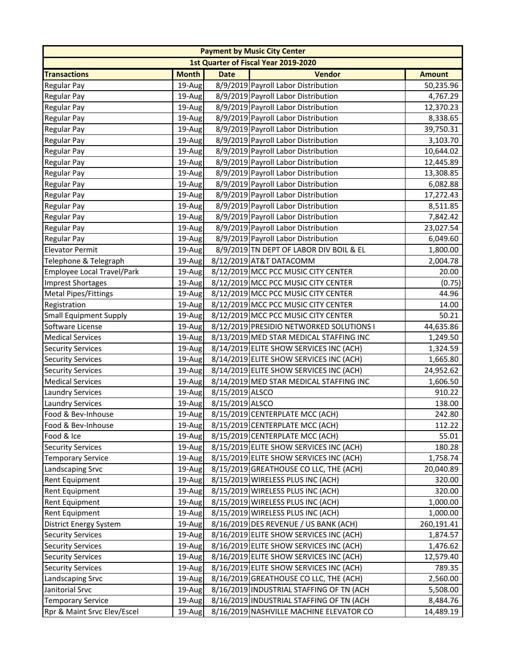|                               |              |                 | <b>Payment by Music City Center</b>         |               |
|-------------------------------|--------------|-----------------|---------------------------------------------|---------------|
|                               |              |                 | <b>1st Quarter of Fiscal Year 2019-2020</b> |               |
| <b>Transactions</b>           | <b>Month</b> | <b>Date</b>     | <b>Vendor</b>                               | <b>Amount</b> |
| <b>Regular Pay</b>            | 19-Aug       |                 | 8/9/2019 Payroll Labor Distribution         | 50,235.96     |
| <b>Regular Pay</b>            | 19-Aug       |                 | 8/9/2019 Payroll Labor Distribution         | 4,767.29      |
| <b>Regular Pay</b>            | 19-Aug       |                 | 8/9/2019 Payroll Labor Distribution         | 12,370.23     |
| <b>Regular Pay</b>            | 19-Aug       |                 | 8/9/2019 Payroll Labor Distribution         | 8,338.65      |
| <b>Regular Pay</b>            | 19-Aug       |                 | 8/9/2019 Payroll Labor Distribution         | 39,750.31     |
| <b>Regular Pay</b>            | 19-Aug       |                 | 8/9/2019 Payroll Labor Distribution         | 3,103.70      |
| <b>Regular Pay</b>            | 19-Aug       |                 | 8/9/2019 Payroll Labor Distribution         | 10,644.02     |
| <b>Regular Pay</b>            | 19-Aug       |                 | 8/9/2019 Payroll Labor Distribution         | 12,445.89     |
| Regular Pay                   | 19-Aug       |                 | 8/9/2019 Payroll Labor Distribution         | 13,308.85     |
| <b>Regular Pay</b>            | 19-Aug       |                 | 8/9/2019 Payroll Labor Distribution         | 6,082.88      |
| Regular Pay                   | 19-Aug       |                 | 8/9/2019 Payroll Labor Distribution         | 17,272.43     |
| <b>Regular Pay</b>            | 19-Aug       |                 | 8/9/2019 Payroll Labor Distribution         | 8,511.85      |
| <b>Regular Pay</b>            | 19-Aug       |                 | 8/9/2019 Payroll Labor Distribution         | 7,842.42      |
| <b>Regular Pay</b>            | 19-Aug       |                 | 8/9/2019 Payroll Labor Distribution         | 23,027.54     |
| <b>Regular Pay</b>            | 19-Aug       |                 | 8/9/2019 Payroll Labor Distribution         | 6,049.60      |
| <b>Elevator Permit</b>        | 19-Aug       |                 | 8/9/2019 TN DEPT OF LABOR DIV BOIL & EL     | 1,800.00      |
| Telephone & Telegraph         | 19-Aug       |                 | 8/12/2019 AT&T DATACOMM                     | 2,004.78      |
| Employee Local Travel/Park    | 19-Aug       |                 | 8/12/2019 MCC PCC MUSIC CITY CENTER         | 20.00         |
| <b>Imprest Shortages</b>      | 19-Aug       |                 | 8/12/2019 MCC PCC MUSIC CITY CENTER         | (0.75)        |
| <b>Metal Pipes/Fittings</b>   | 19-Aug       |                 | 8/12/2019 MCC PCC MUSIC CITY CENTER         | 44.96         |
| Registration                  | 19-Aug       |                 | 8/12/2019 MCC PCC MUSIC CITY CENTER         | 14.00         |
| <b>Small Equipment Supply</b> | 19-Aug       |                 | 8/12/2019 MCC PCC MUSIC CITY CENTER         | 50.21         |
| Software License              | 19-Aug       |                 | 8/12/2019 PRESIDIO NETWORKED SOLUTIONS I    | 44,635.86     |
| <b>Medical Services</b>       | 19-Aug       |                 | 8/13/2019 MED STAR MEDICAL STAFFING INC     | 1,249.50      |
| <b>Security Services</b>      | 19-Aug       |                 | 8/14/2019 ELITE SHOW SERVICES INC (ACH)     | 1,324.59      |
| <b>Security Services</b>      | 19-Aug       |                 | 8/14/2019 ELITE SHOW SERVICES INC (ACH)     | 1,665.80      |
| <b>Security Services</b>      | 19-Aug       |                 | 8/14/2019 ELITE SHOW SERVICES INC (ACH)     | 24,952.62     |
| <b>Medical Services</b>       | 19-Aug       |                 | 8/14/2019 MED STAR MEDICAL STAFFING INC     | 1,606.50      |
| <b>Laundry Services</b>       | 19-Aug       | 8/15/2019 ALSCO |                                             | 910.22        |
| <b>Laundry Services</b>       | 19-Aug       | 8/15/2019 ALSCO |                                             | 138.00        |
| Food & Bev-Inhouse            | 19-Aug       |                 | 8/15/2019 CENTERPLATE MCC (ACH)             | 242.80        |
| Food & Bev-Inhouse            | 19-Aug       |                 | 8/15/2019 CENTERPLATE MCC (ACH)             | 112.22        |
| Food & Ice                    | 19-Aug       |                 | 8/15/2019 CENTERPLATE MCC (ACH)             | 55.01         |
| <b>Security Services</b>      | 19-Aug       |                 | 8/15/2019 ELITE SHOW SERVICES INC (ACH)     | 180.28        |
| <b>Temporary Service</b>      | 19-Aug       |                 | 8/15/2019 ELITE SHOW SERVICES INC (ACH)     | 1,758.74      |
| <b>Landscaping Srvc</b>       | 19-Aug       |                 | 8/15/2019 GREATHOUSE CO LLC, THE (ACH)      | 20,040.89     |
| <b>Rent Equipment</b>         | 19-Aug       |                 | 8/15/2019 WIRELESS PLUS INC (ACH)           | 320.00        |
| <b>Rent Equipment</b>         | 19-Aug       |                 | 8/15/2019 WIRELESS PLUS INC (ACH)           | 320.00        |
| <b>Rent Equipment</b>         | 19-Aug       |                 | 8/15/2019 WIRELESS PLUS INC (ACH)           | 1,000.00      |
| <b>Rent Equipment</b>         | 19-Aug       |                 | 8/15/2019 WIRELESS PLUS INC (ACH)           | 1,000.00      |
| <b>District Energy System</b> | 19-Aug       |                 | 8/16/2019 DES REVENUE / US BANK (ACH)       | 260,191.41    |
| <b>Security Services</b>      | 19-Aug       |                 | 8/16/2019 ELITE SHOW SERVICES INC (ACH)     | 1,874.57      |
| <b>Security Services</b>      | 19-Aug       |                 | 8/16/2019 ELITE SHOW SERVICES INC (ACH)     | 1,476.62      |
| <b>Security Services</b>      | 19-Aug       |                 | 8/16/2019 ELITE SHOW SERVICES INC (ACH)     | 12,579.40     |
| <b>Security Services</b>      | 19-Aug       |                 | 8/16/2019 ELITE SHOW SERVICES INC (ACH)     | 789.35        |
| Landscaping Srvc              | 19-Aug       |                 | 8/16/2019 GREATHOUSE CO LLC, THE (ACH)      | 2,560.00      |
| Janitorial Srvc               | 19-Aug       |                 | 8/16/2019 INDUSTRIAL STAFFING OF TN (ACH    | 5,508.00      |
| <b>Temporary Service</b>      | 19-Aug       |                 | 8/16/2019 INDUSTRIAL STAFFING OF TN (ACH    | 8,484.76      |
| Rpr & Maint Srvc Elev/Escel   | 19-Aug       |                 | 8/16/2019 NASHVILLE MACHINE ELEVATOR CO     | 14,489.19     |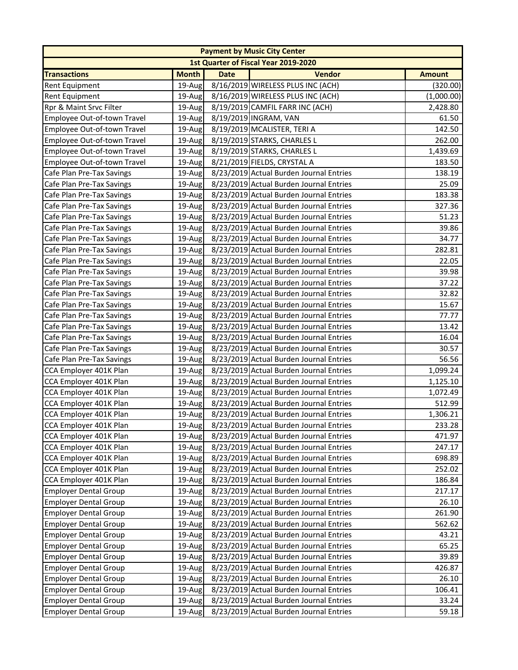|                              |              |             | <b>Payment by Music City Center</b>     |               |
|------------------------------|--------------|-------------|-----------------------------------------|---------------|
|                              |              |             | 1st Quarter of Fiscal Year 2019-2020    |               |
| <b>Transactions</b>          | <b>Month</b> | <b>Date</b> | <b>Vendor</b>                           | <b>Amount</b> |
| <b>Rent Equipment</b>        | 19-Aug       |             | 8/16/2019 WIRELESS PLUS INC (ACH)       | (320.00)      |
| <b>Rent Equipment</b>        | 19-Aug       |             | 8/16/2019 WIRELESS PLUS INC (ACH)       | (1,000.00)    |
| Rpr & Maint Srvc Filter      | 19-Aug       |             | 8/19/2019 CAMFIL FARR INC (ACH)         | 2,428.80      |
| Employee Out-of-town Travel  | 19-Aug       |             | 8/19/2019 INGRAM, VAN                   | 61.50         |
| Employee Out-of-town Travel  | 19-Aug       |             | 8/19/2019 MCALISTER, TERI A             | 142.50        |
| Employee Out-of-town Travel  | 19-Aug       |             | 8/19/2019 STARKS, CHARLES L             | 262.00        |
| Employee Out-of-town Travel  | 19-Aug       |             | 8/19/2019 STARKS, CHARLES L             | 1,439.69      |
| Employee Out-of-town Travel  | 19-Aug       |             | 8/21/2019 FIELDS, CRYSTAL A             | 183.50        |
| Cafe Plan Pre-Tax Savings    | 19-Aug       |             | 8/23/2019 Actual Burden Journal Entries | 138.19        |
| Cafe Plan Pre-Tax Savings    | 19-Aug       |             | 8/23/2019 Actual Burden Journal Entries | 25.09         |
| Cafe Plan Pre-Tax Savings    | 19-Aug       |             | 8/23/2019 Actual Burden Journal Entries | 183.38        |
| Cafe Plan Pre-Tax Savings    | 19-Aug       |             | 8/23/2019 Actual Burden Journal Entries | 327.36        |
| Cafe Plan Pre-Tax Savings    | 19-Aug       |             | 8/23/2019 Actual Burden Journal Entries | 51.23         |
| Cafe Plan Pre-Tax Savings    | 19-Aug       |             | 8/23/2019 Actual Burden Journal Entries | 39.86         |
| Cafe Plan Pre-Tax Savings    | 19-Aug       |             | 8/23/2019 Actual Burden Journal Entries | 34.77         |
| Cafe Plan Pre-Tax Savings    | 19-Aug       |             | 8/23/2019 Actual Burden Journal Entries | 282.81        |
| Cafe Plan Pre-Tax Savings    | 19-Aug       |             | 8/23/2019 Actual Burden Journal Entries | 22.05         |
| Cafe Plan Pre-Tax Savings    | 19-Aug       |             | 8/23/2019 Actual Burden Journal Entries | 39.98         |
| Cafe Plan Pre-Tax Savings    | 19-Aug       |             | 8/23/2019 Actual Burden Journal Entries | 37.22         |
| Cafe Plan Pre-Tax Savings    | 19-Aug       |             | 8/23/2019 Actual Burden Journal Entries | 32.82         |
| Cafe Plan Pre-Tax Savings    | 19-Aug       |             | 8/23/2019 Actual Burden Journal Entries | 15.67         |
| Cafe Plan Pre-Tax Savings    | 19-Aug       |             | 8/23/2019 Actual Burden Journal Entries | 77.77         |
| Cafe Plan Pre-Tax Savings    | 19-Aug       |             | 8/23/2019 Actual Burden Journal Entries | 13.42         |
| Cafe Plan Pre-Tax Savings    | 19-Aug       |             | 8/23/2019 Actual Burden Journal Entries | 16.04         |
| Cafe Plan Pre-Tax Savings    | 19-Aug       |             | 8/23/2019 Actual Burden Journal Entries | 30.57         |
| Cafe Plan Pre-Tax Savings    | 19-Aug       |             | 8/23/2019 Actual Burden Journal Entries | 56.56         |
| CCA Employer 401K Plan       | 19-Aug       |             | 8/23/2019 Actual Burden Journal Entries | 1,099.24      |
| CCA Employer 401K Plan       | $19$ -Aug    |             | 8/23/2019 Actual Burden Journal Entries | 1,125.10      |
| CCA Employer 401K Plan       | 19-Aug       |             | 8/23/2019 Actual Burden Journal Entries | 1,072.49      |
| CCA Employer 401K Plan       | 19-Aug       |             | 8/23/2019 Actual Burden Journal Entries | 512.99        |
| CCA Employer 401K Plan       | 19-Aug       |             | 8/23/2019 Actual Burden Journal Entries | 1,306.21      |
| CCA Employer 401K Plan       | 19-Aug       |             | 8/23/2019 Actual Burden Journal Entries | 233.28        |
| CCA Employer 401K Plan       | 19-Aug       |             | 8/23/2019 Actual Burden Journal Entries | 471.97        |
| CCA Employer 401K Plan       | 19-Aug       |             | 8/23/2019 Actual Burden Journal Entries | 247.17        |
| CCA Employer 401K Plan       | 19-Aug       |             | 8/23/2019 Actual Burden Journal Entries | 698.89        |
| CCA Employer 401K Plan       | 19-Aug       |             | 8/23/2019 Actual Burden Journal Entries | 252.02        |
| CCA Employer 401K Plan       | 19-Aug       |             | 8/23/2019 Actual Burden Journal Entries | 186.84        |
| <b>Employer Dental Group</b> | 19-Aug       |             | 8/23/2019 Actual Burden Journal Entries | 217.17        |
| <b>Employer Dental Group</b> | 19-Aug       |             | 8/23/2019 Actual Burden Journal Entries | 26.10         |
| <b>Employer Dental Group</b> | 19-Aug       |             | 8/23/2019 Actual Burden Journal Entries | 261.90        |
| <b>Employer Dental Group</b> | 19-Aug       |             | 8/23/2019 Actual Burden Journal Entries | 562.62        |
| <b>Employer Dental Group</b> | 19-Aug       |             | 8/23/2019 Actual Burden Journal Entries | 43.21         |
| <b>Employer Dental Group</b> | 19-Aug       |             | 8/23/2019 Actual Burden Journal Entries | 65.25         |
| <b>Employer Dental Group</b> | 19-Aug       |             | 8/23/2019 Actual Burden Journal Entries | 39.89         |
| <b>Employer Dental Group</b> | 19-Aug       |             | 8/23/2019 Actual Burden Journal Entries | 426.87        |
| <b>Employer Dental Group</b> | 19-Aug       |             | 8/23/2019 Actual Burden Journal Entries | 26.10         |
| <b>Employer Dental Group</b> | 19-Aug       |             | 8/23/2019 Actual Burden Journal Entries | 106.41        |
| <b>Employer Dental Group</b> | 19-Aug       |             | 8/23/2019 Actual Burden Journal Entries | 33.24         |
| <b>Employer Dental Group</b> | 19-Aug       |             | 8/23/2019 Actual Burden Journal Entries | 59.18         |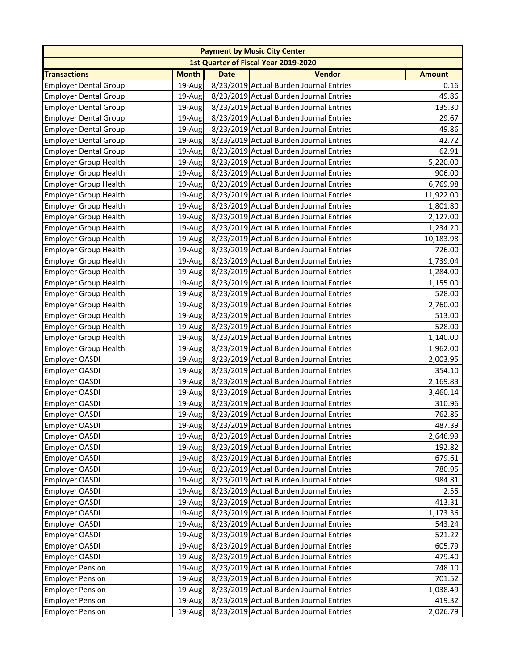|                              |              |             | <b>Payment by Music City Center</b>     |               |
|------------------------------|--------------|-------------|-----------------------------------------|---------------|
|                              |              |             | 1st Quarter of Fiscal Year 2019-2020    |               |
| <b>Transactions</b>          | <b>Month</b> | <b>Date</b> | <b>Vendor</b>                           | <b>Amount</b> |
| <b>Employer Dental Group</b> | 19-Aug       |             | 8/23/2019 Actual Burden Journal Entries | 0.16          |
| <b>Employer Dental Group</b> | 19-Aug       |             | 8/23/2019 Actual Burden Journal Entries | 49.86         |
| <b>Employer Dental Group</b> | $19$ -Aug    |             | 8/23/2019 Actual Burden Journal Entries | 135.30        |
| <b>Employer Dental Group</b> | 19-Aug       |             | 8/23/2019 Actual Burden Journal Entries | 29.67         |
| <b>Employer Dental Group</b> | 19-Aug       |             | 8/23/2019 Actual Burden Journal Entries | 49.86         |
| <b>Employer Dental Group</b> | 19-Aug       |             | 8/23/2019 Actual Burden Journal Entries | 42.72         |
| <b>Employer Dental Group</b> | 19-Aug       |             | 8/23/2019 Actual Burden Journal Entries | 62.91         |
| <b>Employer Group Health</b> | 19-Aug       |             | 8/23/2019 Actual Burden Journal Entries | 5,220.00      |
| <b>Employer Group Health</b> | 19-Aug       |             | 8/23/2019 Actual Burden Journal Entries | 906.00        |
| <b>Employer Group Health</b> | 19-Aug       |             | 8/23/2019 Actual Burden Journal Entries | 6,769.98      |
| <b>Employer Group Health</b> | 19-Aug       |             | 8/23/2019 Actual Burden Journal Entries | 11,922.00     |
| <b>Employer Group Health</b> | 19-Aug       |             | 8/23/2019 Actual Burden Journal Entries | 1,801.80      |
| <b>Employer Group Health</b> | 19-Aug       |             | 8/23/2019 Actual Burden Journal Entries | 2,127.00      |
| <b>Employer Group Health</b> | 19-Aug       |             | 8/23/2019 Actual Burden Journal Entries | 1,234.20      |
| <b>Employer Group Health</b> | 19-Aug       |             | 8/23/2019 Actual Burden Journal Entries | 10,183.98     |
| <b>Employer Group Health</b> | 19-Aug       |             | 8/23/2019 Actual Burden Journal Entries | 726.00        |
| <b>Employer Group Health</b> | 19-Aug       |             | 8/23/2019 Actual Burden Journal Entries | 1,739.04      |
| <b>Employer Group Health</b> | 19-Aug       |             | 8/23/2019 Actual Burden Journal Entries | 1,284.00      |
| <b>Employer Group Health</b> | 19-Aug       |             | 8/23/2019 Actual Burden Journal Entries | 1,155.00      |
| <b>Employer Group Health</b> | 19-Aug       |             | 8/23/2019 Actual Burden Journal Entries | 528.00        |
| <b>Employer Group Health</b> | 19-Aug       |             | 8/23/2019 Actual Burden Journal Entries | 2,760.00      |
| <b>Employer Group Health</b> | 19-Aug       |             | 8/23/2019 Actual Burden Journal Entries | 513.00        |
| <b>Employer Group Health</b> | 19-Aug       |             | 8/23/2019 Actual Burden Journal Entries | 528.00        |
| <b>Employer Group Health</b> | 19-Aug       |             | 8/23/2019 Actual Burden Journal Entries | 1,140.00      |
| <b>Employer Group Health</b> | 19-Aug       |             | 8/23/2019 Actual Burden Journal Entries | 1,962.00      |
| Employer OASDI               | 19-Aug       |             | 8/23/2019 Actual Burden Journal Entries | 2,003.95      |
| Employer OASDI               | 19-Aug       |             | 8/23/2019 Actual Burden Journal Entries | 354.10        |
| Employer OASDI               | 19-Aug       |             | 8/23/2019 Actual Burden Journal Entries | 2,169.83      |
| Employer OASDI               | 19-Aug       |             | 8/23/2019 Actual Burden Journal Entries | 3,460.14      |
| Employer OASDI               | 19-Aug       |             | 8/23/2019 Actual Burden Journal Entries | 310.96        |
| <b>Employer OASDI</b>        | 19-Aug       |             | 8/23/2019 Actual Burden Journal Entries | 762.85        |
| Employer OASDI               | 19-Aug       |             | 8/23/2019 Actual Burden Journal Entries | 487.39        |
| Employer OASDI               | 19-Aug       |             | 8/23/2019 Actual Burden Journal Entries | 2,646.99      |
| Employer OASDI               | $19$ -Aug    |             | 8/23/2019 Actual Burden Journal Entries | 192.82        |
| Employer OASDI               | 19-Aug       |             | 8/23/2019 Actual Burden Journal Entries | 679.61        |
| <b>Employer OASDI</b>        | 19-Aug       |             | 8/23/2019 Actual Burden Journal Entries | 780.95        |
| Employer OASDI               | 19-Aug       |             | 8/23/2019 Actual Burden Journal Entries | 984.81        |
| <b>Employer OASDI</b>        | 19-Aug       |             | 8/23/2019 Actual Burden Journal Entries | 2.55          |
| Employer OASDI               | 19-Aug       |             | 8/23/2019 Actual Burden Journal Entries | 413.31        |
| Employer OASDI               | 19-Aug       |             | 8/23/2019 Actual Burden Journal Entries | 1,173.36      |
| Employer OASDI               | 19-Aug       |             | 8/23/2019 Actual Burden Journal Entries | 543.24        |
| Employer OASDI               | 19-Aug       |             | 8/23/2019 Actual Burden Journal Entries | 521.22        |
| Employer OASDI               | 19-Aug       |             | 8/23/2019 Actual Burden Journal Entries | 605.79        |
| Employer OASDI               | 19-Aug       |             | 8/23/2019 Actual Burden Journal Entries | 479.40        |
| <b>Employer Pension</b>      | 19-Aug       |             | 8/23/2019 Actual Burden Journal Entries | 748.10        |
| <b>Employer Pension</b>      | 19-Aug       |             | 8/23/2019 Actual Burden Journal Entries | 701.52        |
| <b>Employer Pension</b>      | 19-Aug       |             | 8/23/2019 Actual Burden Journal Entries | 1,038.49      |
| <b>Employer Pension</b>      | 19-Aug       |             | 8/23/2019 Actual Burden Journal Entries | 419.32        |
| <b>Employer Pension</b>      | 19-Aug       |             | 8/23/2019 Actual Burden Journal Entries | 2,026.79      |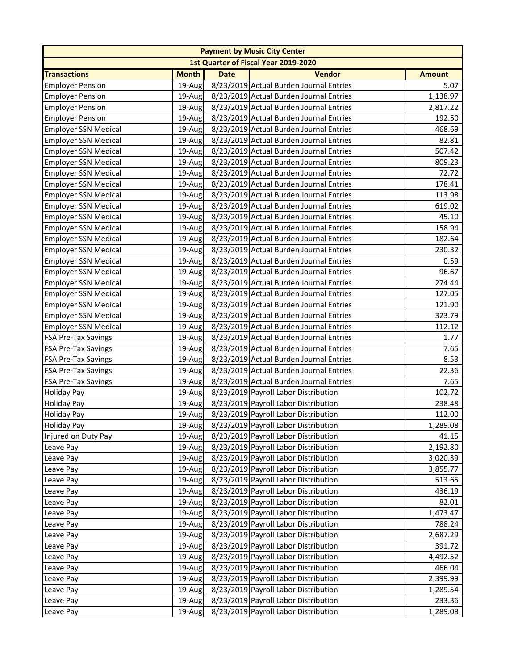|                             |              |             | <b>Payment by Music City Center</b>     |               |
|-----------------------------|--------------|-------------|-----------------------------------------|---------------|
|                             |              |             | 1st Quarter of Fiscal Year 2019-2020    |               |
| <b>Transactions</b>         | <b>Month</b> | <b>Date</b> | <b>Vendor</b>                           | <b>Amount</b> |
| <b>Employer Pension</b>     | 19-Aug       |             | 8/23/2019 Actual Burden Journal Entries | 5.07          |
| <b>Employer Pension</b>     | 19-Aug       |             | 8/23/2019 Actual Burden Journal Entries | 1,138.97      |
| <b>Employer Pension</b>     | 19-Aug       |             | 8/23/2019 Actual Burden Journal Entries | 2,817.22      |
| <b>Employer Pension</b>     | 19-Aug       |             | 8/23/2019 Actual Burden Journal Entries | 192.50        |
| <b>Employer SSN Medical</b> | 19-Aug       |             | 8/23/2019 Actual Burden Journal Entries | 468.69        |
| <b>Employer SSN Medical</b> | 19-Aug       |             | 8/23/2019 Actual Burden Journal Entries | 82.81         |
| <b>Employer SSN Medical</b> | 19-Aug       |             | 8/23/2019 Actual Burden Journal Entries | 507.42        |
| <b>Employer SSN Medical</b> | 19-Aug       |             | 8/23/2019 Actual Burden Journal Entries | 809.23        |
| <b>Employer SSN Medical</b> | 19-Aug       |             | 8/23/2019 Actual Burden Journal Entries | 72.72         |
| <b>Employer SSN Medical</b> | $19$ -Aug    |             | 8/23/2019 Actual Burden Journal Entries | 178.41        |
| <b>Employer SSN Medical</b> | $19$ -Aug    |             | 8/23/2019 Actual Burden Journal Entries | 113.98        |
| <b>Employer SSN Medical</b> | 19-Aug       |             | 8/23/2019 Actual Burden Journal Entries | 619.02        |
| <b>Employer SSN Medical</b> | 19-Aug       |             | 8/23/2019 Actual Burden Journal Entries | 45.10         |
| <b>Employer SSN Medical</b> | 19-Aug       |             | 8/23/2019 Actual Burden Journal Entries | 158.94        |
| <b>Employer SSN Medical</b> | 19-Aug       |             | 8/23/2019 Actual Burden Journal Entries | 182.64        |
| <b>Employer SSN Medical</b> | $19$ -Aug    |             | 8/23/2019 Actual Burden Journal Entries | 230.32        |
| <b>Employer SSN Medical</b> | 19-Aug       |             | 8/23/2019 Actual Burden Journal Entries | 0.59          |
| <b>Employer SSN Medical</b> | 19-Aug       |             | 8/23/2019 Actual Burden Journal Entries | 96.67         |
| <b>Employer SSN Medical</b> | 19-Aug       |             | 8/23/2019 Actual Burden Journal Entries | 274.44        |
| <b>Employer SSN Medical</b> | 19-Aug       |             | 8/23/2019 Actual Burden Journal Entries | 127.05        |
| <b>Employer SSN Medical</b> | $19$ -Aug    |             | 8/23/2019 Actual Burden Journal Entries | 121.90        |
| <b>Employer SSN Medical</b> | $19$ -Aug    |             | 8/23/2019 Actual Burden Journal Entries | 323.79        |
| <b>Employer SSN Medical</b> | 19-Aug       |             | 8/23/2019 Actual Burden Journal Entries | 112.12        |
| <b>FSA Pre-Tax Savings</b>  | 19-Aug       |             | 8/23/2019 Actual Burden Journal Entries | 1.77          |
| <b>FSA Pre-Tax Savings</b>  | 19-Aug       |             | 8/23/2019 Actual Burden Journal Entries | 7.65          |
| <b>FSA Pre-Tax Savings</b>  | 19-Aug       |             | 8/23/2019 Actual Burden Journal Entries | 8.53          |
| <b>FSA Pre-Tax Savings</b>  | 19-Aug       |             | 8/23/2019 Actual Burden Journal Entries | 22.36         |
| <b>FSA Pre-Tax Savings</b>  | $19$ -Aug    |             | 8/23/2019 Actual Burden Journal Entries | 7.65          |
| <b>Holiday Pay</b>          | 19-Aug       |             | 8/23/2019 Payroll Labor Distribution    | 102.72        |
| <b>Holiday Pay</b>          | 19-Aug       |             | 8/23/2019 Payroll Labor Distribution    | 238.48        |
| <b>Holiday Pay</b>          | 19-Aug       |             | 8/23/2019 Payroll Labor Distribution    | 112.00        |
| Holiday Pay                 | 19-Aug       |             | 8/23/2019 Payroll Labor Distribution    | 1,289.08      |
| Injured on Duty Pay         | 19-Aug       |             | 8/23/2019 Payroll Labor Distribution    | 41.15         |
| Leave Pay                   | 19-Aug       |             | 8/23/2019 Payroll Labor Distribution    | 2,192.80      |
| Leave Pay                   | $19-Au$ g    |             | 8/23/2019 Payroll Labor Distribution    | 3,020.39      |
| Leave Pay                   | 19-Aug       |             | 8/23/2019 Payroll Labor Distribution    | 3,855.77      |
| Leave Pay                   | 19-Aug       |             | 8/23/2019 Payroll Labor Distribution    | 513.65        |
| Leave Pay                   | 19-Aug       |             | 8/23/2019 Payroll Labor Distribution    | 436.19        |
| Leave Pay                   | 19-Aug       |             | 8/23/2019 Payroll Labor Distribution    | 82.01         |
| Leave Pay                   | 19-Aug       |             | 8/23/2019 Payroll Labor Distribution    | 1,473.47      |
| Leave Pay                   | 19-Aug       |             | 8/23/2019 Payroll Labor Distribution    | 788.24        |
| Leave Pay                   | 19-Aug       |             | 8/23/2019 Payroll Labor Distribution    | 2,687.29      |
| Leave Pay                   | 19-Aug       |             | 8/23/2019 Payroll Labor Distribution    | 391.72        |
| Leave Pay                   | 19-Aug       |             | 8/23/2019 Payroll Labor Distribution    | 4,492.52      |
| Leave Pay                   | 19-Aug       |             | 8/23/2019 Payroll Labor Distribution    | 466.04        |
| Leave Pay                   | 19-Aug       |             | 8/23/2019 Payroll Labor Distribution    | 2,399.99      |
| Leave Pay                   | 19-Aug       |             | 8/23/2019 Payroll Labor Distribution    | 1,289.54      |
| Leave Pay                   | 19-Aug       |             | 8/23/2019 Payroll Labor Distribution    | 233.36        |
| Leave Pay                   | 19-Aug       |             | 8/23/2019 Payroll Labor Distribution    | 1,289.08      |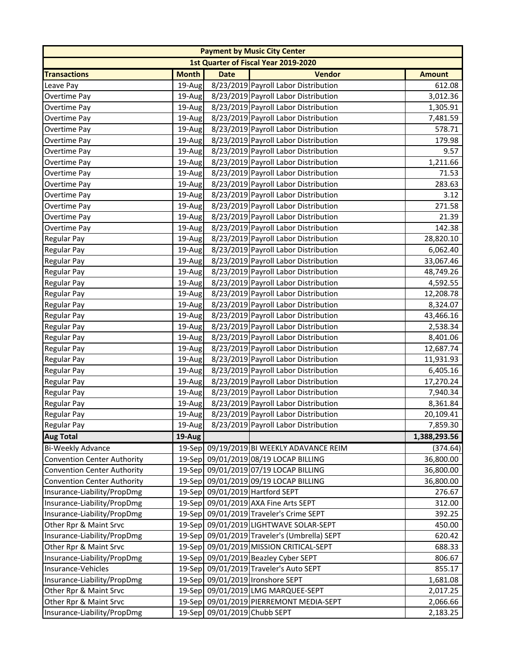|                                    |              |                              | <b>Payment by Music City Center</b>          |               |
|------------------------------------|--------------|------------------------------|----------------------------------------------|---------------|
|                                    |              |                              | 1st Quarter of Fiscal Year 2019-2020         |               |
| <b>Transactions</b>                | <b>Month</b> | <b>Date</b>                  | <b>Vendor</b>                                | <b>Amount</b> |
| Leave Pay                          | 19-Aug       |                              | 8/23/2019 Payroll Labor Distribution         | 612.08        |
| Overtime Pay                       | 19-Aug       |                              | 8/23/2019 Payroll Labor Distribution         | 3,012.36      |
| Overtime Pay                       | 19-Aug       |                              | 8/23/2019 Payroll Labor Distribution         | 1,305.91      |
| Overtime Pay                       | 19-Aug       |                              | 8/23/2019 Payroll Labor Distribution         | 7,481.59      |
| Overtime Pay                       | 19-Aug       |                              | 8/23/2019 Payroll Labor Distribution         | 578.71        |
| Overtime Pay                       | 19-Aug       |                              | 8/23/2019 Payroll Labor Distribution         | 179.98        |
| Overtime Pay                       | 19-Aug       |                              | 8/23/2019 Payroll Labor Distribution         | 9.57          |
| Overtime Pay                       | 19-Aug       |                              | 8/23/2019 Payroll Labor Distribution         | 1,211.66      |
| Overtime Pay                       | 19-Aug       |                              | 8/23/2019 Payroll Labor Distribution         | 71.53         |
| Overtime Pay                       | 19-Aug       |                              | 8/23/2019 Payroll Labor Distribution         | 283.63        |
| Overtime Pay                       | 19-Aug       |                              | 8/23/2019 Payroll Labor Distribution         | 3.12          |
| Overtime Pay                       | 19-Aug       |                              | 8/23/2019 Payroll Labor Distribution         | 271.58        |
| Overtime Pay                       | 19-Aug       |                              | 8/23/2019 Payroll Labor Distribution         | 21.39         |
| Overtime Pay                       | 19-Aug       |                              | 8/23/2019 Payroll Labor Distribution         | 142.38        |
| <b>Regular Pay</b>                 | 19-Aug       |                              | 8/23/2019 Payroll Labor Distribution         | 28,820.10     |
| <b>Regular Pay</b>                 | 19-Aug       |                              | 8/23/2019 Payroll Labor Distribution         | 6,062.40      |
| <b>Regular Pay</b>                 | 19-Aug       |                              | 8/23/2019 Payroll Labor Distribution         | 33,067.46     |
| <b>Regular Pay</b>                 | 19-Aug       |                              | 8/23/2019 Payroll Labor Distribution         | 48,749.26     |
| <b>Regular Pay</b>                 | 19-Aug       |                              | 8/23/2019 Payroll Labor Distribution         | 4,592.55      |
| <b>Regular Pay</b>                 | 19-Aug       |                              | 8/23/2019 Payroll Labor Distribution         | 12,208.78     |
| <b>Regular Pay</b>                 | 19-Aug       |                              | 8/23/2019 Payroll Labor Distribution         | 8,324.07      |
| <b>Regular Pay</b>                 | 19-Aug       |                              | 8/23/2019 Payroll Labor Distribution         | 43,466.16     |
| <b>Regular Pay</b>                 | 19-Aug       |                              | 8/23/2019 Payroll Labor Distribution         | 2,538.34      |
| <b>Regular Pay</b>                 | 19-Aug       |                              | 8/23/2019 Payroll Labor Distribution         | 8,401.06      |
| Regular Pay                        | 19-Aug       |                              | 8/23/2019 Payroll Labor Distribution         | 12,687.74     |
| <b>Regular Pay</b>                 | 19-Aug       |                              | 8/23/2019 Payroll Labor Distribution         | 11,931.93     |
| <b>Regular Pay</b>                 | 19-Aug       |                              | 8/23/2019 Payroll Labor Distribution         | 6,405.16      |
| <b>Regular Pay</b>                 | 19-Aug       |                              | 8/23/2019 Payroll Labor Distribution         | 17,270.24     |
| <b>Regular Pay</b>                 | 19-Aug       |                              | 8/23/2019 Payroll Labor Distribution         | 7,940.34      |
| <b>Regular Pay</b>                 | 19-Aug       |                              | 8/23/2019 Payroll Labor Distribution         | 8,361.84      |
| <b>Regular Pay</b>                 | 19-Aug       |                              | 8/23/2019 Payroll Labor Distribution         | 20,109.41     |
| Regular Pay                        | 19-Aug       |                              | 8/23/2019 Payroll Labor Distribution         | 7,859.30      |
| <b>Aug Total</b>                   | 19-Aug       |                              |                                              | 1,388,293.56  |
| <b>Bi-Weekly Advance</b>           |              |                              | 19-Sep 09/19/2019 BI WEEKLY ADAVANCE REIM    | (374.64)      |
| <b>Convention Center Authority</b> |              |                              | 19-Sep 09/01/2019 08/19 LOCAP BILLING        | 36,800.00     |
| <b>Convention Center Authority</b> |              |                              | 19-Sep 09/01/2019 07/19 LOCAP BILLING        | 36,800.00     |
| <b>Convention Center Authority</b> |              |                              | 19-Sep 09/01/2019 09/19 LOCAP BILLING        | 36,800.00     |
| Insurance-Liability/PropDmg        |              |                              | 19-Sep 09/01/2019 Hartford SEPT              | 276.67        |
| Insurance-Liability/PropDmg        |              |                              | 19-Sep 09/01/2019 AXA Fine Arts SEPT         | 312.00        |
| Insurance-Liability/PropDmg        |              |                              | 19-Sep 09/01/2019 Traveler's Crime SEPT      | 392.25        |
| Other Rpr & Maint Srvc             |              |                              | 19-Sep 09/01/2019 LIGHTWAVE SOLAR-SEPT       | 450.00        |
| Insurance-Liability/PropDmg        |              |                              | 19-Sep 09/01/2019 Traveler's (Umbrella) SEPT | 620.42        |
| Other Rpr & Maint Srvc             |              |                              | 19-Sep 09/01/2019 MISSION CRITICAL-SEPT      | 688.33        |
| Insurance-Liability/PropDmg        |              |                              | 19-Sep 09/01/2019 Beazley Cyber SEPT         | 806.67        |
| Insurance-Vehicles                 |              |                              | 19-Sep 09/01/2019 Traveler's Auto SEPT       | 855.17        |
| Insurance-Liability/PropDmg        |              |                              | 19-Sep 09/01/2019 Ironshore SEPT             | 1,681.08      |
| Other Rpr & Maint Srvc             |              |                              | 19-Sep 09/01/2019 LMG MARQUEE-SEPT           | 2,017.25      |
| Other Rpr & Maint Srvc             |              |                              | 19-Sep 09/01/2019 PIERREMONT MEDIA-SEPT      | 2,066.66      |
| Insurance-Liability/PropDmg        |              | 19-Sep 09/01/2019 Chubb SEPT |                                              | 2,183.25      |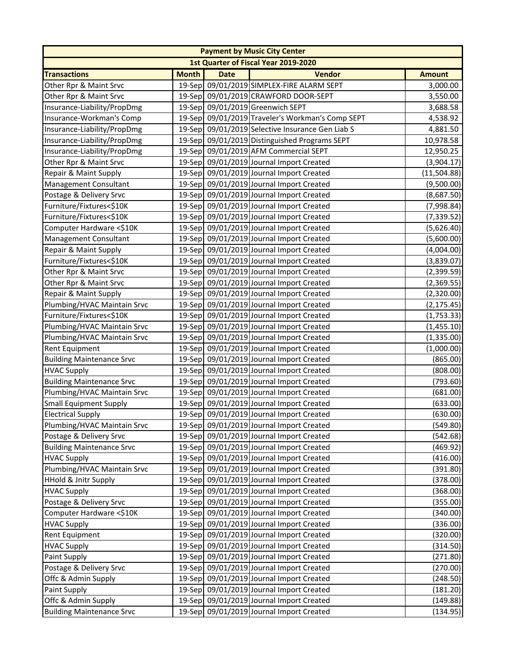|                                  |              |             | <b>Payment by Music City Center</b>              |               |
|----------------------------------|--------------|-------------|--------------------------------------------------|---------------|
|                                  |              |             | 1st Quarter of Fiscal Year 2019-2020             |               |
| <b>Transactions</b>              | <b>Month</b> | <b>Date</b> | <b>Vendor</b>                                    | <b>Amount</b> |
| Other Rpr & Maint Srvc           | 19-Sep       |             | 09/01/2019 SIMPLEX-FIRE ALARM SEPT               | 3,000.00      |
| Other Rpr & Maint Srvc           |              |             | 19-Sep 09/01/2019 CRAWFORD DOOR-SEPT             | 3,550.00      |
| Insurance-Liability/PropDmg      |              |             | 19-Sep 09/01/2019 Greenwich SEPT                 | 3,688.58      |
| Insurance-Workman's Comp         | 19-Sep       |             | 09/01/2019 Traveler's Workman's Comp SEPT        | 4,538.92      |
| Insurance-Liability/PropDmg      |              |             | 19-Sep 09/01/2019 Selective Insurance Gen Liab S | 4,881.50      |
| Insurance-Liability/PropDmg      |              |             | 19-Sep 09/01/2019 Distinguished Programs SEPT    | 10,978.58     |
| Insurance-Liability/PropDmg      |              |             | 19-Sep 09/01/2019 AFM Commercial SEPT            | 12,950.25     |
| Other Rpr & Maint Srvc           |              |             | 19-Sep 09/01/2019 Journal Import Created         | (3,904.17)    |
| Repair & Maint Supply            |              |             | 19-Sep 09/01/2019 Journal Import Created         | (11,504.88)   |
| Management Consultant            |              |             | 19-Sep 09/01/2019 Journal Import Created         | (9,500.00)    |
| Postage & Delivery Srvc          |              |             | 19-Sep 09/01/2019 Journal Import Created         | (8,687.50)    |
| Furniture/Fixtures<\$10K         |              |             | 19-Sep 09/01/2019 Journal Import Created         | (7,998.84)    |
| Furniture/Fixtures<\$10K         |              |             | 19-Sep 09/01/2019 Journal Import Created         | (7, 339.52)   |
| Computer Hardware <\$10K         |              |             | 19-Sep 09/01/2019 Journal Import Created         | (5,626.40)    |
| <b>Management Consultant</b>     |              |             | 19-Sep 09/01/2019 Journal Import Created         | (5,600.00)    |
| Repair & Maint Supply            |              |             | 19-Sep 09/01/2019 Journal Import Created         | (4,004.00)    |
| Furniture/Fixtures<\$10K         |              |             | 19-Sep 09/01/2019 Journal Import Created         | (3,839.07)    |
| Other Rpr & Maint Srvc           |              |             | 19-Sep 09/01/2019 Journal Import Created         | (2,399.59)    |
| Other Rpr & Maint Srvc           |              |             | 19-Sep 09/01/2019 Journal Import Created         | (2,369.55)    |
| Repair & Maint Supply            |              |             | 19-Sep 09/01/2019 Journal Import Created         | (2,320.00)    |
| Plumbing/HVAC Maintain Srvc      |              |             | 19-Sep 09/01/2019 Journal Import Created         | (2, 175.45)   |
| Furniture/Fixtures<\$10K         |              |             | 19-Sep 09/01/2019 Journal Import Created         | (1,753.33)    |
| Plumbing/HVAC Maintain Srvc      |              |             | 19-Sep 09/01/2019 Journal Import Created         | (1,455.10)    |
| Plumbing/HVAC Maintain Srvc      |              |             | 19-Sep 09/01/2019 Journal Import Created         | (1,335.00)    |
| <b>Rent Equipment</b>            |              |             | 19-Sep 09/01/2019 Journal Import Created         | (1,000.00)    |
| <b>Building Maintenance Srvc</b> |              |             | 19-Sep 09/01/2019 Journal Import Created         | (865.00)      |
| <b>HVAC Supply</b>               |              |             | 19-Sep 09/01/2019 Journal Import Created         | (808.00)      |
| <b>Building Maintenance Srvc</b> |              |             | 19-Sep 09/01/2019 Journal Import Created         | (793.60)      |
| Plumbing/HVAC Maintain Srvc      |              |             | 19-Sep 09/01/2019 Journal Import Created         | (681.00)      |
| <b>Small Equipment Supply</b>    |              |             | 19-Sep 09/01/2019 Journal Import Created         | (633.00)      |
| <b>Electrical Supply</b>         |              |             | 19-Sep 09/01/2019 Journal Import Created         | (630.00)      |
| Plumbing/HVAC Maintain Srvc      |              |             | 19-Sep 09/01/2019 Journal Import Created         | (549.80)      |
| Postage & Delivery Srvc          |              |             | 19-Sep 09/01/2019 Journal Import Created         | (542.68)      |
| <b>Building Maintenance Srvc</b> |              |             | 19-Sep 09/01/2019 Journal Import Created         | (469.92)      |
| <b>HVAC Supply</b>               |              |             | 19-Sep 09/01/2019 Journal Import Created         | (416.00)      |
| Plumbing/HVAC Maintain Srvc      |              |             | 19-Sep 09/01/2019 Journal Import Created         | (391.80)      |
| <b>HHold &amp; Jnitr Supply</b>  |              |             | 19-Sep 09/01/2019 Journal Import Created         | (378.00)      |
| <b>HVAC Supply</b>               |              |             | 19-Sep 09/01/2019 Journal Import Created         | (368.00)      |
| Postage & Delivery Srvc          |              |             | 19-Sep 09/01/2019 Journal Import Created         | (355.00)      |
| Computer Hardware <\$10K         |              |             | 19-Sep 09/01/2019 Journal Import Created         | (340.00)      |
| <b>HVAC Supply</b>               |              |             | 19-Sep 09/01/2019 Journal Import Created         | (336.00)      |
| <b>Rent Equipment</b>            |              |             | 19-Sep 09/01/2019 Journal Import Created         | (320.00)      |
| <b>HVAC Supply</b>               |              |             | 19-Sep 09/01/2019 Journal Import Created         | (314.50)      |
| Paint Supply                     |              |             | 19-Sep 09/01/2019 Journal Import Created         | (271.80)      |
| Postage & Delivery Srvc          |              |             | 19-Sep 09/01/2019 Journal Import Created         | (270.00)      |
| Offc & Admin Supply              |              |             | 19-Sep 09/01/2019 Journal Import Created         | (248.50)      |
| Paint Supply                     |              |             | 19-Sep 09/01/2019 Journal Import Created         | (181.20)      |
| Offc & Admin Supply              |              |             | 19-Sep 09/01/2019 Journal Import Created         | (149.88)      |
| <b>Building Maintenance Srvc</b> |              |             | 19-Sep 09/01/2019 Journal Import Created         | (134.95)      |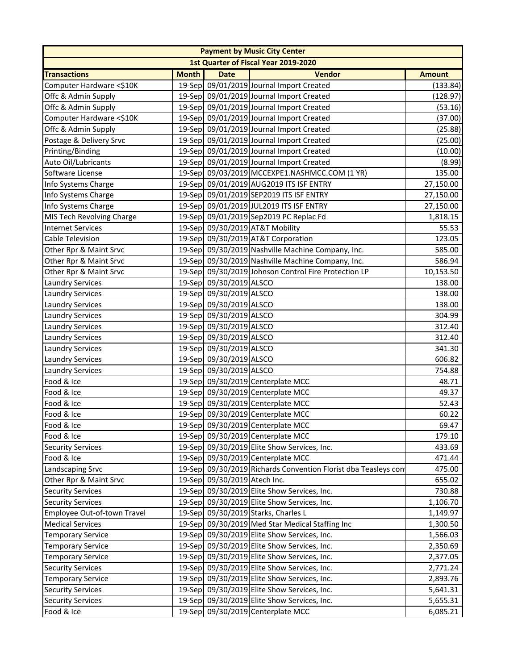|                             |              |                              | <b>Payment by Music City Center</b>                            |               |
|-----------------------------|--------------|------------------------------|----------------------------------------------------------------|---------------|
|                             |              |                              | 1st Quarter of Fiscal Year 2019-2020                           |               |
| <b>Transactions</b>         | <b>Month</b> | <b>Date</b>                  | <b>Vendor</b>                                                  | <b>Amount</b> |
| Computer Hardware <\$10K    |              |                              | 19-Sep 09/01/2019 Journal Import Created                       | (133.84)      |
| Offc & Admin Supply         |              |                              | 19-Sep 09/01/2019 Journal Import Created                       | (128.97)      |
| Offc & Admin Supply         |              |                              | 19-Sep 09/01/2019 Journal Import Created                       | (53.16)       |
| Computer Hardware <\$10K    |              |                              | 19-Sep 09/01/2019 Journal Import Created                       | (37.00)       |
| Offc & Admin Supply         |              |                              | 19-Sep 09/01/2019 Journal Import Created                       | (25.88)       |
| Postage & Delivery Srvc     |              |                              | 19-Sep 09/01/2019 Journal Import Created                       | (25.00)       |
| Printing/Binding            |              |                              | 19-Sep 09/01/2019 Journal Import Created                       | (10.00)       |
| Auto Oil/Lubricants         |              |                              | 19-Sep 09/01/2019 Journal Import Created                       | (8.99)        |
| Software License            |              |                              | 19-Sep 09/03/2019 MCCEXPE1.NASHMCC.COM (1 YR)                  | 135.00        |
| Info Systems Charge         |              |                              | 19-Sep 09/01/2019 AUG2019 ITS ISF ENTRY                        | 27,150.00     |
| Info Systems Charge         |              |                              | 19-Sep 09/01/2019 SEP2019 ITS ISF ENTRY                        | 27,150.00     |
| Info Systems Charge         |              |                              | 19-Sep 09/01/2019 JUL2019 ITS ISF ENTRY                        | 27,150.00     |
| MIS Tech Revolving Charge   |              |                              | 19-Sep 09/01/2019 Sep2019 PC Replac Fd                         | 1,818.15      |
| <b>Internet Services</b>    |              |                              | 19-Sep 09/30/2019 AT&T Mobility                                | 55.53         |
| Cable Television            |              |                              | 19-Sep 09/30/2019 AT&T Corporation                             | 123.05        |
| Other Rpr & Maint Srvc      |              |                              | 19-Sep 09/30/2019 Nashville Machine Company, Inc.              | 585.00        |
| Other Rpr & Maint Srvc      |              |                              | 19-Sep 09/30/2019 Nashville Machine Company, Inc.              | 586.94        |
| Other Rpr & Maint Srvc      |              |                              | 19-Sep 09/30/2019 Johnson Control Fire Protection LP           | 10,153.50     |
| <b>Laundry Services</b>     |              | 19-Sep 09/30/2019 ALSCO      |                                                                | 138.00        |
| <b>Laundry Services</b>     |              | 19-Sep 09/30/2019 ALSCO      |                                                                | 138.00        |
| <b>Laundry Services</b>     |              | 19-Sep 09/30/2019 ALSCO      |                                                                | 138.00        |
| <b>Laundry Services</b>     |              | 19-Sep 09/30/2019 ALSCO      |                                                                | 304.99        |
| <b>Laundry Services</b>     |              | 19-Sep 09/30/2019 ALSCO      |                                                                | 312.40        |
| <b>Laundry Services</b>     |              | 19-Sep 09/30/2019 ALSCO      |                                                                | 312.40        |
| <b>Laundry Services</b>     |              | 19-Sep 09/30/2019 ALSCO      |                                                                | 341.30        |
| <b>Laundry Services</b>     |              | 19-Sep 09/30/2019 ALSCO      |                                                                | 606.82        |
| <b>Laundry Services</b>     |              | 19-Sep 09/30/2019 ALSCO      |                                                                | 754.88        |
| Food & Ice                  |              |                              | 19-Sep 09/30/2019 Centerplate MCC                              | 48.71         |
| Food & Ice                  |              |                              | 19-Sep 09/30/2019 Centerplate MCC                              | 49.37         |
| Food & Ice                  |              |                              | 19-Sep 09/30/2019 Centerplate MCC                              | 52.43         |
| Food & Ice                  |              |                              | 19-Sep 09/30/2019 Centerplate MCC                              | 60.22         |
| Food & Ice                  |              |                              | 19-Sep 09/30/2019 Centerplate MCC                              | 69.47         |
| Food & Ice                  |              |                              | 19-Sep 09/30/2019 Centerplate MCC                              | 179.10        |
| <b>Security Services</b>    |              |                              | 19-Sep 09/30/2019 Elite Show Services, Inc.                    | 433.69        |
| Food & Ice                  |              |                              | 19-Sep 09/30/2019 Centerplate MCC                              | 471.44        |
| Landscaping Srvc            |              |                              | 19-Sep 09/30/2019 Richards Convention Florist dba Teasleys con | 475.00        |
| Other Rpr & Maint Srvc      |              | 19-Sep 09/30/2019 Atech Inc. |                                                                | 655.02        |
| <b>Security Services</b>    |              |                              | 19-Sep 09/30/2019 Elite Show Services, Inc.                    | 730.88        |
| <b>Security Services</b>    |              |                              | 19-Sep 09/30/2019 Elite Show Services, Inc.                    | 1,106.70      |
| Employee Out-of-town Travel |              |                              | 19-Sep 09/30/2019 Starks, Charles L                            | 1,149.97      |
| <b>Medical Services</b>     |              |                              | 19-Sep 09/30/2019 Med Star Medical Staffing Inc                | 1,300.50      |
| <b>Temporary Service</b>    |              |                              | 19-Sep 09/30/2019 Elite Show Services, Inc.                    | 1,566.03      |
| <b>Temporary Service</b>    |              |                              | 19-Sep 09/30/2019 Elite Show Services, Inc.                    | 2,350.69      |
| <b>Temporary Service</b>    |              |                              | 19-Sep 09/30/2019 Elite Show Services, Inc.                    | 2,377.05      |
| <b>Security Services</b>    |              |                              | 19-Sep 09/30/2019 Elite Show Services, Inc.                    | 2,771.24      |
| <b>Temporary Service</b>    |              |                              | 19-Sep 09/30/2019 Elite Show Services, Inc.                    | 2,893.76      |
| <b>Security Services</b>    |              |                              | 19-Sep 09/30/2019 Elite Show Services, Inc.                    | 5,641.31      |
| <b>Security Services</b>    |              |                              | 19-Sep 09/30/2019 Elite Show Services, Inc.                    | 5,655.31      |
| Food & Ice                  |              |                              | 19-Sep 09/30/2019 Centerplate MCC                              | 6,085.21      |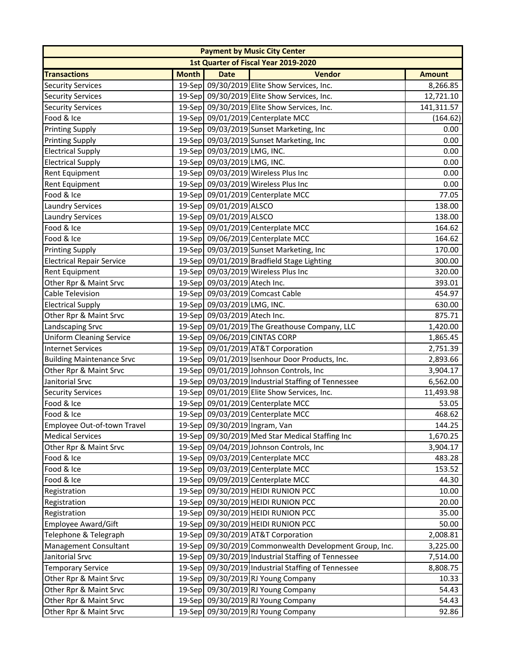|                                  |              |                               | <b>Payment by Music City Center</b>                    |               |
|----------------------------------|--------------|-------------------------------|--------------------------------------------------------|---------------|
|                                  |              |                               | 1st Quarter of Fiscal Year 2019-2020                   |               |
| <b>Transactions</b>              | <b>Month</b> | <b>Date</b>                   | <b>Vendor</b>                                          | <b>Amount</b> |
| <b>Security Services</b>         |              |                               | 19-Sep 09/30/2019 Elite Show Services, Inc.            | 8,266.85      |
| <b>Security Services</b>         |              |                               | 19-Sep 09/30/2019 Elite Show Services, Inc.            | 12,721.10     |
| <b>Security Services</b>         |              |                               | 19-Sep 09/30/2019 Elite Show Services, Inc.            | 141,311.57    |
| Food & Ice                       |              |                               | 19-Sep 09/01/2019 Centerplate MCC                      | (164.62)      |
| <b>Printing Supply</b>           |              |                               | 19-Sep 09/03/2019 Sunset Marketing, Inc                | 0.00          |
| <b>Printing Supply</b>           |              |                               | 19-Sep 09/03/2019 Sunset Marketing, Inc                | 0.00          |
| <b>Electrical Supply</b>         |              | 19-Sep 09/03/2019 LMG, INC.   |                                                        | 0.00          |
| <b>Electrical Supply</b>         |              | 19-Sep 09/03/2019 LMG, INC.   |                                                        | 0.00          |
| <b>Rent Equipment</b>            |              |                               | 19-Sep 09/03/2019 Wireless Plus Inc                    | 0.00          |
| <b>Rent Equipment</b>            |              |                               | 19-Sep 09/03/2019 Wireless Plus Inc                    | 0.00          |
| Food & Ice                       |              |                               | 19-Sep 09/01/2019 Centerplate MCC                      | 77.05         |
| <b>Laundry Services</b>          |              | 19-Sep 09/01/2019 ALSCO       |                                                        | 138.00        |
| <b>Laundry Services</b>          |              | 19-Sep 09/01/2019 ALSCO       |                                                        | 138.00        |
| Food & Ice                       |              |                               | 19-Sep 09/01/2019 Centerplate MCC                      | 164.62        |
| Food & Ice                       |              |                               | 19-Sep 09/06/2019 Centerplate MCC                      | 164.62        |
| <b>Printing Supply</b>           |              |                               | 19-Sep 09/03/2019 Sunset Marketing, Inc                | 170.00        |
| <b>Electrical Repair Service</b> |              |                               | 19-Sep 09/01/2019 Bradfield Stage Lighting             | 300.00        |
| <b>Rent Equipment</b>            |              |                               | 19-Sep 09/03/2019 Wireless Plus Inc                    | 320.00        |
| Other Rpr & Maint Srvc           |              | 19-Sep 09/03/2019 Atech Inc.  |                                                        | 393.01        |
| <b>Cable Television</b>          |              |                               | 19-Sep 09/03/2019 Comcast Cable                        | 454.97        |
| <b>Electrical Supply</b>         |              | 19-Sep 09/03/2019 LMG, INC.   |                                                        | 630.00        |
| Other Rpr & Maint Srvc           |              | 19-Sep 09/03/2019 Atech Inc.  |                                                        | 875.71        |
| Landscaping Srvc                 |              |                               | 19-Sep 09/01/2019 The Greathouse Company, LLC          | 1,420.00      |
| <b>Uniform Cleaning Service</b>  |              |                               | 19-Sep 09/06/2019 CINTAS CORP                          | 1,865.45      |
| <b>Internet Services</b>         |              |                               | 19-Sep 09/01/2019 AT&T Corporation                     | 2,751.39      |
| <b>Building Maintenance Srvc</b> |              |                               | 19-Sep 09/01/2019 Isenhour Door Products, Inc.         | 2,893.66      |
| Other Rpr & Maint Srvc           |              |                               | 19-Sep 09/01/2019 Johnson Controls, Inc                | 3,904.17      |
| Janitorial Srvc                  |              |                               | 19-Sep 09/03/2019 Industrial Staffing of Tennessee     | 6,562.00      |
| <b>Security Services</b>         |              |                               | 19-Sep 09/01/2019 Elite Show Services, Inc.            | 11,493.98     |
| Food & Ice                       |              |                               | 19-Sep 09/01/2019 Centerplate MCC                      | 53.05         |
| Food & Ice                       |              |                               | 19-Sep 09/03/2019 Centerplate MCC                      | 468.62        |
| Employee Out-of-town Travel      |              | 19-Sep 09/30/2019 Ingram, Van |                                                        | 144.25        |
| <b>Medical Services</b>          |              |                               | 19-Sep 09/30/2019 Med Star Medical Staffing Inc        | 1,670.25      |
| Other Rpr & Maint Srvc           |              |                               | 19-Sep 09/04/2019 Johnson Controls, Inc                | 3,904.17      |
| Food & Ice                       |              |                               | 19-Sep 09/03/2019 Centerplate MCC                      | 483.28        |
| Food & Ice                       |              |                               | 19-Sep 09/03/2019 Centerplate MCC                      | 153.52        |
| Food & Ice                       |              |                               | 19-Sep 09/09/2019 Centerplate MCC                      | 44.30         |
| Registration                     |              |                               | 19-Sep 09/30/2019 HEIDI RUNION PCC                     | 10.00         |
| Registration                     |              |                               | 19-Sep 09/30/2019 HEIDI RUNION PCC                     | 20.00         |
| Registration                     |              |                               | 19-Sep 09/30/2019 HEIDI RUNION PCC                     | 35.00         |
| Employee Award/Gift              |              |                               | 19-Sep 09/30/2019 HEIDI RUNION PCC                     | 50.00         |
| Telephone & Telegraph            |              |                               | 19-Sep 09/30/2019 AT&T Corporation                     | 2,008.81      |
| Management Consultant            |              |                               | 19-Sep 09/30/2019 Commonwealth Development Group, Inc. | 3,225.00      |
| Janitorial Srvc                  |              |                               | 19-Sep 09/30/2019 Industrial Staffing of Tennessee     | 7,514.00      |
| <b>Temporary Service</b>         |              |                               | 19-Sep 09/30/2019 Industrial Staffing of Tennessee     | 8,808.75      |
| Other Rpr & Maint Srvc           |              |                               | 19-Sep 09/30/2019 RJ Young Company                     | 10.33         |
| Other Rpr & Maint Srvc           |              |                               | 19-Sep 09/30/2019 RJ Young Company                     | 54.43         |
| Other Rpr & Maint Srvc           |              |                               | 19-Sep 09/30/2019 RJ Young Company                     | 54.43         |
| Other Rpr & Maint Srvc           |              |                               | 19-Sep 09/30/2019 RJ Young Company                     | 92.86         |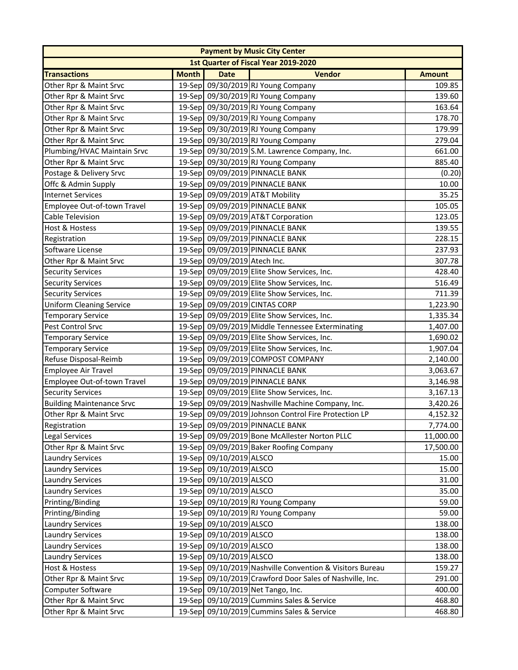|                                  | <b>Payment by Music City Center</b> |                              |                                                          |               |  |  |
|----------------------------------|-------------------------------------|------------------------------|----------------------------------------------------------|---------------|--|--|
|                                  |                                     |                              | 1st Quarter of Fiscal Year 2019-2020                     |               |  |  |
| <b>Transactions</b>              | <b>Month</b>                        | <b>Date</b>                  | <b>Vendor</b>                                            | <b>Amount</b> |  |  |
| Other Rpr & Maint Srvc           |                                     |                              | 19-Sep 09/30/2019 RJ Young Company                       | 109.85        |  |  |
| Other Rpr & Maint Srvc           |                                     |                              | 19-Sep 09/30/2019 RJ Young Company                       | 139.60        |  |  |
| Other Rpr & Maint Srvc           |                                     |                              | 19-Sep 09/30/2019 RJ Young Company                       | 163.64        |  |  |
| Other Rpr & Maint Srvc           |                                     |                              | 19-Sep 09/30/2019 RJ Young Company                       | 178.70        |  |  |
| Other Rpr & Maint Srvc           |                                     |                              | 19-Sep 09/30/2019 RJ Young Company                       | 179.99        |  |  |
| Other Rpr & Maint Srvc           |                                     |                              | 19-Sep 09/30/2019 RJ Young Company                       | 279.04        |  |  |
| Plumbing/HVAC Maintain Srvc      |                                     |                              | 19-Sep 09/30/2019 S.M. Lawrence Company, Inc.            | 661.00        |  |  |
| Other Rpr & Maint Srvc           |                                     |                              | 19-Sep 09/30/2019 RJ Young Company                       | 885.40        |  |  |
| Postage & Delivery Srvc          |                                     |                              | 19-Sep 09/09/2019 PINNACLE BANK                          | (0.20)        |  |  |
| Offc & Admin Supply              |                                     |                              | 19-Sep 09/09/2019 PINNACLE BANK                          | 10.00         |  |  |
| <b>Internet Services</b>         |                                     |                              | 19-Sep 09/09/2019 AT&T Mobility                          | 35.25         |  |  |
| Employee Out-of-town Travel      |                                     |                              | 19-Sep 09/09/2019 PINNACLE BANK                          | 105.05        |  |  |
| <b>Cable Television</b>          |                                     |                              | 19-Sep 09/09/2019 AT&T Corporation                       | 123.05        |  |  |
| <b>Host &amp; Hostess</b>        |                                     |                              | 19-Sep 09/09/2019 PINNACLE BANK                          | 139.55        |  |  |
| Registration                     |                                     |                              | 19-Sep 09/09/2019 PINNACLE BANK                          | 228.15        |  |  |
| Software License                 |                                     |                              | 19-Sep 09/09/2019 PINNACLE BANK                          | 237.93        |  |  |
| Other Rpr & Maint Srvc           |                                     | 19-Sep 09/09/2019 Atech Inc. |                                                          | 307.78        |  |  |
| <b>Security Services</b>         |                                     |                              | 19-Sep 09/09/2019 Elite Show Services, Inc.              | 428.40        |  |  |
| <b>Security Services</b>         |                                     |                              | 19-Sep 09/09/2019 Elite Show Services, Inc.              | 516.49        |  |  |
| <b>Security Services</b>         |                                     |                              | 19-Sep 09/09/2019 Elite Show Services, Inc.              | 711.39        |  |  |
| <b>Uniform Cleaning Service</b>  |                                     |                              | 19-Sep 09/09/2019 CINTAS CORP                            | 1,223.90      |  |  |
| <b>Temporary Service</b>         |                                     |                              | 19-Sep 09/09/2019 Elite Show Services, Inc.              | 1,335.34      |  |  |
| Pest Control Srvc                |                                     |                              | 19-Sep 09/09/2019 Middle Tennessee Exterminating         | 1,407.00      |  |  |
| <b>Temporary Service</b>         |                                     |                              | 19-Sep 09/09/2019 Elite Show Services, Inc.              | 1,690.02      |  |  |
| <b>Temporary Service</b>         |                                     |                              | 19-Sep 09/09/2019 Elite Show Services, Inc.              | 1,907.04      |  |  |
| Refuse Disposal-Reimb            |                                     |                              | 19-Sep 09/09/2019 COMPOST COMPANY                        | 2,140.00      |  |  |
| <b>Employee Air Travel</b>       |                                     |                              | 19-Sep 09/09/2019 PINNACLE BANK                          | 3,063.67      |  |  |
| Employee Out-of-town Travel      |                                     |                              | 19-Sep 09/09/2019 PINNACLE BANK                          | 3,146.98      |  |  |
| <b>Security Services</b>         |                                     |                              | 19-Sep 09/09/2019 Elite Show Services, Inc.              | 3,167.13      |  |  |
| <b>Building Maintenance Srvc</b> |                                     |                              | 19-Sep 09/09/2019 Nashville Machine Company, Inc.        | 3,420.26      |  |  |
| Other Rpr & Maint Srvc           |                                     |                              | 19-Sep 09/09/2019 Johnson Control Fire Protection LP     | 4,152.32      |  |  |
| Registration                     |                                     |                              | 19-Sep 09/09/2019 PINNACLE BANK                          | 7,774.00      |  |  |
| Legal Services                   |                                     |                              | 19-Sep 09/09/2019 Bone McAllester Norton PLLC            | 11,000.00     |  |  |
| Other Rpr & Maint Srvc           |                                     |                              | 19-Sep 09/09/2019 Baker Roofing Company                  | 17,500.00     |  |  |
| <b>Laundry Services</b>          |                                     | 19-Sep 09/10/2019 ALSCO      |                                                          | 15.00         |  |  |
| <b>Laundry Services</b>          |                                     | 19-Sep 09/10/2019 ALSCO      |                                                          | 15.00         |  |  |
| <b>Laundry Services</b>          |                                     | 19-Sep 09/10/2019 ALSCO      |                                                          | 31.00         |  |  |
| <b>Laundry Services</b>          |                                     | 19-Sep 09/10/2019 ALSCO      |                                                          | 35.00         |  |  |
| Printing/Binding                 |                                     |                              | 19-Sep 09/10/2019 RJ Young Company                       | 59.00         |  |  |
| Printing/Binding                 |                                     |                              | 19-Sep 09/10/2019 RJ Young Company                       | 59.00         |  |  |
| <b>Laundry Services</b>          |                                     | 19-Sep 09/10/2019 ALSCO      |                                                          | 138.00        |  |  |
| <b>Laundry Services</b>          |                                     | 19-Sep 09/10/2019 ALSCO      |                                                          | 138.00        |  |  |
| <b>Laundry Services</b>          |                                     | 19-Sep 09/10/2019 ALSCO      |                                                          | 138.00        |  |  |
| <b>Laundry Services</b>          |                                     | 19-Sep 09/10/2019 ALSCO      |                                                          | 138.00        |  |  |
| <b>Host &amp; Hostess</b>        |                                     |                              | 19-Sep 09/10/2019 Nashville Convention & Visitors Bureau | 159.27        |  |  |
| Other Rpr & Maint Srvc           |                                     |                              | 19-Sep 09/10/2019 Crawford Door Sales of Nashville, Inc. | 291.00        |  |  |
| Computer Software                |                                     |                              | 19-Sep 09/10/2019 Net Tango, Inc.                        | 400.00        |  |  |
| Other Rpr & Maint Srvc           |                                     |                              | 19-Sep 09/10/2019 Cummins Sales & Service                | 468.80        |  |  |
| Other Rpr & Maint Srvc           |                                     |                              | 19-Sep 09/10/2019 Cummins Sales & Service                | 468.80        |  |  |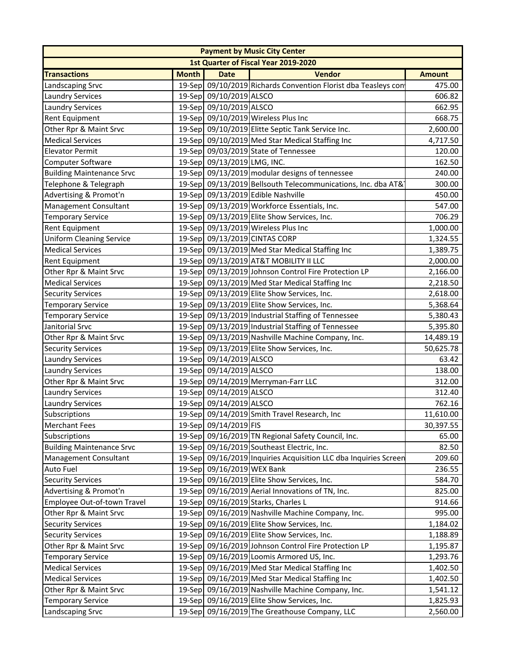| 1st Quarter of Fiscal Year 2019-2020<br><b>Vendor</b><br><b>Month</b><br><b>Transactions</b><br><b>Date</b><br><b>Amount</b><br>19-Sep 09/10/2019 Richards Convention Florist dba Teasleys con<br>Landscaping Srvc<br>475.00<br>19-Sep 09/10/2019 ALSCO<br>606.82<br><b>Laundry Services</b><br>19-Sep 09/10/2019 ALSCO<br><b>Laundry Services</b><br>662.95<br>19-Sep 09/10/2019 Wireless Plus Inc<br><b>Rent Equipment</b><br>668.75<br>19-Sep 09/10/2019 Elitte Septic Tank Service Inc.<br>Other Rpr & Maint Srvc<br>2,600.00<br>19-Sep 09/10/2019 Med Star Medical Staffing Inc<br><b>Medical Services</b><br>4,717.50<br>19-Sep 09/03/2019 State of Tennessee<br><b>Elevator Permit</b><br>120.00<br>19-Sep 09/13/2019 LMG, INC.<br>Computer Software<br>162.50<br>19-Sep 09/13/2019 modular designs of tennessee<br><b>Building Maintenance Srvc</b><br>240.00<br>Telephone & Telegraph<br>19-Sep 09/13/2019 Bellsouth Telecommunications, Inc. dba AT&<br>300.00<br>Advertising & Promot'n<br>19-Sep 09/13/2019 Edible Nashville<br>450.00<br>Management Consultant<br>19-Sep 09/13/2019 Workforce Essentials, Inc.<br>547.00<br>19-Sep 09/13/2019 Elite Show Services, Inc.<br><b>Temporary Service</b><br>706.29<br>Rent Equipment<br>19-Sep 09/13/2019 Wireless Plus Inc<br>1,000.00<br>19-Sep 09/13/2019 CINTAS CORP<br><b>Uniform Cleaning Service</b><br>1,324.55<br>19-Sep 09/13/2019 Med Star Medical Staffing Inc<br><b>Medical Services</b><br>1,389.75<br>19-Sep 09/13/2019 AT&T MOBILITY II LLC<br><b>Rent Equipment</b><br>2,000.00<br>19-Sep 09/13/2019 Johnson Control Fire Protection LP<br>Other Rpr & Maint Srvc<br>2,166.00<br>19-Sep 09/13/2019 Med Star Medical Staffing Inc<br><b>Medical Services</b><br>2,218.50<br>19-Sep 09/13/2019 Elite Show Services, Inc.<br><b>Security Services</b><br>2,618.00<br>19-Sep 09/13/2019 Elite Show Services, Inc.<br><b>Temporary Service</b><br>5,368.64<br>19-Sep 09/13/2019 Industrial Staffing of Tennessee<br><b>Temporary Service</b><br>5,380.43<br>19-Sep 09/13/2019 Industrial Staffing of Tennessee<br>Janitorial Srvc<br>5,395.80<br>19-Sep 09/13/2019 Nashville Machine Company, Inc.<br>Other Rpr & Maint Srvc<br>14,489.19<br>19-Sep 09/13/2019 Elite Show Services, Inc.<br>50,625.78<br><b>Security Services</b><br>19-Sep 09/14/2019 ALSCO<br><b>Laundry Services</b><br>63.42<br>19-Sep 09/14/2019 ALSCO<br><b>Laundry Services</b><br>138.00<br>19-Sep 09/14/2019 Merryman-Farr LLC<br>Other Rpr & Maint Srvc<br>312.00<br>19-Sep 09/14/2019 ALSCO<br><b>Laundry Services</b><br>312.40<br>19-Sep 09/14/2019 ALSCO<br>762.16<br><b>Laundry Services</b><br>19-Sep 09/14/2019 Smith Travel Research, Inc<br>11,610.00<br>Subscriptions<br>19-Sep 09/14/2019 FIS<br>Merchant Fees<br>19-Sep 09/16/2019 TN Regional Safety Council, Inc.<br>Subscriptions<br>65.00<br><b>Building Maintenance Srvc</b><br>19-Sep 09/16/2019 Southeast Electric, Inc.<br>82.50<br>19-Sep 09/16/2019 Inquiries Acquisition LLC dba Inquiries Screen<br>Management Consultant<br>209.60<br>19-Sep 09/16/2019 WEX Bank<br><b>Auto Fuel</b><br>236.55<br>19-Sep 09/16/2019 Elite Show Services, Inc.<br><b>Security Services</b><br>584.70<br>Advertising & Promot'n<br>19-Sep 09/16/2019 Aerial Innovations of TN, Inc.<br>825.00<br>19-Sep 09/16/2019 Starks, Charles L<br>Employee Out-of-town Travel<br>914.66<br>19-Sep 09/16/2019 Nashville Machine Company, Inc.<br>Other Rpr & Maint Srvc<br>995.00<br>19-Sep 09/16/2019 Elite Show Services, Inc.<br><b>Security Services</b><br>1,184.02<br>19-Sep 09/16/2019 Elite Show Services, Inc.<br><b>Security Services</b><br>1,188.89<br>19-Sep 09/16/2019 Johnson Control Fire Protection LP<br>Other Rpr & Maint Srvc<br>1,195.87<br>19-Sep 09/16/2019 Loomis Armored US, Inc.<br><b>Temporary Service</b><br>1,293.76<br>19-Sep 09/16/2019 Med Star Medical Staffing Inc<br><b>Medical Services</b><br>1,402.50<br>19-Sep 09/16/2019 Med Star Medical Staffing Inc<br><b>Medical Services</b><br>1,402.50<br>Other Rpr & Maint Srvc<br>19-Sep 09/16/2019 Nashville Machine Company, Inc.<br>1,541.12<br>19-Sep 09/16/2019 Elite Show Services, Inc.<br><b>Temporary Service</b><br>1,825.93<br>19-Sep 09/16/2019 The Greathouse Company, LLC<br>Landscaping Srvc<br>2,560.00 | <b>Payment by Music City Center</b> |  |  |  |  |  |
|-----------------------------------------------------------------------------------------------------------------------------------------------------------------------------------------------------------------------------------------------------------------------------------------------------------------------------------------------------------------------------------------------------------------------------------------------------------------------------------------------------------------------------------------------------------------------------------------------------------------------------------------------------------------------------------------------------------------------------------------------------------------------------------------------------------------------------------------------------------------------------------------------------------------------------------------------------------------------------------------------------------------------------------------------------------------------------------------------------------------------------------------------------------------------------------------------------------------------------------------------------------------------------------------------------------------------------------------------------------------------------------------------------------------------------------------------------------------------------------------------------------------------------------------------------------------------------------------------------------------------------------------------------------------------------------------------------------------------------------------------------------------------------------------------------------------------------------------------------------------------------------------------------------------------------------------------------------------------------------------------------------------------------------------------------------------------------------------------------------------------------------------------------------------------------------------------------------------------------------------------------------------------------------------------------------------------------------------------------------------------------------------------------------------------------------------------------------------------------------------------------------------------------------------------------------------------------------------------------------------------------------------------------------------------------------------------------------------------------------------------------------------------------------------------------------------------------------------------------------------------------------------------------------------------------------------------------------------------------------------------------------------------------------------------------------------------------------------------------------------------------------------------------------------------------------------------------------------------------------------------------------------------------------------------------------------------------------------------------------------------------------------------------------------------------------------------------------------------------------------------------------------------------------------------------------------------------------------------------------------------------------------------------------------------------------------------------------------------------------------------------------------------------------------------------------------------------------------------------------------------------------------------------------------------------------------------------------------------------------------------------------------------------------------------------------------------------------------------------------------------------------------------------------------------------------------------------------------------------------------------------------------------------------------------------|-------------------------------------|--|--|--|--|--|
| 30,397.55                                                                                                                                                                                                                                                                                                                                                                                                                                                                                                                                                                                                                                                                                                                                                                                                                                                                                                                                                                                                                                                                                                                                                                                                                                                                                                                                                                                                                                                                                                                                                                                                                                                                                                                                                                                                                                                                                                                                                                                                                                                                                                                                                                                                                                                                                                                                                                                                                                                                                                                                                                                                                                                                                                                                                                                                                                                                                                                                                                                                                                                                                                                                                                                                                                                                                                                                                                                                                                                                                                                                                                                                                                                                                                                                                                                                                                                                                                                                                                                                                                                                                                                                                                                                                                                                                           |                                     |  |  |  |  |  |
|                                                                                                                                                                                                                                                                                                                                                                                                                                                                                                                                                                                                                                                                                                                                                                                                                                                                                                                                                                                                                                                                                                                                                                                                                                                                                                                                                                                                                                                                                                                                                                                                                                                                                                                                                                                                                                                                                                                                                                                                                                                                                                                                                                                                                                                                                                                                                                                                                                                                                                                                                                                                                                                                                                                                                                                                                                                                                                                                                                                                                                                                                                                                                                                                                                                                                                                                                                                                                                                                                                                                                                                                                                                                                                                                                                                                                                                                                                                                                                                                                                                                                                                                                                                                                                                                                                     |                                     |  |  |  |  |  |
|                                                                                                                                                                                                                                                                                                                                                                                                                                                                                                                                                                                                                                                                                                                                                                                                                                                                                                                                                                                                                                                                                                                                                                                                                                                                                                                                                                                                                                                                                                                                                                                                                                                                                                                                                                                                                                                                                                                                                                                                                                                                                                                                                                                                                                                                                                                                                                                                                                                                                                                                                                                                                                                                                                                                                                                                                                                                                                                                                                                                                                                                                                                                                                                                                                                                                                                                                                                                                                                                                                                                                                                                                                                                                                                                                                                                                                                                                                                                                                                                                                                                                                                                                                                                                                                                                                     |                                     |  |  |  |  |  |
|                                                                                                                                                                                                                                                                                                                                                                                                                                                                                                                                                                                                                                                                                                                                                                                                                                                                                                                                                                                                                                                                                                                                                                                                                                                                                                                                                                                                                                                                                                                                                                                                                                                                                                                                                                                                                                                                                                                                                                                                                                                                                                                                                                                                                                                                                                                                                                                                                                                                                                                                                                                                                                                                                                                                                                                                                                                                                                                                                                                                                                                                                                                                                                                                                                                                                                                                                                                                                                                                                                                                                                                                                                                                                                                                                                                                                                                                                                                                                                                                                                                                                                                                                                                                                                                                                                     |                                     |  |  |  |  |  |
|                                                                                                                                                                                                                                                                                                                                                                                                                                                                                                                                                                                                                                                                                                                                                                                                                                                                                                                                                                                                                                                                                                                                                                                                                                                                                                                                                                                                                                                                                                                                                                                                                                                                                                                                                                                                                                                                                                                                                                                                                                                                                                                                                                                                                                                                                                                                                                                                                                                                                                                                                                                                                                                                                                                                                                                                                                                                                                                                                                                                                                                                                                                                                                                                                                                                                                                                                                                                                                                                                                                                                                                                                                                                                                                                                                                                                                                                                                                                                                                                                                                                                                                                                                                                                                                                                                     |                                     |  |  |  |  |  |
|                                                                                                                                                                                                                                                                                                                                                                                                                                                                                                                                                                                                                                                                                                                                                                                                                                                                                                                                                                                                                                                                                                                                                                                                                                                                                                                                                                                                                                                                                                                                                                                                                                                                                                                                                                                                                                                                                                                                                                                                                                                                                                                                                                                                                                                                                                                                                                                                                                                                                                                                                                                                                                                                                                                                                                                                                                                                                                                                                                                                                                                                                                                                                                                                                                                                                                                                                                                                                                                                                                                                                                                                                                                                                                                                                                                                                                                                                                                                                                                                                                                                                                                                                                                                                                                                                                     |                                     |  |  |  |  |  |
|                                                                                                                                                                                                                                                                                                                                                                                                                                                                                                                                                                                                                                                                                                                                                                                                                                                                                                                                                                                                                                                                                                                                                                                                                                                                                                                                                                                                                                                                                                                                                                                                                                                                                                                                                                                                                                                                                                                                                                                                                                                                                                                                                                                                                                                                                                                                                                                                                                                                                                                                                                                                                                                                                                                                                                                                                                                                                                                                                                                                                                                                                                                                                                                                                                                                                                                                                                                                                                                                                                                                                                                                                                                                                                                                                                                                                                                                                                                                                                                                                                                                                                                                                                                                                                                                                                     |                                     |  |  |  |  |  |
|                                                                                                                                                                                                                                                                                                                                                                                                                                                                                                                                                                                                                                                                                                                                                                                                                                                                                                                                                                                                                                                                                                                                                                                                                                                                                                                                                                                                                                                                                                                                                                                                                                                                                                                                                                                                                                                                                                                                                                                                                                                                                                                                                                                                                                                                                                                                                                                                                                                                                                                                                                                                                                                                                                                                                                                                                                                                                                                                                                                                                                                                                                                                                                                                                                                                                                                                                                                                                                                                                                                                                                                                                                                                                                                                                                                                                                                                                                                                                                                                                                                                                                                                                                                                                                                                                                     |                                     |  |  |  |  |  |
|                                                                                                                                                                                                                                                                                                                                                                                                                                                                                                                                                                                                                                                                                                                                                                                                                                                                                                                                                                                                                                                                                                                                                                                                                                                                                                                                                                                                                                                                                                                                                                                                                                                                                                                                                                                                                                                                                                                                                                                                                                                                                                                                                                                                                                                                                                                                                                                                                                                                                                                                                                                                                                                                                                                                                                                                                                                                                                                                                                                                                                                                                                                                                                                                                                                                                                                                                                                                                                                                                                                                                                                                                                                                                                                                                                                                                                                                                                                                                                                                                                                                                                                                                                                                                                                                                                     |                                     |  |  |  |  |  |
|                                                                                                                                                                                                                                                                                                                                                                                                                                                                                                                                                                                                                                                                                                                                                                                                                                                                                                                                                                                                                                                                                                                                                                                                                                                                                                                                                                                                                                                                                                                                                                                                                                                                                                                                                                                                                                                                                                                                                                                                                                                                                                                                                                                                                                                                                                                                                                                                                                                                                                                                                                                                                                                                                                                                                                                                                                                                                                                                                                                                                                                                                                                                                                                                                                                                                                                                                                                                                                                                                                                                                                                                                                                                                                                                                                                                                                                                                                                                                                                                                                                                                                                                                                                                                                                                                                     |                                     |  |  |  |  |  |
|                                                                                                                                                                                                                                                                                                                                                                                                                                                                                                                                                                                                                                                                                                                                                                                                                                                                                                                                                                                                                                                                                                                                                                                                                                                                                                                                                                                                                                                                                                                                                                                                                                                                                                                                                                                                                                                                                                                                                                                                                                                                                                                                                                                                                                                                                                                                                                                                                                                                                                                                                                                                                                                                                                                                                                                                                                                                                                                                                                                                                                                                                                                                                                                                                                                                                                                                                                                                                                                                                                                                                                                                                                                                                                                                                                                                                                                                                                                                                                                                                                                                                                                                                                                                                                                                                                     |                                     |  |  |  |  |  |
|                                                                                                                                                                                                                                                                                                                                                                                                                                                                                                                                                                                                                                                                                                                                                                                                                                                                                                                                                                                                                                                                                                                                                                                                                                                                                                                                                                                                                                                                                                                                                                                                                                                                                                                                                                                                                                                                                                                                                                                                                                                                                                                                                                                                                                                                                                                                                                                                                                                                                                                                                                                                                                                                                                                                                                                                                                                                                                                                                                                                                                                                                                                                                                                                                                                                                                                                                                                                                                                                                                                                                                                                                                                                                                                                                                                                                                                                                                                                                                                                                                                                                                                                                                                                                                                                                                     |                                     |  |  |  |  |  |
|                                                                                                                                                                                                                                                                                                                                                                                                                                                                                                                                                                                                                                                                                                                                                                                                                                                                                                                                                                                                                                                                                                                                                                                                                                                                                                                                                                                                                                                                                                                                                                                                                                                                                                                                                                                                                                                                                                                                                                                                                                                                                                                                                                                                                                                                                                                                                                                                                                                                                                                                                                                                                                                                                                                                                                                                                                                                                                                                                                                                                                                                                                                                                                                                                                                                                                                                                                                                                                                                                                                                                                                                                                                                                                                                                                                                                                                                                                                                                                                                                                                                                                                                                                                                                                                                                                     |                                     |  |  |  |  |  |
|                                                                                                                                                                                                                                                                                                                                                                                                                                                                                                                                                                                                                                                                                                                                                                                                                                                                                                                                                                                                                                                                                                                                                                                                                                                                                                                                                                                                                                                                                                                                                                                                                                                                                                                                                                                                                                                                                                                                                                                                                                                                                                                                                                                                                                                                                                                                                                                                                                                                                                                                                                                                                                                                                                                                                                                                                                                                                                                                                                                                                                                                                                                                                                                                                                                                                                                                                                                                                                                                                                                                                                                                                                                                                                                                                                                                                                                                                                                                                                                                                                                                                                                                                                                                                                                                                                     |                                     |  |  |  |  |  |
|                                                                                                                                                                                                                                                                                                                                                                                                                                                                                                                                                                                                                                                                                                                                                                                                                                                                                                                                                                                                                                                                                                                                                                                                                                                                                                                                                                                                                                                                                                                                                                                                                                                                                                                                                                                                                                                                                                                                                                                                                                                                                                                                                                                                                                                                                                                                                                                                                                                                                                                                                                                                                                                                                                                                                                                                                                                                                                                                                                                                                                                                                                                                                                                                                                                                                                                                                                                                                                                                                                                                                                                                                                                                                                                                                                                                                                                                                                                                                                                                                                                                                                                                                                                                                                                                                                     |                                     |  |  |  |  |  |
|                                                                                                                                                                                                                                                                                                                                                                                                                                                                                                                                                                                                                                                                                                                                                                                                                                                                                                                                                                                                                                                                                                                                                                                                                                                                                                                                                                                                                                                                                                                                                                                                                                                                                                                                                                                                                                                                                                                                                                                                                                                                                                                                                                                                                                                                                                                                                                                                                                                                                                                                                                                                                                                                                                                                                                                                                                                                                                                                                                                                                                                                                                                                                                                                                                                                                                                                                                                                                                                                                                                                                                                                                                                                                                                                                                                                                                                                                                                                                                                                                                                                                                                                                                                                                                                                                                     |                                     |  |  |  |  |  |
|                                                                                                                                                                                                                                                                                                                                                                                                                                                                                                                                                                                                                                                                                                                                                                                                                                                                                                                                                                                                                                                                                                                                                                                                                                                                                                                                                                                                                                                                                                                                                                                                                                                                                                                                                                                                                                                                                                                                                                                                                                                                                                                                                                                                                                                                                                                                                                                                                                                                                                                                                                                                                                                                                                                                                                                                                                                                                                                                                                                                                                                                                                                                                                                                                                                                                                                                                                                                                                                                                                                                                                                                                                                                                                                                                                                                                                                                                                                                                                                                                                                                                                                                                                                                                                                                                                     |                                     |  |  |  |  |  |
|                                                                                                                                                                                                                                                                                                                                                                                                                                                                                                                                                                                                                                                                                                                                                                                                                                                                                                                                                                                                                                                                                                                                                                                                                                                                                                                                                                                                                                                                                                                                                                                                                                                                                                                                                                                                                                                                                                                                                                                                                                                                                                                                                                                                                                                                                                                                                                                                                                                                                                                                                                                                                                                                                                                                                                                                                                                                                                                                                                                                                                                                                                                                                                                                                                                                                                                                                                                                                                                                                                                                                                                                                                                                                                                                                                                                                                                                                                                                                                                                                                                                                                                                                                                                                                                                                                     |                                     |  |  |  |  |  |
|                                                                                                                                                                                                                                                                                                                                                                                                                                                                                                                                                                                                                                                                                                                                                                                                                                                                                                                                                                                                                                                                                                                                                                                                                                                                                                                                                                                                                                                                                                                                                                                                                                                                                                                                                                                                                                                                                                                                                                                                                                                                                                                                                                                                                                                                                                                                                                                                                                                                                                                                                                                                                                                                                                                                                                                                                                                                                                                                                                                                                                                                                                                                                                                                                                                                                                                                                                                                                                                                                                                                                                                                                                                                                                                                                                                                                                                                                                                                                                                                                                                                                                                                                                                                                                                                                                     |                                     |  |  |  |  |  |
|                                                                                                                                                                                                                                                                                                                                                                                                                                                                                                                                                                                                                                                                                                                                                                                                                                                                                                                                                                                                                                                                                                                                                                                                                                                                                                                                                                                                                                                                                                                                                                                                                                                                                                                                                                                                                                                                                                                                                                                                                                                                                                                                                                                                                                                                                                                                                                                                                                                                                                                                                                                                                                                                                                                                                                                                                                                                                                                                                                                                                                                                                                                                                                                                                                                                                                                                                                                                                                                                                                                                                                                                                                                                                                                                                                                                                                                                                                                                                                                                                                                                                                                                                                                                                                                                                                     |                                     |  |  |  |  |  |
|                                                                                                                                                                                                                                                                                                                                                                                                                                                                                                                                                                                                                                                                                                                                                                                                                                                                                                                                                                                                                                                                                                                                                                                                                                                                                                                                                                                                                                                                                                                                                                                                                                                                                                                                                                                                                                                                                                                                                                                                                                                                                                                                                                                                                                                                                                                                                                                                                                                                                                                                                                                                                                                                                                                                                                                                                                                                                                                                                                                                                                                                                                                                                                                                                                                                                                                                                                                                                                                                                                                                                                                                                                                                                                                                                                                                                                                                                                                                                                                                                                                                                                                                                                                                                                                                                                     |                                     |  |  |  |  |  |
|                                                                                                                                                                                                                                                                                                                                                                                                                                                                                                                                                                                                                                                                                                                                                                                                                                                                                                                                                                                                                                                                                                                                                                                                                                                                                                                                                                                                                                                                                                                                                                                                                                                                                                                                                                                                                                                                                                                                                                                                                                                                                                                                                                                                                                                                                                                                                                                                                                                                                                                                                                                                                                                                                                                                                                                                                                                                                                                                                                                                                                                                                                                                                                                                                                                                                                                                                                                                                                                                                                                                                                                                                                                                                                                                                                                                                                                                                                                                                                                                                                                                                                                                                                                                                                                                                                     |                                     |  |  |  |  |  |
|                                                                                                                                                                                                                                                                                                                                                                                                                                                                                                                                                                                                                                                                                                                                                                                                                                                                                                                                                                                                                                                                                                                                                                                                                                                                                                                                                                                                                                                                                                                                                                                                                                                                                                                                                                                                                                                                                                                                                                                                                                                                                                                                                                                                                                                                                                                                                                                                                                                                                                                                                                                                                                                                                                                                                                                                                                                                                                                                                                                                                                                                                                                                                                                                                                                                                                                                                                                                                                                                                                                                                                                                                                                                                                                                                                                                                                                                                                                                                                                                                                                                                                                                                                                                                                                                                                     |                                     |  |  |  |  |  |
|                                                                                                                                                                                                                                                                                                                                                                                                                                                                                                                                                                                                                                                                                                                                                                                                                                                                                                                                                                                                                                                                                                                                                                                                                                                                                                                                                                                                                                                                                                                                                                                                                                                                                                                                                                                                                                                                                                                                                                                                                                                                                                                                                                                                                                                                                                                                                                                                                                                                                                                                                                                                                                                                                                                                                                                                                                                                                                                                                                                                                                                                                                                                                                                                                                                                                                                                                                                                                                                                                                                                                                                                                                                                                                                                                                                                                                                                                                                                                                                                                                                                                                                                                                                                                                                                                                     |                                     |  |  |  |  |  |
|                                                                                                                                                                                                                                                                                                                                                                                                                                                                                                                                                                                                                                                                                                                                                                                                                                                                                                                                                                                                                                                                                                                                                                                                                                                                                                                                                                                                                                                                                                                                                                                                                                                                                                                                                                                                                                                                                                                                                                                                                                                                                                                                                                                                                                                                                                                                                                                                                                                                                                                                                                                                                                                                                                                                                                                                                                                                                                                                                                                                                                                                                                                                                                                                                                                                                                                                                                                                                                                                                                                                                                                                                                                                                                                                                                                                                                                                                                                                                                                                                                                                                                                                                                                                                                                                                                     |                                     |  |  |  |  |  |
|                                                                                                                                                                                                                                                                                                                                                                                                                                                                                                                                                                                                                                                                                                                                                                                                                                                                                                                                                                                                                                                                                                                                                                                                                                                                                                                                                                                                                                                                                                                                                                                                                                                                                                                                                                                                                                                                                                                                                                                                                                                                                                                                                                                                                                                                                                                                                                                                                                                                                                                                                                                                                                                                                                                                                                                                                                                                                                                                                                                                                                                                                                                                                                                                                                                                                                                                                                                                                                                                                                                                                                                                                                                                                                                                                                                                                                                                                                                                                                                                                                                                                                                                                                                                                                                                                                     |                                     |  |  |  |  |  |
|                                                                                                                                                                                                                                                                                                                                                                                                                                                                                                                                                                                                                                                                                                                                                                                                                                                                                                                                                                                                                                                                                                                                                                                                                                                                                                                                                                                                                                                                                                                                                                                                                                                                                                                                                                                                                                                                                                                                                                                                                                                                                                                                                                                                                                                                                                                                                                                                                                                                                                                                                                                                                                                                                                                                                                                                                                                                                                                                                                                                                                                                                                                                                                                                                                                                                                                                                                                                                                                                                                                                                                                                                                                                                                                                                                                                                                                                                                                                                                                                                                                                                                                                                                                                                                                                                                     |                                     |  |  |  |  |  |
|                                                                                                                                                                                                                                                                                                                                                                                                                                                                                                                                                                                                                                                                                                                                                                                                                                                                                                                                                                                                                                                                                                                                                                                                                                                                                                                                                                                                                                                                                                                                                                                                                                                                                                                                                                                                                                                                                                                                                                                                                                                                                                                                                                                                                                                                                                                                                                                                                                                                                                                                                                                                                                                                                                                                                                                                                                                                                                                                                                                                                                                                                                                                                                                                                                                                                                                                                                                                                                                                                                                                                                                                                                                                                                                                                                                                                                                                                                                                                                                                                                                                                                                                                                                                                                                                                                     |                                     |  |  |  |  |  |
|                                                                                                                                                                                                                                                                                                                                                                                                                                                                                                                                                                                                                                                                                                                                                                                                                                                                                                                                                                                                                                                                                                                                                                                                                                                                                                                                                                                                                                                                                                                                                                                                                                                                                                                                                                                                                                                                                                                                                                                                                                                                                                                                                                                                                                                                                                                                                                                                                                                                                                                                                                                                                                                                                                                                                                                                                                                                                                                                                                                                                                                                                                                                                                                                                                                                                                                                                                                                                                                                                                                                                                                                                                                                                                                                                                                                                                                                                                                                                                                                                                                                                                                                                                                                                                                                                                     |                                     |  |  |  |  |  |
|                                                                                                                                                                                                                                                                                                                                                                                                                                                                                                                                                                                                                                                                                                                                                                                                                                                                                                                                                                                                                                                                                                                                                                                                                                                                                                                                                                                                                                                                                                                                                                                                                                                                                                                                                                                                                                                                                                                                                                                                                                                                                                                                                                                                                                                                                                                                                                                                                                                                                                                                                                                                                                                                                                                                                                                                                                                                                                                                                                                                                                                                                                                                                                                                                                                                                                                                                                                                                                                                                                                                                                                                                                                                                                                                                                                                                                                                                                                                                                                                                                                                                                                                                                                                                                                                                                     |                                     |  |  |  |  |  |
|                                                                                                                                                                                                                                                                                                                                                                                                                                                                                                                                                                                                                                                                                                                                                                                                                                                                                                                                                                                                                                                                                                                                                                                                                                                                                                                                                                                                                                                                                                                                                                                                                                                                                                                                                                                                                                                                                                                                                                                                                                                                                                                                                                                                                                                                                                                                                                                                                                                                                                                                                                                                                                                                                                                                                                                                                                                                                                                                                                                                                                                                                                                                                                                                                                                                                                                                                                                                                                                                                                                                                                                                                                                                                                                                                                                                                                                                                                                                                                                                                                                                                                                                                                                                                                                                                                     |                                     |  |  |  |  |  |
|                                                                                                                                                                                                                                                                                                                                                                                                                                                                                                                                                                                                                                                                                                                                                                                                                                                                                                                                                                                                                                                                                                                                                                                                                                                                                                                                                                                                                                                                                                                                                                                                                                                                                                                                                                                                                                                                                                                                                                                                                                                                                                                                                                                                                                                                                                                                                                                                                                                                                                                                                                                                                                                                                                                                                                                                                                                                                                                                                                                                                                                                                                                                                                                                                                                                                                                                                                                                                                                                                                                                                                                                                                                                                                                                                                                                                                                                                                                                                                                                                                                                                                                                                                                                                                                                                                     |                                     |  |  |  |  |  |
|                                                                                                                                                                                                                                                                                                                                                                                                                                                                                                                                                                                                                                                                                                                                                                                                                                                                                                                                                                                                                                                                                                                                                                                                                                                                                                                                                                                                                                                                                                                                                                                                                                                                                                                                                                                                                                                                                                                                                                                                                                                                                                                                                                                                                                                                                                                                                                                                                                                                                                                                                                                                                                                                                                                                                                                                                                                                                                                                                                                                                                                                                                                                                                                                                                                                                                                                                                                                                                                                                                                                                                                                                                                                                                                                                                                                                                                                                                                                                                                                                                                                                                                                                                                                                                                                                                     |                                     |  |  |  |  |  |
|                                                                                                                                                                                                                                                                                                                                                                                                                                                                                                                                                                                                                                                                                                                                                                                                                                                                                                                                                                                                                                                                                                                                                                                                                                                                                                                                                                                                                                                                                                                                                                                                                                                                                                                                                                                                                                                                                                                                                                                                                                                                                                                                                                                                                                                                                                                                                                                                                                                                                                                                                                                                                                                                                                                                                                                                                                                                                                                                                                                                                                                                                                                                                                                                                                                                                                                                                                                                                                                                                                                                                                                                                                                                                                                                                                                                                                                                                                                                                                                                                                                                                                                                                                                                                                                                                                     |                                     |  |  |  |  |  |
|                                                                                                                                                                                                                                                                                                                                                                                                                                                                                                                                                                                                                                                                                                                                                                                                                                                                                                                                                                                                                                                                                                                                                                                                                                                                                                                                                                                                                                                                                                                                                                                                                                                                                                                                                                                                                                                                                                                                                                                                                                                                                                                                                                                                                                                                                                                                                                                                                                                                                                                                                                                                                                                                                                                                                                                                                                                                                                                                                                                                                                                                                                                                                                                                                                                                                                                                                                                                                                                                                                                                                                                                                                                                                                                                                                                                                                                                                                                                                                                                                                                                                                                                                                                                                                                                                                     |                                     |  |  |  |  |  |
|                                                                                                                                                                                                                                                                                                                                                                                                                                                                                                                                                                                                                                                                                                                                                                                                                                                                                                                                                                                                                                                                                                                                                                                                                                                                                                                                                                                                                                                                                                                                                                                                                                                                                                                                                                                                                                                                                                                                                                                                                                                                                                                                                                                                                                                                                                                                                                                                                                                                                                                                                                                                                                                                                                                                                                                                                                                                                                                                                                                                                                                                                                                                                                                                                                                                                                                                                                                                                                                                                                                                                                                                                                                                                                                                                                                                                                                                                                                                                                                                                                                                                                                                                                                                                                                                                                     |                                     |  |  |  |  |  |
|                                                                                                                                                                                                                                                                                                                                                                                                                                                                                                                                                                                                                                                                                                                                                                                                                                                                                                                                                                                                                                                                                                                                                                                                                                                                                                                                                                                                                                                                                                                                                                                                                                                                                                                                                                                                                                                                                                                                                                                                                                                                                                                                                                                                                                                                                                                                                                                                                                                                                                                                                                                                                                                                                                                                                                                                                                                                                                                                                                                                                                                                                                                                                                                                                                                                                                                                                                                                                                                                                                                                                                                                                                                                                                                                                                                                                                                                                                                                                                                                                                                                                                                                                                                                                                                                                                     |                                     |  |  |  |  |  |
|                                                                                                                                                                                                                                                                                                                                                                                                                                                                                                                                                                                                                                                                                                                                                                                                                                                                                                                                                                                                                                                                                                                                                                                                                                                                                                                                                                                                                                                                                                                                                                                                                                                                                                                                                                                                                                                                                                                                                                                                                                                                                                                                                                                                                                                                                                                                                                                                                                                                                                                                                                                                                                                                                                                                                                                                                                                                                                                                                                                                                                                                                                                                                                                                                                                                                                                                                                                                                                                                                                                                                                                                                                                                                                                                                                                                                                                                                                                                                                                                                                                                                                                                                                                                                                                                                                     |                                     |  |  |  |  |  |
|                                                                                                                                                                                                                                                                                                                                                                                                                                                                                                                                                                                                                                                                                                                                                                                                                                                                                                                                                                                                                                                                                                                                                                                                                                                                                                                                                                                                                                                                                                                                                                                                                                                                                                                                                                                                                                                                                                                                                                                                                                                                                                                                                                                                                                                                                                                                                                                                                                                                                                                                                                                                                                                                                                                                                                                                                                                                                                                                                                                                                                                                                                                                                                                                                                                                                                                                                                                                                                                                                                                                                                                                                                                                                                                                                                                                                                                                                                                                                                                                                                                                                                                                                                                                                                                                                                     |                                     |  |  |  |  |  |
|                                                                                                                                                                                                                                                                                                                                                                                                                                                                                                                                                                                                                                                                                                                                                                                                                                                                                                                                                                                                                                                                                                                                                                                                                                                                                                                                                                                                                                                                                                                                                                                                                                                                                                                                                                                                                                                                                                                                                                                                                                                                                                                                                                                                                                                                                                                                                                                                                                                                                                                                                                                                                                                                                                                                                                                                                                                                                                                                                                                                                                                                                                                                                                                                                                                                                                                                                                                                                                                                                                                                                                                                                                                                                                                                                                                                                                                                                                                                                                                                                                                                                                                                                                                                                                                                                                     |                                     |  |  |  |  |  |
|                                                                                                                                                                                                                                                                                                                                                                                                                                                                                                                                                                                                                                                                                                                                                                                                                                                                                                                                                                                                                                                                                                                                                                                                                                                                                                                                                                                                                                                                                                                                                                                                                                                                                                                                                                                                                                                                                                                                                                                                                                                                                                                                                                                                                                                                                                                                                                                                                                                                                                                                                                                                                                                                                                                                                                                                                                                                                                                                                                                                                                                                                                                                                                                                                                                                                                                                                                                                                                                                                                                                                                                                                                                                                                                                                                                                                                                                                                                                                                                                                                                                                                                                                                                                                                                                                                     |                                     |  |  |  |  |  |
|                                                                                                                                                                                                                                                                                                                                                                                                                                                                                                                                                                                                                                                                                                                                                                                                                                                                                                                                                                                                                                                                                                                                                                                                                                                                                                                                                                                                                                                                                                                                                                                                                                                                                                                                                                                                                                                                                                                                                                                                                                                                                                                                                                                                                                                                                                                                                                                                                                                                                                                                                                                                                                                                                                                                                                                                                                                                                                                                                                                                                                                                                                                                                                                                                                                                                                                                                                                                                                                                                                                                                                                                                                                                                                                                                                                                                                                                                                                                                                                                                                                                                                                                                                                                                                                                                                     |                                     |  |  |  |  |  |
|                                                                                                                                                                                                                                                                                                                                                                                                                                                                                                                                                                                                                                                                                                                                                                                                                                                                                                                                                                                                                                                                                                                                                                                                                                                                                                                                                                                                                                                                                                                                                                                                                                                                                                                                                                                                                                                                                                                                                                                                                                                                                                                                                                                                                                                                                                                                                                                                                                                                                                                                                                                                                                                                                                                                                                                                                                                                                                                                                                                                                                                                                                                                                                                                                                                                                                                                                                                                                                                                                                                                                                                                                                                                                                                                                                                                                                                                                                                                                                                                                                                                                                                                                                                                                                                                                                     |                                     |  |  |  |  |  |
|                                                                                                                                                                                                                                                                                                                                                                                                                                                                                                                                                                                                                                                                                                                                                                                                                                                                                                                                                                                                                                                                                                                                                                                                                                                                                                                                                                                                                                                                                                                                                                                                                                                                                                                                                                                                                                                                                                                                                                                                                                                                                                                                                                                                                                                                                                                                                                                                                                                                                                                                                                                                                                                                                                                                                                                                                                                                                                                                                                                                                                                                                                                                                                                                                                                                                                                                                                                                                                                                                                                                                                                                                                                                                                                                                                                                                                                                                                                                                                                                                                                                                                                                                                                                                                                                                                     |                                     |  |  |  |  |  |
|                                                                                                                                                                                                                                                                                                                                                                                                                                                                                                                                                                                                                                                                                                                                                                                                                                                                                                                                                                                                                                                                                                                                                                                                                                                                                                                                                                                                                                                                                                                                                                                                                                                                                                                                                                                                                                                                                                                                                                                                                                                                                                                                                                                                                                                                                                                                                                                                                                                                                                                                                                                                                                                                                                                                                                                                                                                                                                                                                                                                                                                                                                                                                                                                                                                                                                                                                                                                                                                                                                                                                                                                                                                                                                                                                                                                                                                                                                                                                                                                                                                                                                                                                                                                                                                                                                     |                                     |  |  |  |  |  |
|                                                                                                                                                                                                                                                                                                                                                                                                                                                                                                                                                                                                                                                                                                                                                                                                                                                                                                                                                                                                                                                                                                                                                                                                                                                                                                                                                                                                                                                                                                                                                                                                                                                                                                                                                                                                                                                                                                                                                                                                                                                                                                                                                                                                                                                                                                                                                                                                                                                                                                                                                                                                                                                                                                                                                                                                                                                                                                                                                                                                                                                                                                                                                                                                                                                                                                                                                                                                                                                                                                                                                                                                                                                                                                                                                                                                                                                                                                                                                                                                                                                                                                                                                                                                                                                                                                     |                                     |  |  |  |  |  |
|                                                                                                                                                                                                                                                                                                                                                                                                                                                                                                                                                                                                                                                                                                                                                                                                                                                                                                                                                                                                                                                                                                                                                                                                                                                                                                                                                                                                                                                                                                                                                                                                                                                                                                                                                                                                                                                                                                                                                                                                                                                                                                                                                                                                                                                                                                                                                                                                                                                                                                                                                                                                                                                                                                                                                                                                                                                                                                                                                                                                                                                                                                                                                                                                                                                                                                                                                                                                                                                                                                                                                                                                                                                                                                                                                                                                                                                                                                                                                                                                                                                                                                                                                                                                                                                                                                     |                                     |  |  |  |  |  |
|                                                                                                                                                                                                                                                                                                                                                                                                                                                                                                                                                                                                                                                                                                                                                                                                                                                                                                                                                                                                                                                                                                                                                                                                                                                                                                                                                                                                                                                                                                                                                                                                                                                                                                                                                                                                                                                                                                                                                                                                                                                                                                                                                                                                                                                                                                                                                                                                                                                                                                                                                                                                                                                                                                                                                                                                                                                                                                                                                                                                                                                                                                                                                                                                                                                                                                                                                                                                                                                                                                                                                                                                                                                                                                                                                                                                                                                                                                                                                                                                                                                                                                                                                                                                                                                                                                     |                                     |  |  |  |  |  |
|                                                                                                                                                                                                                                                                                                                                                                                                                                                                                                                                                                                                                                                                                                                                                                                                                                                                                                                                                                                                                                                                                                                                                                                                                                                                                                                                                                                                                                                                                                                                                                                                                                                                                                                                                                                                                                                                                                                                                                                                                                                                                                                                                                                                                                                                                                                                                                                                                                                                                                                                                                                                                                                                                                                                                                                                                                                                                                                                                                                                                                                                                                                                                                                                                                                                                                                                                                                                                                                                                                                                                                                                                                                                                                                                                                                                                                                                                                                                                                                                                                                                                                                                                                                                                                                                                                     |                                     |  |  |  |  |  |
|                                                                                                                                                                                                                                                                                                                                                                                                                                                                                                                                                                                                                                                                                                                                                                                                                                                                                                                                                                                                                                                                                                                                                                                                                                                                                                                                                                                                                                                                                                                                                                                                                                                                                                                                                                                                                                                                                                                                                                                                                                                                                                                                                                                                                                                                                                                                                                                                                                                                                                                                                                                                                                                                                                                                                                                                                                                                                                                                                                                                                                                                                                                                                                                                                                                                                                                                                                                                                                                                                                                                                                                                                                                                                                                                                                                                                                                                                                                                                                                                                                                                                                                                                                                                                                                                                                     |                                     |  |  |  |  |  |
|                                                                                                                                                                                                                                                                                                                                                                                                                                                                                                                                                                                                                                                                                                                                                                                                                                                                                                                                                                                                                                                                                                                                                                                                                                                                                                                                                                                                                                                                                                                                                                                                                                                                                                                                                                                                                                                                                                                                                                                                                                                                                                                                                                                                                                                                                                                                                                                                                                                                                                                                                                                                                                                                                                                                                                                                                                                                                                                                                                                                                                                                                                                                                                                                                                                                                                                                                                                                                                                                                                                                                                                                                                                                                                                                                                                                                                                                                                                                                                                                                                                                                                                                                                                                                                                                                                     |                                     |  |  |  |  |  |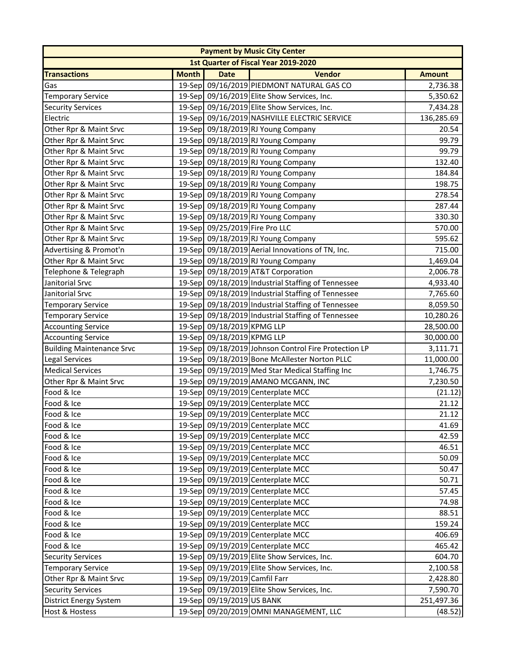|                                      |              |                                | <b>Payment by Music City Center</b>                  |               |  |  |
|--------------------------------------|--------------|--------------------------------|------------------------------------------------------|---------------|--|--|
| 1st Quarter of Fiscal Year 2019-2020 |              |                                |                                                      |               |  |  |
| <b>Transactions</b>                  | <b>Month</b> | <b>Date</b>                    | <b>Vendor</b>                                        | <b>Amount</b> |  |  |
| Gas                                  |              |                                | 19-Sep 09/16/2019 PIEDMONT NATURAL GAS CO            | 2,736.38      |  |  |
| <b>Temporary Service</b>             |              |                                | 19-Sep 09/16/2019 Elite Show Services, Inc.          | 5,350.62      |  |  |
| <b>Security Services</b>             |              |                                | 19-Sep 09/16/2019 Elite Show Services, Inc.          | 7,434.28      |  |  |
| Electric                             |              |                                | 19-Sep 09/16/2019 NASHVILLE ELECTRIC SERVICE         | 136,285.69    |  |  |
| Other Rpr & Maint Srvc               |              |                                | 19-Sep 09/18/2019 RJ Young Company                   | 20.54         |  |  |
| Other Rpr & Maint Srvc               |              |                                | 19-Sep 09/18/2019 RJ Young Company                   | 99.79         |  |  |
| Other Rpr & Maint Srvc               |              |                                | 19-Sep 09/18/2019 RJ Young Company                   | 99.79         |  |  |
| Other Rpr & Maint Srvc               |              |                                | 19-Sep 09/18/2019 RJ Young Company                   | 132.40        |  |  |
| Other Rpr & Maint Srvc               |              |                                | 19-Sep 09/18/2019 RJ Young Company                   | 184.84        |  |  |
| Other Rpr & Maint Srvc               |              |                                | 19-Sep 09/18/2019 RJ Young Company                   | 198.75        |  |  |
| Other Rpr & Maint Srvc               |              |                                | 19-Sep 09/18/2019 RJ Young Company                   | 278.54        |  |  |
| Other Rpr & Maint Srvc               |              |                                | 19-Sep 09/18/2019 RJ Young Company                   | 287.44        |  |  |
| Other Rpr & Maint Srvc               |              |                                | 19-Sep 09/18/2019 RJ Young Company                   | 330.30        |  |  |
| Other Rpr & Maint Srvc               |              | 19-Sep 09/25/2019 Fire Pro LLC |                                                      | 570.00        |  |  |
| Other Rpr & Maint Srvc               |              |                                | 19-Sep 09/18/2019 RJ Young Company                   | 595.62        |  |  |
| Advertising & Promot'n               |              |                                | 19-Sep 09/18/2019 Aerial Innovations of TN, Inc.     | 715.00        |  |  |
| Other Rpr & Maint Srvc               |              |                                | 19-Sep 09/18/2019 RJ Young Company                   | 1,469.04      |  |  |
| Telephone & Telegraph                |              |                                | 19-Sep 09/18/2019 AT&T Corporation                   | 2,006.78      |  |  |
| Janitorial Srvc                      |              |                                | 19-Sep 09/18/2019 Industrial Staffing of Tennessee   | 4,933.40      |  |  |
| Janitorial Srvc                      |              |                                | 19-Sep 09/18/2019 Industrial Staffing of Tennessee   | 7,765.60      |  |  |
| <b>Temporary Service</b>             |              |                                | 19-Sep 09/18/2019 Industrial Staffing of Tennessee   | 8,059.50      |  |  |
| <b>Temporary Service</b>             |              |                                | 19-Sep 09/18/2019 Industrial Staffing of Tennessee   | 10,280.26     |  |  |
| <b>Accounting Service</b>            |              | 19-Sep 09/18/2019 KPMG LLP     |                                                      | 28,500.00     |  |  |
| <b>Accounting Service</b>            |              | 19-Sep 09/18/2019 KPMG LLP     |                                                      | 30,000.00     |  |  |
| <b>Building Maintenance Srvc</b>     |              |                                | 19-Sep 09/18/2019 Johnson Control Fire Protection LP | 3,111.71      |  |  |
| <b>Legal Services</b>                |              |                                | 19-Sep 09/18/2019 Bone McAllester Norton PLLC        | 11,000.00     |  |  |
| <b>Medical Services</b>              |              |                                | 19-Sep 09/19/2019 Med Star Medical Staffing Inc      | 1,746.75      |  |  |
| Other Rpr & Maint Srvc               |              |                                | 19-Sep 09/19/2019 AMANO MCGANN, INC                  | 7,230.50      |  |  |
| Food & Ice                           |              |                                | 19-Sep 09/19/2019 Centerplate MCC                    | (21.12)       |  |  |
| Food & Ice                           |              |                                | 19-Sep 09/19/2019 Centerplate MCC                    | 21.12         |  |  |
| Food & Ice                           |              |                                | 19-Sep 09/19/2019 Centerplate MCC                    | 21.12         |  |  |
| Food & Ice                           |              |                                | 19-Sep 09/19/2019 Centerplate MCC                    | 41.69         |  |  |
| Food & Ice                           |              |                                | 19-Sep 09/19/2019 Centerplate MCC                    | 42.59         |  |  |
| Food & Ice                           |              |                                | 19-Sep 09/19/2019 Centerplate MCC                    | 46.51         |  |  |
| Food & Ice                           |              |                                | 19-Sep 09/19/2019 Centerplate MCC                    | 50.09         |  |  |
| Food & Ice                           |              |                                | 19-Sep 09/19/2019 Centerplate MCC                    | 50.47         |  |  |
| Food & Ice                           |              |                                | 19-Sep 09/19/2019 Centerplate MCC                    | 50.71         |  |  |
| Food & Ice                           |              |                                | 19-Sep 09/19/2019 Centerplate MCC                    | 57.45         |  |  |
| Food & Ice                           |              |                                | 19-Sep 09/19/2019 Centerplate MCC                    | 74.98         |  |  |
| Food & Ice                           |              |                                | 19-Sep 09/19/2019 Centerplate MCC                    | 88.51         |  |  |
| Food & Ice                           |              |                                | 19-Sep 09/19/2019 Centerplate MCC                    | 159.24        |  |  |
| Food & Ice                           |              |                                | 19-Sep 09/19/2019 Centerplate MCC                    | 406.69        |  |  |
| Food & Ice                           |              |                                | 19-Sep 09/19/2019 Centerplate MCC                    | 465.42        |  |  |
| <b>Security Services</b>             |              |                                | 19-Sep 09/19/2019 Elite Show Services, Inc.          | 604.70        |  |  |
| <b>Temporary Service</b>             |              |                                | 19-Sep 09/19/2019 Elite Show Services, Inc.          | 2,100.58      |  |  |
| Other Rpr & Maint Srvc               |              | 19-Sep 09/19/2019 Camfil Farr  |                                                      | 2,428.80      |  |  |
| <b>Security Services</b>             |              |                                | 19-Sep 09/19/2019 Elite Show Services, Inc.          | 7,590.70      |  |  |
| <b>District Energy System</b>        |              | 19-Sep 09/19/2019 US BANK      |                                                      | 251,497.36    |  |  |
| Host & Hostess                       |              |                                | 19-Sep 09/20/2019 OMNI MANAGEMENT, LLC               | (48.52)       |  |  |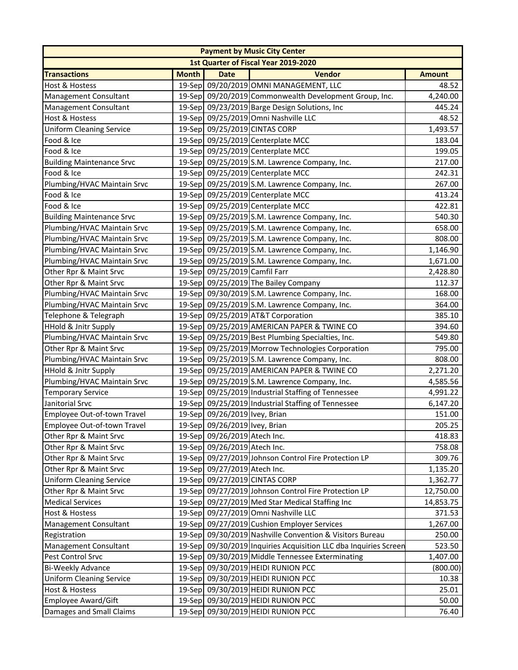|                                  |                                      |                               | <b>Payment by Music City Center</b>                              |               |  |  |  |
|----------------------------------|--------------------------------------|-------------------------------|------------------------------------------------------------------|---------------|--|--|--|
|                                  | 1st Quarter of Fiscal Year 2019-2020 |                               |                                                                  |               |  |  |  |
| <b>Transactions</b>              | <b>Month</b>                         | <b>Date</b>                   | <b>Vendor</b>                                                    | <b>Amount</b> |  |  |  |
| <b>Host &amp; Hostess</b>        |                                      |                               | 19-Sep 09/20/2019 OMNI MANAGEMENT, LLC                           | 48.52         |  |  |  |
| Management Consultant            |                                      |                               | 19-Sep 09/20/2019 Commonwealth Development Group, Inc.           | 4,240.00      |  |  |  |
| <b>Management Consultant</b>     |                                      |                               | 19-Sep 09/23/2019 Barge Design Solutions, Inc                    | 445.24        |  |  |  |
| <b>Host &amp; Hostess</b>        |                                      |                               | 19-Sep 09/25/2019 Omni Nashville LLC                             | 48.52         |  |  |  |
| <b>Uniform Cleaning Service</b>  |                                      |                               | 19-Sep 09/25/2019 CINTAS CORP                                    | 1,493.57      |  |  |  |
| Food & Ice                       |                                      |                               | 19-Sep 09/25/2019 Centerplate MCC                                | 183.04        |  |  |  |
| Food & Ice                       |                                      |                               | 19-Sep 09/25/2019 Centerplate MCC                                | 199.05        |  |  |  |
| <b>Building Maintenance Srvc</b> |                                      |                               | 19-Sep 09/25/2019 S.M. Lawrence Company, Inc.                    | 217.00        |  |  |  |
| Food & Ice                       |                                      |                               | 19-Sep 09/25/2019 Centerplate MCC                                | 242.31        |  |  |  |
| Plumbing/HVAC Maintain Srvc      |                                      |                               | 19-Sep 09/25/2019 S.M. Lawrence Company, Inc.                    | 267.00        |  |  |  |
| Food & Ice                       |                                      |                               | 19-Sep 09/25/2019 Centerplate MCC                                | 413.24        |  |  |  |
| Food & Ice                       |                                      |                               | 19-Sep 09/25/2019 Centerplate MCC                                | 422.81        |  |  |  |
| <b>Building Maintenance Srvc</b> |                                      |                               | 19-Sep 09/25/2019 S.M. Lawrence Company, Inc.                    | 540.30        |  |  |  |
| Plumbing/HVAC Maintain Srvc      |                                      |                               | 19-Sep 09/25/2019 S.M. Lawrence Company, Inc.                    | 658.00        |  |  |  |
| Plumbing/HVAC Maintain Srvc      |                                      |                               | 19-Sep 09/25/2019 S.M. Lawrence Company, Inc.                    | 808.00        |  |  |  |
| Plumbing/HVAC Maintain Srvc      |                                      |                               | 19-Sep 09/25/2019 S.M. Lawrence Company, Inc.                    | 1,146.90      |  |  |  |
| Plumbing/HVAC Maintain Srvc      |                                      |                               | 19-Sep 09/25/2019 S.M. Lawrence Company, Inc.                    | 1,671.00      |  |  |  |
| Other Rpr & Maint Srvc           |                                      | 19-Sep 09/25/2019 Camfil Farr |                                                                  | 2,428.80      |  |  |  |
| Other Rpr & Maint Srvc           |                                      |                               | 19-Sep 09/25/2019 The Bailey Company                             | 112.37        |  |  |  |
| Plumbing/HVAC Maintain Srvc      |                                      |                               | 19-Sep 09/30/2019 S.M. Lawrence Company, Inc.                    | 168.00        |  |  |  |
| Plumbing/HVAC Maintain Srvc      |                                      |                               | 19-Sep 09/25/2019 S.M. Lawrence Company, Inc.                    | 364.00        |  |  |  |
| Telephone & Telegraph            |                                      |                               | 19-Sep 09/25/2019 AT&T Corporation                               | 385.10        |  |  |  |
| <b>HHold &amp; Jnitr Supply</b>  |                                      |                               | 19-Sep 09/25/2019 AMERICAN PAPER & TWINE CO                      | 394.60        |  |  |  |
| Plumbing/HVAC Maintain Srvc      |                                      |                               | 19-Sep 09/25/2019 Best Plumbing Specialties, Inc.                | 549.80        |  |  |  |
| Other Rpr & Maint Srvc           |                                      |                               | 19-Sep 09/25/2019 Morrow Technologies Corporation                | 795.00        |  |  |  |
| Plumbing/HVAC Maintain Srvc      |                                      |                               | 19-Sep 09/25/2019 S.M. Lawrence Company, Inc.                    | 808.00        |  |  |  |
| HHold & Jnitr Supply             |                                      |                               | 19-Sep 09/25/2019 AMERICAN PAPER & TWINE CO                      | 2,271.20      |  |  |  |
| Plumbing/HVAC Maintain Srvc      |                                      |                               | 19-Sep 09/25/2019 S.M. Lawrence Company, Inc.                    | 4,585.56      |  |  |  |
| <b>Temporary Service</b>         |                                      |                               | 19-Sep 09/25/2019 Industrial Staffing of Tennessee               | 4,991.22      |  |  |  |
| Janitorial Srvc                  |                                      |                               | 19-Sep 09/25/2019 Industrial Staffing of Tennessee               | 6,147.20      |  |  |  |
| Employee Out-of-town Travel      |                                      | 19-Sep 09/26/2019 Ivey, Brian |                                                                  | 151.00        |  |  |  |
| Employee Out-of-town Travel      |                                      | 19-Sep 09/26/2019 Ivey, Brian |                                                                  | 205.25        |  |  |  |
| Other Rpr & Maint Srvc           |                                      | 19-Sep 09/26/2019 Atech Inc.  |                                                                  | 418.83        |  |  |  |
| Other Rpr & Maint Srvc           |                                      | 19-Sep 09/26/2019 Atech Inc.  |                                                                  | 758.08        |  |  |  |
| Other Rpr & Maint Srvc           |                                      |                               | 19-Sep 09/27/2019 Johnson Control Fire Protection LP             | 309.76        |  |  |  |
| Other Rpr & Maint Srvc           |                                      | 19-Sep 09/27/2019 Atech Inc.  |                                                                  | 1,135.20      |  |  |  |
| <b>Uniform Cleaning Service</b>  |                                      |                               | 19-Sep 09/27/2019 CINTAS CORP                                    | 1,362.77      |  |  |  |
| Other Rpr & Maint Srvc           |                                      |                               | 19-Sep 09/27/2019 Johnson Control Fire Protection LP             | 12,750.00     |  |  |  |
| <b>Medical Services</b>          |                                      |                               | 19-Sep 09/27/2019 Med Star Medical Staffing Inc                  | 14,853.75     |  |  |  |
| Host & Hostess                   |                                      |                               | 19-Sep 09/27/2019 Omni Nashville LLC                             | 371.53        |  |  |  |
| <b>Management Consultant</b>     |                                      |                               | 19-Sep 09/27/2019 Cushion Employer Services                      | 1,267.00      |  |  |  |
| Registration                     |                                      |                               | 19-Sep 09/30/2019 Nashville Convention & Visitors Bureau         | 250.00        |  |  |  |
| <b>Management Consultant</b>     |                                      |                               | 19-Sep 09/30/2019 Inquiries Acquisition LLC dba Inquiries Screen | 523.50        |  |  |  |
| Pest Control Srvc                |                                      |                               | 19-Sep 09/30/2019 Middle Tennessee Exterminating                 | 1,407.00      |  |  |  |
| <b>Bi-Weekly Advance</b>         |                                      |                               | 19-Sep 09/30/2019 HEIDI RUNION PCC                               | (800.00)      |  |  |  |
| <b>Uniform Cleaning Service</b>  |                                      |                               | 19-Sep 09/30/2019 HEIDI RUNION PCC                               | 10.38         |  |  |  |
| Host & Hostess                   |                                      |                               | 19-Sep 09/30/2019 HEIDI RUNION PCC                               | 25.01         |  |  |  |
| Employee Award/Gift              |                                      |                               | 19-Sep 09/30/2019 HEIDI RUNION PCC                               | 50.00         |  |  |  |
| Damages and Small Claims         |                                      |                               | 19-Sep 09/30/2019 HEIDI RUNION PCC                               | 76.40         |  |  |  |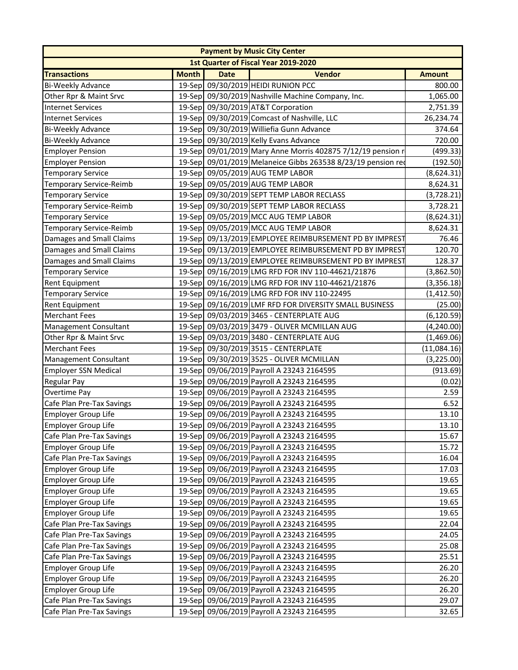|                                |                                      |             | <b>Payment by Music City Center</b>                          |               |  |  |
|--------------------------------|--------------------------------------|-------------|--------------------------------------------------------------|---------------|--|--|
|                                | 1st Quarter of Fiscal Year 2019-2020 |             |                                                              |               |  |  |
| <b>Transactions</b>            | <b>Month</b>                         | <b>Date</b> | <b>Vendor</b>                                                | <b>Amount</b> |  |  |
| Bi-Weekly Advance              | 19-Sep                               |             | 09/30/2019 HEIDI RUNION PCC                                  | 800.00        |  |  |
| Other Rpr & Maint Srvc         |                                      |             | 19-Sep 09/30/2019 Nashville Machine Company, Inc.            | 1,065.00      |  |  |
| <b>Internet Services</b>       |                                      |             | 19-Sep 09/30/2019 AT&T Corporation                           | 2,751.39      |  |  |
| <b>Internet Services</b>       |                                      |             | 19-Sep 09/30/2019 Comcast of Nashville, LLC                  | 26,234.74     |  |  |
| <b>Bi-Weekly Advance</b>       |                                      |             | 19-Sep 09/30/2019 Williefia Gunn Advance                     | 374.64        |  |  |
| Bi-Weekly Advance              |                                      |             | 19-Sep 09/30/2019 Kelly Evans Advance                        | 720.00        |  |  |
| <b>Employer Pension</b>        |                                      |             | 19-Sep 09/01/2019 Mary Anne Morris 402875 7/12/19 pension r  | (499.33)      |  |  |
| <b>Employer Pension</b>        |                                      |             | 19-Sep 09/01/2019 Melaneice Gibbs 263538 8/23/19 pension red | (192.50)      |  |  |
| <b>Temporary Service</b>       |                                      |             | 19-Sep 09/05/2019 AUG TEMP LABOR                             | (8,624.31)    |  |  |
| Temporary Service-Reimb        |                                      |             | 19-Sep 09/05/2019 AUG TEMP LABOR                             | 8,624.31      |  |  |
| <b>Temporary Service</b>       |                                      |             | 19-Sep 09/30/2019 SEPT TEMP LABOR RECLASS                    | (3,728.21)    |  |  |
| <b>Temporary Service-Reimb</b> |                                      |             | 19-Sep 09/30/2019 SEPT TEMP LABOR RECLASS                    | 3,728.21      |  |  |
| <b>Temporary Service</b>       |                                      |             | 19-Sep 09/05/2019 MCC AUG TEMP LABOR                         | (8,624.31)    |  |  |
| Temporary Service-Reimb        |                                      |             | 19-Sep 09/05/2019 MCC AUG TEMP LABOR                         | 8,624.31      |  |  |
| Damages and Small Claims       |                                      |             | 19-Sep 09/13/2019 EMPLOYEE REIMBURSEMENT PD BY IMPREST       | 76.46         |  |  |
| Damages and Small Claims       |                                      |             | 19-Sep 09/13/2019 EMPLOYEE REIMBURSEMENT PD BY IMPREST       | 120.70        |  |  |
| Damages and Small Claims       |                                      |             | 19-Sep 09/13/2019 EMPLOYEE REIMBURSEMENT PD BY IMPREST       | 128.37        |  |  |
| <b>Temporary Service</b>       |                                      |             | 19-Sep 09/16/2019 LMG RFD FOR INV 110-44621/21876            | (3,862.50)    |  |  |
| <b>Rent Equipment</b>          |                                      |             | 19-Sep 09/16/2019 LMG RFD FOR INV 110-44621/21876            | (3,356.18)    |  |  |
| <b>Temporary Service</b>       |                                      |             | 19-Sep 09/16/2019 LMG RFD FOR INV 110-22495                  | (1,412.50)    |  |  |
| <b>Rent Equipment</b>          |                                      |             | 19-Sep 09/16/2019 LMF RFD FOR DIVERSITY SMALL BUSINESS       | (25.00)       |  |  |
| <b>Merchant Fees</b>           |                                      |             | 19-Sep 09/03/2019 3465 - CENTERPLATE AUG                     | (6, 120.59)   |  |  |
| <b>Management Consultant</b>   |                                      |             | 19-Sep 09/03/2019 3479 - OLIVER MCMILLAN AUG                 | (4,240.00)    |  |  |
| Other Rpr & Maint Srvc         |                                      |             | 19-Sep 09/03/2019 3480 - CENTERPLATE AUG                     | (1,469.06)    |  |  |
| <b>Merchant Fees</b>           |                                      |             | 19-Sep 09/30/2019 3515 - CENTERPLATE                         | (11,084.16)   |  |  |
| Management Consultant          |                                      |             | 19-Sep 09/30/2019 3525 - OLIVER MCMILLAN                     | (3,225.00)    |  |  |
| <b>Employer SSN Medical</b>    |                                      |             | 19-Sep 09/06/2019 Payroll A 23243 2164595                    | (913.69)      |  |  |
| <b>Regular Pay</b>             |                                      |             | 19-Sep 09/06/2019 Payroll A 23243 2164595                    | (0.02)        |  |  |
| Overtime Pay                   |                                      |             | 19-Sep 09/06/2019 Payroll A 23243 2164595                    | 2.59          |  |  |
| Cafe Plan Pre-Tax Savings      |                                      |             | 19-Sep 09/06/2019 Payroll A 23243 2164595                    | 6.52          |  |  |
| <b>Employer Group Life</b>     |                                      |             | 19-Sep 09/06/2019 Payroll A 23243 2164595                    | 13.10         |  |  |
| Employer Group Life            |                                      |             | 19-Sep 09/06/2019 Payroll A 23243 2164595                    | 13.10         |  |  |
| Cafe Plan Pre-Tax Savings      |                                      |             | 19-Sep 09/06/2019 Payroll A 23243 2164595                    | 15.67         |  |  |
| <b>Employer Group Life</b>     |                                      |             | 19-Sep 09/06/2019 Payroll A 23243 2164595                    | 15.72         |  |  |
| Cafe Plan Pre-Tax Savings      |                                      |             | 19-Sep 09/06/2019 Payroll A 23243 2164595                    | 16.04         |  |  |
| Employer Group Life            |                                      |             | 19-Sep 09/06/2019 Payroll A 23243 2164595                    | 17.03         |  |  |
| <b>Employer Group Life</b>     |                                      |             | 19-Sep 09/06/2019 Payroll A 23243 2164595                    | 19.65         |  |  |
| <b>Employer Group Life</b>     |                                      |             | 19-Sep 09/06/2019 Payroll A 23243 2164595                    | 19.65         |  |  |
| <b>Employer Group Life</b>     |                                      |             | 19-Sep 09/06/2019 Payroll A 23243 2164595                    | 19.65         |  |  |
| <b>Employer Group Life</b>     |                                      |             | 19-Sep 09/06/2019 Payroll A 23243 2164595                    | 19.65         |  |  |
| Cafe Plan Pre-Tax Savings      |                                      |             | 19-Sep 09/06/2019 Payroll A 23243 2164595                    | 22.04         |  |  |
| Cafe Plan Pre-Tax Savings      |                                      |             | 19-Sep 09/06/2019 Payroll A 23243 2164595                    | 24.05         |  |  |
| Cafe Plan Pre-Tax Savings      |                                      |             | 19-Sep 09/06/2019 Payroll A 23243 2164595                    | 25.08         |  |  |
| Cafe Plan Pre-Tax Savings      |                                      |             | 19-Sep 09/06/2019 Payroll A 23243 2164595                    | 25.51         |  |  |
| <b>Employer Group Life</b>     |                                      |             | 19-Sep 09/06/2019 Payroll A 23243 2164595                    | 26.20         |  |  |
| <b>Employer Group Life</b>     |                                      |             | 19-Sep 09/06/2019 Payroll A 23243 2164595                    | 26.20         |  |  |
| <b>Employer Group Life</b>     |                                      |             | 19-Sep 09/06/2019 Payroll A 23243 2164595                    | 26.20         |  |  |
| Cafe Plan Pre-Tax Savings      |                                      |             | 19-Sep 09/06/2019 Payroll A 23243 2164595                    | 29.07         |  |  |
| Cafe Plan Pre-Tax Savings      |                                      |             | 19-Sep 09/06/2019 Payroll A 23243 2164595                    | 32.65         |  |  |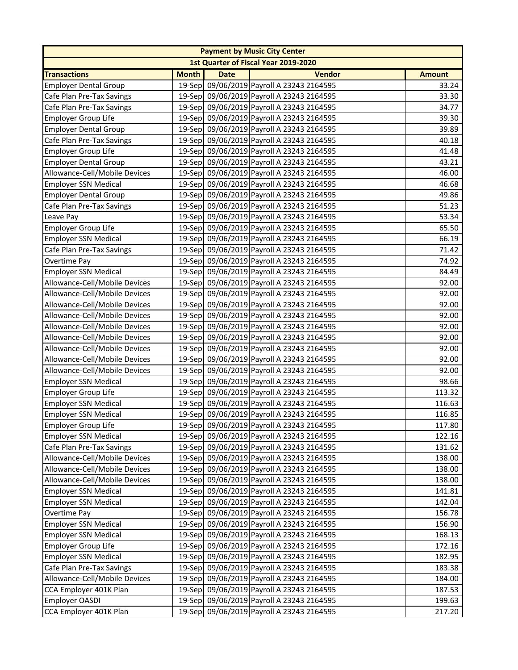|                               |              |             | <b>Payment by Music City Center</b>       |               |
|-------------------------------|--------------|-------------|-------------------------------------------|---------------|
|                               |              |             | 1st Quarter of Fiscal Year 2019-2020      |               |
| <b>Transactions</b>           | <b>Month</b> | <b>Date</b> | <b>Vendor</b>                             | <b>Amount</b> |
| <b>Employer Dental Group</b>  |              |             | 19-Sep 09/06/2019 Payroll A 23243 2164595 | 33.24         |
| Cafe Plan Pre-Tax Savings     |              |             | 19-Sep 09/06/2019 Payroll A 23243 2164595 | 33.30         |
| Cafe Plan Pre-Tax Savings     |              |             | 19-Sep 09/06/2019 Payroll A 23243 2164595 | 34.77         |
| <b>Employer Group Life</b>    |              |             | 19-Sep 09/06/2019 Payroll A 23243 2164595 | 39.30         |
| <b>Employer Dental Group</b>  |              |             | 19-Sep 09/06/2019 Payroll A 23243 2164595 | 39.89         |
| Cafe Plan Pre-Tax Savings     |              |             | 19-Sep 09/06/2019 Payroll A 23243 2164595 | 40.18         |
| <b>Employer Group Life</b>    |              |             | 19-Sep 09/06/2019 Payroll A 23243 2164595 | 41.48         |
| <b>Employer Dental Group</b>  |              |             | 19-Sep 09/06/2019 Payroll A 23243 2164595 | 43.21         |
| Allowance-Cell/Mobile Devices |              |             | 19-Sep 09/06/2019 Payroll A 23243 2164595 | 46.00         |
| <b>Employer SSN Medical</b>   |              |             | 19-Sep 09/06/2019 Payroll A 23243 2164595 | 46.68         |
| <b>Employer Dental Group</b>  |              |             | 19-Sep 09/06/2019 Payroll A 23243 2164595 | 49.86         |
| Cafe Plan Pre-Tax Savings     |              |             | 19-Sep 09/06/2019 Payroll A 23243 2164595 | 51.23         |
| Leave Pay                     |              |             | 19-Sep 09/06/2019 Payroll A 23243 2164595 | 53.34         |
| <b>Employer Group Life</b>    |              |             | 19-Sep 09/06/2019 Payroll A 23243 2164595 | 65.50         |
| <b>Employer SSN Medical</b>   |              |             | 19-Sep 09/06/2019 Payroll A 23243 2164595 | 66.19         |
| Cafe Plan Pre-Tax Savings     |              |             | 19-Sep 09/06/2019 Payroll A 23243 2164595 | 71.42         |
| Overtime Pay                  |              |             | 19-Sep 09/06/2019 Payroll A 23243 2164595 | 74.92         |
| <b>Employer SSN Medical</b>   |              |             | 19-Sep 09/06/2019 Payroll A 23243 2164595 | 84.49         |
| Allowance-Cell/Mobile Devices |              |             | 19-Sep 09/06/2019 Payroll A 23243 2164595 | 92.00         |
| Allowance-Cell/Mobile Devices |              |             | 19-Sep 09/06/2019 Payroll A 23243 2164595 | 92.00         |
| Allowance-Cell/Mobile Devices |              |             | 19-Sep 09/06/2019 Payroll A 23243 2164595 | 92.00         |
| Allowance-Cell/Mobile Devices |              |             | 19-Sep 09/06/2019 Payroll A 23243 2164595 | 92.00         |
| Allowance-Cell/Mobile Devices |              |             | 19-Sep 09/06/2019 Payroll A 23243 2164595 | 92.00         |
| Allowance-Cell/Mobile Devices |              |             | 19-Sep 09/06/2019 Payroll A 23243 2164595 | 92.00         |
| Allowance-Cell/Mobile Devices |              |             | 19-Sep 09/06/2019 Payroll A 23243 2164595 | 92.00         |
| Allowance-Cell/Mobile Devices |              |             | 19-Sep 09/06/2019 Payroll A 23243 2164595 | 92.00         |
| Allowance-Cell/Mobile Devices |              |             | 19-Sep 09/06/2019 Payroll A 23243 2164595 | 92.00         |
| <b>Employer SSN Medical</b>   |              |             | 19-Sep 09/06/2019 Payroll A 23243 2164595 | 98.66         |
| <b>Employer Group Life</b>    |              |             | 19-Sep 09/06/2019 Payroll A 23243 2164595 | 113.32        |
| <b>Employer SSN Medical</b>   |              |             | 19-Sep 09/06/2019 Payroll A 23243 2164595 | 116.63        |
| <b>Employer SSN Medical</b>   |              |             | 19-Sep 09/06/2019 Payroll A 23243 2164595 | 116.85        |
| Employer Group Life           |              |             | 19-Sep 09/06/2019 Payroll A 23243 2164595 | 117.80        |
| <b>Employer SSN Medical</b>   |              |             | 19-Sep 09/06/2019 Payroll A 23243 2164595 | 122.16        |
| Cafe Plan Pre-Tax Savings     |              |             | 19-Sep 09/06/2019 Payroll A 23243 2164595 | 131.62        |
| Allowance-Cell/Mobile Devices |              |             | 19-Sep 09/06/2019 Payroll A 23243 2164595 | 138.00        |
| Allowance-Cell/Mobile Devices |              |             | 19-Sep 09/06/2019 Payroll A 23243 2164595 | 138.00        |
| Allowance-Cell/Mobile Devices |              |             | 19-Sep 09/06/2019 Payroll A 23243 2164595 | 138.00        |
| <b>Employer SSN Medical</b>   |              |             | 19-Sep 09/06/2019 Payroll A 23243 2164595 | 141.81        |
| <b>Employer SSN Medical</b>   |              |             | 19-Sep 09/06/2019 Payroll A 23243 2164595 | 142.04        |
| Overtime Pay                  |              |             | 19-Sep 09/06/2019 Payroll A 23243 2164595 | 156.78        |
| <b>Employer SSN Medical</b>   |              |             | 19-Sep 09/06/2019 Payroll A 23243 2164595 | 156.90        |
| <b>Employer SSN Medical</b>   |              |             | 19-Sep 09/06/2019 Payroll A 23243 2164595 | 168.13        |
| <b>Employer Group Life</b>    |              |             | 19-Sep 09/06/2019 Payroll A 23243 2164595 | 172.16        |
| <b>Employer SSN Medical</b>   |              |             | 19-Sep 09/06/2019 Payroll A 23243 2164595 | 182.95        |
| Cafe Plan Pre-Tax Savings     |              |             | 19-Sep 09/06/2019 Payroll A 23243 2164595 | 183.38        |
| Allowance-Cell/Mobile Devices |              |             | 19-Sep 09/06/2019 Payroll A 23243 2164595 | 184.00        |
| CCA Employer 401K Plan        |              |             | 19-Sep 09/06/2019 Payroll A 23243 2164595 | 187.53        |
| <b>Employer OASDI</b>         |              |             | 19-Sep 09/06/2019 Payroll A 23243 2164595 | 199.63        |
| CCA Employer 401K Plan        |              |             | 19-Sep 09/06/2019 Payroll A 23243 2164595 | 217.20        |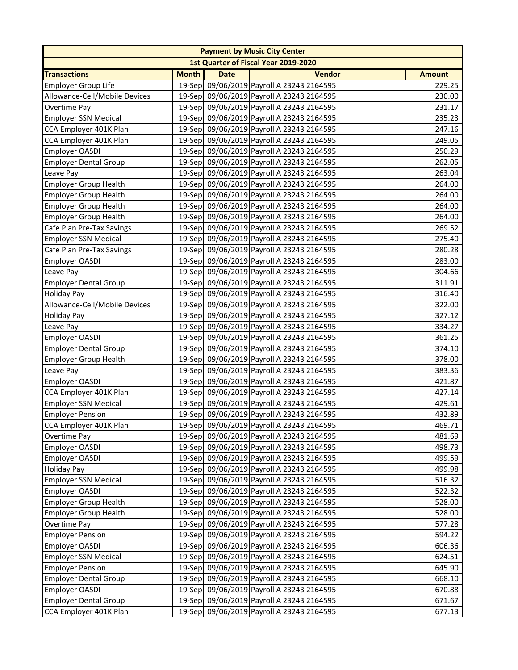|                               |              |             | <b>Payment by Music City Center</b>         |               |
|-------------------------------|--------------|-------------|---------------------------------------------|---------------|
|                               |              |             | <b>1st Quarter of Fiscal Year 2019-2020</b> |               |
| <b>Transactions</b>           | <b>Month</b> | <b>Date</b> | <b>Vendor</b>                               | <b>Amount</b> |
| <b>Employer Group Life</b>    |              |             | 19-Sep 09/06/2019 Payroll A 23243 2164595   | 229.25        |
| Allowance-Cell/Mobile Devices |              |             | 19-Sep 09/06/2019 Payroll A 23243 2164595   | 230.00        |
| Overtime Pay                  |              |             | 19-Sep 09/06/2019 Payroll A 23243 2164595   | 231.17        |
| <b>Employer SSN Medical</b>   |              |             | 19-Sep 09/06/2019 Payroll A 23243 2164595   | 235.23        |
| CCA Employer 401K Plan        |              |             | 19-Sep 09/06/2019 Payroll A 23243 2164595   | 247.16        |
| CCA Employer 401K Plan        |              |             | 19-Sep 09/06/2019 Payroll A 23243 2164595   | 249.05        |
| Employer OASDI                |              |             | 19-Sep 09/06/2019 Payroll A 23243 2164595   | 250.29        |
| <b>Employer Dental Group</b>  |              |             | 19-Sep 09/06/2019 Payroll A 23243 2164595   | 262.05        |
| Leave Pay                     |              |             | 19-Sep 09/06/2019 Payroll A 23243 2164595   | 263.04        |
| <b>Employer Group Health</b>  |              |             | 19-Sep 09/06/2019 Payroll A 23243 2164595   | 264.00        |
| <b>Employer Group Health</b>  |              |             | 19-Sep 09/06/2019 Payroll A 23243 2164595   | 264.00        |
| <b>Employer Group Health</b>  |              |             | 19-Sep 09/06/2019 Payroll A 23243 2164595   | 264.00        |
| <b>Employer Group Health</b>  |              |             | 19-Sep 09/06/2019 Payroll A 23243 2164595   | 264.00        |
| Cafe Plan Pre-Tax Savings     |              |             | 19-Sep 09/06/2019 Payroll A 23243 2164595   | 269.52        |
| <b>Employer SSN Medical</b>   |              |             | 19-Sep 09/06/2019 Payroll A 23243 2164595   | 275.40        |
| Cafe Plan Pre-Tax Savings     |              |             | 19-Sep 09/06/2019 Payroll A 23243 2164595   | 280.28        |
| Employer OASDI                |              |             | 19-Sep 09/06/2019 Payroll A 23243 2164595   | 283.00        |
| Leave Pay                     |              |             | 19-Sep 09/06/2019 Payroll A 23243 2164595   | 304.66        |
| <b>Employer Dental Group</b>  |              |             | 19-Sep 09/06/2019 Payroll A 23243 2164595   | 311.91        |
| <b>Holiday Pay</b>            |              |             | 19-Sep 09/06/2019 Payroll A 23243 2164595   | 316.40        |
| Allowance-Cell/Mobile Devices |              |             | 19-Sep 09/06/2019 Payroll A 23243 2164595   | 322.00        |
| <b>Holiday Pay</b>            |              |             | 19-Sep 09/06/2019 Payroll A 23243 2164595   | 327.12        |
| Leave Pay                     |              |             | 19-Sep 09/06/2019 Payroll A 23243 2164595   | 334.27        |
| Employer OASDI                |              |             | 19-Sep 09/06/2019 Payroll A 23243 2164595   | 361.25        |
| <b>Employer Dental Group</b>  |              |             | 19-Sep 09/06/2019 Payroll A 23243 2164595   | 374.10        |
| <b>Employer Group Health</b>  |              |             | 19-Sep 09/06/2019 Payroll A 23243 2164595   | 378.00        |
| Leave Pay                     |              |             | 19-Sep 09/06/2019 Payroll A 23243 2164595   | 383.36        |
| Employer OASDI                |              |             | 19-Sep 09/06/2019 Payroll A 23243 2164595   | 421.87        |
| CCA Employer 401K Plan        |              |             | 19-Sep 09/06/2019 Payroll A 23243 2164595   | 427.14        |
| <b>Employer SSN Medical</b>   |              |             | 19-Sep 09/06/2019 Payroll A 23243 2164595   | 429.61        |
| <b>Employer Pension</b>       |              |             | 19-Sep 09/06/2019 Payroll A 23243 2164595   | 432.89        |
| CCA Employer 401K Plan        |              |             | 19-Sep 09/06/2019 Payroll A 23243 2164595   | 469.71        |
| Overtime Pay                  |              |             | 19-Sep 09/06/2019 Payroll A 23243 2164595   | 481.69        |
| Employer OASDI                |              |             | 19-Sep 09/06/2019 Payroll A 23243 2164595   | 498.73        |
| Employer OASDI                |              |             | 19-Sep 09/06/2019 Payroll A 23243 2164595   | 499.59        |
| <b>Holiday Pay</b>            |              |             | 19-Sep 09/06/2019 Payroll A 23243 2164595   | 499.98        |
| <b>Employer SSN Medical</b>   |              |             | 19-Sep 09/06/2019 Payroll A 23243 2164595   | 516.32        |
| Employer OASDI                |              |             | 19-Sep 09/06/2019 Payroll A 23243 2164595   | 522.32        |
| <b>Employer Group Health</b>  |              |             | 19-Sep 09/06/2019 Payroll A 23243 2164595   | 528.00        |
| <b>Employer Group Health</b>  |              |             |                                             |               |
|                               |              |             | 19-Sep 09/06/2019 Payroll A 23243 2164595   | 528.00        |
| Overtime Pay                  |              |             | 19-Sep 09/06/2019 Payroll A 23243 2164595   | 577.28        |
| <b>Employer Pension</b>       |              |             | 19-Sep 09/06/2019 Payroll A 23243 2164595   | 594.22        |
| Employer OASDI                |              |             | 19-Sep 09/06/2019 Payroll A 23243 2164595   | 606.36        |
| <b>Employer SSN Medical</b>   |              |             | 19-Sep 09/06/2019 Payroll A 23243 2164595   | 624.51        |
| <b>Employer Pension</b>       |              |             | 19-Sep 09/06/2019 Payroll A 23243 2164595   | 645.90        |
| <b>Employer Dental Group</b>  |              |             | 19-Sep 09/06/2019 Payroll A 23243 2164595   | 668.10        |
| <b>Employer OASDI</b>         |              |             | 19-Sep 09/06/2019 Payroll A 23243 2164595   | 670.88        |
| <b>Employer Dental Group</b>  |              |             | 19-Sep 09/06/2019 Payroll A 23243 2164595   | 671.67        |
| CCA Employer 401K Plan        |              |             | 19-Sep 09/06/2019 Payroll A 23243 2164595   | 677.13        |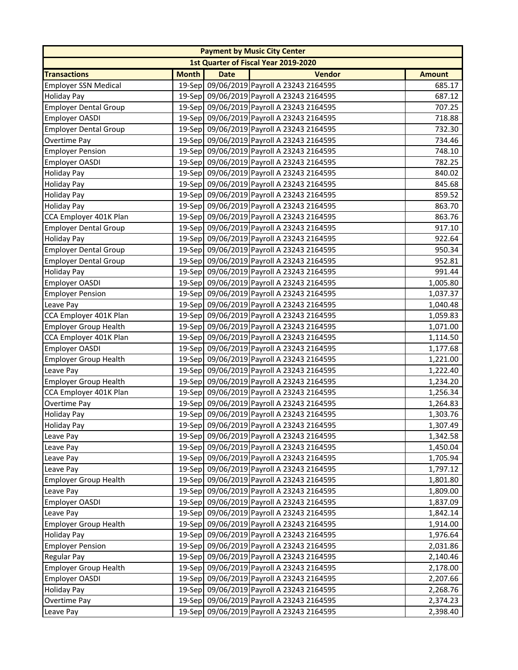|                              |              |             | <b>Payment by Music City Center</b>       |               |
|------------------------------|--------------|-------------|-------------------------------------------|---------------|
|                              |              |             | 1st Quarter of Fiscal Year 2019-2020      |               |
| <b>Transactions</b>          | <b>Month</b> | <b>Date</b> | <b>Vendor</b>                             | <b>Amount</b> |
| <b>Employer SSN Medical</b>  |              |             | 19-Sep 09/06/2019 Payroll A 23243 2164595 | 685.17        |
| <b>Holiday Pay</b>           |              |             | 19-Sep 09/06/2019 Payroll A 23243 2164595 | 687.12        |
| <b>Employer Dental Group</b> |              |             | 19-Sep 09/06/2019 Payroll A 23243 2164595 | 707.25        |
| Employer OASDI               |              |             | 19-Sep 09/06/2019 Payroll A 23243 2164595 | 718.88        |
| <b>Employer Dental Group</b> |              |             | 19-Sep 09/06/2019 Payroll A 23243 2164595 | 732.30        |
| Overtime Pay                 |              |             | 19-Sep 09/06/2019 Payroll A 23243 2164595 | 734.46        |
| <b>Employer Pension</b>      |              |             | 19-Sep 09/06/2019 Payroll A 23243 2164595 | 748.10        |
| Employer OASDI               |              |             | 19-Sep 09/06/2019 Payroll A 23243 2164595 | 782.25        |
| <b>Holiday Pay</b>           |              |             | 19-Sep 09/06/2019 Payroll A 23243 2164595 | 840.02        |
| <b>Holiday Pay</b>           |              |             | 19-Sep 09/06/2019 Payroll A 23243 2164595 | 845.68        |
| <b>Holiday Pay</b>           |              |             | 19-Sep 09/06/2019 Payroll A 23243 2164595 | 859.52        |
| <b>Holiday Pay</b>           |              |             | 19-Sep 09/06/2019 Payroll A 23243 2164595 | 863.70        |
| CCA Employer 401K Plan       |              |             | 19-Sep 09/06/2019 Payroll A 23243 2164595 | 863.76        |
| <b>Employer Dental Group</b> |              |             | 19-Sep 09/06/2019 Payroll A 23243 2164595 | 917.10        |
| <b>Holiday Pay</b>           |              |             | 19-Sep 09/06/2019 Payroll A 23243 2164595 | 922.64        |
| <b>Employer Dental Group</b> |              |             | 19-Sep 09/06/2019 Payroll A 23243 2164595 | 950.34        |
| <b>Employer Dental Group</b> |              |             | 19-Sep 09/06/2019 Payroll A 23243 2164595 | 952.81        |
| <b>Holiday Pay</b>           |              |             | 19-Sep 09/06/2019 Payroll A 23243 2164595 | 991.44        |
| Employer OASDI               |              |             | 19-Sep 09/06/2019 Payroll A 23243 2164595 | 1,005.80      |
| <b>Employer Pension</b>      |              |             | 19-Sep 09/06/2019 Payroll A 23243 2164595 | 1,037.37      |
| Leave Pay                    |              |             | 19-Sep 09/06/2019 Payroll A 23243 2164595 | 1,040.48      |
| CCA Employer 401K Plan       |              |             | 19-Sep 09/06/2019 Payroll A 23243 2164595 | 1,059.83      |
| <b>Employer Group Health</b> |              |             | 19-Sep 09/06/2019 Payroll A 23243 2164595 | 1,071.00      |
| CCA Employer 401K Plan       |              |             | 19-Sep 09/06/2019 Payroll A 23243 2164595 | 1,114.50      |
| Employer OASDI               |              |             | 19-Sep 09/06/2019 Payroll A 23243 2164595 | 1,177.68      |
| <b>Employer Group Health</b> |              |             | 19-Sep 09/06/2019 Payroll A 23243 2164595 | 1,221.00      |
| Leave Pay                    |              |             | 19-Sep 09/06/2019 Payroll A 23243 2164595 | 1,222.40      |
| <b>Employer Group Health</b> |              |             | 19-Sep 09/06/2019 Payroll A 23243 2164595 | 1,234.20      |
| CCA Employer 401K Plan       |              |             | 19-Sep 09/06/2019 Payroll A 23243 2164595 | 1,256.34      |
| Overtime Pay                 |              |             | 19-Sep 09/06/2019 Payroll A 23243 2164595 | 1,264.83      |
| <b>Holiday Pay</b>           |              |             | 19-Sep 09/06/2019 Payroll A 23243 2164595 | 1,303.76      |
| <b>Holiday Pay</b>           |              |             | 19-Sep 09/06/2019 Payroll A 23243 2164595 | 1,307.49      |
| Leave Pay                    |              |             | 19-Sep 09/06/2019 Payroll A 23243 2164595 | 1,342.58      |
| Leave Pay                    |              |             | 19-Sep 09/06/2019 Payroll A 23243 2164595 | 1,450.04      |
| Leave Pay                    |              |             | 19-Sep 09/06/2019 Payroll A 23243 2164595 | 1,705.94      |
| Leave Pay                    |              |             | 19-Sep 09/06/2019 Payroll A 23243 2164595 | 1,797.12      |
| <b>Employer Group Health</b> |              |             | 19-Sep 09/06/2019 Payroll A 23243 2164595 | 1,801.80      |
| Leave Pay                    |              |             | 19-Sep 09/06/2019 Payroll A 23243 2164595 | 1,809.00      |
| Employer OASDI               |              |             | 19-Sep 09/06/2019 Payroll A 23243 2164595 | 1,837.09      |
| Leave Pay                    |              |             | 19-Sep 09/06/2019 Payroll A 23243 2164595 | 1,842.14      |
| <b>Employer Group Health</b> |              |             | 19-Sep 09/06/2019 Payroll A 23243 2164595 | 1,914.00      |
| <b>Holiday Pay</b>           |              |             | 19-Sep 09/06/2019 Payroll A 23243 2164595 | 1,976.64      |
| <b>Employer Pension</b>      |              |             | 19-Sep 09/06/2019 Payroll A 23243 2164595 | 2,031.86      |
| <b>Regular Pay</b>           |              |             | 19-Sep 09/06/2019 Payroll A 23243 2164595 | 2,140.46      |
| <b>Employer Group Health</b> |              |             | 19-Sep 09/06/2019 Payroll A 23243 2164595 | 2,178.00      |
| <b>Employer OASDI</b>        |              |             | 19-Sep 09/06/2019 Payroll A 23243 2164595 | 2,207.66      |
| <b>Holiday Pay</b>           |              |             | 19-Sep 09/06/2019 Payroll A 23243 2164595 | 2,268.76      |
| Overtime Pay                 |              |             | 19-Sep 09/06/2019 Payroll A 23243 2164595 | 2,374.23      |
| Leave Pay                    |              |             | 19-Sep 09/06/2019 Payroll A 23243 2164595 | 2,398.40      |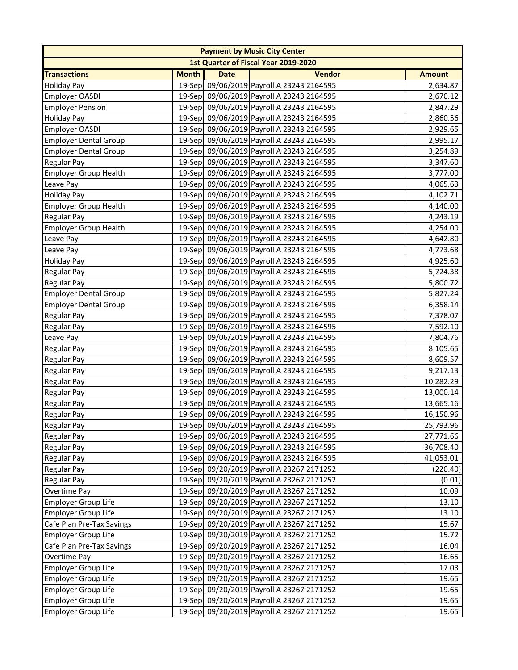| 1st Quarter of Fiscal Year 2019-2020<br><b>Vendor</b><br><b>Transactions</b><br><b>Month</b><br><b>Date</b><br><b>Amount</b><br>19-Sep 09/06/2019 Payroll A 23243 2164595<br>2,634.87<br>19-Sep 09/06/2019 Payroll A 23243 2164595<br>2,670.12<br>19-Sep 09/06/2019 Payroll A 23243 2164595<br>2,847.29<br>19-Sep 09/06/2019 Payroll A 23243 2164595<br>2,860.56<br>19-Sep 09/06/2019 Payroll A 23243 2164595<br>2,929.65<br>19-Sep 09/06/2019 Payroll A 23243 2164595<br>2,995.17<br>19-Sep 09/06/2019 Payroll A 23243 2164595<br>3,254.89<br>19-Sep 09/06/2019 Payroll A 23243 2164595<br>3,347.60<br>19-Sep 09/06/2019 Payroll A 23243 2164595<br>3,777.00<br>19-Sep 09/06/2019 Payroll A 23243 2164595<br>4,065.63<br>19-Sep 09/06/2019 Payroll A 23243 2164595<br>4,102.71<br>19-Sep 09/06/2019 Payroll A 23243 2164595<br>4,140.00<br>19-Sep 09/06/2019 Payroll A 23243 2164595<br>4,243.19<br>19-Sep 09/06/2019 Payroll A 23243 2164595<br>4,254.00<br>19-Sep 09/06/2019 Payroll A 23243 2164595<br>4,642.80<br>19-Sep 09/06/2019 Payroll A 23243 2164595<br>4,773.68<br>19-Sep 09/06/2019 Payroll A 23243 2164595<br><b>Holiday Pay</b><br>4,925.60<br>19-Sep 09/06/2019 Payroll A 23243 2164595<br>5,724.38<br><b>Regular Pay</b><br>19-Sep 09/06/2019 Payroll A 23243 2164595<br><b>Regular Pay</b><br>5,800.72<br><b>Employer Dental Group</b><br>19-Sep 09/06/2019 Payroll A 23243 2164595<br>5,827.24<br>19-Sep 09/06/2019 Payroll A 23243 2164595<br><b>Employer Dental Group</b><br>6,358.14<br>19-Sep 09/06/2019 Payroll A 23243 2164595<br>Regular Pay<br>7,378.07<br>19-Sep 09/06/2019 Payroll A 23243 2164595<br>Regular Pay<br>7,592.10<br>19-Sep 09/06/2019 Payroll A 23243 2164595<br>Leave Pay<br>7,804.76<br>19-Sep 09/06/2019 Payroll A 23243 2164595<br><b>Regular Pay</b><br>8,105.65<br>19-Sep 09/06/2019 Payroll A 23243 2164595<br>Regular Pay<br>8,609.57<br><b>Regular Pay</b><br>19-Sep 09/06/2019 Payroll A 23243 2164595<br>9,217.13<br>19-Sep 09/06/2019 Payroll A 23243 2164595<br><b>Regular Pay</b><br>10,282.29<br>19-Sep 09/06/2019 Payroll A 23243 2164595<br><b>Regular Pay</b><br>13,000.14<br>19-Sep 09/06/2019 Payroll A 23243 2164595<br><b>Regular Pay</b><br>13,665.16<br>19-Sep 09/06/2019 Payroll A 23243 2164595<br>16,150.96<br><b>Regular Pay</b><br>Regular Pay<br>19-Sep 09/06/2019 Payroll A 23243 2164595<br>25,793.96<br>19-Sep 09/06/2019 Payroll A 23243 2164595<br>Regular Pay<br>27,771.66<br>19-Sep 09/06/2019 Payroll A 23243 2164595<br><b>Regular Pay</b><br>36,708.40<br>19-Sep 09/06/2019 Payroll A 23243 2164595<br>41,053.01<br><b>Regular Pay</b><br>19-Sep 09/20/2019 Payroll A 23267 2171252<br><b>Regular Pay</b><br>(220.40)<br>19-Sep 09/20/2019 Payroll A 23267 2171252<br><b>Regular Pay</b><br>(0.01)<br>19-Sep 09/20/2019 Payroll A 23267 2171252<br>Overtime Pay<br>10.09<br><b>Employer Group Life</b><br>19-Sep 09/20/2019 Payroll A 23267 2171252<br>13.10<br>19-Sep 09/20/2019 Payroll A 23267 2171252<br><b>Employer Group Life</b><br>13.10<br>Cafe Plan Pre-Tax Savings<br>19-Sep 09/20/2019 Payroll A 23267 2171252<br>15.67<br><b>Employer Group Life</b><br>19-Sep 09/20/2019 Payroll A 23267 2171252<br>15.72<br>Cafe Plan Pre-Tax Savings<br>19-Sep 09/20/2019 Payroll A 23267 2171252<br>16.04<br>Overtime Pay<br>19-Sep 09/20/2019 Payroll A 23267 2171252<br>16.65<br>19-Sep 09/20/2019 Payroll A 23267 2171252<br>17.03<br><b>Employer Group Life</b><br><b>Employer Group Life</b><br>19-Sep 09/20/2019 Payroll A 23267 2171252<br>19.65<br><b>Employer Group Life</b><br>19-Sep 09/20/2019 Payroll A 23267 2171252<br>19.65<br>19-Sep 09/20/2019 Payroll A 23267 2171252<br>19.65<br><b>Employer Group Life</b> |                              |  | <b>Payment by Music City Center</b> |       |
|---------------------------------------------------------------------------------------------------------------------------------------------------------------------------------------------------------------------------------------------------------------------------------------------------------------------------------------------------------------------------------------------------------------------------------------------------------------------------------------------------------------------------------------------------------------------------------------------------------------------------------------------------------------------------------------------------------------------------------------------------------------------------------------------------------------------------------------------------------------------------------------------------------------------------------------------------------------------------------------------------------------------------------------------------------------------------------------------------------------------------------------------------------------------------------------------------------------------------------------------------------------------------------------------------------------------------------------------------------------------------------------------------------------------------------------------------------------------------------------------------------------------------------------------------------------------------------------------------------------------------------------------------------------------------------------------------------------------------------------------------------------------------------------------------------------------------------------------------------------------------------------------------------------------------------------------------------------------------------------------------------------------------------------------------------------------------------------------------------------------------------------------------------------------------------------------------------------------------------------------------------------------------------------------------------------------------------------------------------------------------------------------------------------------------------------------------------------------------------------------------------------------------------------------------------------------------------------------------------------------------------------------------------------------------------------------------------------------------------------------------------------------------------------------------------------------------------------------------------------------------------------------------------------------------------------------------------------------------------------------------------------------------------------------------------------------------------------------------------------------------------------------------------------------------------------------------------------------------------------------------------------------------------------------------------------------------------------------------------------------------------------------------------------------------------------------------------------------------------------------------------------------------------------------------------------------------------------------------------------------------------------------------------------------------------------------------------------------|------------------------------|--|-------------------------------------|-------|
|                                                                                                                                                                                                                                                                                                                                                                                                                                                                                                                                                                                                                                                                                                                                                                                                                                                                                                                                                                                                                                                                                                                                                                                                                                                                                                                                                                                                                                                                                                                                                                                                                                                                                                                                                                                                                                                                                                                                                                                                                                                                                                                                                                                                                                                                                                                                                                                                                                                                                                                                                                                                                                                                                                                                                                                                                                                                                                                                                                                                                                                                                                                                                                                                                                                                                                                                                                                                                                                                                                                                                                                                                                                                                                                     |                              |  |                                     |       |
|                                                                                                                                                                                                                                                                                                                                                                                                                                                                                                                                                                                                                                                                                                                                                                                                                                                                                                                                                                                                                                                                                                                                                                                                                                                                                                                                                                                                                                                                                                                                                                                                                                                                                                                                                                                                                                                                                                                                                                                                                                                                                                                                                                                                                                                                                                                                                                                                                                                                                                                                                                                                                                                                                                                                                                                                                                                                                                                                                                                                                                                                                                                                                                                                                                                                                                                                                                                                                                                                                                                                                                                                                                                                                                                     |                              |  |                                     |       |
|                                                                                                                                                                                                                                                                                                                                                                                                                                                                                                                                                                                                                                                                                                                                                                                                                                                                                                                                                                                                                                                                                                                                                                                                                                                                                                                                                                                                                                                                                                                                                                                                                                                                                                                                                                                                                                                                                                                                                                                                                                                                                                                                                                                                                                                                                                                                                                                                                                                                                                                                                                                                                                                                                                                                                                                                                                                                                                                                                                                                                                                                                                                                                                                                                                                                                                                                                                                                                                                                                                                                                                                                                                                                                                                     | <b>Holiday Pay</b>           |  |                                     |       |
|                                                                                                                                                                                                                                                                                                                                                                                                                                                                                                                                                                                                                                                                                                                                                                                                                                                                                                                                                                                                                                                                                                                                                                                                                                                                                                                                                                                                                                                                                                                                                                                                                                                                                                                                                                                                                                                                                                                                                                                                                                                                                                                                                                                                                                                                                                                                                                                                                                                                                                                                                                                                                                                                                                                                                                                                                                                                                                                                                                                                                                                                                                                                                                                                                                                                                                                                                                                                                                                                                                                                                                                                                                                                                                                     | Employer OASDI               |  |                                     |       |
|                                                                                                                                                                                                                                                                                                                                                                                                                                                                                                                                                                                                                                                                                                                                                                                                                                                                                                                                                                                                                                                                                                                                                                                                                                                                                                                                                                                                                                                                                                                                                                                                                                                                                                                                                                                                                                                                                                                                                                                                                                                                                                                                                                                                                                                                                                                                                                                                                                                                                                                                                                                                                                                                                                                                                                                                                                                                                                                                                                                                                                                                                                                                                                                                                                                                                                                                                                                                                                                                                                                                                                                                                                                                                                                     | <b>Employer Pension</b>      |  |                                     |       |
|                                                                                                                                                                                                                                                                                                                                                                                                                                                                                                                                                                                                                                                                                                                                                                                                                                                                                                                                                                                                                                                                                                                                                                                                                                                                                                                                                                                                                                                                                                                                                                                                                                                                                                                                                                                                                                                                                                                                                                                                                                                                                                                                                                                                                                                                                                                                                                                                                                                                                                                                                                                                                                                                                                                                                                                                                                                                                                                                                                                                                                                                                                                                                                                                                                                                                                                                                                                                                                                                                                                                                                                                                                                                                                                     | <b>Holiday Pay</b>           |  |                                     |       |
|                                                                                                                                                                                                                                                                                                                                                                                                                                                                                                                                                                                                                                                                                                                                                                                                                                                                                                                                                                                                                                                                                                                                                                                                                                                                                                                                                                                                                                                                                                                                                                                                                                                                                                                                                                                                                                                                                                                                                                                                                                                                                                                                                                                                                                                                                                                                                                                                                                                                                                                                                                                                                                                                                                                                                                                                                                                                                                                                                                                                                                                                                                                                                                                                                                                                                                                                                                                                                                                                                                                                                                                                                                                                                                                     | Employer OASDI               |  |                                     |       |
|                                                                                                                                                                                                                                                                                                                                                                                                                                                                                                                                                                                                                                                                                                                                                                                                                                                                                                                                                                                                                                                                                                                                                                                                                                                                                                                                                                                                                                                                                                                                                                                                                                                                                                                                                                                                                                                                                                                                                                                                                                                                                                                                                                                                                                                                                                                                                                                                                                                                                                                                                                                                                                                                                                                                                                                                                                                                                                                                                                                                                                                                                                                                                                                                                                                                                                                                                                                                                                                                                                                                                                                                                                                                                                                     | <b>Employer Dental Group</b> |  |                                     |       |
|                                                                                                                                                                                                                                                                                                                                                                                                                                                                                                                                                                                                                                                                                                                                                                                                                                                                                                                                                                                                                                                                                                                                                                                                                                                                                                                                                                                                                                                                                                                                                                                                                                                                                                                                                                                                                                                                                                                                                                                                                                                                                                                                                                                                                                                                                                                                                                                                                                                                                                                                                                                                                                                                                                                                                                                                                                                                                                                                                                                                                                                                                                                                                                                                                                                                                                                                                                                                                                                                                                                                                                                                                                                                                                                     | <b>Employer Dental Group</b> |  |                                     |       |
|                                                                                                                                                                                                                                                                                                                                                                                                                                                                                                                                                                                                                                                                                                                                                                                                                                                                                                                                                                                                                                                                                                                                                                                                                                                                                                                                                                                                                                                                                                                                                                                                                                                                                                                                                                                                                                                                                                                                                                                                                                                                                                                                                                                                                                                                                                                                                                                                                                                                                                                                                                                                                                                                                                                                                                                                                                                                                                                                                                                                                                                                                                                                                                                                                                                                                                                                                                                                                                                                                                                                                                                                                                                                                                                     | <b>Regular Pay</b>           |  |                                     |       |
|                                                                                                                                                                                                                                                                                                                                                                                                                                                                                                                                                                                                                                                                                                                                                                                                                                                                                                                                                                                                                                                                                                                                                                                                                                                                                                                                                                                                                                                                                                                                                                                                                                                                                                                                                                                                                                                                                                                                                                                                                                                                                                                                                                                                                                                                                                                                                                                                                                                                                                                                                                                                                                                                                                                                                                                                                                                                                                                                                                                                                                                                                                                                                                                                                                                                                                                                                                                                                                                                                                                                                                                                                                                                                                                     | <b>Employer Group Health</b> |  |                                     |       |
|                                                                                                                                                                                                                                                                                                                                                                                                                                                                                                                                                                                                                                                                                                                                                                                                                                                                                                                                                                                                                                                                                                                                                                                                                                                                                                                                                                                                                                                                                                                                                                                                                                                                                                                                                                                                                                                                                                                                                                                                                                                                                                                                                                                                                                                                                                                                                                                                                                                                                                                                                                                                                                                                                                                                                                                                                                                                                                                                                                                                                                                                                                                                                                                                                                                                                                                                                                                                                                                                                                                                                                                                                                                                                                                     | Leave Pay                    |  |                                     |       |
|                                                                                                                                                                                                                                                                                                                                                                                                                                                                                                                                                                                                                                                                                                                                                                                                                                                                                                                                                                                                                                                                                                                                                                                                                                                                                                                                                                                                                                                                                                                                                                                                                                                                                                                                                                                                                                                                                                                                                                                                                                                                                                                                                                                                                                                                                                                                                                                                                                                                                                                                                                                                                                                                                                                                                                                                                                                                                                                                                                                                                                                                                                                                                                                                                                                                                                                                                                                                                                                                                                                                                                                                                                                                                                                     | <b>Holiday Pay</b>           |  |                                     |       |
|                                                                                                                                                                                                                                                                                                                                                                                                                                                                                                                                                                                                                                                                                                                                                                                                                                                                                                                                                                                                                                                                                                                                                                                                                                                                                                                                                                                                                                                                                                                                                                                                                                                                                                                                                                                                                                                                                                                                                                                                                                                                                                                                                                                                                                                                                                                                                                                                                                                                                                                                                                                                                                                                                                                                                                                                                                                                                                                                                                                                                                                                                                                                                                                                                                                                                                                                                                                                                                                                                                                                                                                                                                                                                                                     | <b>Employer Group Health</b> |  |                                     |       |
|                                                                                                                                                                                                                                                                                                                                                                                                                                                                                                                                                                                                                                                                                                                                                                                                                                                                                                                                                                                                                                                                                                                                                                                                                                                                                                                                                                                                                                                                                                                                                                                                                                                                                                                                                                                                                                                                                                                                                                                                                                                                                                                                                                                                                                                                                                                                                                                                                                                                                                                                                                                                                                                                                                                                                                                                                                                                                                                                                                                                                                                                                                                                                                                                                                                                                                                                                                                                                                                                                                                                                                                                                                                                                                                     | <b>Regular Pay</b>           |  |                                     |       |
|                                                                                                                                                                                                                                                                                                                                                                                                                                                                                                                                                                                                                                                                                                                                                                                                                                                                                                                                                                                                                                                                                                                                                                                                                                                                                                                                                                                                                                                                                                                                                                                                                                                                                                                                                                                                                                                                                                                                                                                                                                                                                                                                                                                                                                                                                                                                                                                                                                                                                                                                                                                                                                                                                                                                                                                                                                                                                                                                                                                                                                                                                                                                                                                                                                                                                                                                                                                                                                                                                                                                                                                                                                                                                                                     | <b>Employer Group Health</b> |  |                                     |       |
|                                                                                                                                                                                                                                                                                                                                                                                                                                                                                                                                                                                                                                                                                                                                                                                                                                                                                                                                                                                                                                                                                                                                                                                                                                                                                                                                                                                                                                                                                                                                                                                                                                                                                                                                                                                                                                                                                                                                                                                                                                                                                                                                                                                                                                                                                                                                                                                                                                                                                                                                                                                                                                                                                                                                                                                                                                                                                                                                                                                                                                                                                                                                                                                                                                                                                                                                                                                                                                                                                                                                                                                                                                                                                                                     | Leave Pay                    |  |                                     |       |
|                                                                                                                                                                                                                                                                                                                                                                                                                                                                                                                                                                                                                                                                                                                                                                                                                                                                                                                                                                                                                                                                                                                                                                                                                                                                                                                                                                                                                                                                                                                                                                                                                                                                                                                                                                                                                                                                                                                                                                                                                                                                                                                                                                                                                                                                                                                                                                                                                                                                                                                                                                                                                                                                                                                                                                                                                                                                                                                                                                                                                                                                                                                                                                                                                                                                                                                                                                                                                                                                                                                                                                                                                                                                                                                     | Leave Pay                    |  |                                     |       |
|                                                                                                                                                                                                                                                                                                                                                                                                                                                                                                                                                                                                                                                                                                                                                                                                                                                                                                                                                                                                                                                                                                                                                                                                                                                                                                                                                                                                                                                                                                                                                                                                                                                                                                                                                                                                                                                                                                                                                                                                                                                                                                                                                                                                                                                                                                                                                                                                                                                                                                                                                                                                                                                                                                                                                                                                                                                                                                                                                                                                                                                                                                                                                                                                                                                                                                                                                                                                                                                                                                                                                                                                                                                                                                                     |                              |  |                                     |       |
|                                                                                                                                                                                                                                                                                                                                                                                                                                                                                                                                                                                                                                                                                                                                                                                                                                                                                                                                                                                                                                                                                                                                                                                                                                                                                                                                                                                                                                                                                                                                                                                                                                                                                                                                                                                                                                                                                                                                                                                                                                                                                                                                                                                                                                                                                                                                                                                                                                                                                                                                                                                                                                                                                                                                                                                                                                                                                                                                                                                                                                                                                                                                                                                                                                                                                                                                                                                                                                                                                                                                                                                                                                                                                                                     |                              |  |                                     |       |
|                                                                                                                                                                                                                                                                                                                                                                                                                                                                                                                                                                                                                                                                                                                                                                                                                                                                                                                                                                                                                                                                                                                                                                                                                                                                                                                                                                                                                                                                                                                                                                                                                                                                                                                                                                                                                                                                                                                                                                                                                                                                                                                                                                                                                                                                                                                                                                                                                                                                                                                                                                                                                                                                                                                                                                                                                                                                                                                                                                                                                                                                                                                                                                                                                                                                                                                                                                                                                                                                                                                                                                                                                                                                                                                     |                              |  |                                     |       |
|                                                                                                                                                                                                                                                                                                                                                                                                                                                                                                                                                                                                                                                                                                                                                                                                                                                                                                                                                                                                                                                                                                                                                                                                                                                                                                                                                                                                                                                                                                                                                                                                                                                                                                                                                                                                                                                                                                                                                                                                                                                                                                                                                                                                                                                                                                                                                                                                                                                                                                                                                                                                                                                                                                                                                                                                                                                                                                                                                                                                                                                                                                                                                                                                                                                                                                                                                                                                                                                                                                                                                                                                                                                                                                                     |                              |  |                                     |       |
|                                                                                                                                                                                                                                                                                                                                                                                                                                                                                                                                                                                                                                                                                                                                                                                                                                                                                                                                                                                                                                                                                                                                                                                                                                                                                                                                                                                                                                                                                                                                                                                                                                                                                                                                                                                                                                                                                                                                                                                                                                                                                                                                                                                                                                                                                                                                                                                                                                                                                                                                                                                                                                                                                                                                                                                                                                                                                                                                                                                                                                                                                                                                                                                                                                                                                                                                                                                                                                                                                                                                                                                                                                                                                                                     |                              |  |                                     |       |
|                                                                                                                                                                                                                                                                                                                                                                                                                                                                                                                                                                                                                                                                                                                                                                                                                                                                                                                                                                                                                                                                                                                                                                                                                                                                                                                                                                                                                                                                                                                                                                                                                                                                                                                                                                                                                                                                                                                                                                                                                                                                                                                                                                                                                                                                                                                                                                                                                                                                                                                                                                                                                                                                                                                                                                                                                                                                                                                                                                                                                                                                                                                                                                                                                                                                                                                                                                                                                                                                                                                                                                                                                                                                                                                     |                              |  |                                     |       |
|                                                                                                                                                                                                                                                                                                                                                                                                                                                                                                                                                                                                                                                                                                                                                                                                                                                                                                                                                                                                                                                                                                                                                                                                                                                                                                                                                                                                                                                                                                                                                                                                                                                                                                                                                                                                                                                                                                                                                                                                                                                                                                                                                                                                                                                                                                                                                                                                                                                                                                                                                                                                                                                                                                                                                                                                                                                                                                                                                                                                                                                                                                                                                                                                                                                                                                                                                                                                                                                                                                                                                                                                                                                                                                                     |                              |  |                                     |       |
|                                                                                                                                                                                                                                                                                                                                                                                                                                                                                                                                                                                                                                                                                                                                                                                                                                                                                                                                                                                                                                                                                                                                                                                                                                                                                                                                                                                                                                                                                                                                                                                                                                                                                                                                                                                                                                                                                                                                                                                                                                                                                                                                                                                                                                                                                                                                                                                                                                                                                                                                                                                                                                                                                                                                                                                                                                                                                                                                                                                                                                                                                                                                                                                                                                                                                                                                                                                                                                                                                                                                                                                                                                                                                                                     |                              |  |                                     |       |
|                                                                                                                                                                                                                                                                                                                                                                                                                                                                                                                                                                                                                                                                                                                                                                                                                                                                                                                                                                                                                                                                                                                                                                                                                                                                                                                                                                                                                                                                                                                                                                                                                                                                                                                                                                                                                                                                                                                                                                                                                                                                                                                                                                                                                                                                                                                                                                                                                                                                                                                                                                                                                                                                                                                                                                                                                                                                                                                                                                                                                                                                                                                                                                                                                                                                                                                                                                                                                                                                                                                                                                                                                                                                                                                     |                              |  |                                     |       |
|                                                                                                                                                                                                                                                                                                                                                                                                                                                                                                                                                                                                                                                                                                                                                                                                                                                                                                                                                                                                                                                                                                                                                                                                                                                                                                                                                                                                                                                                                                                                                                                                                                                                                                                                                                                                                                                                                                                                                                                                                                                                                                                                                                                                                                                                                                                                                                                                                                                                                                                                                                                                                                                                                                                                                                                                                                                                                                                                                                                                                                                                                                                                                                                                                                                                                                                                                                                                                                                                                                                                                                                                                                                                                                                     |                              |  |                                     |       |
|                                                                                                                                                                                                                                                                                                                                                                                                                                                                                                                                                                                                                                                                                                                                                                                                                                                                                                                                                                                                                                                                                                                                                                                                                                                                                                                                                                                                                                                                                                                                                                                                                                                                                                                                                                                                                                                                                                                                                                                                                                                                                                                                                                                                                                                                                                                                                                                                                                                                                                                                                                                                                                                                                                                                                                                                                                                                                                                                                                                                                                                                                                                                                                                                                                                                                                                                                                                                                                                                                                                                                                                                                                                                                                                     |                              |  |                                     |       |
|                                                                                                                                                                                                                                                                                                                                                                                                                                                                                                                                                                                                                                                                                                                                                                                                                                                                                                                                                                                                                                                                                                                                                                                                                                                                                                                                                                                                                                                                                                                                                                                                                                                                                                                                                                                                                                                                                                                                                                                                                                                                                                                                                                                                                                                                                                                                                                                                                                                                                                                                                                                                                                                                                                                                                                                                                                                                                                                                                                                                                                                                                                                                                                                                                                                                                                                                                                                                                                                                                                                                                                                                                                                                                                                     |                              |  |                                     |       |
|                                                                                                                                                                                                                                                                                                                                                                                                                                                                                                                                                                                                                                                                                                                                                                                                                                                                                                                                                                                                                                                                                                                                                                                                                                                                                                                                                                                                                                                                                                                                                                                                                                                                                                                                                                                                                                                                                                                                                                                                                                                                                                                                                                                                                                                                                                                                                                                                                                                                                                                                                                                                                                                                                                                                                                                                                                                                                                                                                                                                                                                                                                                                                                                                                                                                                                                                                                                                                                                                                                                                                                                                                                                                                                                     |                              |  |                                     |       |
|                                                                                                                                                                                                                                                                                                                                                                                                                                                                                                                                                                                                                                                                                                                                                                                                                                                                                                                                                                                                                                                                                                                                                                                                                                                                                                                                                                                                                                                                                                                                                                                                                                                                                                                                                                                                                                                                                                                                                                                                                                                                                                                                                                                                                                                                                                                                                                                                                                                                                                                                                                                                                                                                                                                                                                                                                                                                                                                                                                                                                                                                                                                                                                                                                                                                                                                                                                                                                                                                                                                                                                                                                                                                                                                     |                              |  |                                     |       |
|                                                                                                                                                                                                                                                                                                                                                                                                                                                                                                                                                                                                                                                                                                                                                                                                                                                                                                                                                                                                                                                                                                                                                                                                                                                                                                                                                                                                                                                                                                                                                                                                                                                                                                                                                                                                                                                                                                                                                                                                                                                                                                                                                                                                                                                                                                                                                                                                                                                                                                                                                                                                                                                                                                                                                                                                                                                                                                                                                                                                                                                                                                                                                                                                                                                                                                                                                                                                                                                                                                                                                                                                                                                                                                                     |                              |  |                                     |       |
|                                                                                                                                                                                                                                                                                                                                                                                                                                                                                                                                                                                                                                                                                                                                                                                                                                                                                                                                                                                                                                                                                                                                                                                                                                                                                                                                                                                                                                                                                                                                                                                                                                                                                                                                                                                                                                                                                                                                                                                                                                                                                                                                                                                                                                                                                                                                                                                                                                                                                                                                                                                                                                                                                                                                                                                                                                                                                                                                                                                                                                                                                                                                                                                                                                                                                                                                                                                                                                                                                                                                                                                                                                                                                                                     |                              |  |                                     |       |
|                                                                                                                                                                                                                                                                                                                                                                                                                                                                                                                                                                                                                                                                                                                                                                                                                                                                                                                                                                                                                                                                                                                                                                                                                                                                                                                                                                                                                                                                                                                                                                                                                                                                                                                                                                                                                                                                                                                                                                                                                                                                                                                                                                                                                                                                                                                                                                                                                                                                                                                                                                                                                                                                                                                                                                                                                                                                                                                                                                                                                                                                                                                                                                                                                                                                                                                                                                                                                                                                                                                                                                                                                                                                                                                     |                              |  |                                     |       |
|                                                                                                                                                                                                                                                                                                                                                                                                                                                                                                                                                                                                                                                                                                                                                                                                                                                                                                                                                                                                                                                                                                                                                                                                                                                                                                                                                                                                                                                                                                                                                                                                                                                                                                                                                                                                                                                                                                                                                                                                                                                                                                                                                                                                                                                                                                                                                                                                                                                                                                                                                                                                                                                                                                                                                                                                                                                                                                                                                                                                                                                                                                                                                                                                                                                                                                                                                                                                                                                                                                                                                                                                                                                                                                                     |                              |  |                                     |       |
|                                                                                                                                                                                                                                                                                                                                                                                                                                                                                                                                                                                                                                                                                                                                                                                                                                                                                                                                                                                                                                                                                                                                                                                                                                                                                                                                                                                                                                                                                                                                                                                                                                                                                                                                                                                                                                                                                                                                                                                                                                                                                                                                                                                                                                                                                                                                                                                                                                                                                                                                                                                                                                                                                                                                                                                                                                                                                                                                                                                                                                                                                                                                                                                                                                                                                                                                                                                                                                                                                                                                                                                                                                                                                                                     |                              |  |                                     |       |
|                                                                                                                                                                                                                                                                                                                                                                                                                                                                                                                                                                                                                                                                                                                                                                                                                                                                                                                                                                                                                                                                                                                                                                                                                                                                                                                                                                                                                                                                                                                                                                                                                                                                                                                                                                                                                                                                                                                                                                                                                                                                                                                                                                                                                                                                                                                                                                                                                                                                                                                                                                                                                                                                                                                                                                                                                                                                                                                                                                                                                                                                                                                                                                                                                                                                                                                                                                                                                                                                                                                                                                                                                                                                                                                     |                              |  |                                     |       |
|                                                                                                                                                                                                                                                                                                                                                                                                                                                                                                                                                                                                                                                                                                                                                                                                                                                                                                                                                                                                                                                                                                                                                                                                                                                                                                                                                                                                                                                                                                                                                                                                                                                                                                                                                                                                                                                                                                                                                                                                                                                                                                                                                                                                                                                                                                                                                                                                                                                                                                                                                                                                                                                                                                                                                                                                                                                                                                                                                                                                                                                                                                                                                                                                                                                                                                                                                                                                                                                                                                                                                                                                                                                                                                                     |                              |  |                                     |       |
|                                                                                                                                                                                                                                                                                                                                                                                                                                                                                                                                                                                                                                                                                                                                                                                                                                                                                                                                                                                                                                                                                                                                                                                                                                                                                                                                                                                                                                                                                                                                                                                                                                                                                                                                                                                                                                                                                                                                                                                                                                                                                                                                                                                                                                                                                                                                                                                                                                                                                                                                                                                                                                                                                                                                                                                                                                                                                                                                                                                                                                                                                                                                                                                                                                                                                                                                                                                                                                                                                                                                                                                                                                                                                                                     |                              |  |                                     |       |
|                                                                                                                                                                                                                                                                                                                                                                                                                                                                                                                                                                                                                                                                                                                                                                                                                                                                                                                                                                                                                                                                                                                                                                                                                                                                                                                                                                                                                                                                                                                                                                                                                                                                                                                                                                                                                                                                                                                                                                                                                                                                                                                                                                                                                                                                                                                                                                                                                                                                                                                                                                                                                                                                                                                                                                                                                                                                                                                                                                                                                                                                                                                                                                                                                                                                                                                                                                                                                                                                                                                                                                                                                                                                                                                     |                              |  |                                     |       |
|                                                                                                                                                                                                                                                                                                                                                                                                                                                                                                                                                                                                                                                                                                                                                                                                                                                                                                                                                                                                                                                                                                                                                                                                                                                                                                                                                                                                                                                                                                                                                                                                                                                                                                                                                                                                                                                                                                                                                                                                                                                                                                                                                                                                                                                                                                                                                                                                                                                                                                                                                                                                                                                                                                                                                                                                                                                                                                                                                                                                                                                                                                                                                                                                                                                                                                                                                                                                                                                                                                                                                                                                                                                                                                                     |                              |  |                                     |       |
|                                                                                                                                                                                                                                                                                                                                                                                                                                                                                                                                                                                                                                                                                                                                                                                                                                                                                                                                                                                                                                                                                                                                                                                                                                                                                                                                                                                                                                                                                                                                                                                                                                                                                                                                                                                                                                                                                                                                                                                                                                                                                                                                                                                                                                                                                                                                                                                                                                                                                                                                                                                                                                                                                                                                                                                                                                                                                                                                                                                                                                                                                                                                                                                                                                                                                                                                                                                                                                                                                                                                                                                                                                                                                                                     |                              |  |                                     |       |
|                                                                                                                                                                                                                                                                                                                                                                                                                                                                                                                                                                                                                                                                                                                                                                                                                                                                                                                                                                                                                                                                                                                                                                                                                                                                                                                                                                                                                                                                                                                                                                                                                                                                                                                                                                                                                                                                                                                                                                                                                                                                                                                                                                                                                                                                                                                                                                                                                                                                                                                                                                                                                                                                                                                                                                                                                                                                                                                                                                                                                                                                                                                                                                                                                                                                                                                                                                                                                                                                                                                                                                                                                                                                                                                     |                              |  |                                     |       |
|                                                                                                                                                                                                                                                                                                                                                                                                                                                                                                                                                                                                                                                                                                                                                                                                                                                                                                                                                                                                                                                                                                                                                                                                                                                                                                                                                                                                                                                                                                                                                                                                                                                                                                                                                                                                                                                                                                                                                                                                                                                                                                                                                                                                                                                                                                                                                                                                                                                                                                                                                                                                                                                                                                                                                                                                                                                                                                                                                                                                                                                                                                                                                                                                                                                                                                                                                                                                                                                                                                                                                                                                                                                                                                                     |                              |  |                                     |       |
|                                                                                                                                                                                                                                                                                                                                                                                                                                                                                                                                                                                                                                                                                                                                                                                                                                                                                                                                                                                                                                                                                                                                                                                                                                                                                                                                                                                                                                                                                                                                                                                                                                                                                                                                                                                                                                                                                                                                                                                                                                                                                                                                                                                                                                                                                                                                                                                                                                                                                                                                                                                                                                                                                                                                                                                                                                                                                                                                                                                                                                                                                                                                                                                                                                                                                                                                                                                                                                                                                                                                                                                                                                                                                                                     |                              |  |                                     |       |
|                                                                                                                                                                                                                                                                                                                                                                                                                                                                                                                                                                                                                                                                                                                                                                                                                                                                                                                                                                                                                                                                                                                                                                                                                                                                                                                                                                                                                                                                                                                                                                                                                                                                                                                                                                                                                                                                                                                                                                                                                                                                                                                                                                                                                                                                                                                                                                                                                                                                                                                                                                                                                                                                                                                                                                                                                                                                                                                                                                                                                                                                                                                                                                                                                                                                                                                                                                                                                                                                                                                                                                                                                                                                                                                     |                              |  |                                     |       |
|                                                                                                                                                                                                                                                                                                                                                                                                                                                                                                                                                                                                                                                                                                                                                                                                                                                                                                                                                                                                                                                                                                                                                                                                                                                                                                                                                                                                                                                                                                                                                                                                                                                                                                                                                                                                                                                                                                                                                                                                                                                                                                                                                                                                                                                                                                                                                                                                                                                                                                                                                                                                                                                                                                                                                                                                                                                                                                                                                                                                                                                                                                                                                                                                                                                                                                                                                                                                                                                                                                                                                                                                                                                                                                                     |                              |  |                                     |       |
|                                                                                                                                                                                                                                                                                                                                                                                                                                                                                                                                                                                                                                                                                                                                                                                                                                                                                                                                                                                                                                                                                                                                                                                                                                                                                                                                                                                                                                                                                                                                                                                                                                                                                                                                                                                                                                                                                                                                                                                                                                                                                                                                                                                                                                                                                                                                                                                                                                                                                                                                                                                                                                                                                                                                                                                                                                                                                                                                                                                                                                                                                                                                                                                                                                                                                                                                                                                                                                                                                                                                                                                                                                                                                                                     |                              |  |                                     |       |
|                                                                                                                                                                                                                                                                                                                                                                                                                                                                                                                                                                                                                                                                                                                                                                                                                                                                                                                                                                                                                                                                                                                                                                                                                                                                                                                                                                                                                                                                                                                                                                                                                                                                                                                                                                                                                                                                                                                                                                                                                                                                                                                                                                                                                                                                                                                                                                                                                                                                                                                                                                                                                                                                                                                                                                                                                                                                                                                                                                                                                                                                                                                                                                                                                                                                                                                                                                                                                                                                                                                                                                                                                                                                                                                     |                              |  |                                     |       |
| 19-Sep 09/20/2019 Payroll A 23267 2171252                                                                                                                                                                                                                                                                                                                                                                                                                                                                                                                                                                                                                                                                                                                                                                                                                                                                                                                                                                                                                                                                                                                                                                                                                                                                                                                                                                                                                                                                                                                                                                                                                                                                                                                                                                                                                                                                                                                                                                                                                                                                                                                                                                                                                                                                                                                                                                                                                                                                                                                                                                                                                                                                                                                                                                                                                                                                                                                                                                                                                                                                                                                                                                                                                                                                                                                                                                                                                                                                                                                                                                                                                                                                           | <b>Employer Group Life</b>   |  |                                     | 19.65 |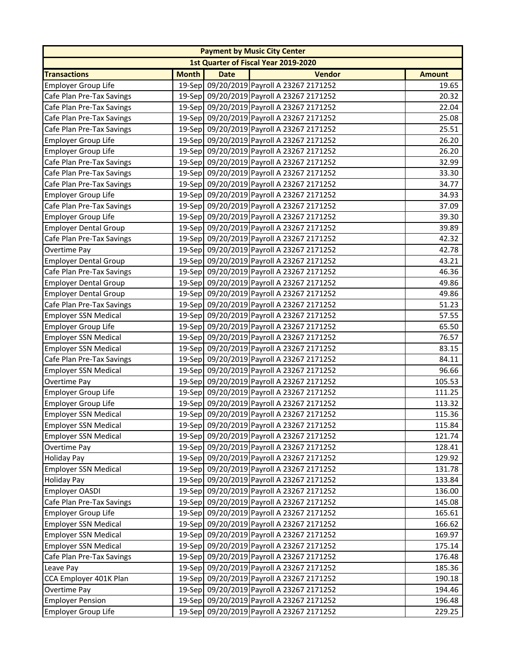|                              |              |             | <b>Payment by Music City Center</b>       |               |
|------------------------------|--------------|-------------|-------------------------------------------|---------------|
|                              |              |             | 1st Quarter of Fiscal Year 2019-2020      |               |
| <b>Transactions</b>          | <b>Month</b> | <b>Date</b> | <b>Vendor</b>                             | <b>Amount</b> |
| <b>Employer Group Life</b>   |              |             | 19-Sep 09/20/2019 Payroll A 23267 2171252 | 19.65         |
| Cafe Plan Pre-Tax Savings    |              |             | 19-Sep 09/20/2019 Payroll A 23267 2171252 | 20.32         |
| Cafe Plan Pre-Tax Savings    |              |             | 19-Sep 09/20/2019 Payroll A 23267 2171252 | 22.04         |
| Cafe Plan Pre-Tax Savings    |              |             | 19-Sep 09/20/2019 Payroll A 23267 2171252 | 25.08         |
| Cafe Plan Pre-Tax Savings    |              |             | 19-Sep 09/20/2019 Payroll A 23267 2171252 | 25.51         |
| <b>Employer Group Life</b>   |              |             | 19-Sep 09/20/2019 Payroll A 23267 2171252 | 26.20         |
| <b>Employer Group Life</b>   |              |             | 19-Sep 09/20/2019 Payroll A 23267 2171252 | 26.20         |
| Cafe Plan Pre-Tax Savings    |              |             | 19-Sep 09/20/2019 Payroll A 23267 2171252 | 32.99         |
| Cafe Plan Pre-Tax Savings    |              |             | 19-Sep 09/20/2019 Payroll A 23267 2171252 | 33.30         |
| Cafe Plan Pre-Tax Savings    |              |             | 19-Sep 09/20/2019 Payroll A 23267 2171252 | 34.77         |
| <b>Employer Group Life</b>   |              |             | 19-Sep 09/20/2019 Payroll A 23267 2171252 | 34.93         |
| Cafe Plan Pre-Tax Savings    |              |             | 19-Sep 09/20/2019 Payroll A 23267 2171252 | 37.09         |
| <b>Employer Group Life</b>   |              |             | 19-Sep 09/20/2019 Payroll A 23267 2171252 | 39.30         |
| <b>Employer Dental Group</b> |              |             | 19-Sep 09/20/2019 Payroll A 23267 2171252 | 39.89         |
| Cafe Plan Pre-Tax Savings    |              |             | 19-Sep 09/20/2019 Payroll A 23267 2171252 | 42.32         |
| Overtime Pay                 |              |             | 19-Sep 09/20/2019 Payroll A 23267 2171252 | 42.78         |
| <b>Employer Dental Group</b> |              |             | 19-Sep 09/20/2019 Payroll A 23267 2171252 | 43.21         |
| Cafe Plan Pre-Tax Savings    |              |             | 19-Sep 09/20/2019 Payroll A 23267 2171252 | 46.36         |
| <b>Employer Dental Group</b> |              |             | 19-Sep 09/20/2019 Payroll A 23267 2171252 | 49.86         |
| <b>Employer Dental Group</b> |              |             | 19-Sep 09/20/2019 Payroll A 23267 2171252 | 49.86         |
| Cafe Plan Pre-Tax Savings    |              |             | 19-Sep 09/20/2019 Payroll A 23267 2171252 | 51.23         |
| <b>Employer SSN Medical</b>  |              |             | 19-Sep 09/20/2019 Payroll A 23267 2171252 | 57.55         |
| <b>Employer Group Life</b>   |              |             | 19-Sep 09/20/2019 Payroll A 23267 2171252 | 65.50         |
| <b>Employer SSN Medical</b>  |              |             | 19-Sep 09/20/2019 Payroll A 23267 2171252 | 76.57         |
| <b>Employer SSN Medical</b>  |              |             | 19-Sep 09/20/2019 Payroll A 23267 2171252 | 83.15         |
| Cafe Plan Pre-Tax Savings    |              |             | 19-Sep 09/20/2019 Payroll A 23267 2171252 | 84.11         |
| <b>Employer SSN Medical</b>  |              |             | 19-Sep 09/20/2019 Payroll A 23267 2171252 | 96.66         |
| Overtime Pay                 |              |             | 19-Sep 09/20/2019 Payroll A 23267 2171252 | 105.53        |
| <b>Employer Group Life</b>   |              |             | 19-Sep 09/20/2019 Payroll A 23267 2171252 | 111.25        |
| <b>Employer Group Life</b>   |              |             | 19-Sep 09/20/2019 Payroll A 23267 2171252 | 113.32        |
| <b>Employer SSN Medical</b>  |              |             | 19-Sep 09/20/2019 Payroll A 23267 2171252 | 115.36        |
| Employer SSN Medical         |              |             | 19-Sep 09/20/2019 Payroll A 23267 2171252 | 115.84        |
| <b>Employer SSN Medical</b>  |              |             | 19-Sep 09/20/2019 Payroll A 23267 2171252 | 121.74        |
| Overtime Pay                 |              |             | 19-Sep 09/20/2019 Payroll A 23267 2171252 | 128.41        |
| <b>Holiday Pay</b>           |              |             | 19-Sep 09/20/2019 Payroll A 23267 2171252 | 129.92        |
| <b>Employer SSN Medical</b>  |              |             | 19-Sep 09/20/2019 Payroll A 23267 2171252 | 131.78        |
| <b>Holiday Pay</b>           |              |             | 19-Sep 09/20/2019 Payroll A 23267 2171252 | 133.84        |
| Employer OASDI               |              |             | 19-Sep 09/20/2019 Payroll A 23267 2171252 | 136.00        |
| Cafe Plan Pre-Tax Savings    |              |             | 19-Sep 09/20/2019 Payroll A 23267 2171252 | 145.08        |
| <b>Employer Group Life</b>   |              |             | 19-Sep 09/20/2019 Payroll A 23267 2171252 | 165.61        |
| <b>Employer SSN Medical</b>  |              |             | 19-Sep 09/20/2019 Payroll A 23267 2171252 | 166.62        |
| <b>Employer SSN Medical</b>  |              |             | 19-Sep 09/20/2019 Payroll A 23267 2171252 | 169.97        |
| <b>Employer SSN Medical</b>  |              |             | 19-Sep 09/20/2019 Payroll A 23267 2171252 | 175.14        |
| Cafe Plan Pre-Tax Savings    |              |             | 19-Sep 09/20/2019 Payroll A 23267 2171252 | 176.48        |
| Leave Pay                    |              |             | 19-Sep 09/20/2019 Payroll A 23267 2171252 | 185.36        |
| CCA Employer 401K Plan       |              |             | 19-Sep 09/20/2019 Payroll A 23267 2171252 | 190.18        |
| Overtime Pay                 |              |             | 19-Sep 09/20/2019 Payroll A 23267 2171252 | 194.46        |
| <b>Employer Pension</b>      |              |             | 19-Sep 09/20/2019 Payroll A 23267 2171252 | 196.48        |
| <b>Employer Group Life</b>   |              |             | 19-Sep 09/20/2019 Payroll A 23267 2171252 | 229.25        |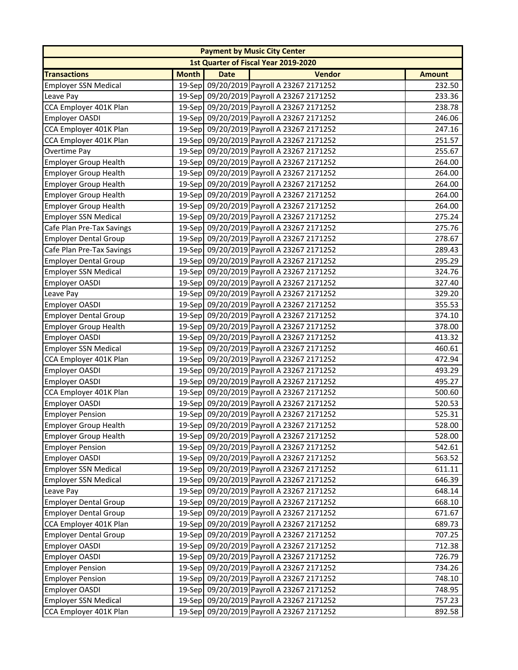|                              |              |             | <b>Payment by Music City Center</b>       |               |
|------------------------------|--------------|-------------|-------------------------------------------|---------------|
|                              |              |             | 1st Quarter of Fiscal Year 2019-2020      |               |
| <b>Transactions</b>          | <b>Month</b> | <b>Date</b> | <b>Vendor</b>                             | <b>Amount</b> |
| <b>Employer SSN Medical</b>  |              |             | 19-Sep 09/20/2019 Payroll A 23267 2171252 | 232.50        |
| Leave Pay                    |              |             | 19-Sep 09/20/2019 Payroll A 23267 2171252 | 233.36        |
| CCA Employer 401K Plan       |              |             | 19-Sep 09/20/2019 Payroll A 23267 2171252 | 238.78        |
| Employer OASDI               |              |             | 19-Sep 09/20/2019 Payroll A 23267 2171252 | 246.06        |
| CCA Employer 401K Plan       |              |             | 19-Sep 09/20/2019 Payroll A 23267 2171252 | 247.16        |
| CCA Employer 401K Plan       |              |             | 19-Sep 09/20/2019 Payroll A 23267 2171252 | 251.57        |
| Overtime Pay                 |              |             | 19-Sep 09/20/2019 Payroll A 23267 2171252 | 255.67        |
| <b>Employer Group Health</b> |              |             | 19-Sep 09/20/2019 Payroll A 23267 2171252 | 264.00        |
| <b>Employer Group Health</b> |              |             | 19-Sep 09/20/2019 Payroll A 23267 2171252 | 264.00        |
| <b>Employer Group Health</b> |              |             | 19-Sep 09/20/2019 Payroll A 23267 2171252 | 264.00        |
| <b>Employer Group Health</b> |              |             | 19-Sep 09/20/2019 Payroll A 23267 2171252 | 264.00        |
| <b>Employer Group Health</b> |              |             | 19-Sep 09/20/2019 Payroll A 23267 2171252 | 264.00        |
| <b>Employer SSN Medical</b>  |              |             | 19-Sep 09/20/2019 Payroll A 23267 2171252 | 275.24        |
| Cafe Plan Pre-Tax Savings    |              |             | 19-Sep 09/20/2019 Payroll A 23267 2171252 | 275.76        |
| <b>Employer Dental Group</b> |              |             | 19-Sep 09/20/2019 Payroll A 23267 2171252 | 278.67        |
| Cafe Plan Pre-Tax Savings    |              |             | 19-Sep 09/20/2019 Payroll A 23267 2171252 | 289.43        |
| <b>Employer Dental Group</b> |              |             | 19-Sep 09/20/2019 Payroll A 23267 2171252 | 295.29        |
| <b>Employer SSN Medical</b>  |              |             | 19-Sep 09/20/2019 Payroll A 23267 2171252 | 324.76        |
| Employer OASDI               |              |             | 19-Sep 09/20/2019 Payroll A 23267 2171252 | 327.40        |
| Leave Pay                    |              |             | 19-Sep 09/20/2019 Payroll A 23267 2171252 | 329.20        |
| <b>Employer OASDI</b>        |              |             | 19-Sep 09/20/2019 Payroll A 23267 2171252 | 355.53        |
| <b>Employer Dental Group</b> |              |             | 19-Sep 09/20/2019 Payroll A 23267 2171252 | 374.10        |
| <b>Employer Group Health</b> |              |             | 19-Sep 09/20/2019 Payroll A 23267 2171252 | 378.00        |
| Employer OASDI               |              |             | 19-Sep 09/20/2019 Payroll A 23267 2171252 | 413.32        |
| <b>Employer SSN Medical</b>  |              |             | 19-Sep 09/20/2019 Payroll A 23267 2171252 | 460.61        |
| CCA Employer 401K Plan       |              |             | 19-Sep 09/20/2019 Payroll A 23267 2171252 | 472.94        |
| Employer OASDI               |              |             | 19-Sep 09/20/2019 Payroll A 23267 2171252 | 493.29        |
| <b>Employer OASDI</b>        |              |             | 19-Sep 09/20/2019 Payroll A 23267 2171252 | 495.27        |
| CCA Employer 401K Plan       |              |             | 19-Sep 09/20/2019 Payroll A 23267 2171252 | 500.60        |
| <b>Employer OASDI</b>        |              |             | 19-Sep 09/20/2019 Payroll A 23267 2171252 | 520.53        |
| <b>Employer Pension</b>      |              |             | 19-Sep 09/20/2019 Payroll A 23267 2171252 | 525.31        |
| Employer Group Health        |              |             | 19-Sep 09/20/2019 Payroll A 23267 2171252 | 528.00        |
| <b>Employer Group Health</b> |              |             | 19-Sep 09/20/2019 Payroll A 23267 2171252 | 528.00        |
| <b>Employer Pension</b>      |              |             | 19-Sep 09/20/2019 Payroll A 23267 2171252 | 542.61        |
| <b>Employer OASDI</b>        |              |             | 19-Sep 09/20/2019 Payroll A 23267 2171252 | 563.52        |
| <b>Employer SSN Medical</b>  |              |             | 19-Sep 09/20/2019 Payroll A 23267 2171252 | 611.11        |
| <b>Employer SSN Medical</b>  |              |             | 19-Sep 09/20/2019 Payroll A 23267 2171252 | 646.39        |
| Leave Pay                    |              |             | 19-Sep 09/20/2019 Payroll A 23267 2171252 | 648.14        |
| <b>Employer Dental Group</b> |              |             | 19-Sep 09/20/2019 Payroll A 23267 2171252 | 668.10        |
| <b>Employer Dental Group</b> |              |             | 19-Sep 09/20/2019 Payroll A 23267 2171252 | 671.67        |
| CCA Employer 401K Plan       |              |             | 19-Sep 09/20/2019 Payroll A 23267 2171252 | 689.73        |
| <b>Employer Dental Group</b> |              |             | 19-Sep 09/20/2019 Payroll A 23267 2171252 | 707.25        |
| Employer OASDI               |              |             | 19-Sep 09/20/2019 Payroll A 23267 2171252 | 712.38        |
| Employer OASDI               |              |             | 19-Sep 09/20/2019 Payroll A 23267 2171252 | 726.79        |
| <b>Employer Pension</b>      |              |             | 19-Sep 09/20/2019 Payroll A 23267 2171252 | 734.26        |
| <b>Employer Pension</b>      |              |             | 19-Sep 09/20/2019 Payroll A 23267 2171252 | 748.10        |
| <b>Employer OASDI</b>        |              |             | 19-Sep 09/20/2019 Payroll A 23267 2171252 | 748.95        |
| <b>Employer SSN Medical</b>  |              |             | 19-Sep 09/20/2019 Payroll A 23267 2171252 | 757.23        |
| CCA Employer 401K Plan       |              |             | 19-Sep 09/20/2019 Payroll A 23267 2171252 | 892.58        |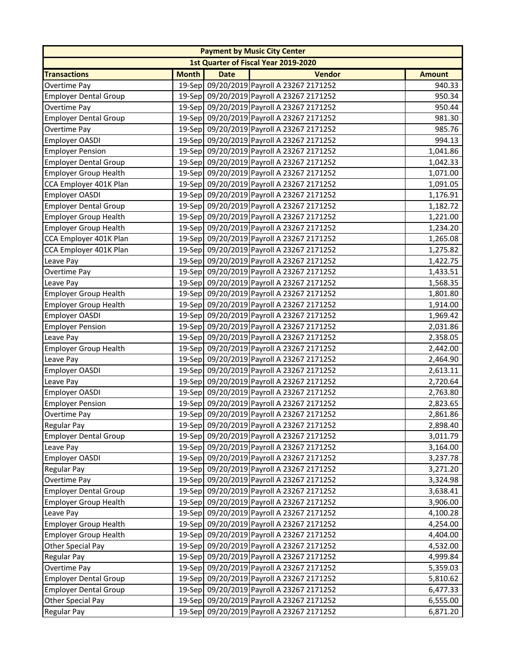| <b>Payment by Music City Center</b>  |              |             |                                           |               |  |  |  |
|--------------------------------------|--------------|-------------|-------------------------------------------|---------------|--|--|--|
| 1st Quarter of Fiscal Year 2019-2020 |              |             |                                           |               |  |  |  |
| <b>Transactions</b>                  | <b>Month</b> | <b>Date</b> | <b>Vendor</b>                             | <b>Amount</b> |  |  |  |
| Overtime Pay                         |              |             | 19-Sep 09/20/2019 Payroll A 23267 2171252 | 940.33        |  |  |  |
| <b>Employer Dental Group</b>         |              |             | 19-Sep 09/20/2019 Payroll A 23267 2171252 | 950.34        |  |  |  |
| Overtime Pay                         |              |             | 19-Sep 09/20/2019 Payroll A 23267 2171252 | 950.44        |  |  |  |
| <b>Employer Dental Group</b>         |              |             | 19-Sep 09/20/2019 Payroll A 23267 2171252 | 981.30        |  |  |  |
| Overtime Pay                         |              |             | 19-Sep 09/20/2019 Payroll A 23267 2171252 | 985.76        |  |  |  |
| Employer OASDI                       |              |             | 19-Sep 09/20/2019 Payroll A 23267 2171252 | 994.13        |  |  |  |
| <b>Employer Pension</b>              |              |             | 19-Sep 09/20/2019 Payroll A 23267 2171252 | 1,041.86      |  |  |  |
| <b>Employer Dental Group</b>         |              |             | 19-Sep 09/20/2019 Payroll A 23267 2171252 | 1,042.33      |  |  |  |
| <b>Employer Group Health</b>         |              |             | 19-Sep 09/20/2019 Payroll A 23267 2171252 | 1,071.00      |  |  |  |
| CCA Employer 401K Plan               |              |             | 19-Sep 09/20/2019 Payroll A 23267 2171252 | 1,091.05      |  |  |  |
| Employer OASDI                       |              |             | 19-Sep 09/20/2019 Payroll A 23267 2171252 | 1,176.91      |  |  |  |
| <b>Employer Dental Group</b>         |              |             | 19-Sep 09/20/2019 Payroll A 23267 2171252 | 1,182.72      |  |  |  |
| <b>Employer Group Health</b>         |              |             | 19-Sep 09/20/2019 Payroll A 23267 2171252 | 1,221.00      |  |  |  |
| <b>Employer Group Health</b>         |              |             | 19-Sep 09/20/2019 Payroll A 23267 2171252 | 1,234.20      |  |  |  |
| CCA Employer 401K Plan               |              |             | 19-Sep 09/20/2019 Payroll A 23267 2171252 | 1,265.08      |  |  |  |
| CCA Employer 401K Plan               |              |             | 19-Sep 09/20/2019 Payroll A 23267 2171252 | 1,275.82      |  |  |  |
| Leave Pay                            |              |             | 19-Sep 09/20/2019 Payroll A 23267 2171252 | 1,422.75      |  |  |  |
| Overtime Pay                         |              |             | 19-Sep 09/20/2019 Payroll A 23267 2171252 | 1,433.51      |  |  |  |
| Leave Pay                            |              |             | 19-Sep 09/20/2019 Payroll A 23267 2171252 | 1,568.35      |  |  |  |
| <b>Employer Group Health</b>         |              |             | 19-Sep 09/20/2019 Payroll A 23267 2171252 | 1,801.80      |  |  |  |
| <b>Employer Group Health</b>         |              |             | 19-Sep 09/20/2019 Payroll A 23267 2171252 | 1,914.00      |  |  |  |
| <b>Employer OASDI</b>                |              |             | 19-Sep 09/20/2019 Payroll A 23267 2171252 | 1,969.42      |  |  |  |
| <b>Employer Pension</b>              |              |             | 19-Sep 09/20/2019 Payroll A 23267 2171252 | 2,031.86      |  |  |  |
| Leave Pay                            |              |             | 19-Sep 09/20/2019 Payroll A 23267 2171252 | 2,358.05      |  |  |  |
| <b>Employer Group Health</b>         |              |             | 19-Sep 09/20/2019 Payroll A 23267 2171252 | 2,442.00      |  |  |  |
| Leave Pay                            |              |             | 19-Sep 09/20/2019 Payroll A 23267 2171252 | 2,464.90      |  |  |  |
| Employer OASDI                       |              |             | 19-Sep 09/20/2019 Payroll A 23267 2171252 | 2,613.11      |  |  |  |
| Leave Pay                            |              |             | 19-Sep 09/20/2019 Payroll A 23267 2171252 | 2,720.64      |  |  |  |
| Employer OASDI                       |              |             | 19-Sep 09/20/2019 Payroll A 23267 2171252 | 2,763.80      |  |  |  |
| <b>Employer Pension</b>              |              |             | 19-Sep 09/20/2019 Payroll A 23267 2171252 | 2,823.65      |  |  |  |
| <b>Overtime Pay</b>                  |              |             | 19-Sep 09/20/2019 Payroll A 23267 2171252 | 2,861.86      |  |  |  |
| Regular Pay                          |              |             | 19-Sep 09/20/2019 Payroll A 23267 2171252 | 2,898.40      |  |  |  |
| <b>Employer Dental Group</b>         |              |             | 19-Sep 09/20/2019 Payroll A 23267 2171252 | 3,011.79      |  |  |  |
| Leave Pay                            |              |             | 19-Sep 09/20/2019 Payroll A 23267 2171252 | 3,164.00      |  |  |  |
| <b>Employer OASDI</b>                |              |             | 19-Sep 09/20/2019 Payroll A 23267 2171252 | 3,237.78      |  |  |  |
| <b>Regular Pay</b>                   |              |             | 19-Sep 09/20/2019 Payroll A 23267 2171252 | 3,271.20      |  |  |  |
| Overtime Pay                         |              |             | 19-Sep 09/20/2019 Payroll A 23267 2171252 | 3,324.98      |  |  |  |
| Employer Dental Group                |              |             | 19-Sep 09/20/2019 Payroll A 23267 2171252 | 3,638.41      |  |  |  |
| <b>Employer Group Health</b>         |              |             | 19-Sep 09/20/2019 Payroll A 23267 2171252 | 3,906.00      |  |  |  |
| Leave Pay                            |              |             | 19-Sep 09/20/2019 Payroll A 23267 2171252 | 4,100.28      |  |  |  |
| <b>Employer Group Health</b>         |              |             | 19-Sep 09/20/2019 Payroll A 23267 2171252 | 4,254.00      |  |  |  |
| <b>Employer Group Health</b>         |              |             | 19-Sep 09/20/2019 Payroll A 23267 2171252 | 4,404.00      |  |  |  |
| Other Special Pay                    |              |             | 19-Sep 09/20/2019 Payroll A 23267 2171252 | 4,532.00      |  |  |  |
| <b>Regular Pay</b>                   |              |             | 19-Sep 09/20/2019 Payroll A 23267 2171252 | 4,999.84      |  |  |  |
| Overtime Pay                         |              |             | 19-Sep 09/20/2019 Payroll A 23267 2171252 | 5,359.03      |  |  |  |
| <b>Employer Dental Group</b>         |              |             | 19-Sep 09/20/2019 Payroll A 23267 2171252 | 5,810.62      |  |  |  |
| <b>Employer Dental Group</b>         |              |             | 19-Sep 09/20/2019 Payroll A 23267 2171252 | 6,477.33      |  |  |  |
| Other Special Pay                    |              |             | 19-Sep 09/20/2019 Payroll A 23267 2171252 | 6,555.00      |  |  |  |
| <b>Regular Pay</b>                   |              |             | 19-Sep 09/20/2019 Payroll A 23267 2171252 | 6,871.20      |  |  |  |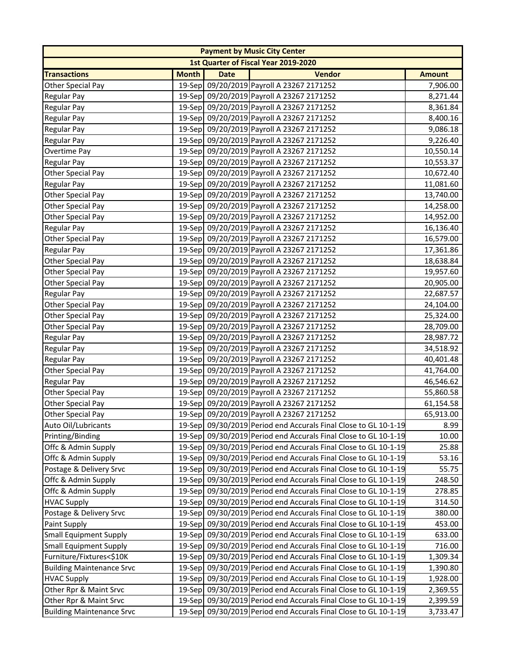| <b>Payment by Music City Center</b> |              |             |                                                                 |               |  |  |  |
|-------------------------------------|--------------|-------------|-----------------------------------------------------------------|---------------|--|--|--|
|                                     |              |             | 1st Quarter of Fiscal Year 2019-2020                            |               |  |  |  |
| <b>Transactions</b>                 | <b>Month</b> | <b>Date</b> | <b>Vendor</b>                                                   | <b>Amount</b> |  |  |  |
| Other Special Pay                   |              |             | 19-Sep 09/20/2019 Payroll A 23267 2171252                       | 7,906.00      |  |  |  |
| <b>Regular Pay</b>                  |              |             | 19-Sep 09/20/2019 Payroll A 23267 2171252                       | 8,271.44      |  |  |  |
| <b>Regular Pay</b>                  |              |             | 19-Sep 09/20/2019 Payroll A 23267 2171252                       | 8,361.84      |  |  |  |
| <b>Regular Pay</b>                  |              |             | 19-Sep 09/20/2019 Payroll A 23267 2171252                       | 8,400.16      |  |  |  |
| <b>Regular Pay</b>                  |              |             | 19-Sep 09/20/2019 Payroll A 23267 2171252                       | 9,086.18      |  |  |  |
| <b>Regular Pay</b>                  |              |             | 19-Sep 09/20/2019 Payroll A 23267 2171252                       | 9,226.40      |  |  |  |
| Overtime Pay                        |              |             | 19-Sep 09/20/2019 Payroll A 23267 2171252                       | 10,550.14     |  |  |  |
| <b>Regular Pay</b>                  |              |             | 19-Sep 09/20/2019 Payroll A 23267 2171252                       | 10,553.37     |  |  |  |
| Other Special Pay                   |              |             | 19-Sep 09/20/2019 Payroll A 23267 2171252                       | 10,672.40     |  |  |  |
| <b>Regular Pay</b>                  |              |             | 19-Sep 09/20/2019 Payroll A 23267 2171252                       | 11,081.60     |  |  |  |
| Other Special Pay                   |              |             | 19-Sep 09/20/2019 Payroll A 23267 2171252                       | 13,740.00     |  |  |  |
| Other Special Pay                   |              |             | 19-Sep 09/20/2019 Payroll A 23267 2171252                       | 14,258.00     |  |  |  |
| Other Special Pay                   |              |             | 19-Sep 09/20/2019 Payroll A 23267 2171252                       | 14,952.00     |  |  |  |
| <b>Regular Pay</b>                  |              |             | 19-Sep 09/20/2019 Payroll A 23267 2171252                       | 16,136.40     |  |  |  |
| Other Special Pay                   |              |             | 19-Sep 09/20/2019 Payroll A 23267 2171252                       | 16,579.00     |  |  |  |
| <b>Regular Pay</b>                  |              |             | 19-Sep 09/20/2019 Payroll A 23267 2171252                       | 17,361.86     |  |  |  |
| Other Special Pay                   |              |             | 19-Sep 09/20/2019 Payroll A 23267 2171252                       | 18,638.84     |  |  |  |
| Other Special Pay                   |              |             | 19-Sep 09/20/2019 Payroll A 23267 2171252                       | 19,957.60     |  |  |  |
| Other Special Pay                   |              |             | 19-Sep 09/20/2019 Payroll A 23267 2171252                       | 20,905.00     |  |  |  |
| <b>Regular Pay</b>                  |              |             | 19-Sep 09/20/2019 Payroll A 23267 2171252                       | 22,687.57     |  |  |  |
| Other Special Pay                   |              |             | 19-Sep 09/20/2019 Payroll A 23267 2171252                       | 24,104.00     |  |  |  |
| Other Special Pay                   |              |             | 19-Sep 09/20/2019 Payroll A 23267 2171252                       | 25,324.00     |  |  |  |
| Other Special Pay                   |              |             | 19-Sep 09/20/2019 Payroll A 23267 2171252                       | 28,709.00     |  |  |  |
| <b>Regular Pay</b>                  |              |             | 19-Sep 09/20/2019 Payroll A 23267 2171252                       | 28,987.72     |  |  |  |
| Regular Pay                         |              |             | 19-Sep 09/20/2019 Payroll A 23267 2171252                       | 34,518.92     |  |  |  |
| <b>Regular Pay</b>                  |              |             | 19-Sep 09/20/2019 Payroll A 23267 2171252                       | 40,401.48     |  |  |  |
| Other Special Pay                   |              |             | 19-Sep 09/20/2019 Payroll A 23267 2171252                       | 41,764.00     |  |  |  |
| <b>Regular Pay</b>                  |              |             | 19-Sep 09/20/2019 Payroll A 23267 2171252                       | 46,546.62     |  |  |  |
| Other Special Pay                   |              |             | 19-Sep 09/20/2019 Payroll A 23267 2171252                       | 55,860.58     |  |  |  |
| Other Special Pay                   |              |             | 19-Sep 09/20/2019 Payroll A 23267 2171252                       | 61,154.58     |  |  |  |
| Other Special Pay                   |              |             | 19-Sep 09/20/2019 Payroll A 23267 2171252                       | 65,913.00     |  |  |  |
| Auto Oil/Lubricants                 |              |             | 19-Sep 09/30/2019 Period end Accurals Final Close to GL 10-1-19 | 8.99          |  |  |  |
| Printing/Binding                    |              |             | 19-Sep 09/30/2019 Period end Accurals Final Close to GL 10-1-19 | 10.00         |  |  |  |
| Offc & Admin Supply                 |              |             | 19-Sep 09/30/2019 Period end Accurals Final Close to GL 10-1-19 | 25.88         |  |  |  |
| Offc & Admin Supply                 |              |             | 19-Sep 09/30/2019 Period end Accurals Final Close to GL 10-1-19 | 53.16         |  |  |  |
| Postage & Delivery Srvc             |              |             | 19-Sep 09/30/2019 Period end Accurals Final Close to GL 10-1-19 | 55.75         |  |  |  |
|                                     |              |             |                                                                 |               |  |  |  |
| Offc & Admin Supply                 |              |             | 19-Sep 09/30/2019 Period end Accurals Final Close to GL 10-1-19 | 248.50        |  |  |  |
| Offc & Admin Supply                 |              |             | 19-Sep 09/30/2019 Period end Accurals Final Close to GL 10-1-19 | 278.85        |  |  |  |
| <b>HVAC Supply</b>                  |              |             | 19-Sep 09/30/2019 Period end Accurals Final Close to GL 10-1-19 | 314.50        |  |  |  |
| Postage & Delivery Srvc             |              |             | 19-Sep 09/30/2019 Period end Accurals Final Close to GL 10-1-19 | 380.00        |  |  |  |
| Paint Supply                        |              |             | 19-Sep 09/30/2019 Period end Accurals Final Close to GL 10-1-19 | 453.00        |  |  |  |
| <b>Small Equipment Supply</b>       |              |             | 19-Sep 09/30/2019 Period end Accurals Final Close to GL 10-1-19 | 633.00        |  |  |  |
| <b>Small Equipment Supply</b>       |              |             | 19-Sep 09/30/2019 Period end Accurals Final Close to GL 10-1-19 | 716.00        |  |  |  |
| Furniture/Fixtures<\$10K            |              |             | 19-Sep 09/30/2019 Period end Accurals Final Close to GL 10-1-19 | 1,309.34      |  |  |  |
| <b>Building Maintenance Srvc</b>    |              |             | 19-Sep 09/30/2019 Period end Accurals Final Close to GL 10-1-19 | 1,390.80      |  |  |  |
| <b>HVAC Supply</b>                  |              |             | 19-Sep 09/30/2019 Period end Accurals Final Close to GL 10-1-19 | 1,928.00      |  |  |  |
| Other Rpr & Maint Srvc              |              |             | 19-Sep 09/30/2019 Period end Accurals Final Close to GL 10-1-19 | 2,369.55      |  |  |  |
| Other Rpr & Maint Srvc              |              |             | 19-Sep 09/30/2019 Period end Accurals Final Close to GL 10-1-19 | 2,399.59      |  |  |  |
| <b>Building Maintenance Srvc</b>    |              |             | 19-Sep 09/30/2019 Period end Accurals Final Close to GL 10-1-19 | 3,733.47      |  |  |  |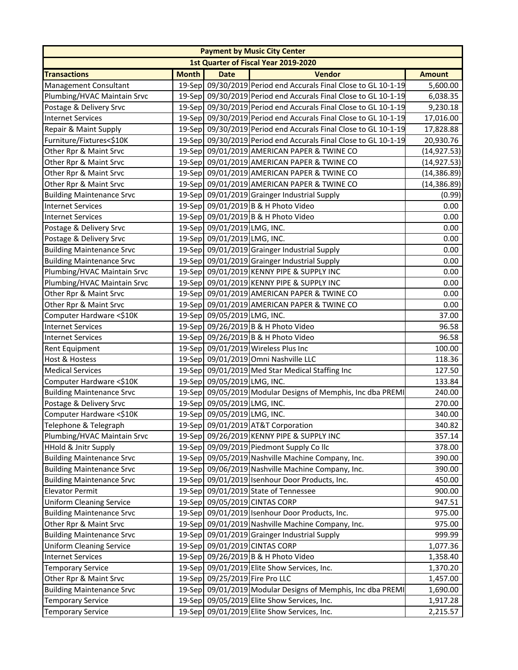| <b>Payment by Music City Center</b> |              |                                |                                                                 |               |  |  |
|-------------------------------------|--------------|--------------------------------|-----------------------------------------------------------------|---------------|--|--|
|                                     |              |                                | 1st Quarter of Fiscal Year 2019-2020                            |               |  |  |
| <b>Transactions</b>                 | <b>Month</b> | <b>Date</b>                    | <b>Vendor</b>                                                   | <b>Amount</b> |  |  |
| <b>Management Consultant</b>        |              |                                | 19-Sep 09/30/2019 Period end Accurals Final Close to GL 10-1-19 | 5,600.00      |  |  |
| Plumbing/HVAC Maintain Srvc         |              |                                | 19-Sep 09/30/2019 Period end Accurals Final Close to GL 10-1-19 | 6,038.35      |  |  |
| Postage & Delivery Srvc             |              |                                | 19-Sep 09/30/2019 Period end Accurals Final Close to GL 10-1-19 | 9,230.18      |  |  |
| <b>Internet Services</b>            |              |                                | 19-Sep 09/30/2019 Period end Accurals Final Close to GL 10-1-19 | 17,016.00     |  |  |
| Repair & Maint Supply               |              |                                | 19-Sep 09/30/2019 Period end Accurals Final Close to GL 10-1-19 | 17,828.88     |  |  |
| Furniture/Fixtures<\$10K            |              |                                | 19-Sep 09/30/2019 Period end Accurals Final Close to GL 10-1-19 | 20,930.76     |  |  |
| Other Rpr & Maint Srvc              |              |                                | 19-Sep 09/01/2019 AMERICAN PAPER & TWINE CO                     | (14, 927.53)  |  |  |
| Other Rpr & Maint Srvc              |              |                                | 19-Sep 09/01/2019 AMERICAN PAPER & TWINE CO                     | (14, 927.53)  |  |  |
| Other Rpr & Maint Srvc              |              |                                | 19-Sep 09/01/2019 AMERICAN PAPER & TWINE CO                     | (14, 386.89)  |  |  |
| Other Rpr & Maint Srvc              |              |                                | 19-Sep 09/01/2019 AMERICAN PAPER & TWINE CO                     | (14, 386.89)  |  |  |
| <b>Building Maintenance Srvc</b>    |              |                                | 19-Sep 09/01/2019 Grainger Industrial Supply                    | (0.99)        |  |  |
| Internet Services                   |              |                                | 19-Sep 09/01/2019 B & H Photo Video                             | 0.00          |  |  |
| Internet Services                   |              |                                | 19-Sep 09/01/2019 B & H Photo Video                             | 0.00          |  |  |
| Postage & Delivery Srvc             |              | 19-Sep 09/01/2019 LMG, INC.    |                                                                 | 0.00          |  |  |
| Postage & Delivery Srvc             |              | 19-Sep 09/01/2019 LMG, INC.    |                                                                 | 0.00          |  |  |
| <b>Building Maintenance Srvc</b>    |              |                                | 19-Sep 09/01/2019 Grainger Industrial Supply                    | 0.00          |  |  |
| <b>Building Maintenance Srvc</b>    |              |                                | 19-Sep 09/01/2019 Grainger Industrial Supply                    | 0.00          |  |  |
| Plumbing/HVAC Maintain Srvc         |              |                                | 19-Sep 09/01/2019 KENNY PIPE & SUPPLY INC                       | 0.00          |  |  |
| Plumbing/HVAC Maintain Srvc         |              |                                | 19-Sep 09/01/2019 KENNY PIPE & SUPPLY INC                       | 0.00          |  |  |
| Other Rpr & Maint Srvc              |              |                                | 19-Sep 09/01/2019 AMERICAN PAPER & TWINE CO                     | 0.00          |  |  |
| Other Rpr & Maint Srvc              |              |                                | 19-Sep 09/01/2019 AMERICAN PAPER & TWINE CO                     | 0.00          |  |  |
| Computer Hardware <\$10K            |              | 19-Sep 09/05/2019 LMG, INC.    |                                                                 | 37.00         |  |  |
| <b>Internet Services</b>            |              |                                | 19-Sep 09/26/2019 B & H Photo Video                             | 96.58         |  |  |
| <b>Internet Services</b>            |              |                                | 19-Sep 09/26/2019 B & H Photo Video                             | 96.58         |  |  |
| <b>Rent Equipment</b>               |              |                                | 19-Sep 09/01/2019 Wireless Plus Inc                             | 100.00        |  |  |
| <b>Host &amp; Hostess</b>           |              |                                | 19-Sep 09/01/2019 Omni Nashville LLC                            | 118.36        |  |  |
| <b>Medical Services</b>             |              |                                | 19-Sep 09/01/2019 Med Star Medical Staffing Inc                 | 127.50        |  |  |
| Computer Hardware <\$10K            |              | 19-Sep 09/05/2019 LMG, INC.    |                                                                 | 133.84        |  |  |
| <b>Building Maintenance Srvc</b>    |              |                                | 19-Sep 09/05/2019 Modular Designs of Memphis, Inc dba PREMI     | 240.00        |  |  |
| Postage & Delivery Srvc             |              | 19-Sep 09/05/2019 LMG, INC.    |                                                                 | 270.00        |  |  |
| Computer Hardware <\$10K            |              | 19-Sep 09/05/2019 LMG, INC.    |                                                                 | 340.00        |  |  |
| Telephone & Telegraph               |              |                                | 19-Sep 09/01/2019 AT&T Corporation                              | 340.82        |  |  |
| Plumbing/HVAC Maintain Srvc         |              |                                | 19-Sep 09/26/2019 KENNY PIPE & SUPPLY INC                       | 357.14        |  |  |
| HHold & Jnitr Supply                |              |                                | 19-Sep 09/09/2019 Piedmont Supply Collc                         | 378.00        |  |  |
| <b>Building Maintenance Srvc</b>    |              |                                | 19-Sep 09/05/2019 Nashville Machine Company, Inc.               | 390.00        |  |  |
| <b>Building Maintenance Srvc</b>    |              |                                | 19-Sep 09/06/2019 Nashville Machine Company, Inc.               | 390.00        |  |  |
| <b>Building Maintenance Srvc</b>    |              |                                | 19-Sep 09/01/2019 Isenhour Door Products, Inc.                  | 450.00        |  |  |
| <b>Elevator Permit</b>              |              |                                | 19-Sep 09/01/2019 State of Tennessee                            | 900.00        |  |  |
| <b>Uniform Cleaning Service</b>     |              |                                | 19-Sep 09/05/2019 CINTAS CORP                                   | 947.51        |  |  |
| <b>Building Maintenance Srvc</b>    |              |                                | 19-Sep 09/01/2019 Isenhour Door Products, Inc.                  | 975.00        |  |  |
| Other Rpr & Maint Srvc              |              |                                | 19-Sep 09/01/2019 Nashville Machine Company, Inc.               | 975.00        |  |  |
| <b>Building Maintenance Srvc</b>    |              |                                | 19-Sep 09/01/2019 Grainger Industrial Supply                    | 999.99        |  |  |
| <b>Uniform Cleaning Service</b>     |              |                                | 19-Sep 09/01/2019 CINTAS CORP                                   | 1,077.36      |  |  |
| <b>Internet Services</b>            |              |                                | 19-Sep 09/26/2019 B & H Photo Video                             | 1,358.40      |  |  |
| <b>Temporary Service</b>            |              |                                | 19-Sep 09/01/2019 Elite Show Services, Inc.                     | 1,370.20      |  |  |
| Other Rpr & Maint Srvc              |              | 19-Sep 09/25/2019 Fire Pro LLC |                                                                 | 1,457.00      |  |  |
| <b>Building Maintenance Srvc</b>    |              |                                | 19-Sep 09/01/2019 Modular Designs of Memphis, Inc dba PREMI     | 1,690.00      |  |  |
| <b>Temporary Service</b>            |              |                                | 19-Sep 09/05/2019 Elite Show Services, Inc.                     | 1,917.28      |  |  |
| <b>Temporary Service</b>            |              |                                | 19-Sep 09/01/2019 Elite Show Services, Inc.                     | 2,215.57      |  |  |
|                                     |              |                                |                                                                 |               |  |  |